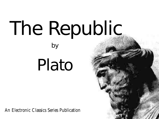# The Republic by

# Plato

An Electronic Classics Series Publication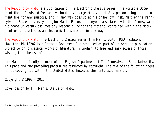*The Republic* by Plato is a publication of The Electronic Classics Series. This Portable Document file is furnished free and without any charge of any kind. Any person using this document file, for any purpose, and in any way does so at his or her own risk. Neither the Pennsylvania State University nor Jim Manis, Editor, nor anyone associated with the Pennsylvania State University assumes any responsibility for the material contained within the document or for the file as an electronic transmission, in any way.

*The Republic* by Plato, The Electronic Classics Series, Jim Manis, Editor, PSU-Hazleton, Hazleton, PA 18202 is a Portable Document File produced as part of an ongoing publication project to bring classical works of literature, in English, to free and easy access of those wishing to make use of them.

Jim Manis is a faculty member of the English Department of The Pennsylvania State University. This page and any preceding page(s) are restricted by copyright. The text of the following pages is not copyrighted within the United States; however, the fonts used may be.

Copyright © 1998 - 2013

Cover design by Jim Manis, Statue of Plato.

The Pennsylvania State University is an equal opportunity university.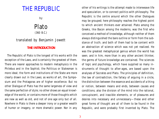## THE REPUBLIC

by

### Plato (360 B.C.)

#### translated by Benjamin Jowett

#### **THE INTRODUCTION**

The Republic of Plato is the longest of his works with the exception of the Laws, and is certainly the greatest of them. There are nearer approaches to modern metaphysics in the Philebus and in the Sophist; the Politicus or Statesman is more ideal; the form and institutions of the State are more clearly drawn out in the Laws; as works of art, the Symposium and the Protagoras are of higher excellence. But no other Dialogue of Plato has the same largeness of view and the same perfection of style; no other shows an equal knowledge of the world, or contains more of those thoughts which are new as well as old, and not of one age only but of all. Nowhere in Plato is there a deeper irony or a greater wealth of humor or imagery, or more dramatic power. Nor in any

other of his writings is the attempt made to interweave life and speculation, or to connect politics with philosophy. The Republic is the centre around which the other Dialogues may be grouped; here philosophy reaches the highest point to which ancient thinkers ever attained. Plato among the Greeks, like Bacon among the moderns, was the first who conceived a method of knowledge, although neither of them always distinguished the bare outline or form from the substance of truth; and both of them had to be content with an abstraction of science which was not yet realized. He was the greatest metaphysical genius whom the world has seen; and in him, more than in any other ancient thinker, the germs of future knowledge are contained. The sciences of logic and psychology, which have supplied so many instruments of thought to after-ages, are based upon the analyses of Socrates and Plato. The principles of definition, the law of contradiction, the fallacy of arguing in a circle, the distinction between the essence and accidents of a thing or notion, between means and ends, between causes and conditions; also the division of the mind into the rational, concupiscent, and irascible elements, or of pleasures and desires into necessary and unnecessary—these and other great forms of thought are all of them to be found in the Republic, and were probably first invented by Plato. The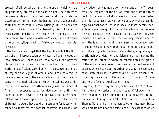greatest of all logical truths, and the one of which writers on philosophy are most apt to lose sight, the difference between words and things, has been most strenuously insisted on by him, although he has not always avoided the confusion of them in his own writings. But he does not bind up truth in logical formulae,—logic is still veiled in metaphysics; and the science which he imagines to "contemplate all truth and all existence" is very unlike the doctrine of the syllogism which Aristotle claims to have discovered.

Neither must we forget that the Republic is but the third part of a still larger design which was to have included an ideal history of Athens, as well as a political and physical philosophy. The fragment of the Critias has given birth to a world-famous fiction, second only in importance to the tale of Troy and the legend of Arthur; and is said as a fact to have inspired some of the early navigators of the sixteenth century. This mythical tale, of which the subject was a history of the wars of the Athenians against the Island of Atlantis, is supposed to be founded upon an unfinished poem of Solon, to which it would have stood in the same relation as the writings of the logographers to the poems of Homer. It would have told of a struggle for Liberty, intended to represent the conflict of Persia and Hellas. We

may judge from the noble commencement of the Timaeus, from the fragment of the Critias itself, and from the third book of the Laws, in what manner Plato would have treated this high argument. We can only guess why the great design was abandoned; perhaps because Plato became sensible of some incongruity in a fictitious history, or because he had lost his interest in it, or because advancing years forbade the completion of it; and we may please ourselves with the fancy that had this imaginary narrative ever been finished, we should have found Plato himself sympathizing with the struggle for Hellenic independence, singing a hymn of triumph over Marathon and Salamis, perhaps making the reflection of Herodotus where he contemplates the growth of the Athenian empire—"How brave a thing is freedom of speech, which has made the Athenians so far exceed every other state of Hellas in greatness!" or, more probably, attributing the victory to the ancient good order of Athens and to the favor of Apollo and Athene.

Again, Plato may be regarded as the "captain" ('arhchegoz') or leader of a goodly band of followers; for in the Republic is to be found the original of Cicero's De Republica, of St. Augustine's City of God, of the Utopia of Sir Thomas More, and of the numerous other imaginary States which are framed upon the same model. The extent to which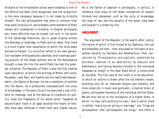Aristotle or the Aristotelian school were indebted to him in the Politics has been little recognized, and the recognition is the more necessary because it is not made by Aristotle himself. The two philosophers had more in common than they were conscious of; and probably some elements of Plato remain still undetected in Aristotle. In English philosophy too, many affinities may be traced, not only in the works of the Cambridge Platonists, but in great original writers like Berkeley or Coleridge, to Plato and his ideas. That there is a truth higher than experience, of which the mind bears witness to herself, is a conviction which in our own generation has been enthusiastically asserted, and is perhaps gaining ground. Of the Greek authors who at the Renaissance brought a new life into the world Plato has had the greatest influence. The Republic of Plato is also the first treatise upon education, of which the writings of Milton and Locke, Rousseau, Jean Paul, and Goethe are the legitimate descendants. Like Dante or Bunyan, he has a revelation of another life; like Bacon, he is profoundly impressed with the unity of knowledge; in the early Church he exercised a real influence on theology, and at the Revival of Literature on politics. Even the fragments of his words when "repeated at second-hand" have in all ages ravished the hearts of men, who have seen reflected in them their own higher nature.

He is the father of idealism in philosophy, in politics, in literature. And many of the latest conceptions of modern thinkers and statesmen, such as the unity of knowledge, the reign of law, and the equality of the sexes, have been anticipated in a dream by him.

#### **ARGUMENT**

The argument of the Republic is the search after Justice, the nature of which is first hinted at by Cephalus, the just and blameless old man—then discussed on the basis of proverbial morality by Socrates and Polemarchus—then caricatured by Thrasymachus and partially explained by Socrates—reduced to an abstraction by Glaucon and Adeimantus, and having become invisible in the individual reappears at length in the ideal State which is constructed by Socrates. The first care of the rulers is to be education, of which an outline is drawn after the old Hellenic model, providing only for an improved religion and morality, and more simplicity in music and gymnastic, a manlier strain of poetry, and greater harmony of the individual and the State. We are thus led on to the conception of a higher State, in which "no man calls anything his own," and in which there is neither "marrying nor giving in marriage," and "kings are philosophers" and "philosophers are kings;" and there is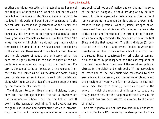another and higher education, intellectual as well as moral and religious, of science as well as of art, and not of youth only but of the whole of life. Such a State is hardly to be realized in this world and would quickly degenerate. To the perfect ideal succeeds the government of the soldier and the lover of honor, this again declining into democracy, and democracy into tyranny, in an imaginary but regular order having not much resemblance to the actual facts. When "the wheel has come full circle" we do not begin again with a new period of human life; but we have passed from the best to the worst, and there we end. The subject is then changed and the old quarrel of poetry and philosophy which had been more lightly treated in the earlier books of the Republic is now resumed and fought out to a conclusion. Poetry is discovered to be an imitation thrice removed from the truth, and Homer, as well as the dramatic poets, having been condemned as an imitator, is sent into banishment along with them. And the idea of the State is supplemented by the revelation of a future life.

The division into books, like all similar divisions, is probably later than the age of Plato. The natural divisions are five in number;—1) Book I and the first half of Book II down to the paragraph beginning, "I had always admired the genius of Glaucon and Adeimantus," which is introductory; the first book containing a refutation of the popular and sophistical notions of justice, and concluding, like some of the earlier Dialogues, without arriving at any definite result. To this is appended a restatement of the nature of justice according to common opinion, and an answer is demanded to the question—What is justice, stripped of appearances? The second division (2) includes the remainder of the second and the whole of the third and fourth books, which are mainly occupied with the construction of the first State and the first education. The third division (3) consists of the fifth, sixth, and seventh books, in which philosophy rather than justice is the subject of inquiry, and the second State is constructed on principles of communism and ruled by philosophers, and the contemplation of the idea of good takes the place of the social and political virtues. In the eighth and ninth books (4) the perversions of States and of the individuals who correspond to them are reviewed in succession; and the nature of pleasure and the principle of tyranny are further analyzed in the individual man. The tenth book (5) is the conclusion of the whole, in which the relations of philosophy to poetry are finally determined, and the happiness of the citizens in this life, which has now been assured, is crowned by the vision of another.

Or a more general division into two parts may be adopted; the first (Books I - IV) containing the description of a State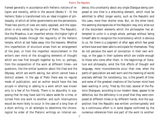framed generally in accordance with Hellenic notions of religion and morality, while in the second (Books V - X) the Hellenic State is transformed into an ideal kingdom of philosophy, of which all other governments are the perversions. These two points of view are really opposed, and the opposition is only veiled by the genius of Plato. The Republic, like the Phaedrus, is an imperfect whole; the higher light of philosophy breaks through the regularity of the Hellenic temple, which at last fades away into the heavens. Whether this imperfection of structure arises from an enlargement of the plan; or from the imperfect reconcilement in the writer's own mind of the struggling elements of thought which are now first brought together by him; or, perhaps, from the composition of the work at different times—are questions, like the similar question about the Iliad and the Odyssey, which are worth asking, but which cannot have a distinct answer. In the age of Plato there was no regular mode of publication, and an author would have the less scruple in altering or adding to a work which was known only to a few of his friends. There is no absurdity in supposing that he may have laid his labors aside for a time, or turned from one work to another; and such interruptions would be more likely to occur in the case of a long than of a short writing. In all attempts to determine the chronological he order of the Platonic writings on internal evi-

dence, this uncertainty about any single Dialogue being composed at one time is a disturbing element, which must be admitted to affect longer works, such as the Republic and the Laws, more than shorter ones. But, on the other hand, the seeming discrepancies of the Republic may only arise out of the discordant elements which the philosopher has attempted to unite in a single whole, perhaps without being himself able to recognize the inconsistency which is obvious to us. For there is a judgment of after ages which few great writers have ever been able to anticipate for themselves. They do not perceive the want of connection in their own writings, or the gaps in their systems which are visible enough to those who come after them. In the beginnings of literature and philosophy, amid the first efforts of thought and language, more inconsistencies occur than now, when the paths of speculation are well worn and the meaning of words precisely defined. For consistency, too, is the growth of time; and some of the greatest creations of the human mind have been wanting in unity. Tried by this test, several of the Platonic Dialogues, according to our modern ideas, appear to be defective, but the deficiency is no proof that they were composed at different times or by different hands. And the supposition that the Republic was written uninterruptedly and by a continuous effort is in some degree confirmed by the numerous references from one part of the work to another.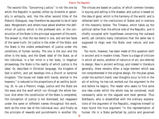The second title, "Concerning Justice," is not the one by which the Republic is quoted, either by Aristotle or generally in antiquity, and, like the other second titles of the Platonic Dialogues, may therefore be assumed to be of later date. Morgenstern and others have asked whether the definition of justice, which is the professed aim, or the construction of the State is the principal argument of the work. The answer is, that the two blend in one, and are two faces of the same truth; for justice is the order of the State, and the State is the visible embodiment of justice under the conditions of human society. The one is the soul and the other is the body, and the Greek ideal of the State, as of the individual, is a fair mind in a fair body. In Hegelian phraseology the State is the reality of which justice is the ideal. Or, described in Christian language, the kingdom of God is within, and yet develops into a Church or external kingdom; "the house not made with hands, eternal in the heavens," is reduced to the proportions of an earthly building. Or, to use a Platonic image, justice and the State are the warp and the woof which run through the whole texture. And when the constitution of the State is completed, the conception of justice is not dismissed, but reappears under the same or different names throughout the work, both as the inner law of the individual soul, and finally as the principle of rewards and punishments in another life.

The virtues are based on justice, of which common honesty in buying and selling is the shadow, and justice is based on the idea of good, which is the harmony of the world, and is reflected both in the institutions of States and in motions of the heavenly bodies. The Timaeus, which takes up the political rather than the ethical side of the Republic, and is chiefly occupied with hypotheses concerning the outward world, yet contains many indications that the same law is supposed to reign over the State, over nature, and over man.

Too much, however, has been made of this question both in ancient and in modern times. There is a stage of criticism in which all works, whether of nature or of art, are referred to design. Now in ancient writings, and indeed in literature generally, there remains often a large element which was not comprehended in the original design. For the plan grows under the author's hand; new thoughts occur to him in the act of writing; he has not worked out the argument to the end before he begins. The reader who seeks to find some one idea under which the whole may be conceived, must necessarily seize on the vaguest and most general. Thus Stallbaum, who is dissatisfied with the ordinary explanations of the argument of the Republic, imagines himself to have found the true argument "in the representation of human life in a State perfected by justice and governed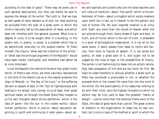according to the idea of good." There may be some use in such general descriptions, but they can hardly be said to express the design of the writer. The truth is, that we may as well speak of many designs as of one; nor need anything be excluded from the plan of a great work to which the mind is naturally led by the association of ideas, and which does not interfere with the general purpose. What kind or degree of unity is to be sought after in a building, in the plastic arts, in poetry, in prose, is a problem which has to be determined relatively to the subject-matter. To Plato himself, the inquiry "what was the intention of the writer," or "what was the principal argument of the Republic" would have been hardly intelligible, and therefore had better be at once dismissed.

Is not the Republic the vehicle of three or four great truths which, to Plato's own mind, are most naturally represented in the form of the State? Just as in the Jewish prophets the reign of Messiah, or "the day of the Lord," or the suffering Servant or people of God, or the "Sun of righteousness with healing in his wings" only convey, to us at least, their great spiritual ideals, so through the Greek State Plato reveals to us his own thoughts about divine perfection, which is the idea of good—like the sun in the visible world;—about human perfection, which is justice—about education beginning in youth and continuing in later years—about poets and sophists and tyrants who are the false teachers and evil rulers of mankind—about "the world" which is the embodiment of them—about a kingdom which exists nowhere upon earth but is laid up in heaven to be the pattern and rule of human life. No such inspired creation is at unity with itself, any more than the clouds of heaven when the sun pierces through them. Every shade of light and dark, of truth, and of fiction which is the veil of truth, is allowable in a work of philosophical imagination. It is not all on the same plane; it easily passes from ideas to myths and fancies, from facts to figures of speech. It is not prose but poetry, at least a great part of it, and ought not to be judged by the rules of logic or the probabilities of history. The writer is not fashioning his ideas into an artistic whole; they take possession of him and are too much for him. We have no need therefore to discuss whether a State such as Plato has conceived is practicable or not, or whether the outward form or the inward life came first into the mind of the writer. For the practicability of his ideas has nothing to do with their truth; and the highest thoughts to which he attains may be truly said to bear the greatest "marks of design"—justice more than the external frame-work of the State, the idea of good more than justice. The great science of dialectic or the organization of ideas has no real content; but is only a type of the method or spirit in which the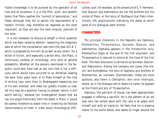higher knowledge is to be pursued by the spectator of all time and all existence. It is in the fifth, sixth, and seventh books that Plato reaches the "summit of speculation," and these, although they fail to satisfy the requirements of a modern thinker, may therefore be regarded as the most important, as they are also the most original, portions of the work.

It is not necessary to discuss at length a minor question which has been raised by Boeckh, respecting the imaginary date at which the conversation was held (the year 411 B. C. which is proposed by him will do as well as any other); for a writer of fiction, and especially a writer who, like Plato, is notoriously careless of chronology, only aims at general probability. Whether all the persons mentioned in the Republic could ever have met at any one time is not a difficulty which would have occurred to an Athenian reading the work forty years later, or to Plato himself at the time of writing (any more than to Shakespeare respecting one of his own dramas); and need not greatly trouble us now. Yet this may be a question having no answer "which is still worth asking," because the investigation shows that we can not argue historically from the dates in Plato; it would be useless therefore to waste time in inventing far-fetched reconcilements of them in order avoid chronological difficulties, such, for example, as the conjecture of C. F. Hermann, that Glaucon and Adeimantus are not the brothers but the uncles of Plato, or the fancy of Stallbaum that Plato intentionally left anachronisms indicating the dates at which some of his Dialogues were written.

#### **CHARACTERS**

The principal characters in the Republic are Cephalus, Polemarchus, Thrasymachus, Socrates, Glaucon, and Adeimantus. Cephalus appears in the introduction only, Polemarchus drops at the end of the first argument, and Thrasymachus is reduced to silence at the close of the first book. The main discussion is carried on by Socrates, Glaucon, and Adeimantus. Among the company are Lysias (the orator) and Euthydemus, the sons of Cephalus and brothers of Polemarchus, an unknown Charmantides—these are mute auditors; also there is Cleitophon, who once interrupts, where, as in the Dialogue which bears his name, he appears as the friend and ally of Thrasymachus.

Cephalus, the patriarch of house, has been appropriately engaged in offering a sacrifice. He is the pattern of an old man who has almost done with life, and is at peace with himself and with all mankind. He feels that he is drawing nearer to the world below, and seems to linger around the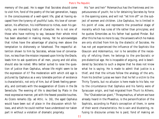memory of the past. He is eager that Socrates should come to visit him, fond of the poetry of the last generation, happy in the consciousness of a well-spent life, glad at having escaped from the tyranny of youthful lusts. His love of conversation, his affection, his indifference to riches, even his garrulity, are interesting traits of character. He is not one of those who have nothing to say, because their whole mind has been absorbed in making money. Yet he acknowledges that riches have the advantage of placing men above the temptation to dishonesty or falsehood. The respectful attention shown to him by Socrates, whose love of conversation, no less than the mission imposed upon him by the Oracle, leads him to ask questions of all men, young and old alike, should also be noted. Who better suited to raise the question of justice than Cephalus, whose life might seem to be the expression of it? The moderation with which old age is pictured by Cephalus as a very tolerable portion of existence is characteristic, not only of him, but of Greek feeling generally, and contrasts with the exaggeration of Cicero in the De Senectute. The evening of life is described by Plato in the most expressive manner, yet with the fewest possible touches. As Cicero remarks (Ep. ad Attic. iv. 16), the aged Cephalus would have been out of place in the discussion which follows, and which he could neither have understood nor taken part in without a violation of dramatic propriety.

His "son and heir" Polemarchus has the frankness and impetuousness of youth; he is for detaining Socrates by force in the opening scene, and will not "let him off" on the subject of women and children. Like Cephalus, he is limited in his point of view, and represents the proverbial stage of morality which has rules of life rather than principles; and he quotes Simonides as his father had quoted Pindar. But after this he has no more to say; the answers which he makes are only elicited from him by the dialectic of Socrates. He has not yet experienced the influence of the Sophists like Glaucon and Adeimantus, nor is he sensible of the necessity of refuting them; he belongs to the pre-Socratic or pre-dialectical age. He is incapable of arguing, and is bewildered by Socrates to such a degree that he does not know what he is saying. He is made to admit that justice is a thief, and that the virtues follow the analogy of the arts. From his brother Lysias we learn that he fell a victim to the Thirty Tyrants, but no allusion is here made to his fate, nor to the circumstance that Cephalus and his family were of Syracusan origin, and had migrated from Thurii to Athens.

The "Chalcedonian giant," Thrasymachus, of whom we have already heard in the Phaedrus, is the personification of the Sophists, according to Plato's conception of them, in some of their worst characteristics. He is vain and blustering, refusing to discourse unless he is paid, fond of making an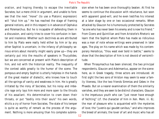oration, and hoping thereby to escape the inevitable Socrates; but a mere child in argument, and unable to foresee that the next "move" (to use a Platonic expression) will "shut him up." He has reached the stage of framing general notions, and in this respect is in advance of Cephalus and Polemarchus. But he is incapable of defending them in a discussion, and vainly tries to cover his confusion in banter and insolence. Whether such doctrines as are attributed to him by Plato were really held either by him or by any other Sophist is uncertain; in the infancy of philosophy serious errors about morality might easily grow up—they are certainly put into the mouths of speakers in Thucydides; but we are concerned at present with Plato's description of him, and not with the historical reality. The inequality of the contest adds greatly to the humor of the scene. The pompous and empty Sophist is utterly helpless in the hands of the great master of dialectic, who knows how to touch all the springs of vanity and weakness in him. He is greatly irritated by the irony of Socrates, but his noisy and imbecile rage only lays him more and more open to the thrusts of his assailant. His determination to cram down their throats, or put "bodily into their souls" his own words, elicits a cry of horror from Socrates. The state of his temper is quite as worthy of remark as the process of the argument. Nothing is more amusing than his complete submission when he has been once thoroughly beaten. At first he seems to continue the discussion with reluctance, but soon with apparent good-will, and he even testifies his interest at a later stage by one or two occasional remarks. When attacked by Glaucon he is humorously protected by Socrates "as one who has never been his enemy and is now his friend." From Cicero and Quintilian and from Aristotle's Rhetoric we learn that the Sophist whom Plato has made so ridiculous was a man of note whose writings were preserved in later ages. The play on his name which was made by his contemporary Herodicus, "thou wast ever bold in battle," seems to show that the description of him is not devoid of verisimilitude.

When Thrasymachus has been silenced, the two principal respondents, Glaucon and Adeimantus, appear on the scene: here, as in Greek tragedy, three actors are introduced. At first sight the two sons of Ariston may seem to wear a family likeness, like the two friends Simmias and Cebes in the Phaedo. But on a nearer examination of them the similarity vanishes, and they are seen to be distinct characters. Glaucon is the impetuous youth who can "just never have enough of fechting" (cf. the character of him in Xen. Mem. iii. 6); the man of pleasure who is acquainted with the mysteries of love; the "*juvenis qui gaudet canibus*," and who improves the breed of animals; the lover of art and music who has all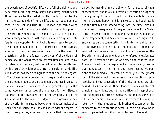the experiences of youthful life. He is full of quickness and penetration, piercing easily below the clumsy platitudes of Thrasymachus to the real difficulty; he turns out to the light the seamy side of human life, and yet does not lose faith in the just and true. It is Glaucon who seizes what may be termed the ludicrous relation of the philosopher to the world, to whom a state of simplicity is "a city of pigs," who is always prepared with a jest when the argument offers him an opportunity, and who is ever ready to second the humor of Socrates and to appreciate the ridiculous, whether in the connoisseurs of music, or in the lovers of theatricals, or in the fantastic behavior of the citizens of democracy. His weaknesses are several times alluded to by Socrates, who, however, will not allow him to be attacked by his brother Adeimantus. He is a soldier, and, like Adeimantus, has been distinguished at the battle of Megara.

The character of Adeimantus is deeper and graver, and the profounder objections are commonly put into his mouth. Glaucon is more demonstrative, and generally opens the game. Adeimantus pursues the argument further. Glaucon has more of the liveliness and quick sympathy of youth; Adeimantus has the maturer judgment of a grown-up man of the world. In the second book, when Glaucon insists that justice and injustice shall be considered without regard to their consequences, Adeimantus remarks that they are regarded by mankind in general only for the sake of their consequences; and in a similar vein of reflection he urges at the beginning of the fourth book that Socrates falls in making his citizens happy, and is answered that happiness is not the first but the second thing, not the direct aim but the indirect consequence of the good government of a State. In the discussion about religion and mythology, Adeimantus is the respondent, but Glaucon breaks in with a slight jest, and carries on the conversation in a lighter tone about music and gymnastic to the end of the book. It is Adeimantus again who volunteers the criticism of common sense on the Socratic method of argument, and who refuses to let Socrates pass lightly over the question of women and children. It is Adeimantus who is the respondent in the more argumentative, as Glaucon in the lighter and more imaginative portions of the Dialogue. For example, throughout the greater part of the sixth book, the causes of the corruption of philosophy and the conception of the idea of good are discussed with Adeimantus. Then Glaucon resumes his place of principal respondent; but he has a difficulty in apprehending the higher education of Socrates, and makes some false hits in the course of the discussion. Once more Adeimantus returns with the allusion to his brother Glaucon whom he compares to the contentious State; in the next book he is again superseded, and Glaucon continues to the end.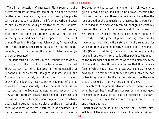Thus in a succession of characters Plato represents the successive stages of morality, beginning with the Athenian gentleman of the olden time, who is followed by the practical man of that day regulating his life by proverbs and saws; to him succeeds the wild generalization of the Sophists, and lastly come the young disciples of the great teacher, who know the sophistical arguments but will not be convinced by them, and desire to go deeper into the nature of things. These too, like Cephalus, Polemarchus, Thrasymachus, are clearly distinguished from one another. Neither in the Republic, nor in any other Dialogue of Plato, is a single character repeated.

The delineation of Socrates in the Republic is not wholly consistent. In the first book we have more of the real Socrates, such as he is depicted in the Memorabilia of Xenophon, in the earliest Dialogues of Plato, and in the Apology. He is ironical, provoking, questioning, the old enemy of the Sophists, ready to put on the mask of Silenus as well as to argue seriously. But in the sixth book his enmity towards the Sophists abates; he acknowledges that they are the representatives rather than the corrupters of the world. He also becomes more dogmatic and constructive, passing beyond the range either of the political or the speculative ideas of the real Socrates. In one passage Plato himself seems to intimate that the time had now come for

Socrates, who had passed his whole life in philosophy, to give his own opinion and not to be always repeating the notions of other men. There is no evidence that either the idea of good or the conception of a perfect State were comprehended in the Socratic teaching, though he certainly dwelt on the nature of the universal and of final causes (cp. Xen. Mem. i. 4; Phaedo 97); and a deep thinker like him in his thirty or forty years of public teaching, could hardly have falled to touch on the nature of family relations, for which there is also some positive evidence in the Memorabilia (Mem. i. 2, 51 foll.) The Socratic method is nominally retained; and every inference is either put into the mouth of the respondent or represented as the common discovery of him and Socrates. But any one can see that this is a mere form, of which the affectation grows wearisome as the work advances. The method of inquiry has passed into a method of teaching in which by the help of interlocutors the same thesis is looked at from various points of view.

The nature of the process is truly characterized by Glaucon, when he describes himself as a companion who is not good for much in an investigation, but can see what he is shown, and may, perhaps, give the answer to a question more fluently than another.

Neither can we be absolutely certain that, Socrates himself taught the immortality of the soul, which is unknown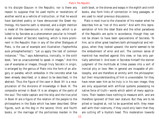to his disciple Glaucon in the Republic; nor is there any reason to suppose that he used myths or revelations of another world as a vehicle of instruction, or that he would have banished poetry or have denounced the Greek mythology. His favorite oath is retained, and a slight mention is made of the daemonium, or internal sign, which is alluded to by Socrates as a phenomenon peculiar to himself. A real element of Socratic teaching, which is more prominent in the Republic than in any of the other Dialogues of Plato, is the use of example and illustration (*'taphorhtika auto prhospherhontez'*): "Let us apply the test of common instances." "You," says Adeimantus, ironically, in the sixth book, "are so unaccustomed to speak in images." And this use of examples or images, though truly Socratic in origin, is enlarged by the genius of Plato into the form of an allegory or parable, which embodies in the concrete what has been already described, or is about to be described, in the abstract. Thus the figure of the cave in Book VII is a recapitulation of the divisions of knowledge in Book VI. The composite animal in Book IX is an allegory of the parts of the soul. The noble captain and the ship and the true pilot in Book VI are a figure of the relation of the people to the philosophers in the State which has been described. Other figures, such as the dog in the second, third, and fourth books, or the marriage of the portionless maiden in the

sixth book, or the drones and wasps in the eighth and ninth books, also form links of connection in long passages, or are used to recall previous discussions.

Plato is most true to the character of his master when he describes him as "not of this world." And with this representation of him the ideal State and the other paradoxes of the Republic are quite in accordance, though they can not be shown to have been speculations of Socrates. To him, as to other great teachers both philosophical and religious, when they looked upward, the world seemed to be the embodiment of error and evil. The common sense of mankind has revolted against this view, or has only partially admitted it. And even in Socrates himself the sterner judgment of the multitude at times passes into a sort of ironical pity or love. Men in general are incapable of philosophy, and are therefore at enmity with the philosopher; but their misunderstanding of him is unavoidable: for they have never seen him as he truly is in his own image; they are only acquainted with artificial systems possessing no native force of truth—words which admit of many applications. Their leaders have nothing to measure with, and are therefore ignorant of their own stature. But they are to be pitied or laughed at, not to be quarrelled with; they mean well with their nostrums, if they could only learn that they are cutting off a Hydra's head. This moderation towards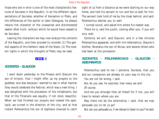those who are in error is one of the most characteristic features of Socrates in the Republic. In all the different representations of Socrates, whether of Xenophon or Plato, and the differences of the earlier or later Dialogues, he always retains the character of the unwearied and disinterested seeker after truth, without which he would have ceased to be Socrates.

Leaving the characters we may now analyze the contents of the Republic, and then proceed to consider (1) The general aspects of this Hellenic ideal of the State, (2) The modern lights in which the thoughts of Plato may be read.

#### **BOOK I**

#### **SOCRATES - GLAUCON**

I went down yesterday to the Piraeus with Glaucon the son of Ariston, that I might offer up my prayers to the goddess; and also because I wanted to see in what manner they would celebrate the festival, which was a new thing. I was delighted with the procession of the inhabitants; but that of the Thracians was equally, if not more, beautiful. When we had finished our prayers and viewed the spectacle, we turned in the direction of the city; and at that instant Polemarchus the son of Cephalus chanced to catch sight of us from a distance as we were starting on our way home, and told his servant to run and bid us wait for him. The servant took hold of me by the cloak behind, and said: Polemarchus desires you to wait.

I turned round, and asked him where his master was.

There he is, said the youth, coming after you, if you will only wait.

Certainly we will, said Glaucon; and in a few minutes Polemarchus appeared, and with him Adeimantus, Glaucon's brother, Niceratus the son of Nicias, and several others who had been at the procession.

#### **SOCRATES - POLEMARCHUS - GLAUCON - ADEIMANTUS**

Polemarchus said to me: I perceive, Socrates, that you and our companion are already on your way to the city.

You are not far wrong, I said.

But do you see, he rejoined, how many we are? Of course.

And are you stronger than all these? for if not, you will have to remain where you are.

May there not be the alternative, I said, that we may persuade you to let us go?

But can you persuade us, if we refuse to listen to you? he said.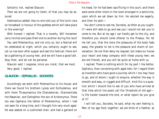Certainly not, replied Glaucon.

Then we are not going to listen; of that you may be assured.

Adeimantus added: Has no one told you of the torch-race on horseback in honour of the goddess which will take place in the evening?

With horses! I replied: That is a novelty. Will horsemen carry torches and pass them one to another during the race?

Yes, said Polemarchus, and not only so, but a festival will he celebrated at night, which you certainly ought to see. Let us rise soon after supper and see this festival; there will be a gathering of young men, and we will have a good talk. Stay then, and do not be perverse.

Glaucon said: I suppose, since you insist, that we must. Very good, I replied.

#### **GLAUCON - CEPHALUS - SOCRATES**

Accordingly we went with Polemarchus to his house; and there we found his brothers Lysias and Euthydemus, and with them Thrasymachus the Chalcedonian, Charmantides the Paeanian, and Cleitophon the son of Aristonymus. There too was Cephalus the father of Polemarchus, whom I had not seen for a long time, and I thought him very much aged. He was seated on a cushioned chair, and had a garland on

his head, for he had been sacrificing in the court; and there were some other chairs in the room arranged in a semicircle, upon which we sat down by him. He saluted me eagerly, and then he said:—

You don't come to see me, Socrates, as often as you ought: If I were still able to go and see you I would not ask you to come to me. But at my age I can hardly get to the city, and therefore you should come oftener to the Piraeus. For let me tell you, that the more the pleasures of the body fade away, the greater to me is the pleasure and charm of conversation. Do not then deny my request, but make our house your resort and keep company with these young men; we are old friends, and you will be quite at home with us.

I replied: There is nothing which for my part I like better, Cephalus, than conversing with aged men; for I regard them as travellers who have gone a journey which I too may have to go, and of whom I ought to enquire, whether the way is smooth and easy, or rugged and difficult. And this is a question which I should like to ask of you who have arrived at that time which the poets call the 'threshold of old age'— Is life harder towards the end, or what report do you give of it?

I will tell you, Socrates, he said, what my own feeling is. Men of my age flock together; we are birds of a feather, as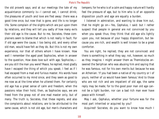the old proverb says; and at our meetings the tale of my acquaintance commonly is—I cannot eat, I cannot drink; the pleasures of youth and love are fled away: there was a good time once, but now that is gone, and life is no longer life. Some complain of the slights which are put upon them by relations, and they will tell you sadly of how many evils their old age is the cause. But to me, Socrates, these complainers seem to blame that which is not really in fault. For if old age were the cause, I too being old, and every other old man, would have felt as they do. But this is not my own experience, nor that of others whom I have known. How well I remember the aged poet Sophocles, when in answer to the question, How does love suit with age, Sophocles, are you still the man you were? Peace, he replied; most gladly have I escaped the thing of which you speak; I feel as if I had escaped from a mad and furious master. His words have often occurred to my mind since, and they seem as good to me now as at the time when he uttered them. For certainly old age has a great sense of calm and freedom; when the passions relax their hold, then, as Sophocles says, we are freed from the grasp not of one mad master only, but of many. The truth is, Socrates, that these regrets, and also the complaints about relations, are to be attributed to the same cause, which is not old age, but men's characters and

tempers; for he who is of a calm and happy nature will hardly feel the pressure of age, but to him who is of an opposite disposition youth and age are equally a burden.

I listened in admiration, and wanting to draw him out, that he might go on—Yes, Cephalus, I said: but I rather suspect that people in general are not convinced by you when you speak thus; they think that old age sits lightly upon you, not because of your happy disposition, but because you are rich, and wealth is well known to be a great comforter.

You are right, he replied; they are not convinced: and there is something in what they say; not, however, so much as they imagine. I might answer them as Themistocles answered the Seriphian who was abusing him and saying that he was famous, not for his own merits but because he was an Athenian: 'If you had been a native of my country or I of yours, neither of us would have been famous.' And to those who are not rich and are impatient of old age, the same reply may be made; for to the good poor man old age cannot be a light burden, nor can a bad rich man ever have peace with himself.

May I ask, Cephalus, whether your fortune was for the most part inherited or acquired by you?

Acquired! Socrates; do you want to know how much I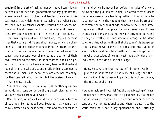acquired? In the art of making money I have been midway between my father and grandfather: for my grandfather, whose name I bear, doubled and trebled the value of his patrimony, that which he inherited being much what I possess now; but my father Lysanias reduced the property below what it is at present: and I shall be satisfied if I leave to these my sons not less but a little more than I received.

That was why I asked you the question, I replied, because I see that you are indifferent about money, which is a characteristic rather of those who have inherited their fortunes than of those who have acquired them; the makers of fortunes have a second love of money as a creation of their own, resembling the affection of authors for their own poems, or of parents for their children, besides that natural love of it for the sake of use and profit which is common to them and all men. And hence they are very bad company, for they can talk about nothing but the praises of wealth. That is true, he said.

Yes, that is very true, but may I ask another question? What do you consider to be the greatest blessing which you have reaped from your wealth?

One, he said, of which I could not expect easily to convince others. For let me tell you, Socrates, that when a man thinks himself to be near death, fears and cares enter into

his mind which he never had before; the tales of a world below and the punishment which is exacted there of deeds done here were once a laughing matter to him, but now he is tormented with the thought that they may be true: either from the weakness of age, or because he is now drawing nearer to that other place, he has a clearer view of these things; suspicions and alarms crowd thickly upon him, and he begins to reflect and consider what wrongs he has done to others. And when he finds that the sum of his transgressions is great he will many a time like a child start up in his sleep for fear, and he is filled with dark forebodings. But to him who is conscious of no sin, sweet hope, as Pindar charmingly says, is the kind nurse of his age:

Hope, he says, cherishes the soul of him who lives in justice and holiness and is the nurse of his age and the companion of his journey;—hope which is mightiest to sway the restless soul of man.

How admirable are his words! And the great blessing of riches, I do not say to every man, but to a good man, is, that he has had no occasion to deceive or to defraud others, either intentionally or unintentionally; and when he departs to the world below he is not in any apprehension about offerings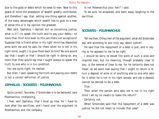due to the gods or debts which he owes to men. Now to this peace of mind the possession of wealth greatly contributes; and therefore I say, that, setting one thing against another, of the many advantages which wealth has to give, to a man of sense this is in my opinion the greatest.

Well said, Cephalus, I replied; but as concerning justice, what is it?—to speak the truth and to pay your debts—no more than this? And even to this are there not exceptions? Suppose that a friend when in his right mind has deposited arms with me and he asks for them when he is not in his right mind, ought I to give them back to him? No one would say that I ought or that I should be right in doing so, any more than they would say that I ought always to speak the truth to one who is in his condition.

You are quite right, he replied.

But then, I said, speaking the truth and paying your debts is not a correct definition of justice.

#### **CEPHALUS - SOCRATES - POLEMARCHUS**

Quite correct, Socrates, if Simonides is to be believed, said Polemarchus interposing.

I fear, said Cephalus, that I must go now, for I have to look after the sacrifices, and I hand over the argument to Polemarchus and the company.

Is not Polemarchus your heir? I said.

To be sure, he answered, and went away laughing to the sacrifices.

#### **SOCRATES - POLEMARCHUS**

Tell me then, O thou heir of the argument, what did Simonides say, and according to you truly say, about justice?

He said that the repayment of a debt is just, and in saying so he appears to me to be right.

I should be sorry to doubt the word of such a wise and inspired man, but his meaning, though probably clear to you, is the reverse of clear to me. For he certainly does not mean, as we were now saying that I ought to return a return a deposit of arms or of anything else to one who asks for it when he is not in his right senses; and yet a deposit cannot be denied to be a debt.

True.

Then when the person who asks me is not in his right mind I am by no means to make the return?

Certainly not.

When Simonides said that the repayment of a debt was justice, he did not mean to include that case?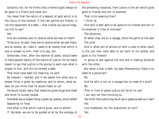Certainly not; for he thinks that a friend ought always to do good to a friend and never evil.

You mean that the return of a deposit of gold which is to the injury of the receiver, if the two parties are friends, is not the repayment of a debt,—that is what you would imagine him to say?

Yes.

And are enemies also to receive what we owe to them?

To be sure, he said, they are to receive what we owe them, and an enemy, as I take it, owes to an enemy that which is due or proper to him—that is to say, evil.

Simonides, then, after the manner of poets, would seem to have spoken darkly of the nature of justice; for he really meant to say that justice is the giving to each man what is proper to him, and this he termed a debt.

That must have been his meaning, he said.

By heaven! I replied; and if we asked him what due or proper thing is given by medicine, and to whom, what answer do you think that he would make to us?

He would surely reply that medicine gives drugs and meat and drink to human bodies.

And what due or proper thing is given by cookery, and to what? Seasoning to food.

And what is that which justice gives, and to whom?

If, Socrates, we are to be guided at all by the analogy of

the preceding instances, then justice is the art which gives good to friends and evil to enemies.

That is his meaning then?

I think so.

And who is best able to do good to his friends and evil to his enemies in time of sickness?

The physician.

Or when they are on a voyage, amid the perils of the sea? The pilot.

And in what sort of actions or with a view to what result is the just man most able to do harm to his enemy and good to his friends?

In going to war against the one and in making alliances with the other.

But when a man is well, my dear Polemarchus, there is no need of a physician?

No.

And he who is not on a voyage has no need of a pilot? No.

Then in time of peace justice will be of no use?

I am very far from thinking so.

You think that justice may be of use in peace as well as in war? Yes.

Like husbandry for the acquisition of corn?

Yes.

21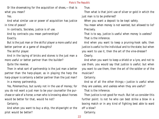Or like shoemaking for the acquisition of shoes,—that is what you mean?

Yes.

And what similar use or power of acquisition has justice in time of peace?

In contracts, Socrates, justice is of use.

And by contracts you mean partnerships? Exactly.

But is the just man or the skilful player a more useful and better partner at a game of draughts?

The skilful player.

And in the laying of bricks and stones is the just man a more useful or better partner than the builder?

Quite the reverse.

Then in what sort of partnership is the just man a better partner than the harp-player, as in playing the harp the harp-player is certainly a better partner than the just man? In a money partnership.

Yes, Polemarchus, but surely not in the use of money; for you do not want a just man to be your counsellor the purchase or sale of a horse; a man who is knowing about horses would be better for that, would he not?

Certainly.

And when you want to buy a ship, the shipwright or the pilot would be better?

True.

Then what is that joint use of silver or gold in which the just man is to be preferred?

When you want a deposit to be kept safely.

You mean when money is not wanted, but allowed to lie? Precisely.

That is to say, justice is useful when money is useless? That is the inference.

And when you want to keep a pruning-hook safe, then justice is useful to the individual and to the state; but when you want to use it, then the art of the vine-dresser? Clearly.

And when you want to keep a shield or a lyre, and not to use them, you would say that justice is useful; but when you want to use them, then the art of the soldier or of the musician?

Certainly.

And so of all the other things;—justice is useful when they are useless, and useless when they are useful?

That is the inference.

Then justice is not good for much. But let us consider this further point: Is not he who can best strike a blow in a boxing match or in any kind of fighting best able to ward off a blow?

Certainly.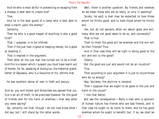And he who is most skilful in preventing or escaping from a disease is best able to create one?

True.

And he is the best guard of a camp who is best able to steal a march upon the enemy?

Certainly.

Then he who is a good keeper of anything is also a good thief?

That, I suppose, is to be inferred.

Then if the just man is good at keeping money, he is good at stealing it.

That is implied in the argument.

Then after all the just man has turned out to be a thief. And this is a lesson which I suspect you must have learnt out of Homer; for he, speaking of Autolycus, the maternal grandfather of Odysseus, who is a favourite of his, affirms that

He was excellent above all men in theft and perjury.

And so, you and Homer and Simonides are agreed that justice is an art of theft; to be practised however 'for the good of friends and for the harm of enemies,'—that was what you were saying?

No, certainly not that, though I do not now know what I did say; but I still stand by the latter words.

Well, there is another question: By friends and enemies do we mean those who are so really, or only in seeming?

Surely, he said, a man may be expected to love those whom he thinks good, and to hate those whom he thinks evil.

Yes, but do not persons often err about good and evil: many who are not good seem to be so, and conversely? That is true.

Then to them the good will be enemies and the evil will be their friends? True.

And in that case they will be right in doing good to the evil and evil to the good?

Clearly.

But the good are just and would not do an injustice? True.

Then according to your argument it is just to injure those who do no wrong?

Nay, Socrates; the doctrine is immoral.

Then I suppose that we ought to do good to the just and harm to the unjust?

I like that better.

But see the consequence:—Many a man who is ignorant of human nature has friends who are bad friends, and in that case he ought to do harm to them; and he has good enemies whom he ought to benefit; but, if so, we shall be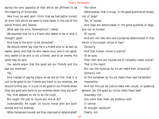saying the very opposite of that which we affirmed to be the meaning of Simonides.

Very true, he said: and I think that we had better correct an error into which we seem to have fallen in the use of the words 'friend' and 'enemy.'

What was the error, Polemarchus? I asked.

We assumed that he is a friend who seems to be or who is thought good.

And how is the error to be corrected?

We should rather say that he is a friend who is, as well as seems, good; and that he who seems only, and is not good, only seems to be and is not a friend; and of an enemy the same may be said.

You would argue that the good are our friends and the bad our enemies?

Yes.

And instead of saying simply as we did at first, that it is just to do good to our friends and harm to our enemies, we should further say: It is just to do good to our friends when they are good and harm to our enemies when they are evil?

Yes, that appears to me to be the truth.

But ought the just to injure any one at all?

Undoubtedly he ought to injure those who are both wicked and his enemies.

When horses are injured, are they improved or deteriorated?

The latter.

Deteriorated, that is to say, in the good qualities of horses, not of dogs?

Yes, of horses.

And dogs are deteriorated in the good qualities of dogs, and not of horses?

Of course.

And will not men who are injured be deteriorated in that

which is the proper virtue of man?

Certainly.

And that human virtue is justice?

To be sure.

Then men who are injured are of necessity made unjust? That is the result.

But can the musician by his art make men unmusical? Certainly not.

Or the horseman by his art make them bad horsemen? Impossible.

And can the just by justice make men unjust, or speaking general can the good by virtue make them bad?

Assuredly not.

Any more than heat can produce cold?

It cannot.

Or drought moisture?

Clearly not.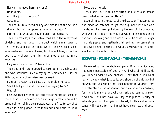Nor can the good harm any one? Impossible.

And the just is the good? Certainly.

Then to injure a friend or any one else is not the act of a just man, but of the opposite, who is the unjust?

I think that what you say is quite true, Socrates.

Then if a man says that justice consists in the repayment of debts, and that good is the debt which a man owes to his friends, and evil the debt which he owes to his enemies,—to say this is not wise; for it is not true, if, as has been clearly shown, the injuring of another can be in no case just.

I agree with you, said Polemarchus.

Then you and I are prepared to take up arms against any one who attributes such a saying to Simonides or Bias or Pittacus, or any other wise man or seer?

I am quite ready to do battle at your side, he said. Shall I tell you whose I believe the saying to be? Whose?

I believe that Periander or Perdiccas or Xerxes or Ismenias the Theban, or some other rich and mighty man, who had a great opinion of his own power, was the first to say that justice is 'doing good to your friends and harm to your enemies.'

Most true, he said.

Yes, I said; but if this definition of justice also breaks down, what other can be offered?

Several times in the course of the discussion Thrasymachus had made an attempt to get the argument into his own hands, and had been put down by the rest of the company, who wanted to hear the end. But when Polemarchus and I had done speaking and there was a pause, he could no longer hold his peace; and, gathering himself up, he came at us like a wild beast, seeking to devour us. We were quite panicstricken at the sight of him.

#### **SOCRATES - POLEMARCHUS - THRASYMACHUS**

He roared out to the whole company: What folly. Socrates, has taken possession of you all? And why, sillybillies, do you knock under to one another? I say that if you want really to know what justice is, you should not only ask but answer, and you should not seek honour to yourself from the refutation of an opponent, but have your own answer; for there is many a one who can ask and cannot answer. And now I will not have you say that justice is duty or advantage or profit or gain or interest, for this sort of nonsense will not do for me; I must have clearness and accuracy.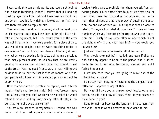I was panic-stricken at his words, and could not look at him without trembling. Indeed I believe that if I had not fixed my eye upon him, I should have been struck dumb: but when I saw his fury rising, I looked at him first, and was therefore able to reply to him.

Thrasymachus, I said, with a quiver, don't be hard upon us. Polemarchus and I may have been guilty of a little mistake in the argument, but I can assure you that the error was not intentional. If we were seeking for a piece of gold, you would not imagine that we were 'knocking under to one another,' and so losing our chance of finding it. And why, when we are seeking for justice, a thing more precious than many pieces of gold, do you say that we are weakly yielding to one another and not doing our utmost to get at the truth? Nay, my good friend, we are most willing and anxious to do so, but the fact is that we cannot. And if so, you people who know all things should pity us and not be angry with us.

How characteristic of Socrates! he replied, with a bitter laugh;—that's your ironical style! Did I not foresee—have I not already told you, that whatever he was asked he would refuse to answer, and try irony or any other shuffle, in order that he might avoid answering?

You are a philosopher, Thrasymachus, I replied, and well know that if you ask a person what numbers make up twelve, taking care to prohibit him whom you ask from answering twice six, or three times four, or six times two, or four times three, 'for this sort of nonsense will not do for me,'—then obviously, that is your way of putting the question, no one can answer you. But suppose that he were to retort, 'Thrasymachus, what do you mean? If one of these numbers which you interdict be the true answer to the question, am I falsely to say some other number which is not the right one?—is that your meaning?' —How would you answer him?

Just as if the two cases were at all alike! he said.

Why should they not be? I replied; and even if they are not, but only appear to be so to the person who is asked, ought he not to say what he thinks, whether you and I forbid him or not?

I presume then that you are going to make one of the interdicted answers?

I dare say that I may, notwithstanding the danger, if upon reflection I approve of any of them.

But what if I give you an answer about justice other and better, he said, than any of these? What do you deserve to have done to you?

Done to me!—as becomes the ignorant, I must learn from the wise—that is what I deserve to have done to me.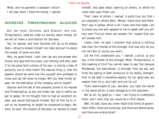What, and no payment! a pleasant notion! I will pay when I have the money, I replied.

#### **SOCRATES - THRASYMACHUS - GLAUCON**

But you have, Socrates, said Glaucon: and you, Thrasymachus, need be under no anxiety about money, for we will all make a contribution for Socrates.

Yes, he replied, and then Socrates will do as he always does—refuse to answer himself, but take and pull to pieces the answer of some one else.

Why, my good friend, I said, how can any one answer who knows, and says that he knows, just nothing; and who, even if he has some faint notions of his own, is told by a man of authority not to utter them? The natural thing is, that the speaker should be some one like yourself who professes to know and can tell what he knows. Will you then kindly answer, for the edification of the company and of myself?

Glaucon and the rest of the company joined in my request and Thrasymachus, as any one might see, was in reality eager to speak; for he thought that he had an excellent answer, and would distinguish himself. But at first he to insist on my answering; at length he consented to begin. Behold, he said, the wisdom of Socrates; he refuses to teach

himself, and goes about learning of others, to whom he never even says thank you.

That I learn of others, I replied, is quite true; but that I am ungrateful I wholly deny. Money I have none, and therefore I pay in praise, which is all I have: and how ready I am to praise any one who appears to me to speak well you will very soon find out when you answer; for I expect that you will answer well.

Listen, then, he said; I proclaim that justice is nothing else than the interest of the stronger. And now why do you not me? But of course you won't.

Let me first understand you, I replied. Justice, as you say, is the interest of the stronger. What, Thrasymachus, is the meaning of this? You cannot mean to say that because Polydamas, the pancratiast, is stronger than we are, and finds the eating of beef conducive to his bodily strength, that to eat beef is therefore equally for our good who are weaker than he is, and right and just for us?

That's abominable of you, Socrates; you take the words in the sense which is most damaging to the argument.

Not at all, my good sir, I said; I am trying to understand them; and I wish that you would be a little clearer.

Well, he said, have you never heard that forms of government differ; there are tyrannies, and there are democracies, and there are aristocracies?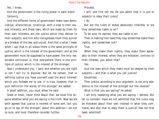Yes, I know.

And the government is the ruling power in each state? Certainly.

And the different forms of government make laws democratical, aristocratical, tyrannical, with a view to their several interests; and these laws, which are made by them for their own interests, are the justice which they deliver to their subjects, and him who transgresses them they punish as a breaker of the law, and unjust. And that is what I mean when I say that in all states there is the same principle of justice, which is the interest of the government; and as the government must be supposed to have power, the only reasonable conclusion is, that everywhere there is one principle of justice, which is the interest of the stronger.

Now I understand you, I said; and whether you are right or not I will try to discover. But let me remark, that in defining justice you have yourself used the word 'interest' which you forbade me to use. It is true, however, that in your definition the words 'of the stronger' are added.

A small addition, you must allow, he said.

Great or small, never mind about that: we must first enquire whether what you are saying is the truth. Now we are both agreed that justice is interest of some sort, but you go on to say 'of the stronger'; about this addition I am not so sure, and must therefore consider further.

Proceed.

I will; and first tell me, Do you admit that it is just or subjects to obey their rulers?

I do.

But are the rulers of states absolutely infallible, or are they sometimes liable to err?

To be sure, he replied, they are liable to err.

Then in making their laws they may sometimes make them rightly, and sometimes not?

True.

When they make them rightly, they make them agreeably to their interest; when they are mistaken, contrary to their interest; you admit that?

Yes.

And the laws which they make must be obeyed by their subjects,—and that is what you call justice?

Doubtless.

Then justice, according to your argument, is not only obedience to the interest of the stronger but the reverse?

What is that you are saying? he asked.

I am only repeating what you are saying, I believe. But let us consider: Have we not admitted that the rulers may be mistaken about their own interest in what they command, and also that to obey them is justice? Has not that been admitted?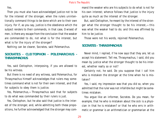#### Yes.

Then you must also have acknowledged justice not to be for the interest of the stronger, when the rulers unintentionally command things to be done which are to their own injury. For if, as you say, justice is the obedience which the subject renders to their commands, in that case, O wisest of men, is there any escape from the conclusion that the weaker are commanded to do, not what is for the interest, but what is for the injury of the stronger?

Nothing can be clearer, Socrates, said Polemarchus.

#### **SOCRATES - CLEITOPHON - POLEMARCHUS - THRASYMACHUS**

Yes, said Cleitophon, interposing, if you are allowed to be his witness.

But there is no need of any witness, said Polemarchus, for Thrasymachus himself acknowledges that rulers may sometimes command what is not for their own interest, and that for subjects to obey them is justice.

Yes, Polemarchus,—Thrasymachus said that for subjects to do what was commanded by their rulers is just.

Yes, Cleitophon, but he also said that justice is the interest of the stronger, and, while admitting both these propositions, he further acknowledged that the stronger may command the weaker who are his subjects to do what is not for his own interest; whence follows that justice is the injury quite as much as the interest of the stronger.

But, said Cleitophon, he meant by the interest of the stronger what the stronger thought to be his interest,—this was what the weaker had to do; and this was affirmed by him to be justice.

Those were not his words, rejoined Polemarchus.

#### **SOCRATES - THRASYMACHUS**

Never mind, I replied, if he now says that they are, let us accept his statement. Tell me, Thrasymachus, I said, did you mean by justice what the stronger thought to be his interest, whether really so or not?

Certainly not, he said. Do you suppose that I call him who is mistaken the stronger at the time when he is mistaken?

Yes, I said, my impression was that you did so, when you admitted that the ruler was not infallible but might be sometimes mistaken.

You argue like an informer, Socrates. Do you mean, for example, that he who is mistaken about the sick is a physician in that he is mistaken? or that he who errs in arithmetic or grammar is an arithmetician or grammarian at the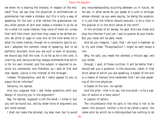me when he is making the mistake, in respect of the mistake? True, we say that the physician or arithmetician or grammarian has made a mistake, but this is only a way of speaking; for the fact is that neither the grammarian nor any other person of skill ever makes a mistake in so far as he is what his name implies; they none of them err unless their skill fails them, and then they cease to be skilled artists. No artist or sage or ruler errs at the time when he is what his name implies; though he is commonly said to err, and I adopted the common mode of speaking. But to be perfectly accurate, since you are such a lover of accuracy, we should say that the ruler, in so far as he is the ruler, is unerring, and, being unerring, always commands that which is for his own interest; and the subject is required to execute his commands; and therefore, as I said at first and now repeat, justice is the interest of the stronger.

Indeed, Thrasymachus, and do I really appear to you to argue like an informer?

Certainly, he replied.

And you suppose that I ask these questions with any design of injuring you in the argument?

Nay, he replied, 'suppose' is not the word—I know it; but you will be found out, and by sheer force of argument you will never prevail.

I shall not make the attempt, my dear man; but to avoid

any misunderstanding occurring between us in future, let me ask, in what sense do you speak of a ruler or stronger whose interest, as you were saying, he being the superior, it is just that the inferior should execute—is he a ruler in the popular or in the strict sense of the term?

In the strictest of all senses, he said. And now cheat and play the informer if you can; I ask no quarter at your hands. But you never will be able, never.

And do you imagine, I said, that I am such a madman as to try and cheat, Thrasymachus? I might as well shave a lion.

Why, he said, you made the attempt a minute ago, and you failed.

Enough, I said, of these civilities. It will be better that I should ask you a question: Is the physician, taken in that strict sense of which you are speaking, a healer of the sick or a maker of money? And remember that I am now speaking of the true physician.

A healer of the sick, he replied.

And the pilot—that is to say, the true pilot—is he a captain of sailors or a mere sailor?

A captain of sailors.

The circumstance that he sails in the ship is not to be taken into account; neither is he to be called a sailor; the name pilot by which he is distinguished has nothing to do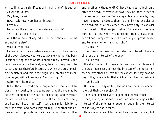with sailing, but is significant of his skill and of his authority over the sailors.

Very true, he said.

Now, I said, every art has an interest?

Certainly.

For which the art has to consider and provide?

Yes, that is the aim of art.

And the interest of any art is the perfection of it—this and nothing else?

What do you mean?

I mean what I may illustrate negatively by the example of the body. Suppose you were to ask me whether the body is self-sufficing or has wants, I should reply: Certainly the body has wants; for the body may be ill and require to be cured, and has therefore interests to which the art of medicine ministers; and this is the origin and intention of medicine, as you will acknowledge. Am I not right?

Quite right, he replied.

But is the art of medicine or any other art faulty or deficient in any quality in the same way that the eye may be deficient in sight or the ear fail of hearing, and therefore requires another art to provide for the interests of seeing and hearing—has art in itself, I say, any similar liability to fault or defect, and does every art require another supplementary art to provide for its interests, and that another

and another without end? Or have the arts to look only after their own interests? Or have they no need either of themselves or of another?—having no faults or defects, they have no need to correct them, either by the exercise of their own art or of any other; they have only to consider the interest of their subject-matter. For every art remains pure and faultless while remaining true—that is to say, while perfect and unimpaired. Take the words in your precise sense, and tell me whether I am not right."

Yes, clearly.

Then medicine does not consider the interest of medicine, but the interest of the body?

True, he said.

Nor does the art of horsemanship consider the interests of the art of horsemanship, but the interests of the horse; neither do any other arts care for themselves, for they have no needs; they care only for that which is the subject of their art? True, he said.

But surely, Thrasymachus, the arts are the superiors and rulers of their own subjects?

To this he assented with a good deal of reluctance.

Then, I said, no science or art considers or enjoins the interest of the stronger or superior, but only the interest of the subject and weaker?

He made an attempt to contest this proposition also, but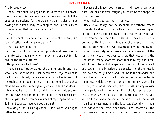finally acquiesced.

Then, I continued, no physician, in so far as he is a physician, considers his own good in what he prescribes, but the good of his patient; for the true physician is also a ruler having the human body as a subject, and is not a mere money-maker; that has been admitted?

Yes.

And the pilot likewise, in the strict sense of the term, is a ruler of sailors and not a mere sailor?

That has been admitted.

And such a pilot and ruler will provide and prescribe for the interest of the sailor who is under him, and not for his own or the ruler's interest?

He gave a reluctant 'Yes.'

Then, I said, Thrasymachus, there is no one in any rule who, in so far as he is a ruler, considers or enjoins what is for his own interest, but always what is for the interest of his subject or suitable to his art; to that he looks, and that alone he considers in everything which he says and does.

When we had got to this point in the argument, and every one saw that the definition of justice had been completely upset, Thrasymachus, instead of replying to me, said: Tell me, Socrates, have you got a nurse?

Why do you ask such a question, I said, when you ought rather to be answering?

Because she leaves you to snivel, and never wipes your nose: she has not even taught you to know the shepherd from the sheep.

What makes you say that? I replied.

Because you fancy that the shepherd or neatherd fattens of tends the sheep or oxen with a view to their own good and not to the good of himself or his master; and you further imagine that the rulers of states, if they are true rulers, never think of their subjects as sheep, and that they are not studying their own advantage day and night. Oh, no; and so entirely astray are you in your ideas about the just and unjust as not even to know that justice and the just are in reality another's good; that is to say, the interest of the ruler and stronger, and the loss of the subject and servant; and injustice the opposite; for the unjust is lord over the truly simple and just: he is the stronger, and his subjects do what is for his interest, and minister to his happiness, which is very far from being their own. Consider further, most foolish Socrates, that the just is always a loser in comparison with the unjust. First of all, in private contracts: wherever the unjust is the partner of the just you will find that, when the partnership is dissolved, the unjust man has always more and the just less. Secondly, in their dealings with the State: when there is an income tax, the just man will pay more and the unjust less on the same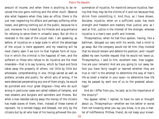amount of income; and when there is anything to be received the one gains nothing and the other much. Observe also what happens when they take an office; there is the just man neglecting his affairs and perhaps suffering other losses, and getting nothing out of the public, because he is just; moreover he is hated by his friends and acquaintance for refusing to serve them in unlawful ways. But all this is reversed in the case of the unjust man. I am speaking, as before, of injustice on a large scale in which the advantage of the unjust is more apparent; and my meaning will be most clearly seen if we turn to that highest form of injustice in which the criminal is the happiest of men, and the sufferers or those who refuse to do injustice are the most miserable—that is to say tyranny, which by fraud and force takes away the property of others, not little by little but wholesale; comprehending in one, things sacred as well as profane, private and public; for which acts of wrong, if he were detected perpetrating any one of them singly, he would be punished and incur great disgrace—they who do such wrong in particular cases are called robbers of temples, and man-stealers and burglars and swindlers and thieves. But when a man besides taking away the money of the citizens has made slaves of them, then, instead of these names of reproach, he is termed happy and blessed, not only by the citizens but by all who hear of his having achieved the consummation of injustice. For mankind censure injustice, fearing that they may be the victims of it and not because they shrink from committing it. And thus, as I have shown, Socrates, injustice, when on a sufficient scale, has more strength and freedom and mastery than justice; and, as I said at first, justice is the interest of the stronger, whereas injustice is a man's own profit and interest.

Thrasymachus, when he had thus spoken, having, like a bathman, deluged our ears with his words, had a mind to go away. But the company would not let him; they insisted that he should remain and defend his position; and I myself added my own humble request that he would not leave us. Thrasymachus, I said to him, excellent man, how suggestive are your remarks! And are you going to run away before you have fairly taught or learned whether they are true or not? Is the attempt to determine the way of man's life so small a matter in your eyes—to determine how life may be passed by each one of us to the greatest advantage?

And do I differ from you, he said, as to the importance of the enquiry?

You appear rather, I replied, to have no care or thought about us, Thrasymachus—whether we live better or worse from not knowing what you say you know, is to you a matter of indifference. Prithee, friend, do not keep your knowl-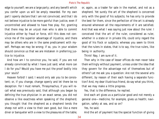edge to yourself; we are a large party; and any benefit which you confer upon us will be amply rewarded. For my own part I openly declare that I am not convinced, and that I do not believe injustice to be more gainful than justice, even if uncontrolled and allowed to have free play. For, granting that there may be an unjust man who is able to commit injustice either by fraud or force, still this does not convince me of the superior advantage of injustice, and there may be others who are in the same predicament with myself. Perhaps we may be wrong; if so, you in your wisdom should convince us that we are mistaken in preferring justice to injustice.

And how am I to convince you, he said, if you are not already convinced by what I have just said; what more can I do for you? Would you have me put the proof bodily into your souls?

Heaven forbid! I said; I would only ask you to be consistent; or, if you change, change openly and let there be no deception. For I must remark, Thrasymachus, if you will recall what was previously said, that although you began by defining the true physician in an exact sense, you did not observe a like exactness when speaking of the shepherd; you thought that the shepherd as a shepherd tends the sheep not with a view to their own good, but like a mere diner or banqueter with a view to the pleasures of the table; or, again, as a trader for sale in the market, and not as a shepherd. Yet surely the art of the shepherd is concerned only with the good of his subjects; he has only to provide the best for them, since the perfection of the art is already ensured whenever all the requirements of it are satisfied. And that was what I was saying just now about the ruler. I conceived that the art of the ruler, considered as ruler, whether in a state or in private life, could only regard the good of his flock or subjects; whereas you seem to think that the rulers in states, that is to say, the true rulers, like being in authority.

Think! Nay, I am sure of it.

Then why in the case of lesser offices do men never take them willingly without payment, unless under the idea that they govern for the advantage not of themselves but of others? Let me ask you a question: Are not the several arts different, by reason of their each having a separate function? And, my dear illustrious friend, do say what you think, that we may make a little progress.

Yes, that is the difference, he replied.

And each art gives us a particular good and not merely a general one—medicine, for example, gives us health; navigation, safety at sea, and so on?

Yes, he said.

And the art of payment has the special function of giving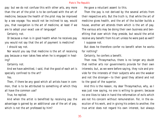pay: but we do not confuse this with other arts, any more than the art of the pilot is to be confused with the art of medicine, because the health of the pilot may be improved by a sea voyage. You would not be inclined to say, would you, that navigation is the art of medicine, at least if we are to adopt your exact use of language?

Certainly not.

Or because a man is in good health when he receives pay you would not say that the art of payment is medicine?

I should say not.

Nor would you say that medicine is the art of receiving pay because a man takes fees when he is engaged in healing?

Certainly not.

And we have admitted, I said, that the good of each art is specially confined to the art?

#### Yes.

Then, if there be any good which all artists have in common, that is to be attributed to something of which they all have the common use?

True, he replied.

And when the artist is benefited by receiving pay the advantage is gained by an additional use of the art of pay, which is not the art professed by him?

He gave a reluctant assent to this.

Then the pay is not derived by the several artists from their respective arts. But the truth is, that while the art of medicine gives health, and the art of the builder builds a house, another art attends them which is the art of pay. The various arts may be doing their own business and benefiting that over which they preside, but would the artist receive any benefit from his art unless he were paid as well?

I suppose not.

But does he therefore confer no benefit when he works for nothing?

Certainly, he confers a benefit.

Then now, Thrasymachus, there is no longer any doubt that neither arts nor governments provide for their own interests; but, as we were before saying, they rule and provide for the interests of their subjects who are the weaker and not the stronger—to their good they attend and not to the good of the superior.

And this is the reason, my dear Thrasymachus, why, as I was just now saying, no one is willing to govern; because no one likes to take in hand the reformation of evils which are not his concern without remuneration. For, in the execution of his work, and in giving his orders to another, the true artist does not regard his own interest, but always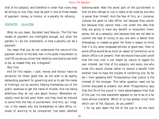that of his subjects; and therefore in order that rulers may be willing to rule, they must be paid in one of three modes of payment: money, or honour, or a penalty for refusing.

#### SOCRATES - GLAUCON

What do you mean, Socrates? said Glaucon. The first two modes of payment are intelligible enough, but what the penalty is I do not understand, or how a penalty can be a payment.

You mean that you do not understand the nature of this payment which to the best men is the great inducement to rule? Of course you know that ambition and avarice are held to be, as indeed they are, a disgrace?

Very true.

And for this reason, I said, money and honour have no attraction for them; good men do not wish to be openly demanding payment for governing and so to get the name of hirelings, nor by secretly helping themselves out of the public revenues to get the name of thieves. And not being ambitious they do not care about honour. Wherefore necessity must be laid upon them, and they must be induced to serve from the fear of punishment. And this, as I imagine, is the reason why the forwardness to take office, instead of waiting to be compelled, has been deemed dishonourable. Now the worst part of the punishment is that he who refuses to rule is liable to be ruled by one who is worse than himself. And the fear of this, as I conceive, induces the good to take office, not because they would, but because they cannot help—not under the idea that they are going to have any benefit or enjoyment themselves, but as a necessity, and because they are not able to commit the task of ruling to any one who is better than themselves, or indeed as good. For there is reason to think that if a city were composed entirely of good men, then to avoid office would be as much an object of contention as to obtain office is at present; then we should have plain proof that the true ruler is not meant by nature to regard his own interest, but that of his subjects; and every one who knew this would choose rather to receive a benefit from another than to have the trouble of conferring one. So far am I from agreeing with Thrasymachus that justice is the interest of the stronger. This latter question need not be further discussed at present; but when Thrasymachus says that the life of the unjust is more advantageous than that of the just, his new statement appears to me to be of a far more serious character. Which of us has spoken truly? And which sort of life, Glaucon, do you prefer?

I for my part deem the life of the just to be the more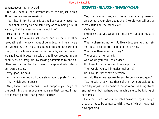advantageous, he answered.

Did you hear all the advantages of the unjust which Thrasymachus was rehearsing?

Yes, I heard him, he replied, but he has not convinced me.

Then shall we try to find some way of convincing him, if we can, that he is saying what is not true?

Most certainly, he replied.

If, I said, he makes a set speech and we make another recounting all the advantages of being just, and he answers and we rejoin, there must be a numbering and measuring of the goods which are claimed on either side, and in the end we shall want judges to decide; but if we proceed in our enquiry as we lately did, by making admissions to one another, we shall unite the offices of judge and advocate in our own persons.

Very good, he said.

And which method do I understand you to prefer? I said. That which you propose.

Well, then, Thrasymachus, I said, suppose you begin at the beginning and answer me. You say that perfect injustice is more gainful than perfect justice?

# **SOCRATES - GLAUCON - THRASYMACHUS**

Yes, that is what I say, and I have given you my reasons. And what is your view about them? Would you call one of them virtue and the other vice?

Certainly.

I suppose that you would call justice virtue and injustice vice?

What a charming notion! So likely too, seeing that I affirm injustice to be profitable and justice not.

What else then would you say?

The opposite, he replied.

And would you call justice vice?

No, I would rather say sublime simplicity.

Then would you call injustice malignity?

No; I would rather say discretion.

And do the unjust appear to you to be wise and good? Yes, he said; at any rate those of them who are able to be perfectly unjust, and who have the power of subduing states and nations; but perhaps you imagine me to be talking of cutpurses.

Even this profession if undetected has advantages, though they are not to be compared with those of which I was just now speaking.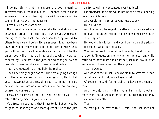I do not think that I misapprehend your meaning, Thrasymachus, I replied; but still I cannot hear without amazement that you class injustice with wisdom and virtue, and justice with the opposite.

Certainly I do so class them.

Now, I said, you are on more substantial and almost unanswerable ground; for if the injustice which you were maintaining to be profitable had been admitted by you as by others to be vice and deformity, an answer might have been given to you on received principles; but now I perceive that you will call injustice honourable and strong, and to the unjust you will attribute all the qualities which were attributed by us before to the just, seeing that you do not hesitate to rank injustice with wisdom and virtue.

You have guessed most infallibly, he replied.

Then I certainly ought not to shrink from going through with the argument so long as I have reason to think that you, Thrasymachus, are speaking your real mind; for I do believe that you are now in earnest and are not amusing yourself at our expense.

I may be in earnest or not, but what is that to you?—to refute the argument is your business.

Very true, I said; that is what I have to do: But will you be so good as answer yet one more question? Does the just man try to gain any advantage over the just?

Far otherwise; if he did would not be the simple, amusing creature which he is.

And would he try to go beyond just action?

He would not.

And how would he regard the attempt to gain an advantage over the unjust; would that be considered by him as just or unjust?

He would think it just, and would try to gain the advantage; but he would not be able.

Whether he would or would not be able, I said, is not to the point. My question is only whether the just man, while refusing to have more than another just man, would wish and claim to have more than the unjust?

Yes, he would.

And what of the unjust—does he claim to have more than the just man and to do more than is just

Of course, he said, for he claims to have more than all men.

And the unjust man will strive and struggle to obtain more than the unjust man or action, in order that he may have more than all?

True.

We may put the matter thus, I said—the just does not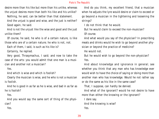desire more than his like but more than his unlike, whereas the unjust desires more than both his like and his unlike?

Nothing, he said, can be better than that statement.

And the unjust is good and wise, and the just is neither? Good again, he said.

And is not the unjust like the wise and good and the just unlike them?

Of course, he said, he who is of a certain nature, is like those who are of a certain nature; he who is not, not.

Each of them, I said, is such as his like is?

Certainly, he replied.

Very good, Thrasymachus, I said; and now to take the case of the arts: you would admit that one man is a musician and another not a musician?

Yes.

And which is wise and which is foolish?

Clearly the musician is wise, and he who is not a musician is foolish.

And he is good in as far as he is wise, and bad in as far as he is foolish?

Yes.

And you would say the same sort of thing of the physician?

Yes.

And do you think, my excellent friend, that a musician when he adjusts the lyre would desire or claim to exceed or go beyond a musician in the tightening and loosening the strings?

I do not think that he would.

But he would claim to exceed the non-musician?

Of course.

And what would you say of the physician? In prescribing meats and drinks would he wish to go beyond another physician or beyond the practice of medicine?

He would not.

But he would wish to go beyond the non-physician? Yes.

And about knowledge and ignorance in general; see whether you think that any man who has knowledge ever would wish to have the choice of saying or doing more than another man who has knowledge. Would he not rather say or do the same as his like in the same case?

That, I suppose, can hardly be denied.

And what of the ignorant? would he not desire to have more than either the knowing or the ignorant?

I dare say.

And the knowing is wise?

Yes.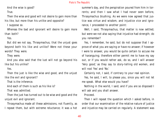And the wise is good?

True.

Then the wise and good will not desire to gain more than his like, but more than his unlike and opposite?

I suppose so.

Whereas the bad and ignorant will desire to gain more than both?

Yes.

But did we not say, Thrasymachus, that the unjust goes beyond both his like and unlike? Were not these your words? They were.

They were.

And you also said that the lust will not go beyond his like but his unlike?

Yes.

Then the just is like the wise and good, and the unjust like the evil and ignorant?

That is the inference.

And each of them is such as his like is?

That was admitted.

Then the just has turned out to be wise and good and the unjust evil and ignorant.

Thrasymachus made all these admissions, not fluently, as I repeat them, but with extreme reluctance; it was a hot summer's day, and the perspiration poured from him in torrents; and then I saw what I had never seen before, Thrasymachus blushing. As we were now agreed that justice was virtue and wisdom, and injustice vice and ignorance, I proceeded to another point:

Well, I said, Thrasymachus, that matter is now settled; but were we not also saying that injustice had strength; do you remember?

Yes, I remember, he said, but do not suppose that I approve of what you are saying or have no answer; if however I were to answer, you would be quite certain to accuse me of haranguing; therefore either permit me to have my say out, or if you would rather ask, do so, and I will answer 'Very good,' as they say to story-telling old women, and will nod 'Yes' and 'No.'

Certainly not, I said, if contrary to your real opinion.

Yes, he said, I will, to please you, since you will not let me speak. What else would you have?

Nothing in the world, I said; and if you are so disposed I will ask and you shall answer.

Proceed.

Then I will repeat the question which I asked before, in order that our examination of the relative nature of justice and injustice may be carried on regularly. A statement was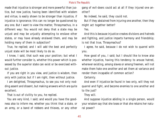made that injustice is stronger and more powerful than justice, but now justice, having been identified with wisdom and virtue, is easily shown to be stronger than injustice, if injustice is ignorance; this can no longer be questioned by any one. But I want to view the matter, Thrasymachus, in a different way: You would not deny that a state may be unjust and may be unjustly attempting to enslave other states, or may have already enslaved them, and may be holding many of them in subjection?

True, he replied; and I will add the best and perfectly unjust state will be most likely to do so.

I know, I said, that such was your position; but what I would further consider is, whether this power which is possessed by the superior state can exist or be exercised without justice.

If you are right in you view, and justice is wisdom, then only with justice; but if I am right, then without justice.

I am delighted, Thrasymachus, to see you not only nodding assent and dissent, but making answers which are quite excellent.

That is out of civility to you, he replied.

You are very kind, I said; and would you have the goodness also to inform me, whether you think that a state, or an army, or a band of robbers and thieves, or any other

gang of evil-doers could act at all if they injured one another?

No indeed, he said, they could not.

But if they abstained from injuring one another, then they might act together better?

Yes.

And this is because injustice creates divisions and hatreds and fighting, and justice imparts harmony and friendship; is not that true, Thrasymachus?

I agree, he said, because I do not wish to quarrel with you.

How good of you, I said; but I should like to know also whether injustice, having this tendency to arouse hatred, wherever existing, among slaves or among freemen, will not make them hate one another and set them at variance and render them incapable of common action?

Certainly.

And even if injustice be found in two only, will they not quarrel and fight, and become enemies to one another and to the just?

They will.

And suppose injustice abiding in a single person, would your wisdom say that she loses or that she retains her natural power?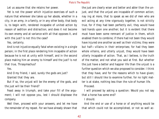Let us assume that she retains her power.

Yet is not the power which injustice exercises of such a nature that wherever she takes up her abode, whether in a city, in an army, in a family, or in any other body, that body is, to begin with, rendered incapable of united action by reason of sedition and distraction; and does it not become its own enemy and at variance with all that opposes it, and with the just? Is not this the case?

Yes, certainly.

And is not injustice equally fatal when existing in a single person; in the first place rendering him incapable of action because he is not at unity with himself, and in the second place making him an enemy to himself and the just? Is not that true, Thrasymachus?

Yes.

And O my friend, I said, surely the gods are just? Granted that they are.

But if so, the unjust will be the enemy of the gods, and the just will be their friend?

Feast away in triumph, and take your fill of the argument; I will not oppose you, lest I should displease the company.

Well then, proceed with your answers, and let me have the remainder of my repast. For we have already shown that

the just are clearly wiser and better and abler than the unjust, and that the unjust are incapable of common action; nay ing at more, that to speak as we did of men who are evil acting at any time vigorously together, is not strictly true, for if they had been perfectly evil, they would have laid hands upon one another; but it is evident that there must have been some remnant of justice in them, which enabled them to combine; if there had not been they would have injured one another as well as their victims; they were but half—villains in their enterprises; for had they been whole villains, and utterly unjust, they would have been utterly incapable of action. That, as I believe, is the truth of the matter, and not what you said at first. But whether the just have a better and happier life than the unjust is a further question which we also proposed to consider. I think that they have, and for the reasons which to have given; but still I should like to examine further, for no light matter is at stake, nothing less than the rule of human life.

# Proceed.

I will proceed by asking a question: Would you not say that a horse has some end?

I should.

And the end or use of a horse or of anything would be that which could not be accomplished, or not so well ac-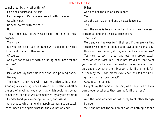complished, by any other thing?

I do not understand, he said.

Let me explain: Can you see, except with the eye? Certainly not.

Or hear, except with the ear?

No.

These then may be truly said to be the ends of these organs?

They may.

But you can cut off a vine-branch with a dagger or with a chisel, and in many other ways?

Of course.

And yet not so well as with a pruning-hook made for the purpose?

True.

May we not say that this is the end of a pruning-hook? We may.

Then now I think you will have no difficulty in understanding my meaning when I asked the question whether the end of anything would be that which could not be accomplished, or not so well accomplished, by any other thing?

I understand your meaning, he said, and assent.

And that to which an end is appointed has also an excellence? Need I ask again whether the eye has an end?

It has.

And has not the eye an excellence?

Yes.

And the ear has an end and an excellence also?

True.

And the same is true of all other things; they have each of them an end and a special excellence? That is so.

Well, and can the eyes fulfil their end if they are wanting in their own proper excellence and have a defect instead?

How can they, he said, if they are blind and cannot see? You mean to say, if they have lost their proper excellence, which is sight; but I have not arrived at that point yet. I would rather ask the question more generally, and only enquire whether the things which fulfil their ends fulfil them by their own proper excellence, and fall of fulfilling them by their own defect?

Certainly, he replied.

I might say the same of the ears; when deprived of their own proper excellence they cannot fulfil their end?

True.

And the same observation will apply to all other things? I agree.

Well; and has not the soul an end which nothing else can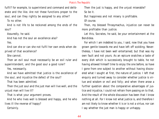fulfil? for example, to superintend and command and deliberate and the like. Are not these functions proper to the soul, and can they rightly be assigned to any other?

To no other.

And is not life to be reckoned among the ends of the soul?

Assuredly, he said.

And has not the soul an excellence also?

Yes.

And can she or can she not fulfil her own ends when deprived of that excellence?

She cannot.

Then an evil soul must necessarily be an evil ruler and superintendent, and the good soul a good ruler?

Yes, necessarily.

And we have admitted that justice is the excellence of the soul, and injustice the defect of the soul?

That has been admitted.

Then the just soul and the just man will live well, and the unjust man will live ill?

That is what your argument proves.

And he who lives well is blessed and happy, and he who lives ill the reverse of happy?

Certainly.

Then the just is happy, and the unjust miserable? So be it.

But happiness and not misery is profitable. Of course.

Then, my blessed Thrasymachus, injustice can never be more profitable than justice.

Let this, Socrates, he said, be your entertainment at the Bendidea.

For which I am indebted to you, I said, now that you have grown gentle towards me and have left off scolding. Nevertheless, I have not been well entertained; but that was my own fault and not yours. As an epicure snatches a taste of every dish which is successively brought to table, he not having allowed himself time to enjoy the one before, so have I gone from one subject to another without having discovered what I sought at first, the nature of justice. I left that enquiry and turned away to consider whether justice is virtue and wisdom or evil and folly; and when there arose a further question about the comparative advantages of justice and injustice, I could not refrain from passing on to that. And the result of the whole discussion has been that I know nothing at all. For I know not what justice is, and therefore I am not likely to know whether it is or is not a virtue, nor can I say whether the just man is happy or unhappy.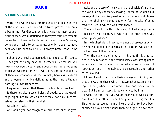# **BOOK II**

# **SOCRATES - GLAUCON**

With these words I was thinking that I had made an end of the discussion; but the end, in truth, proved to be only a beginning. For Glaucon, who is always the most pugnacious of men, was dissatisfied at Thrasymachus' retirement; he wanted to have the battle out. So he said to me: Socrates, do you wish really to persuade us, or only to seem to have persuaded us, that to be just is always better than to be unjust?

I should wish really to persuade you, I replied, if I could. Then you certainly have not succeeded. Let me ask you now:—How would you arrange goods—are there not some which we welcome for their own sakes, and independently of their consequences, as, for example, harmless pleasures and enjoyments, which delight us at the time, although nothing follows from them?

I agree in thinking that there is such a class, I replied.

Is there not also a second class of goods, such as knowledge, sight, health, which are desirable not only in themselves, but also for their results?

Certainly, I said.

And would you not recognize a third class, such as gym-

nastic, and the care of the sick, and the physician's art; also the various ways of money-making—these do us good but we regard them as disagreeable; and no one would choose them for their own sakes, but only for the sake of some reward or result which flows from them?

There is, I said, this third class also. But why do you ask? Because I want to know in which of the three classes you would place justice?

In the highest class, I replied,—among those goods which he who would be happy desires both for their own sake and for the sake of their results.

Then the many are of another mind; they think that justice is to be reckoned in the troublesome class, among goods which are to be pursued for the sake of rewards and of reputation, but in themselves are disagreeable and rather to be avoided.

I know, I said, that this is their manner of thinking, and that this was the thesis which Thrasymachus was maintaining just now, when he censured justice and praised injustice. But I am too stupid to be convinced by him.

I wish, he said, that you would hear me as well as him, and then I shall see whether you and I agree. For Thrasymachus seems to me, like a snake, to have been charmed by your voice sooner than he ought to have been;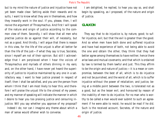but to my mind the nature of justice and injustice have not yet been made clear. Setting aside their rewards and results, I want to know what they are in themselves, and how they inwardly work in the soul. If you, please, then, I will revive the argument of Thrasymachus. And first I will speak of the nature and origin of justice according to the common view of them. Secondly, I will show that all men who practise justice do so against their will, of necessity, but not as a good. And thirdly, I will argue that there is reason in this view, for the life of the unjust is after all better far than the life of the just—if what they say is true, Socrates, since I myself am not of their opinion. But still I acknowledge that I am perplexed when I hear the voices of Thrasymachus and myriads of others dinning in my ears; and, on the other hand, I have never yet heard the superiority of justice to injustice maintained by any one in a satisfactory way. I want to hear justice praised in respect of itself; then I shall be satisfied, and you are the person from whom I think that I am most likely to hear this; and therefore I will praise the unjust life to the utmost of my power, and my manner of speaking will indicate the manner in which I desire to hear you too praising justice and censuring injustice. Will you say whether you approve of my proposal?

Indeed I do; nor can I imagine any theme about which a man of sense would oftener wish to converse.

I am delighted, he replied, to hear you say so, and shall begin by speaking, as I proposed, of the nature and origin of justice.

# **GLAUCON**

They say that to do injustice is, by nature, good; to suffer injustice, evil; but that the evil is greater than the good. And so when men have both done and suffered injustice and have had experience of both, not being able to avoid the one and obtain the other, they think that they had better agree among themselves to have neither; hence there arise laws and mutual covenants; and that which is ordained by law is termed by them lawful and just. This they affirm to be the origin and nature of justice;—it is a mean or compromise, between the best of all, which is to do injustice and not be punished, and the worst of all, which is to suffer injustice without the power of retaliation; and justice, being at a middle point between the two, is tolerated not as a good, but as the lesser evil, and honoured by reason of the inability of men to do injustice. For no man who is worthy to be called a man would ever submit to such an agreement if he were able to resist; he would be mad if he did. Such is the received account, Socrates, of the nature and origin of justice.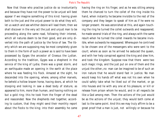Now that those who practise justice do so involuntarily and because they have not the power to be unjust will best appear if we imagine something of this kind: having given both to the just and the unjust power to do what they will, let us watch and see whither desire will lead them; then we shall discover in the very act the just and unjust man to be proceeding along the same road, following their interest, which all natures deem to be their good, and are only diverted into the path of justice by the force of law. The liberty which we are supposing may be most completely given to them in the form of such a power as is said to have been possessed by Gyges the ancestor of Croesus the Lydian. According to the tradition, Gyges was a shepherd in the service of the king of Lydia; there was a great storm, and an earthquake made an opening in the earth at the place where he was feeding his flock. Amazed at the sight, he descended into the opening, where, among other marvels, he beheld a hollow brazen horse, having doors, at which he stooping and looking in saw a dead body of stature, as appeared to him, more than human, and having nothing on but a gold ring; this he took from the finger of the dead and reascended. Now the shepherds met together, according to custom, that they might send their monthly report about the flocks to the king; into their assembly he came

having the ring on his finger, and as he was sitting among them he chanced to turn the collet of the ring inside his hand, when instantly he became invisible to the rest of the company and they began to speak of him as if he were no longer present. He was astonished at this, and again touching the ring he turned the collet outwards and reappeared; he made several trials of the ring, and always with the same result-when he turned the collet inwards he became invisible, when outwards he reappeared. Whereupon he contrived to be chosen one of the messengers who were sent to the court; where as soon as he arrived he seduced the queen, and with her help conspired against the king and slew him, and took the kingdom. Suppose now that there were two such magic rings, and the just put on one of them and the unjust the other;,no man can be imagined to be of such an iron nature that he would stand fast in justice. No man would keep his hands off what was not his own when he could safely take what he liked out of the market, or go into houses and lie with any one at his pleasure, or kill or release from prison whom he would, and in all respects be like a God among men. Then the actions of the just would be as the actions of the unjust; they would both come at last to the same point. And this we may truly affirm to be a great proof that a man is just, not willingly or because he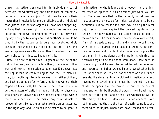thinks that justice is any good to him individually, but of necessity, for wherever any one thinks that he can safely be unjust, there he is unjust. For all men believe in their hearts that injustice is far more profitable to the individual than justice, and he who argues as I have been supposing, will say that they are right. If you could imagine any one obtaining this power of becoming invisible, and never doing any wrong or touching what was another's, he would be thought by the lookers-on to be a most wretched idiot, although they would praise him to one another's faces, and keep up appearances with one another from a fear that they too might suffer injustice. Enough of this.

Now, if we are to form a real judgment of the life of the just and unjust, we must isolate them; there is no other way; and how is the isolation to be effected? I answer: Let the unjust man be entirely unjust, and the just man entirely just; nothing is to be taken away from either of them, and both are to be perfectly furnished for the work of their respective lives. First, let the unjust be like other distinguished masters of craft; like the skilful pilot or physician, who knows intuitively his own powers and keeps within their limits, and who, if he fails at any point, is able to recover himself. So let the unjust make his unjust attempts in the right way, and lie hidden if he means to be great in

his injustice (he who is found out is nobody): for the highest reach of injustice is: to be deemed just when you are not. Therefore I say that in the perfectly unjust man we must assume the most perfect injustice; there is to be no deduction, but we must allow him, while doing the most unjust acts, to have acquired the greatest reputation for justice. If he have taken a false step he must be able to recover himself; he must be one who can speak with effect, if any of his deeds come to light, and who can force his way where force is required his courage and strength, and command of money and friends. And at his side let us place the just man in his nobleness and simplicity, wishing, as Aeschylus says, to be and not to seem good. There must be no seeming, for if he seem to be just he will be honoured and rewarded, and then we shall not know whether he is just for the sake of justice or for the sake of honours and rewards; therefore, let him be clothed in justice only, and have no other covering; and he must be imagined in a state of life the opposite of the former. Let him be the best of men, and let him be thought the worst; then he will have been put to the proof; and we shall see whether he will be affected by the fear of infamy and its consequences. And let him continue thus to the hour of death; being just and seeming to be unjust. When both have reached the utter-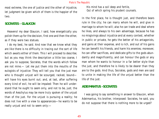most extreme, the one of justice and the other of injustice, let judgment be given which of them is the happier of the two.

# **SOCRATES - GLAUCON**

Heavens! my dear Glaucon, I said, how energetically you polish them up for the decision, first one and then the other, as if they were two statues.

I do my best, he said. And now that we know what they are like there is no difficulty in tracing out the sort of life which awaits either of them. This I will proceed to describe; but as you may think the description a little too coarse, I ask you to suppose, Socrates, that the words which follow are not mine.— Let me put them into the mouths of the eulogists of injustice: They will tell you that the just man who is thought unjust will be scourged, racked, bound will have his eyes burnt out; and, at last, after suffering every kind of evil, he will be impaled: Then he will understand that he ought to seem only, and not to be, just; the words of Aeschylus may be more truly spoken of the unjust than of the just. For the unjust is pursuing a reality; he does not live with a view to appearances—he wants to be really unjust and not to seem only:—

 His mind has a soil deep and fertile, Out of which spring his prudent counsels.

In the first place, he is thought just, and therefore bears rule in the city; he can marry whom he will, and give in marriage to whom he will; also he can trade and deal where he likes, and always to his own advantage, because he has no misgivings about injustice and at every contest, whether in public or private, he gets the better of his antagonists, and gains at their expense, and is rich, and out of his gains he can benefit his friends, and harm his enemies; moreover, he can offer sacrifices, and dedicate gifts to the gods abundantly and magnificently, and can honour the gods or any man whom he wants to honour in a far better style than the just, and therefore he is likely to be dearer than they are to the gods. And thus, Socrates, gods and men are said to unite in making the life of the unjust better than the life of the just.

# **ADEIMANTUS -SOCRATES**

I was going to say something in answer to Glaucon, when Adeimantus, his brother, interposed: Socrates, he said, you do not suppose that there is nothing more to be urged?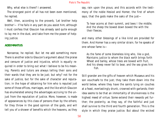Why, what else is there? I answered.

The strongest point of all has not been even mentioned, he replied.

Well, then, according to the proverb, 'Let brother help brother'— if he fails in any part do you assist him; although I must confess that Glaucon has already said quite enough to lay me in the dust, and take from me the power of helping justice.

# **ADEIMANTUS**

Nonsense, he replied. But let me add something more: There is another side to Glaucon's argument about the praise and censure of justice and injustice, which is equally required in order to bring out what I believe to be his meaning. Parents and tutors are always telling their sons and their wards that they are to be just; but why? not for the sake of justice, but for the sake of character and reputation; in the hope of obtaining for him who is reputed just some of those offices, marriages, and the like which Glaucon has enumerated among the advantages accruing to the unjust from the reputation of justice. More, however, is made of appearances by this class of persons than by the others; for they throw in the good opinion of the gods, and will tell you of a shower of benefits which the heavens, as they say, rain upon the pious; and this accords with the testimony of the noble Hesiod and Homer, the first of whom says, that the gods make the oaks of the just—

 To hear acorns at their summit, and bees I the middle; And the sheep the bowed down bowed the with the their fleeces.

and many other blessings of a like kind are provided for them. And Homer has a very similar strain; for he speaks of one whose fame is—

 As the fame of some blameless king who, like a god, Maintains justice to whom the black earth brings forth Wheat and barley, whose trees are bowed with fruit, And his sheep never fail to bear, and the sea gives him fish.

Still grander are the gifts of heaven which Musaeus and his son vouchsafe to the just; they take them down into the world below, where they have the saints lying on couches at a feast, everlastingly drunk, crowned with garlands; their idea seems to be that an immortality of drunkenness is the highest meed of virtue. Some extend their rewards yet further; the posterity, as they say, of the faithful and just shall survive to the third and fourth generation. This is the style in which they praise justice. But about the wicked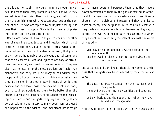there is another strain; they bury them in a slough in Hades, and make them carry water in a sieve; also while they are yet living they bring them to infamy, and inflict upon them the punishments which Glaucon described as the portion of the just who are reputed to be unjust; nothing else does their invention supply. Such is their manner of praising the one and censuring the other.

Once more, Socrates, I will ask you to consider another way of speaking about justice and injustice, which is not confined to the poets, but is found in prose writers. The universal voice of mankind is always declaring that justice and virtue are honourable, but grievous and toilsome; and that the pleasures of vice and injustice are easy of attainment, and are only censured by law and opinion. They say also that honesty is for the most part less profitable than dishonesty; and they are quite ready to call wicked men happy, and to honour them both in public and private when they are rich or in any other way influential, while they despise and overlook those who may be weak and poor, even though acknowledging them to be better than the others. But most extraordinary of all is their mode of speaking about virtue and the gods: they say that the gods apportion calamity and misery to many good men, and good and happiness to the wicked. And mendicant prophets go

to rich men's doors and persuade them that they have a power committed to them by the gods of making an atonement for a man's own or his ancestor's sins by sacrifices or charms, with rejoicings and feasts; and they promise to harm an enemy, whether just or unjust, at a small cost; with magic arts and incantations binding heaven, as they say, to execute their will. And the poets are the authorities to whom they appeal, now smoothing the path of vice with the words of Hesiod;—

 Vice may be had in abundance without trouble; the way is smooth and her dwelling-place is near. But before virtue the gods have set toil,

and a tedious and uphill road: then citing Homer as a witness that the gods may be influenced by men; for he also says:

 The gods, too, may he turned from their purpose; and men pray to them and avert their wrath by sacrifices and soothing entreaties, and by libations and the odour of fat, when they have sinned and transgressed.

And they produce a host of books written by Musaeus and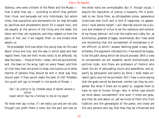Orpheus, who were children of the Moon and the Muses that is what they say  $-$  according to which they perform their ritual, and persuade not only individuals, but whole cities, that expiations and atonements for sin may be made by sacrifices and amusements which fill a vacant hour, and are equally at the service of the living and the dead; the latter sort they call mysteries, and they redeem us from the pains of hell, but if we neglect them no one knows what awaits us.

He proceeded: And now when the young hear all this said about virtue and vice, and the way in which gods and men regard them, how are their minds likely to be affected, my dear Socrates,— those of them, I mean, who are quickwitted, and, like bees on the wing, light on every flower, and from all that they hear are prone to draw conclusions as to what manner of persons they should be and in what way they should walk if they would make the best of life? Probably the youth will say to himself in the words of Pindar —

 Can I by justice or by crooked ways of deceit ascend a loftier tower which may he a fortress to me all my days?

For what men say is that, if I am really just and am not also thought just profit there is none, but the pain and loss on the other hand are unmistakable. But if, though unjust, I acquire the reputation of justice, a heavenly life is promised to me. Since then, as philosophers prove, appearance tyrannizes over truth and is lord of happiness, to appearance I must devote myself. I will describe around me a picture and shadow of virtue to be the vestibule and exterior of my house; behind I will trail the subtle and crafty fox, as Archilochus, greatest of sages, recommends. But I hear some one exclaiming that the concealment of wickedness is often difficult; to which I answer, Nothing great is easy. Nevertheless, the argument indicates this, if we would be happy, to be the path along which we should proceed. With a view to concealment we will establish secret brotherhoods and political clubs. And there are professors of rhetoric who teach the art of persuading courts and assemblies; and so, partly by persuasion and partly by force, I shall make unlawful gains and not be punished. Still I hear a voice saying that the gods cannot be deceived, neither can they be compelled. But what if there are no gods? or, suppose them to have no care of human things—why in either case should we mind about concealment? And even if there are gods, and they do care about us, yet we know of them only from tradition and the genealogies of the poets; and these are the very persons who say that they may be influenced and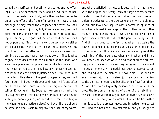turned by 'sacrifices and soothing entreaties and by offerings.' Let us be consistent then, and believe both or neither. If the poets speak truly, why then we had better be unjust, and offer of the fruits of injustice; for if we are just, although we may escape the vengeance of heaven, we shall lose the gains of injustice; but, if we are unjust, we shall keep the gains, and by our sinning and praying, and praying and sinning, the gods will be propitiated, and we shall not be punished. 'But there is a world below in which either we or our posterity will suffer for our unjust deeds.' Yes, my friend, will be the reflection, but there are mysteries and atoning deities, and these have great power. That is what mighty cities declare; and the children of the gods, who were their poets and prophets, bear a like testimony.

On what principle, then, shall we any longer choose justice rather than the worst injustice? when, if we only unite the latter with a deceitful regard to appearances, we shall fare to our mind both with gods and men, in life and after death, as the most numerous and the highest authorities tell us. Knowing all this, Socrates, how can a man who has any superiority of mind or person or rank or wealth, be willing to honour justice; or indeed to refrain from laughing when he hears justice praised? And even if there should be some one who is able to disprove the truth of my words,

and who is satisfied that justice is best, still he is not angry with the unjust, but is very ready to forgive them, because he also knows that men are not just of their own free will; unless, peradventure, there be some one whom the divinity within him may have inspired with a hatred of injustice, or who has attained knowledge of the truth—but no other man. He only blames injustice who, owing to cowardice or age or some weakness, has not the power of being unjust. And this is proved by the fact that when he obtains the power, he immediately becomes unjust as far as he can be.

The cause of all this, Socrates, was indicated by us at the beginning of the argument, when my brother and I told you how astonished we were to find that of all the professing panegyrists of justice  $-$  beginning with the ancient heroes of whom any memorial has been preserved to us, and ending with the men of our own time — no one has ever blamed injustice or praised justice except with a view to the glories, honours, and benefits which flow from them. No one has ever adequately described either in verse or prose the true essential nature of either of them abiding in the soul, and invisible to any human or divine eye; or shown that of all the things of a man's soul which he has within him, justice is the greatest good, and injustice the greatest evil. Had this been the universal strain, had you sought to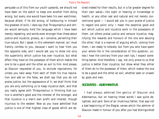persuade us of this from our youth upwards, we should not have been on the watch to keep one another from doing wrong, but every one would have been his own watchman, because afraid, if he did wrong, of harbouring in himself the greatest of evils. I dare say that Thrasymachus and others would seriously hold the language which I have been merely repeating, and words even stronger than these about justice and injustice, grossly, as I conceive, perverting their true nature. But I speak in this vehement manner, as I must frankly confess to you, because I want to hear from you the opposite side; and I would ask you to show not only the superiority which justice has over injustice, but what effect they have on the possessor of them which makes the one to be a good and the other an evil to him. And please, as Glaucon requested of you, to exclude reputations; for unless you take away from each of them his true reputation and add on the false, we shall say that you do not praise justice, but the appearance of it; we shall think that you are only exhorting us to keep injustice dark, and that you really agree with Thrasymachus in thinking that justice is another's good and the interest of the stronger, and that injustice is a man's own profit and interest, though injurious to the weaker. Now as you have admitted that justice is one of that highest class of goods which are desired indeed for their results, but in a far greater degree for their own sakes—like sight or hearing or knowledge or health, or any other real and natural and not merely conventional good — I would ask you in your praise of justice to regard one point only: I mean the essential good and evil which justice and injustice work in the possessors of them. Let others praise justice and censure injustice, magnifying the rewards and honours of the one and abusing the other; that is a manner of arguing which, coming from them, I am ready to tolerate, but from you who have spent your whole life in the consideration of this question, unless I hear the contrary from your own lips, I expect something better. And therefore, I say, not only prove to us that justice is better than injustice, but show what they either of them do to the possessor of them, which makes the one to be a good and the other an evil, whether seen or unseen by gods and men.

# **SOCRATES - ADEIMANTUS**

I had always admired the genius of Glaucon and Adeimantus, but on hearing these words I was quite delighted, and said: Sons of an illustrious father, that was not a bad beginning of the Elegiac verses which the admirer of Glaucon made in honour of you after you had distinguished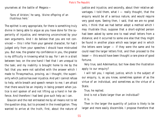yourselves at the battle of Megara:—

 'Sons of Ariston,' he sang, 'divine offspring of an illustrious hero.'

The epithet is very appropriate, for there is something truly divine in being able to argue as you have done for the superiority of injustice, and remaining unconvinced by your own arguments. And I do believe that you are not convinced — this I infer from your general character, for had I judged only from your speeches I should have mistrusted you. But now, the greater my confidence in you, the greater is my difficulty in knowing what to say. For I am in a strait between two; on the one hand I feel that I am unequal to the task; and my inability is brought home to me by the fact that you were not satisfied with the answer which I made to Thrasymachus, proving, as I thought, the superiority which justice has over injustice. And yet I cannot refuse to help, while breath and speech remain to me; I am afraid that there would be an impiety in being present when justice is evil spoken of and not lifting up a hand in her defence. And therefore I had best give such help as I can.

Glaucon and the rest entreated me by all means not to let the question drop, but to proceed in the investigation. They wanted to arrive at the truth, first, about the nature of

justice and injustice, and secondly, about their relative advantages. I told them, what  $I$  — really thought, that the enquiry would be of a serious nature, and would require very good eyes. Seeing then, I said, that we are no great wits, I think that we had better adopt a method which I may illustrate thus; suppose that a short-sighted person had been asked by some one to read small letters from a distance; and it occurred to some one else that they might be found in another place which was larger and in which the letters were larger — if they were the same and he could read the larger letters first, and then proceed to the lesser — this would have been thought a rare piece of good fortune.

Very true, said Adeimantus; but how does the illustration apply to our enquiry?

I will tell you, I replied; justice, which is the subject of our enquiry, is, as you know, sometimes spoken of as the virtue of an individual, and sometimes as the virtue of a State.

True, he replied.

And is not a State larger than an individual?

It is.

Then in the larger the quantity of justice is likely to be larger and more easily discernible. I propose therefore that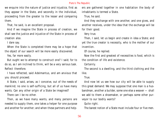we enquire into the nature of justice and injustice, first as they appear in the State, and secondly in the individual, proceeding from the greater to the lesser and comparing them.

That, he said, is an excellent proposal.

And if we imagine the State in process of creation, we shall see the justice and injustice of the State in process of creation also.

I dare say.

When the State is completed there may be a hope that the object of our search will be more easily discovered.

Yes, far more easily.

But ought we to attempt to construct one? I said; for to do so, as I am inclined to think, will be a very serious task. Reflect therefore.

I have reflected, said Adeimantus, and am anxious that you should proceed.

A State, I said, arises, as I conceive, out of the needs of mankind; no one is self-sufficing, but all of us have many wants. Can any other origin of a State be imagined?

There can I be no other.

Then, as we have many wants, and many persons are needed to supply them, one takes a helper for one purpose and another for another; and when these partners and helpers are gathered together in one habitation the body of inhabitants is termed a State.

True, he said.

And they exchange with one another, and one gives, and another receives, under the idea that the exchange will be for their good.

Very true.

Then, I said, let us begin and create in idea a State; and yet the true creator is necessity, who is the mother of our invention.

Of course, he replied.

Now the first and greatest of necessities is food, which is the condition of life and existence.

Certainly.

The second is a dwelling, and the third clothing and the like.

True.

And now let us see how our city will be able to supply this great demand: We may suppose that one man is a husbandman, another a builder, some one else a weaver — shall we add to them a shoemaker, or perhaps some other purveyor to our bodily wants?

Quite right.

The barest notion of a State must include four or five men.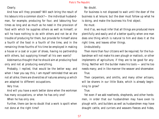# Clearly.

And how will they proceed? Will each bring the result of his labours into a common stock?— the individual husbandman, for example, producing for four, and labouring four times as long and as much as he need in the provision of food with which he supplies others as well as himself; or will he have nothing to do with others and not be at the trouble of producing for them, but provide for himself alone a fourth of the food in a fourth of the time, and in the remaining three-fourths of his time be employed in making a house or a coat or a pair of shoes, having no partnership with others, but supplying himself all his own wants?

Adeimantus thought that he should aim at producing food only and not at producing everything.

Probably, I replied, that would be the better way; and when I hear you say this, I am myself reminded that we are not all alike; there are diversities of natures among us which are adapted to different occupations.

Very true.

And will you have a work better done when the workman has many occupations, or when he has only one?

When he has only one.

Further, there can be no doubt that a work is spoilt when not done at the right time?

No doubt.

For business is not disposed to wait until the doer of the business is at leisure; but the doer must follow up what he is doing, and make the business his first object.

He must.

And if so, we must infer that all things are produced more plentifully and easily and of a better quality when one man does one thing which is natural to him and does it at the right time, and leaves other things.

Undoubtedly.

Then more than four citizens will be required; for the husbandman will not make his own plough or mattock, or other implements of agriculture, if they are to be good for anything. Neither will the builder make his tools — and he too needs many; and in like manner the weaver and shoemaker. True.

Then carpenters, and smiths, and many other artisans, will be sharers in our little State, which is already beginning to grow?

# True.

Yet even if we add neatherds, shepherds, and other herdsmen, in order that our husbandmen may have oxen to plough with, and builders as well as husbandmen may have draught cattle, and curriers and weavers fleeces and hides,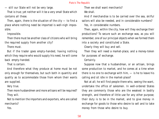— still our State will not be very large.

That is true; yet neither will it be a very small State which contains all these.

Then, again, there is the situation of the city  $-$  to find a place where nothing need be imported is well-nigh impossible.

Impossible.

Then there must be another class of citizens who will bring the required supply from another city?

There must.

But if the trader goes empty-handed, having nothing which they require who would supply his need, he will come back empty-handed.

That is certain.

And therefore what they produce at home must be not only enough for themselves, but such both in quantity and quality as to accommodate those from whom their wants are supplied.

Very true.

Then more husbandmen and more artisans will be required? They will.

Not to mention the importers and exporters, who are called merchants?

Yes.

Then we shall want merchants? We shall.

And if merchandise is to be carried over the sea, skilful sailors will also be needed, and in considerable numbers?

Yes, in considerable numbers.

Then, again, within the city, how will they exchange their productions? To secure such an exchange was, as you will remember, one of our principal objects when we formed them into a society and constituted a State.

Clearly they will buy and sell.

Then they will need a market-place, and a money-token for purposes of exchange.

Certainly.

Suppose now that a husbandman, or an artisan, brings some production to market, and he comes at a time when there is no one to exchange with him,  $-$  is he to leave his calling and sit idle in the market-place?

Not at all; he will find people there who, seeing the want, undertake the office of salesmen. In well-ordered States they are commonly those who are the weakest in bodily strength, and therefore of little use for any other purpose; their duty is to be in the market, and to give money in exchange for goods to those who desire to sell and to take money from those who desire to buy.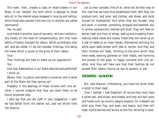This want, then, creates a class of retail-traders in our State. Is not 'retailer' the term which is applied to those who sit in the market-place engaged in buying and selling, while those who wander from one city to another are called merchants?

Yes, he said.

And there is another class of servants, who are intellectually hardly on the level of companionship; still they have plenty of bodily strength for labour, which accordingly they sell, and are called, if I do not mistake, hirelings, hire being the name which is given to the price of their labour.

True.

Then hirelings will help to make up our population? Yes.

And now, Adeimantus, is our State matured and perfected? I think so.

Where, then, is justice, and where is injustice, and in what part of the State did they spring up?

Probably in the dealings of these citizens with one another. I cannot imagine that they are more likely to be found anywhere else.

I dare say that you are right in your suggestion, I said; we had better think the matter out, and not shrink from the enquiry.

Let us then consider, first of all, what will be their way of life, now that we have thus established them. Will they not produce corn, and wine, and clothes, and shoes, and build houses for themselves? And when they are housed, they will work, in summer, commonly, stripped and barefoot, but in winter substantially clothed and shod. They will feed on barley-meal and flour of wheat, baking and kneading them, making noble cakes and loaves; these they will serve up on a mat of reeds or on clean leaves, themselves reclining the while upon beds strewn with yew or myrtle. And they and their children will feast, drinking of the wine which they have made, wearing garlands on their heads, and hymning the praises of the gods, in happy converse with one another. And they will take care that their families do not exceed their means; having an eye to poverty or war.

# **SOCRATES - GLAUCON**

But, said Glaucon, interposing, you have not given them a relish to their meal.

True, I replied, I had forgotten; of course they must have a relish-salt, and olives, and cheese, and they will boil roots and herbs such as country people prepare; for a dessert we shall give them figs, and peas, and beans; and they will roast myrtle-berries and acorns at the fire, drinking in mod-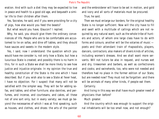eration. And with such a diet they may be expected to live in peace and health to a good old age, and bequeath a similar life to their children after them.

Yes, Socrates, he said, and if you were providing for a city of pigs, how else would you feed the beasts?

But what would you have, Glaucon? I replied.

Why, he said, you should give them the ordinary conveniences of life. People who are to be comfortable are accustomed to lie on sofas, and dine off tables, and they should have sauces and sweets in the modern style.

Yes, I said, now I understand: the question which you would have me consider is, not only how a State, but how a luxurious State is created; and possibly there is no harm in this, for in such a State we shall be more likely to see how justice and injustice originate. In my opinion the true and healthy constitution of the State is the one which I have described. But if you wish also to see a State at fever heat, I have no objection. For I suspect that many will not be satisfied with the simpler way. They will be for adding sofas, and tables, and other furniture; also dainties, and perfumes, and incense, and courtesans, and cakes, all these not of one sort only, but in every variety; we must go beyond the necessaries of which I was at first speaking, such as houses, and clothes, and shoes: the arts of the painter and the embroiderer will have to be set in motion, and gold and ivory and all sorts of materials must be procured.

True, he said.

Then we must enlarge our borders; for the original healthy State is no longer sufficient. Now will the city have to fill and swell with a multitude of callings which are not required by any natural want; such as the whole tribe of hunters and actors, of whom one large class have to do with forms and colours; another will be the votaries of music poets and their attendant train of rhapsodists, players, dancers, contractors; also makers of divers kinds of articles, including women's dresses. And we shall want more servants. Will not tutors be also in request, and nurses wet and dry, tirewomen and barbers, as well as confectioners and cooks; and swineherds, too, who were not needed and therefore had no place in the former edition of our State, but are needed now? They must not be forgotten: and there will be animals of many other kinds, if people eat them.

Certainly.

And living in this way we shall have much greater need of physicians than before?

Much greater.

And the country which was enough to support the original inhabitants will be too small now, and not enough?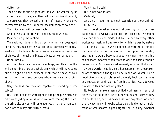Quite true.

Then a slice of our neighbours' land will be wanted by us for pasture and tillage, and they will want a slice of ours, if, like ourselves, they exceed the limit of necessity, and give themselves up to the unlimited accumulation of wealth?

That, Socrates, will be inevitable.

And so we shall go to war, Glaucon. Shall we not? Most certainly, he replied.

Then without determining as yet whether war does good or harm, thus much we may affirm, that now we have discovered war to be derived from causes which are also the causes of almost all the evils in States, private as well as public.

Undoubtedly.

And our State must once more enlarge; and this time the will be nothing short of a whole army, which will have to go out and fight with the invaders for all that we have, as well as for the things and persons whom we were describing above.

Why? he said; are they not capable of defending themselves?

No, I said; not if we were right in the principle which was acknowledged by all of us when we were framing the State: the principle, as you will remember, was that one man cannot practise many arts with success.

Very true, he said. But is not war an art?

Certainly.

And an art requiring as much attention as shoemaking? Quite true.

And the shoemaker was not allowed by us to be husbandman, or a weaver, a builder—in order that we might have our shoes well made; but to him and to every other worker was assigned one work for which he was by nature fitted, and at that he was to continue working all his life long and at no other; he was not to let opportunities slip, and then he would become a good workman. Now nothing can be more important than that the work of a soldier should be well done. But is war an art so easily acquired that a man may be a warrior who is also a husbandman, or shoemaker, or other artisan; although no one in the world would be a good dice or draught player who merely took up the game as a recreation, and had not from his earliest years devoted himself to this and nothing else?

No tools will make a man a skilled workman, or master of defence, nor be of any use to him who has not learned how to handle them, and has never bestowed any attention upon them. How then will he who takes up a shield or other implement of war become a good fighter all in a day, whether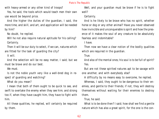with heavy-armed or any other kind of troops?

Yes, he said, the tools which would teach men their own use would be beyond price.

And the higher the duties of the guardian, I said, the more time, and skill, and art, and application will be needed by him?

No doubt, he replied.

Will he not also require natural aptitude for his calling? Certainly.

Then it will be our duty to select, if we can, natures which are fitted for the task of guarding the city?

It will.

And the selection will be no easy matter, I said; but we must be brave and do our best.

We must.

Is not the noble youth very like a well-bred dog in respect of guarding and watching?

What do you mean?

I mean that both of them ought to be quick to see, and swift to overtake the enemy when they see him; and strong too if, when they have caught him, they have to fight with him.

All these qualities, he replied, will certainly be required by them.

Well, and your guardian must be brave if he is to fight well?

Certainly.

And is he likely to be brave who has no spirit, whether horse or dog or any other animal? Have you never observed how invincible and unconquerable is spirit and how the presence of it makes the soul of any creature to be absolutely fearless and indomitable?

I have.

Then now we have a clear notion of the bodily qualities which are required in the guardian.

True.

And also of the mental ones; his soul is to be full of spirit? Yes.

But are not these spirited natures apt to be savage with one another, and with everybody else?

A difficulty by no means easy to overcome, he replied.

Whereas, I said, they ought to be dangerous to their enemies, and gentle to their friends; if not, they will destroy themselves without waiting for their enemies to destroy them.

True, he said.

What is to be done then? I said; how shall we find a gentle nature which has also a great spirit, for the one is the con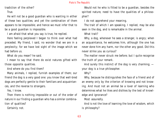tradiction of the other?

True.

He will not be a good guardian who is wanting in either of these two qualities; and yet the combination of them appears to be impossible; and hence we must infer that to be a good guardian is impossible.

I am afraid that what you say is true, he replied.

Here feeling perplexed I began to think over what had preceded. My friend, I said, no wonder that we are in a perplexity; for we have lost sight of the image which we had before us.

What do you mean? he said.

I mean to say that there do exist natures gifted with those opposite qualities.

And where do you find them?

Many animals, I replied, furnish examples of them; our friend the dog is a very good one: you know that well-bred dogs are perfectly gentle to their familiars and acquaintances, and the reverse to strangers.

Yes, I know.

Then there is nothing impossible or out of the order of nature in our finding a guardian who has a similar combination of qualities?

Certainly not.

Would not he who is fitted to be a guardian, besides the spirited nature, need to have the qualities of a philosopher?

I do not apprehend your meaning.

The trait of which I am speaking, I replied, may be also seen in the dog, and is remarkable in the animal.

What trait?

Why, a dog, whenever he sees a stranger, is angry; when an acquaintance, he welcomes him, although the one has never done him any harm, nor the other any good. Did this never strike you as curious?

The matter never struck me before; but I quite recognise the truth of your remark.

And surely this instinct of the dog is very charming; your dog is a true philosopher.

Why?

Why, because he distinguishes the face of a friend and of an enemy only by the criterion of knowing and not knowing. And must not an animal be a lover of learning who determines what he likes and dislikes by the test of knowledge and ignorance?

Most assuredly.

And is not the love of learning the love of wisdom, which is philosophy?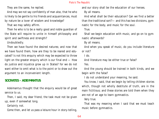They are the same, he replied.

And may we not say confidently of man also, that he who is likely to be gentle to his friends and acquaintances, must by nature be a lover of wisdom and knowledge?

That we may safely affirm.

Then he who is to be a really good and noble guardian of the State will require to unite in himself philosophy and spirit and swiftness and strength?

Undoubtedly.

Then we have found the desired natures; and now that we have found them, how are they to be reared and educated? Is not this enquiry which may be expected to throw light on the greater enquiry which is our final end — How do justice and injustice grow up in States? for we do not want either to omit what is to the point or to draw out the argument to an inconvenient length.

# **SOCRATES - ADEIMANTUS**

Adeimantus thought that the enquiry would be of great service to us.

Then, I said, my dear friend, the task must not be given up, even if somewhat long.

Certainly not.

Come then, and let us pass a leisure hour in story-telling,

and our story shall be the education of our heroes. By all means.

And what shall be their education? Can we find a better than the traditional sort?— and this has two divisions, gymnastic for the body, and music for the soul.

True.

Shall we begin education with music, and go on to gymnastic afterwards?

By all means.

And when you speak of music, do you include literature or not?

I do.

And literature may be either true or false?

Yes.

And the young should be trained in both kinds, and we begin with the false?

I do not understand your meaning, he said.

You know, I said, that we begin by telling children stories which, though not wholly destitute of truth, are in the main fictitious; and these stories are told them when they are not of an age to learn gymnastics.

Very true.

That was my meaning when I said that we must teach music before gymnastics.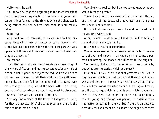Quite right, he said.

You know also that the beginning is the most important part of any work, especially in the case of a young and tender thing; for that is the time at which the character is being formed and the desired impression is more readily taken.

### Quite true.

And shall we just carelessly allow children to hear any casual tales which may be devised by casual persons, and to receive into their minds ideas for the most part the very opposite of those which we should wish them to have when they are grown up?

We cannot.

Then the first thing will be to establish a censorship of the writers of fiction, and let the censors receive any tale of fiction which is good, and reject the bad; and we will desire mothers and nurses to tell their children the authorised ones only. Let them fashion the mind with such tales, even more fondly than they mould the body with their hands; but most of those which are now in use must be discarded.

Of what tales are you speaking? he said.

You may find a model of the lesser in the greater, I said; for they are necessarily of the same type, and there is the same spirit in both of them.

Very likely, he replied; but I do not as yet know what you would term the greater.

Those, I said, which are narrated by Homer and Hesiod, and the rest of the poets, who have ever been the great story-tellers of mankind.

But which stories do you mean, he said; and what fault do you find with them?

A fault which is most serious, I said; the fault of telling a lie, and, what is more, a bad lie.

But when is this fault committed?

Whenever an erroneous representation is made of the nature of gods and heroes, — as when a painter paints a portrait not having the shadow of a likeness to the original.

Yes, he said, that sort of thing is certainly very blamable; but what are the stories which you mean?

First of all, I said, there was that greatest of all lies, in high places, which the poet told about Uranus, and which was a bad lie too, — I mean what Hesiod says that Uranus did, and how Cronus retaliated on him. The doings of Cronus, and the sufferings which in turn his son inflicted upon him, even if they were true, ought certainly not to be lightly told to young and thoughtless persons; if possible, they had better be buried in silence. But if there is an absolute necessity for their mention, a chosen few might hear them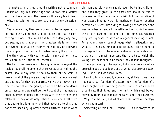in a mystery, and they should sacrifice not a common [Eleusinian] pig, but some huge and unprocurable victim; and then the number of the hearers will be very few indeed.

Why, yes, said he, those stories are extremely objectionable.

Yes, Adeimantus, they are stories not to be repeated in our State; the young man should not be told that in committing the worst of crimes he is far from doing anything outrageous; and that even if he chastises his father when does wrong, in whatever manner, he will only be following the example of the first and greatest among the gods.

I entirely agree with you, he said; in my opinion those stories are quite unfit to be repeated.

Neither, if we mean our future guardians to regard the habit of quarrelling among themselves as of all things the basest, should any word be said to them of the wars in heaven, and of the plots and fightings of the gods against one another, for they are not true. No, we shall never mention the battles of the giants, or let them be embroidered on garments; and we shall be silent about the innumerable other quarrels of gods and heroes with their friends and relatives. If they would only believe us we would tell them that quarrelling is unholy, and that never up to this time has there been any, quarrel between citizens; this is what old men and old women should begin by telling children; and when they grow up, the poets also should be told to compose for them in a similar spirit. But the narrative of Hephaestus binding Here his mother, or how on another occasion Zeus sent him flying for taking her part when she was being beaten, and all the battles of the gods in Homer these tales must not be admitted into our State, whether they are supposed to have an allegorical meaning or not. For a young person cannot judge what is allegorical and what is literal; anything that he receives into his mind at that age is likely to become indelible and unalterable; and therefore it is most important that the tales which the young first hear should be models of virtuous thoughts.

There you are right, he replied; but if any one asks where are such models to be found and of what tales are you speaking — how shall we answer him?

I said to him, You and I, Adeimantus, at this moment are not poets, but founders of a State: now the founders of a State ought to know the general forms in which poets should cast their tales, and the limits which must be observed by them, but to make the tales is not their business.

Very true, he said; but what are these forms of theology which you mean?

Something of this kind, I replied: — God is always to be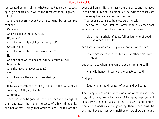represented as he truly is, whatever be the sort of poetry, epic, lyric or tragic, in which the representation is given.

Right.

And is he not truly good? and must he not be represented as such?

Certainly.

And no good thing is hurtful? No, indeed.

And that which is not hurtful hurts not?

Certainly not.

And that which hurts not does no evil? No.

And can that which does no evil be a cause of evil? Impossible.

And the good is advantageous? Yes.

And therefore the cause of well-being?

Yes.

It follows therefore that the good is not the cause of all things, but of the good only?

Assuredly.

Then God, if he be good, is not the author of all things, as the many assert, but he is the cause of a few things only, and not of most things that occur to men. For few are the goods of human life, and many are the evils, and the good is to be attributed to God alone; of the evils the causes are to be sought elsewhere, and not in him.

That appears to me to be most true, he said.

Then we must not listen to Homer or to any other poet who is guilty of the folly of saying that two casks

 Lie at the threshold of Zeus, full of lots, one of good, the other of evil lots,

and that he to whom Zeus gives a mixture of the two

 Sometimes meets with evil fortune, at other times with good;

but that he to whom is given the cup of unmingled ill,

Him wild hunger drives o'er the beauteous earth.

And again

Zeus, who is the dispenser of good and evil to us.

And if any one asserts that the violation of oaths and treaties, which was really the work of Pandarus, was brought about by Athene and Zeus, or that the strife and contention of the gods was instigated by Themis and Zeus, he shall not have our approval; neither will we allow our young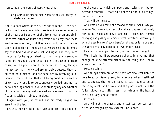men to hear the words of Aeschylus, that

 God plants guilt among men when he desires utterly to destroy a house.

And if a poet writes of the sufferings of Niobe — the subject of the tragedy in which these iambic verses occur— or of the house of Pelops, or of the Trojan war or on any similar theme, either we must not permit him to say that these are the works of God, or if they are of God, he must devise some explanation of them such as we are seeking; he must say that God did what was just and right, and they were the better for being punished; but that those who are punished are miserable, and that God is the author of their misery — the poet is not to be permitted to say; though he may say that the wicked are miserable because they require to be punished, and are benefited by receiving punishment from God; but that God being good is the author of evil to any one is to be strenuously denied, and not to be said or sung or heard in verse or prose by any one whether old or young in any well-ordered commonwealth. Such a fiction is suicidal, ruinous, impious.

I agree with you, he replied, and am ready to give my assent to the law.

Let this then be one of our rules and principles concern-

ing the gods, to which our poets and reciters will be expected to conform — that God is not the author of all things, but of good only.

That will do, he said.

And what do you think of a second principle? Shall I ask you whether God is a magician, and of a nature to appear insidiously now in one shape, and now in another — sometimes himself changing and passing into many forms, sometimes deceiving us with the semblance of such transformations; or is he one and the same immutably fixed in his own proper image?

I cannot answer you, he said, without more thought.

Well, I said; but if we suppose a change in anything, that change must be effected either by the thing itself, or by some other thing?

# Most certainly.

And things which are at their best are also least liable to be altered or discomposed; for example, when healthiest and strongest, the human frame is least liable to be affected by meats and drinks, and the plant which is in the fullest vigour also suffers least from winds or the heat of the sun or any similar causes.

Of course.

And will not the bravest and wisest soul be least confused or deranged by any external influence?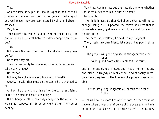True.

And the same principle, as I should suppose, applies to all composite things — furniture, houses, garments; when good and well made, they are least altered by time and circumstances.

Very true.

Then everything which is good, whether made by art or nature, or both, is least liable to suffer change from without?

True.

But surely God and the things of God are in every way perfect?

Of course they are.

Then he can hardly be compelled by external influence to take many shapes?

He cannot.

But may he not change and transform himself?

Clearly, he said, that must be the case if he is changed at all.

And will he then change himself for the better and fairer, or for the worse and more unsightly?

If he change at all he can only change for the worse, for we cannot suppose him to be deficient either in virtue or beauty.

Very true, Adeimantus; but then, would any one, whether God or man, desire to make himself worse?

Impossible.

Then it is impossible that God should ever be willing to change; being, as is supposed, the fairest and best that is conceivable, every god remains absolutely and for ever in his own form.

That necessarily follows, he said, in my judgment.

Then, I said, my dear friend, let none of the poets tell us that

 The gods, taking the disguise of strangers from other lands, walk up and down cities in all sorts of forms;

and let no one slander Proteus and Thetis, neither let any one, either in tragedy or in any other kind of poetry, introduce Hera disguised in the likeness of a priestess asking an alms

 For the life-giving daughters of Inachus the river of Argos;

— let us have no more lies of that sort. Neither must we have mothers under the influence of the poets scaring their children with a bad version of these myths — telling how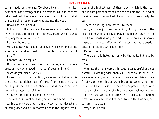certain gods, as they say, 'Go about by night in the likeness of so many strangers and in divers forms'; but let them take heed lest they make cowards of their children, and at the same time speak blasphemy against the gods.

Heaven forbid, he said.

But although the gods are themselves unchangeable, still by witchcraft and deception they may make us think that they appear in various forms?

Perhaps, he replied.

Well, but can you imagine that God will be willing to lie, whether in word or deed, or to put forth a phantom of himself?

I cannot say, he replied.

Do you not know, I said, that the true lie, if such an expression may be allowed, is hated of gods and men?

What do you mean? he said.

I mean that no one is willingly deceived in that which is the truest and highest part of himself, or about the truest and highest matters; there, above all, he is most afraid of a lie having possession of him.

Still, he said, I do not comprehend you.

The reason is, I replied, that you attribute some profound meaning to my words; but I am only saying that deception, or being deceived or uninformed about the highest reali-

ties in the highest part of themselves, which is the soul, and in that part of them to have and to hold the lie, is what mankind least like;  $-$  that, I say, is what they utterly detest.

There is nothing more hateful to them.

And, as I was just now remarking, this ignorance in the soul of him who is deceived may be called the true lie; for the lie in words is only a kind of imitation and shadowy image of a previous affection of the soul, not pure unadulterated falsehood. Am I not right?

Perfectly right.

The true lie is hated not only by the gods, but also by men?

Yes.

Whereas the lie in words is in certain cases useful and not hateful; in dealing with enemies — that would be an instance; or again, when those whom we call our friends in a fit of madness or illusion are going to do some harm, then it is useful and is a sort of medicine or preventive; also in the tales of mythology, of which we were just now speaking—because we do not know the truth about ancient times, we make falsehood as much like truth as we can, and so turn it to account.

Very true, he said.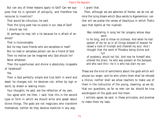But can any of these reasons apply to God? Can we suppose that he is ignorant of antiquity, and therefore has recourse to invention?

That would be ridiculous, he said.

Then the lying poet has no place in our idea of God? I should say not.

Or perhaps he may tell a lie because he is afraid of enemies?

That is inconceivable.

But he may have friends who are senseless or mad?

But no mad or senseless person can be a friend of God. Then no motive can be imagined why God should lie? None whatever.

Then the superhuman and divine is absolutely incapable of falsehood?

Yes.

Then is God perfectly simple and true both in word and deed; he changes not; he deceives not, either by sign or word, by dream or waking vision.

Your thoughts, he said, are the reflection of my own.

You agree with me then, I said, that this is the second type or form in which we should write and speak about divine things. The gods are not magicians who transform themselves, neither do they deceive mankind in any way.

I grant that.

Then, although we are admirers of Homer, we do not admire the lying dream which Zeus sends to Agamemnon; neither will we praise the verses of Aeschylus in which Thetis says that Apollo at her nuptials

 Was celebrating in song her fair progeny whose days were

 to he long, and to know no sickness. And when he had spoken of my lot as in all things blessed of heaven he raised a note of triumph and cheered my soul. And I thought that the word of Phoebus being divine and full

 of prophecy, would not fail. And now he himself who uttered the strain, he who was present at the banquet, and who said this—he it is who has slain my son.

These are the kind of sentiments about the gods which will arouse our anger; and he who utters them shall be refused a chorus; neither shall we allow teachers to make use of them in the instruction of the young, meaning, as we do, that our guardians, as far as men can be, should be true worshippers of the gods and like them.

I entirely agree, be said, in these principles, and promise to make them my laws.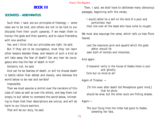# **BOOK III**

# **SOCRATES - ADEIMANTUS**

Such then, I said, are our principles of theology — some tales are to be told, and others are not to be told to our disciples from their youth upwards, if we mean them to honour the gods and their parents, and to value friendship with one another.

Yes; and I think that our principles are right, he said.

But if they are to be courageous, must they not learn other lessons besides these, and lessons of such a kind as will take away the fear of death? Can any man be courageous who has the fear of death in him?

Certainly not, he said.

And can he be fearless of death, or will he choose death in battle rather than defeat and slavery, who believes the world below to be real and terrible?

Impossible.

Then we must assume a control over the narrators of this class of tales as well as over the others, and beg them not simply to but rather to commend the world below, intimating to them that their descriptions are untrue, and will do harm to our future warriors.

That will be our duty, he said.

Then, I said, we shall have to obliterate many obnoxious passages, beginning with the verses,

 I would rather he a serf on the land of a poor and portionless man than rule over all the dead who have come to nought.

We must also expunge the verse, which tells us how Pluto feared,

 Lest the mansions grim and squalid which the gods abhor should he seen both of mortals and immortals.

And again:

 O heavens! verily in the house of Hades there is soul and ghostly form but no mind at all!

Again of Tiresias: —

 [To him even after death did Persephone grant mind,] that he alone should be wise; but the other souls are flitting shades.

Again:—

 The soul flying from the limbs had gone to Hades, lamentng her fate,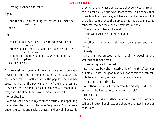leaving manhood and youth.

Again:—

 And the soul, with shrilling cry, passed like smoke be neath the

earth.

 $And.$ 

 As bats in hollow of mystic cavern, whenever any of the has dropped out of the string and falls from the rock, fly shrilling and cling to one another, so did they with shrilling cry hold together as they moved.

And we must beg Homer and the other poets not to be angry if we strike out these and similar passages, not because they are unpoetical, or unattractive to the popular ear, but because the greater the poetical charm of them, the less are they meet for the ears of boys and men who are meant to be free, and who should fear slavery more than death.

Undoubtedly.

Also we shall have to reject all the terrible and appalling names describe the world below —Cocytus and Styx, ghosts under the earth, and sapless shades, and any similar words of which the very mention causes a shudder to pass through the inmost soul of him who hears them. I do not say that these horrible stories may not have a use of some kind; but there is a danger that the nerves of our guardians may be rendered too excitable and effeminate by them.

There is a real danger, he said.

Then we must have no more of them.

True.

Another and a nobler strain must be composed and sung by us.

Clearly.

And shall we proceed to get rid of the weepings and wailings of famous men?

They will go with the rest.

But shall we be right in getting rid of them? Reflect: our principle is that the good man will not consider death terrible to any other good man who is his comrade.

Yes; that is our principle.

And therefore he will not sorrow for his departed friend as though he had suffered anything terrible?

He will not.

Such an one, as we further maintain, is sufficient for himself and his own happiness, and therefore is least in need of other men.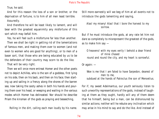True, he said.

And for this reason the loss of a son or brother, or the deprivation of fortune, is to him of all men least terrible. Assuredly.

And therefore he will be least likely to lament, and will bear with the greatest equanimity any misfortune of this sort which may befall him.

Yes, he will feel such a misfortune far less than another.

Then we shall be right in getting rid of the lamentations of famous men, and making them over to women (and not even to women who are good for anything), or to men of a baser sort, that those who are being educated by us to be the defenders of their country may scorn to do the like.

That will be very right.

Then we will once more entreat Homer and the other poets not to depict Achilles, who is the son of a goddess, first lying on his side, then on his back, and then on his face; then starting up and sailing in a frenzy along the shores of the barren sea; now taking the sooty ashes in both his hands and pouring them over his head, or weeping and wailing in the various modes which Homer has delineated. Nor should he describe Priam the kinsman of the gods as praying and beseeching,

Rolling in the dirt, calling each man loudly by his name.

Still more earnestly will we beg of him at all events not to introduce the gods lamenting and saying,

 Alas! my misery! Alas! that I bore the harvest to my sorrow.

But if he must introduce the gods, at any rate let him not dare so completely to misrepresent the greatest of the gods, as to make him say —

 O heavens! with my eyes verily I behold a dear friend of mine chased round and round the city, and my heart is sorrowful.

Or again: —

 Woe is me that I am fated to have Sarpedon, dearest of men to me, subdued at the hands of Patroclus the son of Menoetius.

For if, my sweet Adeimantus, our youth seriously listen to such unworthy representations of the gods, instead of laughing at them as they ought, hardly will any of them deem that he himself, being but a man, can be dishonoured by similar actions; neither will he rebuke any inclination which may arise in his mind to say and do the like. And instead of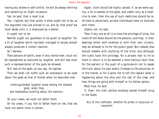having any shame or self-control, he will be always whining and lamenting on slight occasions.

Yes, he said, that is most true.

Yes, I replied; but that surely is what ought not to be, as the argument has just proved to us; and by that proof we must abide until it is disproved by a better.

It ought not to be.

Neither ought our guardians to be given to laughter. For a fit of laughter which has been indulged to excess almost always produces a violent reaction.

So I believe.

Then persons of worth, even if only mortal men, must not be represented as overcome by laughter, and still less must such a representation of the gods be allowed.

Still less of the gods, as you say, he replied. Then we shall not suffer such an expression to be used

about the gods as that of Homer when he describes how

 Inextinguishable laughter arose among the blessed gods, when they saw Hephaestus bustling about the mansion.

On your views, we must not admit them.

On my views, if you like to father them on me; that we must not admit them is certain.

Again, truth should be highly valued; if, as we were saying, a lie is useless to the gods, and useful only as a medicine to men, then the use of such medicines should be restricted to physicians; private individuals have no business with them.

Clearly not, he said.

Then if any one at all is to have the privilege of lying, the rulers of the State should be the persons; and they, in their dealings either with enemies or with their own citizens, may be allowed to lie for the public good. But nobody else should meddle with anything of the kind; and although the rulers have this privilege, for a private man to lie to them in return is to be deemed a more heinous fault than for the patient or the pupil of a gymnasium not to speak the truth about his own bodily illnesses to the physician or to the trainer, or for a sailor not to tell the captain what is happening about the ship and the rest of the crew, and how things are going with himself or his fellow sailors.

Most true, he said.

If, then, the ruler catches anybody beside himself lying in the State,

 Any of the craftsmen, whether he priest or physician or carpenter.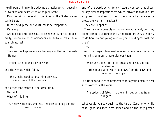he will punish him for introducing a practice which is equally subversive and destructive of ship or State.

Most certainly, he said, if our idea of the State is ever carried out.

In the next place our youth must be temperate? Certainly.

Are not the chief elements of temperance, speaking generally, obedience to commanders and self-control in sensual pleasures?

True.

Then we shall approve such language as that of Diomede in Homer,

Friend, sit still and obey my word,

and the verses which follow,

 The Greeks marched breathing prowess, ...in silent awe of their leaders,

and other sentiments of the same kind. We shall. What of this line,

 O heavy with wine, who hast the eyes of a dog and the heart of a stag,

and of the words which follow? Would you say that these, or any similar impertinences which private individuals are supposed to address to their rulers, whether in verse or prose, are well or ill spoken?

They are ill spoken.

They may very possibly afford some amusement, but they do not conduce to temperance. And therefore they are likely to do harm to our young men — you would agree with me there?

Yes.

And then, again, to make the wisest of men say that nothing in his opinion is more glorious than

 When the tables are full of bread and meat, and the cup-bearer carries round wine which he draws from the bowl and pours into the cups,

is it fit or conducive to temperance for a young man to hear such words? Or the verse

 The saddest of fates is to die and meet destiny from hunger?

What would you say again to the tale of Zeus, who, while other gods and men were asleep and he the only person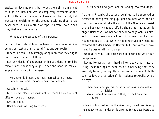awake, lay devising plans, but forgot them all in a moment through his lust, and was so completely overcome at the sight of Here that he would not even go into the hut, but wanted to lie with her on the ground, declaring that he had never been in such a state of rapture before, even when they first met one another

Without the knowledge of their parents;

or that other tale of how Hephaestus, because of similar goings on, cast a chain around Ares and Aphrodite?

Indeed, he said, I am strongly of opinion that they ought not to hear that sort of thing.

But any deeds of endurance which are done or told by famous men, these they ought to see and hear; as, for example, what is said in the verses,

 He smote his breast, and thus reproached his heart, Endure, my heart; far worse hast thou endured!

Certainly, he said.

In the next place, we must not let them be receivers of gifts or lovers of money.

Certainly not.

Neither must we sing to them of

Gifts persuading gods, and persuading reverend kings.

Neither is Phoenix, the tutor of Achilles, to be approved or deemed to have given his pupil good counsel when he told him that he should take the gifts of the Greeks and assist them; but that without a gift he should not lay aside his anger. Neither will we believe or acknowledge Achilles himself to have been such a lover of money that he took Agamemnon's or that when he had received payment he restored the dead body of Hector, but that without payment he was unwilling to do so.

Undoubtedly, he said, these are not sentiments which can be approved.

Loving Homer as I do, I hardly like to say that in attributing these feelings to Achilles, or in believing that they are truly to him, he is guilty of downright impiety. As little can I believe the narrative of his insolence to Apollo, where he says,

 Thou hast wronged me, O far-darter, most abominable of deities. Verily I would he even with thee, if I had only the power,

or his insubordination to the river-god, on whose divinity he is ready to lay hands; or his offering to the dead Patroclus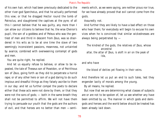of his own hair, which had been previously dedicated to the other river-god Spercheius, and that he actually performed this vow; or that he dragged Hector round the tomb of Patroclus, and slaughtered the captives at the pyre; of all this I cannot believe that he was guilty, any more than I can allow our citizens to believe that he, the wise Cheiron's pupil, the son of a goddess and of Peleus who was the gentlest of men and third in descent from Zeus, was so disordered in his wits as to be at one time the slave of two seemingly inconsistent passions, meanness, not untainted by avarice, combined with overweening contempt of gods and men.

You are quite right, he replied.

And let us equally refuse to believe, or allow to be repeated, the tale of Theseus son of Poseidon, or of Peirithous son of Zeus, going forth as they did to perpetrate a horrid rape; or of any other hero or son of a god daring to do such impious and dreadful things as they falsely ascribe to them in our day: and let us further compel the poets to declare either that these acts were not done by them, or that they were not the sons of gods; — both in the same breath they shall not be permitted to affirm. We will not have them trying to persuade our youth that the gods are the authors of evil, and that heroes are no better than men —sentiments which, as we were saying, are neither pious nor true, for we have already proved that evil cannot come from the gods.

Assuredly not.

And further they are likely to have a bad effect on those who hear them; for everybody will begin to excuse his own vices when he is convinced that similar wickednesses are always being perpetrated by —

 The kindred of the gods, the relatives of Zeus, whose ancestral altar, the attar of Zeus, is aloft in air on the peak of Ida,

and who have

the blood of deities yet flowing in their veins.

And therefore let us put an end to such tales, lest they engender laxity of morals among the young.

By all means, he replied.

But now that we are determining what classes of subjects are or are not to be spoken of, let us see whether any have been omitted by us. The manner in which gods and demigods and heroes and the world below should be treated has been already laid down.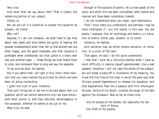Very true.

And what shall we say about men? That is clearly the remaining portion of our subject.

Clearly so.

But we are not in a condition to answer this question at present, my friend.

Why not?

Because, if I am not mistaken, we shall have to say that about men poets and story-tellers are guilty of making the gravest misstatements when they tell us that wicked men are often happy, and the good miserable; and that injustice is profitable when undetected, but that justice is a man's own loss and another's gain — these things we shall forbid them to utter, and command them to sing and say the opposite.

To be sure we shall, he replied.

But if you admit that I am right in this, then I shall maintain that you have implied the principle for which we have been all along contending.

I grant the truth of your inference.

That such things are or are not to be said about men is a question which we cannot determine until we have discovered what justice is, and how naturally advantageous to the possessor, whether he seems to be just or not.

Most true, he said.

Enough of the subjects of poetry: let us now speak of the style; and when this has been considered, both matter and manner will have been completely treated.

I do not understand what you mean, said Adeimantus.

Then I must make you understand; and perhaps I may be more intelligible if I put the matter in this way. You are aware, I suppose, that all mythology and poetry is a narration of events, either past, present, or to come?

Certainly, he replied.

And narration may be either simple narration, or imitation, or a union of the two?

That again, he said, I do not quite understand.

I fear that I must be a ridiculous teacher when I have so much difficulty in making myself apprehended. Like a bad speaker, therefore, I will not take the whole of the subject, but will break a piece off in illustration of my meaning. You know the first lines of the Iliad, in which the poet says that Chryses prayed Agamemnon to release his daughter, and that Agamemnon flew into a passion with him; whereupon Chryses, failing of his object, invoked the anger of the God against the Achaeans. Now as far as these lines,

 And he prayed all the Greeks, but especially the two sons of Atreus, the chiefs of the people,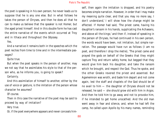the poet is speaking in his own person; he never leads us to suppose that he is any one else. But in what follows he takes the person of Chryses, and then he does all that he can to make us believe that the speaker is not Homer, but the aged priest himself. And in this double form he has cast the entire narrative of the events which occurred at Troy and in Ithaca and throughout the Odyssey.

#### Yes.

And a narrative it remains both in the speeches which the poet recites from time to time and in the intermediate passages?

Quite true.

But when the poet speaks in the person of another, may we not say that he assimilates his style to that of the person who, as he informs you, is going to speak?

Certainly.

And this assimilation of himself to another, either by the use of voice or gesture, is the imitation of the person whose character he assumes?

Of course.

Then in this case the narrative of the poet may be said to proceed by way of imitation?

Very true.

Or, if the poet everywhere appears and never conceals him-

self, then again the imitation is dropped, and his poetry becomes simple narration. However, in order that I may make my meaning quite clear, and that you may no more say, I don't understand,' I will show how the change might be effected. If Homer had said, 'The priest came, having his daughter's ransom in his hands, supplicating the Achaeans, and above all the kings;' and then if, instead of speaking in the person of Chryses, he had continued in his own person, the words would have been, not imitation, but simple narration. The passage would have run as follows (I am no poet, and therefore I drop the metre), 'The priest came and prayed the gods on behalf of the Greeks that they might capture Troy and return safely home, but begged that they would give him back his daughter, and take the ransom which he brought, and respect the God. Thus he spoke, and the other Greeks revered the priest and assented. But Agamemnon was wroth, and bade him depart and not come again, lest the staff and chaplets of the God should be of no avail to him — the daughter of Chryses should not be released, he said — she should grow old with him in Argos. And then he told him to go away and not to provoke him, if he intended to get home unscathed. And the old man went away in fear and silence, and, when he had left the camp, he called upon Apollo by his many names, reminding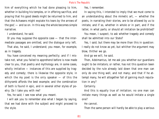him of everything which he had done pleasing to him, whether in building his temples, or in offering sacrifice, and praying that his good deeds might be returned to him, and that the Achaeans might expiate his tears by the arrows of the god,' — and so on. In this way the whole becomes simple narrative.

I understand, he said.

Or you may suppose the opposite case  $-$  that the intermediate passages are omitted, and the dialogue only left.

That also, he said, I understand; you mean, for example, as in tragedy.

You have conceived my meaning perfectly; and if I mistake not, what you failed to apprehend before is now made clear to you, that poetry and mythology are, in some cases, wholly imitative  $-$  instances of this are supplied by tragedy and comedy; there is likewise the opposite style, in which the my poet is the only speaker  $-$  of this the dithyramb affords the best example; and the combination of both is found in epic, and in several other styles of poetry. Do I take you with me?

Yes, he said; I see now what you meant.

I will ask you to remember also what I began by saying, that we had done with the subject and might proceed to the style.

Yes, I remember.

In saying this, I intended to imply that we must come to an understanding about the mimetic art, — whether the poets, in narrating their stories, are to be allowed by us to imitate, and if so, whether in whole or in part, and if the latter, in what parts; or should all imitation be prohibited?

You mean, I suspect, to ask whether tragedy and comedy shall be admitted into our State?

Yes, I said; but there may be more than this in question: I really do not know as yet, but whither the argument may blow, thither we go.

And go we will, he said.

Then, Adeimantus, let me ask you whether our guardians ought to be imitators; or rather, has not this question been decided by the rule already laid down that one man can only do one thing well, and not many; and that if he attempt many, he will altogether fall of gaining much reputation in any?

Certainly.

And this is equally true of imitation; no one man can imitate many things as well as he would imitate a single one?

He cannot.

Then the same person will hardly be able to play a serious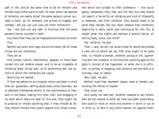part in life, and at the same time to be an imitator and imitate many other parts as well; for even when two species of imitation are nearly allied, the same persons cannot succeed in both, as, for example, the writers of tragedy and comedy—did you not just now call them imitations?

Yes, I did; and you are right in thinking that the same persons cannot succeed in both.

Any more than they can be rhapsodists and actors at once? True.

Neither are comic and tragic actors the same; yet all these things are but imitations.

They are so.

And human nature, Adeimantus, appears to have been coined into yet smaller pieces, and to be as incapable of imitating many things well, as of performing well the actions of which the imitations are copies.

Quite true, he replied.

If then we adhere to our original notion and bear in mind that our guardians, setting aside every other business, are to dedicate themselves wholly to the maintenance of freedom in the State, making this their craft, and engaging in no work which does not bear on this end, they ought not to practise or imitate anything else; if they imitate at all, they should imitate from youth upward only those characters which are suitable to their profession — the courageous, temperate, holy, free, and the like; but they should not depict or be skilful at imitating any kind of illiberality or baseness, lest from imitation they should come to be what they imitate. Did you never observe how imitations, beginning in early youth and continuing far into life, at length grow into habits and become a second nature, affecting body, voice, and mind?

Yes, certainly, he said.

Then, I said, we will not allow those for whom we profess a care and of whom we say that they ought to be good men, to imitate a woman, whether young or old, quarrelling with her husband, or striving and vaunting against the gods in conceit of her happiness, or when she is in affliction, or sorrow, or weeping; and certainly not one who is in sickness, love, or labour.

Very right, he said.

Neither must they represent slaves, male or female, performing the offices of slaves?

They must not.

And surely not bad men, whether cowards or any others, who do the reverse of what we have just been prescribing, who scold or mock or revile one another in drink or out of in drink or, or who in any other manner sin against them-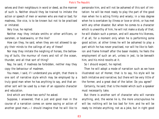selves and their neighbours in word or deed, as the manner of such is. Neither should they be trained to imitate the action or speech of men or women who are mad or bad; for madness, like vice, is to be known but not to be practised or imitated.

Very true, he replied.

Neither may they imitate smiths or other artificers, or oarsmen, or boatswains, or the like?

How can they, he said, when they are not allowed to apply their minds to the callings of any of these?

Nor may they imitate the neighing of horses, the bellowing of bulls, the murmur of rivers and roll of the ocean, thunder, and all that sort of thing?

Nay, he said, if madness be forbidden, neither may they copy the behaviour of madmen.

You mean, I said, if I understand you aright, that there is one sort of narrative style which may be employed by a truly good man when he has anything to say, and that another sort will be used by a man of an opposite character and education.

And which are these two sorts? he asked.

Suppose, I answered, that a just and good man in the course of a narration comes on some saying or action of another good man,—I should imagine that he will like to personate him, and will not be ashamed of this sort of imitation: he will be most ready to play the part of the good man when he is acting firmly and wisely; in a less degree when he is overtaken by illness or love or drink, or has met with any other disaster. But when he comes to a character which is unworthy of him, he will not make a study of that; he will disdain such a person, and will assume his likeness, if at all, for a moment only when he is performing some good action; at other times he will be ashamed to play a part which he has never practised, nor will he like to fashion and frame himself after the baser models; he feels the employment of such an art, unless in jest, to be beneath him, and his mind revolts at it.

So I should expect, he replied.

Then he will adopt a mode of narration such as we have illustrated out of Homer, that is to say, his style will be both imitative and narrative; but there will be very little of the former, and a great deal of the latter. Do you agree?

Certainly, he said; that is the model which such a speaker must necessarily take.

But there is another sort of character who will narrate anything, and, the worse lie is, the more unscrupulous he will be; nothing will be too bad for him: and he will be ready to imitate anything, not as a joke, but in right good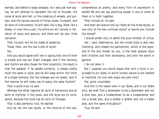earnest, and before a large company. As I was just now saying, he will attempt to represent the roll of thunder, the noise of wind and hall, or the creaking of wheels, and pulleys, and the various sounds of flutes; pipes, trumpets, and all sorts of instruments: he will bark like a dog, bleat like a sheep, or crow like a cock; his entire art will consist in imitation of voice and gesture, and there will be very little narration.

That, he said, will be his mode of speaking.

These, then, are the two kinds of style?

Yes.

And you would agree with me in saying that one of them is simple and has but slight changes; and if the harmony and rhythm are also chosen for their simplicity, the result is that the speaker, if he speaks correctly, is always pretty much the same in style, and he will keep within the limits of a single harmony (for the changes are not great), and in like manner he will make use of nearly the same rhythm?

That is quite true, he said.

Whereas the other requires all sorts of harmonies and all sorts of rhythms, if the music and the style are to correspond, because the style has all sorts of changes.

That is also perfectly true, he replied.

And do not the two styles, or the mixture of the two,

comprehend all poetry, and every form of expression in words? No one can say anything except in one or other of them or in both together.

They include all, he said.

And shall we receive into our State all the three styles, or one only of the two unmixed styles? or would you include the mixed?

I should prefer only to admit the pure imitator of virtue.

Yes, I said, Adeimantus, but the mixed style is also very charming: and indeed the pantomimic, which is the opposite of the one chosen by you, is the most popular style with children and their attendants, and with the world in general.

I do not deny it.

But I suppose you would argue that such a style is unsuitable to our State, in which human nature is not twofold or manifold, for one man plays one part only?

Yes; quite unsuitable.

And this is the reason why in our State, and in our State only, we shall find a shoemaker to be a shoemaker and not a pilot also, and a husbandman to be a husbandman and not a dicast also, and a soldier a soldier and not a trader also, and the same throughout?

True, he said.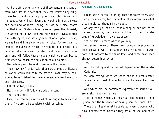And therefore when any one of these pantomimic gentlemen, who are so clever that they can imitate anything, comes to us, and makes a proposal to exhibit himself and his poetry, we will fall down and worship him as a sweet and holy and wonderful being; but we must also inform him that in our State such as he are not permitted to exist; the law will not allow them. And so when we have anointed him with myrrh, and set a garland of wool upon his head, we shall send him away to another city. For we mean to employ for our souls' health the rougher and severer poet or story-teller, who will imitate the style of the virtuous only, and will follow those models which we prescribed at first when we began the education of our soldiers.

We certainly will, he said, if we have the power.

Then now, my friend, I said, that part of music or literary education which relates to the story or myth may be considered to be finished; for the matter and manner have both been discussed.

I think so too, he said.

Next in order will follow melody and song.

That is obvious.

Every one can see already what we ought to say about them, if we are to be consistent with ourselves.

# **SOCRATES - GLAUCON**

I fear, said Glaucon, laughing, that the words 'every one' hardly includes me, for I cannot at the moment say what they should be; though I may guess.

At any rate you can tell that a song or ode has three parts—the words, the melody, and the rhythm; that degree of knowledge I may presuppose?

Yes, he said; so much as that you may.

And as for the words, there surely be no difference words between words which are and which are not set to music; both will conform to the same laws, and these have been already determined by us?

Yes.

And the melody and rhythm will depend upon the words? Certainly.

We were saying, when we spoke of the subject-matter, that we had no need of lamentations and strains of sorrow? True.

And which are the harmonies expressive of sorrow? You are musical, and can tell me.

The harmonies which you mean are the mixed or tenor Lydian, and the full-toned or bass Lydian, and such like.

These then, I said, must be banished; even to women who have a character to maintain they are of no use, and much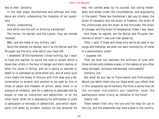less to men. Certainly.

In the next place, drunkenness and softness and indolence are utterly unbecoming the character of our guardians.

Utterly unbecoming.

And which are the soft or drinking harmonies?

The Ionian, he replied, and the Lydian; they are termed 'relaxed.'

Well, and are these of any military use?

Quite the reverse, he replied; and if so the Dorian and the Phrygian are the only ones which you have left.

I answered: Of the harmonies I know nothing, but I want to have one warlike, to sound the note or accent which a brave man utters in the hour of danger and stern resolve, or when his cause is failing, and he is going to wounds or death or is overtaken by some other evil, and at every such crisis meets the blows of fortune with firm step and a determination to endure; and another to be used by him in times of peace and freedom of action, when there is no pressure of necessity, and he is seeking to persuade God by prayer, or man by instruction and admonition, or on the other hand, when he is expressing his willingness to yield to persuasion or entreaty or admonition, and which represents him when by prudent conduct he has attained his end, not carried away by his success, but acting moderately and wisely under the circumstances, and acquiescing in the event. These two harmonies I ask you to leave; the strain of necessity and the strain of freedom, the strain of the unfortunate and the strain of the fortunate, the strain of courage, and the strain of temperance; these, I say, leave.

And these, he replied, are the Dorian and Phrygian harmonies of which I was just now speaking.

Then, I said, if these and these only are to be used in our songs and melodies, we shall not want multiplicity of notes or a panharmonic scale?

I suppose not.

Then we shall not maintain the artificers of lyres with three corners and complex scales, or the makers of any other many-stringed curiously-harmonised instruments?

Certainly not.

But what do you say to flute-makers and flute-players? Would you admit them into our State when you reflect that in this composite use of harmony the flute is worse than all the stringed instruments put together; even the panharmonic music is only an imitation of the flute?

Clearly not.

There remain then only the lyre and the harp for use in the city, and the shepherds may have a pipe in the country.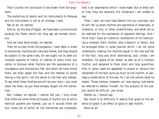That is surely the conclusion to be drawn from the argument.

The preferring of Apollo and his instruments to Marsyas and his instruments is not at all strange, I said.

Not at all, he replied.

And so, by the dog of Egypt, we have been unconsciously purging the State, which not long ago we termed luxurious.

And we have done wisely, he replied.

Then let us now finish the purgation, I said. Next in order to harmonies, rhythms will naturally follow, and they should be subject to the same rules, for we ought not to seek out complex systems of metre, or metres of every kind, but rather to discover what rhythms are the expressions of a courageous and harmonious life; and when we have found them, we shall adapt the foot and the melody to words having a like spirit, not the words to the foot and melody. To say what these rhythms are will be your duty—you must teach me them, as you have already taught me the harmonies.

But, indeed, he replied, I cannot tell you. I only know that there are some three principles of rhythm out of which metrical systems are framed, just as in sounds there are four notes out of which all the harmonies are composed;

that is an observation which I have made. But of what sort of lives they are severally the imitations I am unable to say.

Then, I said, we must take Damon into our counsels; and he will tell us what rhythms are expressive of meanness, or insolence, or fury, or other unworthiness, and what are to be reserved for the expression of opposite feelings. And I think that I have an indistinct recollection of his mentioning a complex Cretic rhythm; also a dactylic or heroic, and he arranged them in some manner which I do not quite understand, making the rhythms equal in the rise and fall of the foot, long and short alternating; and, unless I am mistaken, he spoke of an iambic as well as of a trochaic rhythm, and assigned to them short and long quantities. Also in some cases he appeared to praise or censure the movement of the foot quite as much as the rhythm; or perhaps a combination of the two; for I am not certain what he meant. These matters, however, as I was saying, had better be referred to Damon himself, for the analysis of the subject would be difficult, you know.

Rather so, I should say.

But there is no difficulty in seeing that grace or the absence of grace is an effect of good or bad rhythm. None at all.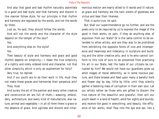And also that good and bad rhythm naturally assimilate to a good and bad style; and that harmony and discord in like manner follow style; for our principle is that rhythm and harmony are regulated by the words, and not the words by them.

Just so, he said, they should follow the words.

And will not the words and the character of the style depend on the temper of the soul?

Yes.

And everything else on the style?

Yes.

Then beauty of style and harmony and grace and good rhythm depend on simplicity,—I mean the true simplicity of a rightly and nobly ordered mind and character, not that other simplicity which is only an euphemism for folly?

Very true, he replied.

And if our youth are to do their work in life, must they not make these graces and harmonies their perpetual aim?

They must.

And surely the art of the painter and every other creative and constructive art are full of them,—weaving, embroidery, architecture, and every kind of manufacture; also nature, animal and vegetable,—in all of them there is grace or the absence of grace. And ugliness and discord and inharmonious motion are nearly allied to ill words and ill nature, as grace and harmony are the twin sisters of goodness and virtue and bear their likeness.

That is quite true, he said.

But shall our superintendence go no further, and are the poets only to be required by us to express the image of the good in their works, on pain, if they do anything else, of expulsion from our State? Or is the same control to be extended to other artists, and are they also to be prohibited from exhibiting the opposite forms of vice and intemperance and meanness and indecency in sculpture and building and the other creative arts; and is he who cannot conform to this rule of ours to be prevented from practising his art in our State, lest the taste of our citizens be corrupted by him? We would not have our guardians grow up amid images of moral deformity, as in some noxious pasture, and there browse and feed upon many a baneful herb and flower day by day, little by little, until they silently gather a festering mass of corruption in their own soul. Let our artists rather be those who are gifted to discern the true nature of the beautiful and graceful; then will our youth dwell in a land of health, amid fair sights and sounds, and receive the good in everything; and beauty, the effluence of fair works, shall flow into the eye and ear, like a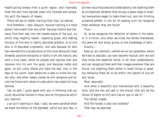health-giving breeze from a purer region, and insensibly draw the soul from earliest years into likeness and sympathy with the beauty of reason.

There can be no nobler training than that, he replied.

And therefore, I said, Glaucon, musical training is a more potent instrument than any other, because rhythm and harmony find their way into the inward places of the soul, on which they mightily fasten, imparting grace, and making the soul of him who is rightly educated graceful, or of him who is ill-educated ungraceful; and also because he who has received this true education of the inner being will most shrewdly perceive omissions or faults in art and nature, and with a true taste, while he praises and rejoices over and receives into his soul the good, and becomes noble and good, he will justly blame and hate the bad, now in the days of his youth, even before he is able to know the reason why; and when reason comes he will recognise and salute the friend with whom his education has made him long familiar.

Yes, he said, I quite agree with you in thinking that our youth should be trained in music and on the grounds which you mention.

Just as in learning to read, I said, we were satisfied when we knew the letters of the alphabet, which are very few, in all their recurring sizes and combinations; not slighting them as unimportant whether they occupy a space large or small, but everywhere eager to make them out; and not thinking ourselves perfect in the art of reading until we recognise them wherever they are found:

# True—

Or, as we recognise the reflection of letters in the water, or in a mirror, only when we know the letters themselves; the same art and study giving us the knowledge of both: Exactly—

Even so, as I maintain, neither we nor our guardians, whom we have to educate, can ever become musical until we and they know the essential forms, in all their combinations, and can recognize them and their images wherever they are found, not slighting them either in small things or great, but believing them all to be within the sphere of one art and study.

Most assuredly.

And when a beautiful soul harmonizes with a beautiful form, and the two are cast in one mould, that will be the fairest of sights to him who has an eye to see it?

The fairest indeed.

And the fairest is also the loveliest? That may be assumed.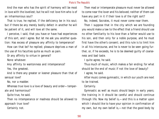And the man who has the spirit of harmony will be most in love with the loveliest; but he will not love him who is of an inharmonious soul?

That is true, he replied, if the deficiency be in his soul; but if there be any merely bodily defect in another he will be patient of it, and will love all the same.

I perceive, I said, that you have or have had experiences of this sort, and I agree. But let me ask you another question: Has excess of pleasure any affinity to temperance?

How can that be? he replied; pleasure deprives a man of the use of his faculties quite as much as pain.

Or any affinity to virtue in general?

None whatever.

Any affinity to wantonness and intemperance?

Yes, the greatest.

And is there any greater or keener pleasure than that of sensual love?

No, nor a madder.

Whereas true love is a love of beauty and order—temperate and harmonious?

Quite true, he said.

Then no intemperance or madness should be allowed to approach true love?

Certainly not.

Then mad or intemperate pleasure must never be allowed to come near the lover and his beloved; neither of them can have any part in it if their love is of the right sort?

No, indeed, Socrates, it must never come near them.

Then I suppose that in the city which we are founding you would make a law to the effect that a friend should use no other familiarity to his love than a father would use to his son, and then only for a noble purpose, and he must first have the other's consent; and this rule is to limit him in all his intercourse, and he is never to be seen going further, or, if he exceeds, he is to be deemed guilty of coarseness and bad taste.

I quite agree, he said.

Thus much of music, which makes a fair ending; for what should be the end of music if not the love of beauty?

I agree, he said.

After music comes gymnastic, in which our youth are next to be trained.

#### Certainly.

Gymnastic as well as music should begin in early years; the training in it should be careful and should continue through life. Now my belief is,—and this is a matter upon which I should like to have your opinion in confirmation of my own, but my own belief is,—not that the good body by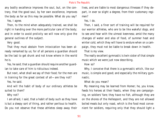any bodily excellence improves the soul, but, on the contrary, that the good soul, by her own excellence, improves the body as far as this may be possible. What do you say?

Yes, I agree.

Then, to the mind when adequately trained, we shall be right in handing over the more particular care of the body; and in order to avoid prolixity we will now only give the general outlines of the subject.

Very good.

That they must abstain from intoxication has been already remarked by us; for of all persons a guardian should be the last to get drunk and not know where in the world he is.

Yes, he said; that a guardian should require another guardian to take care of him is ridiculous indeed.

But next, what shall we say of their food; for the men are in training for the great contest of all—are they not?

Yes, he said.

And will the habit of body of our ordinary athletes be suited to them?

Why not?

I am afraid, I said, that a habit of body such as they have is but a sleepy sort of thing, and rather perilous to health. Do you not observe that these athletes sleep away their

lives, and are liable to most dangerous illnesses if they depart, in ever so slight a degree, from their customary regimen?

Yes, I do.

Then, I said, a finer sort of training will be required for our warrior athletes, who are to be like wakeful dogs, and to see and hear with the utmost keenness; amid the many changes of water and also of food, of summer heat and winter cold, which they will have to endure when on a campaign, they must not be liable to break down in health.

That is my view.

The really excellent gymnastic is twin sister of that simple music which we were just now describing.

How so?

Why, I conceive that there is a gymnastic which, like our music, is simple and good; and especially the military gymnastic.

What do you mean?

My meaning may be learned from Homer; he, you know, feeds his heroes at their feasts, when they are campaigning, on soldiers' fare; they have no fish, although they are on the shores of the Hellespont, and they are not allowed boiled meats but only roast, which is the food most convenient for soldiers, requiring only that they should light a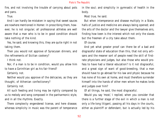fire, and not involving the trouble of carrying about pots and pans.

True.

And I can hardly be mistaken in saying that sweet sauces are nowhere mentioned in Homer. In proscribing them, however, he is not singular; all professional athletes are well aware that a man who is to be in good condition should take nothing of the kind.

Yes, he said; and knowing this, they are quite right in not taking them.

Then you would not approve of Syracusan dinners, and the refinements of Sicilian cookery?

I think not.

Nor, if a man is to be in condition, would you allow him to have a Corinthian girl as his fair friend?

Certainly not.

Neither would you approve of the delicacies, as they are thought, of Athenian confectionery?

Certainly not.

All such feeding and living may be rightly compared by us to melody and song composed in the panharmonic style, and in all the rhythms. Exactly.

There complexity engendered license, and here disease; whereas simplicity in music was the parent of temperance in the soul; and simplicity in gymnastic of health in the body.

Most true, he said.

But when intemperance and disease multiply in a State, halls of justice and medicine are always being opened; and the arts of the doctor and the lawyer give themselves airs, finding how keen is the interest which not only the slaves but the freemen of a city take about them.

Of course.

And yet what greater proof can there be of a bad and disgraceful state of education than this, that not only artisans and the meaner sort of people need the skill of firstrate physicians and judges, but also those who would profess to have had a liberal education? Is it not disgraceful, and a great sign of want of good-breeding, that a man should have to go abroad for his law and physic because he has none of his own at home, and must therefore surrender himself into the hands of other men whom he makes lords and judges over him?

Of all things, he said, the most disgraceful.

Would you say 'most,' I replied, when you consider that there is a further stage of the evil in which a man is not only a life-long litigant, passing all his days in the courts, either as plaintiff or defendant, but is actually led by his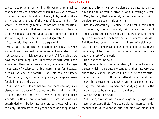bad taste to pride himself on his litigiousness; he imagines that he is a master in dishonesty; able to take every crooked turn, and wriggle into and out of every hole, bending like a withy and getting out of the way of justice: and all for what?—in order to gain small points not worth mentioning, he not knowing that so to order his life as to be able to do without a napping judge is a far higher and nobler sort of thing. Is not that still more disgraceful?

Yes, he said, that is still more disgraceful.

Well, I said, and to require the help of medicine, not when a wound has to be cured, or on occasion of an epidemic, but just because, by indolence and a habit of life such as we have been describing, men fill themselves with waters and winds, as if their bodies were a marsh, compelling the ingenious sons of Asclepius to find more names for diseases, such as flatulence and catarrh; is not this, too, a disgrace?

Yes, he said, they do certainly give very strange and newfangled names to diseases.

Yes, I said, and I do not believe that there were any such diseases in the days of Asclepius; and this I infer from the circumstance that the hero Eurypylus, after he has been wounded in Homer, drinks a posset of Pramnian wine well besprinkled with barley-meal and grated cheese, which are certainly inflammatory, and yet the sons of Asclepius who were at the Trojan war do not blame the damsel who gives him the drink, or rebuke Patroclus, who is treating his case.

Well, he said, that was surely an extraordinary drink to be given to a person in his condition.

Not so extraordinary, I replied, if you bear in mind that in former days, as is commonly said, before the time of Herodicus, the guild of Asclepius did not practise our present system of medicine, which may be said to educate diseases. But Herodicus, being a trainer, and himself of a sickly constitution, by a combination of training and doctoring found out a way of torturing first and chiefly himself, and secondly the rest of the world.

How was that? he said.

By the invention of lingering death; for he had a mortal disease which he perpetually tended, and as recovery was out of the question, he passed his entire life as a valetudinarian; he could do nothing but attend upon himself, and he was in constant torment whenever he departed in anything from his usual regimen, and so dying hard, by the help of science he struggled on to old age.

A rare reward of his skill!

Yes, I said; a reward which a man might fairly expect who never understood that, if Asclepius did not instruct his descendants in valetudinarian arts, the omission arose, not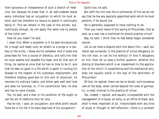from ignorance or inexperience of such a branch of medicine, but because he knew that in all well-ordered states every individual has an occupation to which he must attend, and has therefore no leisure to spend in continually being ill. This we remark in the case of the artisan, but, ludicrously enough, do not apply the same rule to people of the richer sort.

How do you mean? he said.

I mean this: When a carpenter is ill he asks the physician for a rough and ready cure; an emetic or a purge or a cautery or the knife,—these are his remedies. And if some one prescribes for him a course of dietetics, and tells him that he must swathe and swaddle his head, and all that sort of thing, he replies at once that he has no time to be ill, and that he sees no good in a life which is spent in nursing his disease to the neglect of his customary employment; and therefore bidding good-bye to this sort of physician, he resumes his ordinary habits, and either gets well and lives and does his business, or, if his constitution falls, he dies and has no more trouble.

Yes, he said, and a man in his condition of life ought to use the art of medicine thus far only.

Has he not, I said, an occupation; and what profit would there be in his life if he were deprived of his occupation?

Quite true, he said.

But with the rich man this is otherwise; of him we do not say that he has any specially appointed work which he must perform, if he would live.

He is generally supposed to have nothing to do.

Then you never heard of the saying of Phocylides, that as soon as a man has a livelihood he should practise virtue?

Nay, he said, I think that he had better begin somewhat sooner.

Let us not have a dispute with him about this, I said; but rather ask ourselves: Is the practice of virtue obligatory on the rich man, or can he live without it? And if obligatory on him, then let us raise a further question, whether this dieting of disorders which is an impediment to the application of the mind t in carpentering and the mechanical arts, does not equally stand in the way of the sentiment of Phocylides?

Of that, he replied, there can be no doubt; such excessive care of the body, when carried beyond the rules of gymnastic, is most inimical to the practice of virtue.

Yes, indeed, I replied, and equally incompatible with the management of a house, an army, or an office of state; and, what is most important of all, irreconcilable with any kind of study or thought or self-reflection—there is a constant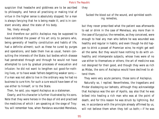suspicion that headache and giddiness are to be ascribed to philosophy, and hence all practising or making trial of virtue in the higher sense is absolutely stopped; for a man is always fancying that he is being made ill, and is in constant anxiety about the state of his body.

Yes, likely enough.

And therefore our politic Asclepius may be supposed to have exhibited the power of his art only to persons who, being generally of healthy constitution and habits of life, had a definite ailment; such as these he cured by purges and operations, and bade them live as usual, herein consulting the interests of the State; but bodies which disease had penetrated through and through he would not have attempted to cure by gradual processes of evacuation and infusion: he did not want to lengthen out good-for-nothing lives, or to have weak fathers begetting weaker sons; if a man was not able to live in the ordinary way he had no business to cure him; for such a cure would have been of no use either to himself, or to the State.

Then, he said, you regard Asclepius as a statesman.

Clearly; and his character is further illustrated by his sons. Note that they were heroes in the days of old and practised the medicines of which I am speaking at the siege of Troy: You will remember how, when Pandarus wounded Menelaus,

they

 Sucked the blood out of the wound, and sprinkled soothing remedies,

but they never prescribed what the patient was afterwards to eat or drink in the case of Menelaus, any more than in the case of Eurypylus; the remedies, as they conceived, were enough to heal any man who before he was wounded was healthy and regular in habits; and even though he did happen to drink a posset of Pramnian wine, he might get well all the same. But they would have nothing to do with unhealthy and intemperate subjects, whose lives were of no use either to themselves or others; the art of medicine was not designed for their good, and though they were as rich as Midas, the sons of Asclepius would have declined to attend them.

They were very acute persons, those sons of Asclepius. Naturally so, I replied. Nevertheless, the tragedians and Pindar disobeying our behests, although they acknowledge that Asclepius was the son of Apollo, say also that he was bribed into healing a rich man who was at the point of death, and for this reason he was struck by lightning. But we, in accordance with the principle already affirmed by us, will not believe them when they tell us both;—if he was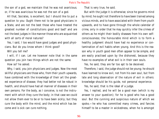the son of a god, we maintain that he was not avaricious; or, if he was avaricious he was not the son of a god.

All that, Socrates, is excellent; but I should like to put a question to you: Ought there not to be good physicians in a State, and are not the best those who have treated the greatest number of constitutions good and bad? and are not the best judges in like manner those who are acquainted with all sorts of moral natures?

Yes, I said, I too would have good judges and good physicians. But do you know whom I think good?

Will you tell me?

I will, if I can. Let me however note that in the same question you join two things which are not the same.

How so? he asked.

Why, I said, you join physicians and judges. Now the most skillful physicians are those who, from their youth upwards, have combined with the knowledge of their art the greatest experience of disease; they had better not be robust in health, and should have had all manner of diseases in their own persons. For the body, as I conceive, is not the instrument with which they cure the body; in that case we could not allow them ever to be or to have been sickly; but they cure the body with the mind, and the mind which has become and is sick can cure nothing.

That is very true, he said.

But with the judge it is otherwise; since he governs mind by mind; he ought not therefore to have been trained among vicious minds, and to have associated with them from youth upwards, and to have gone through the whole calendar of crime, only in order that he may quickly infer the crimes of others as he might their bodily diseases from his own selfconsciousness; the honourable mind which is to form a healthy judgment should have had no experience or contamination of evil habits when young. And this is the reason why in youth good men often appear to be simple, and are easily practised upon by the dishonest, because they have no examples of what evil is in their own souls.

Yes, he said, they are far too apt to be deceived.

Therefore, I said, the judge should not be young; he should have learned to know evil, not from his own soul, but from late and long observation of the nature of evil in others: knowledge should be his guide, not personal experience.

Yes, he said, that is the ideal of a judge.

Yes, I replied, and he will be a good man (which is my answer to your question); for he is good who has a good soul. But the cunning and suspicious nature of which we spoke,—he who has committed many crimes, and fancies himself to be a master in wickedness, when he is amongst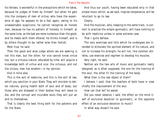his fellows, is wonderful in the precautions which he takes, because he judges of them by himself: but when he gets into the company of men of virtue, who have the experience of age, he appears to be a fool again, owing to his unseasonable suspicions; he cannot recognise an honest man, because he has no pattern of honesty in himself; at the same time, as the bad are more numerous than the good, and he meets with them oftener, he thinks himself, and is by others thought to be, rather wise than foolish.

Most true, he said.

Then the good and wise judge whom we are seeking is not this man, but the other; for vice cannot know virtue too, but a virtuous nature, educated by time, will acquire a knowledge both of virtue and vice: the virtuous, and not the vicious, man has wisdom—in my opinion.

And in mine also.

This is the sort of medicine, and this is the sort of law, which you sanction in your State. They will minister to better natures, giving health both of soul and of body; but those who are diseased in their bodies they will leave to die, and the corrupt and incurable souls they will put an end to themselves.

That is clearly the best thing both for the patients and for the State.

And thus our youth, having been educated only in that simple music which, as we said, inspires temperance, will be reluctant to go to law.

Clearly.

And the musician, who, keeping to the same track, is content to practise the simple gymnastic, will have nothing to do with medicine unless in some extreme case.

That I quite believe.

The very exercises and tolls which he undergoes are intended to stimulate the spirited element of his nature, and not to increase his strength; he will not, like common athletes, use exercise and regimen to develop his muscles.

Very right, he said.

Neither are the two arts of music and gymnastic really designed, as is often supposed, the one for the training of the soul, the other fir the training of the body.

What then is the real object of them?

I believe, I said, that the teachers of both have in view chiefly the improvement of the soul.

How can that be? he asked.

Did you never observe, I said, the effect on the mind itself of exclusive devotion to gymnastic, or the opposite effect of an exclusive devotion to music?

In what way shown? he said.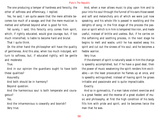The one producing a temper of hardness and ferocity, the other of softness and effeminacy, I replied.

Yes, he said, I am quite aware that the mere athlete becomes too much of a savage, and that the mere musician is melted and softened beyond what is good for him.

Yet surely, I said, this ferocity only comes from spirit, which, if rightly educated, would give courage, but, if too much intensified, is liable to become hard and brutal.

That I quite think.

On the other hand the philosopher will have the quality of gentleness. And this also, when too much indulged, will turn to softness, but, if educated rightly, will be gentle and moderate.

True.

And in our opinion the guardians ought to have both these qualities?

Assuredly.

And both should be in harmony?

Beyond question.

And the harmonious soul is both temperate and courageous?

Yes.

And the inharmonious is cowardly and boorish? Very true.

And, when a man allows music to play upon him and to pour into his soul through the funnel of his ears those sweet and soft and melancholy airs of which we were just now speaking, and his whole life is passed in warbling and the delights of song; in the first stage of the process the passion or spirit which is in him is tempered like iron, and made useful, instead of brittle and useless. But, if he carries on the softening and soothing process, in the next stage he begins to melt and waste, until he has wasted away his spirit and cut out the sinews of his soul; and he becomes a feeble warrior.

Very true.

If the element of spirit is naturally weak in him the change is speedily accomplished, but if he have a good deal, then the power of music weakening the spirit renders him excitable;—on the least provocation he flames up at once, and is speedily extinguished; instead of having spirit he grows irritable and passionate and is quite impracticable.

Exactly.

And so in gymnastics, if a man takes violent exercise and is a great feeder, and the reverse of a great student of music and philosophy, at first the high condition of his body fills him with pride and spirit, and lie becomes twice the man that he was.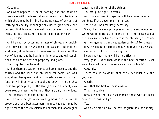Certainly.

And what happens? if he do nothing else, and holds no con-a verse with the Muses, does not even that intelligence which there may be in him, having no taste of any sort of learning or enquiry or thought or culture, grow feeble and dull and blind, his mind never waking up or receiving nourishment, and his senses not being purged of their mists?

True, he said.

And he ends by becoming a hater of philosophy, uncivilized, never using the weapon of persuasion,—he is like a wild beast, all violence and fierceness, and knows no other way of dealing; and he lives in all ignorance and evil conditions, and has no sense of propriety and grace.

That is quite true, he said.

And as there are two principles of human nature, one the spirited and the other the philosophical, some God, as I should say, has given mankind two arts answering to them (and only indirectly to the soul and body), in order that these two principles (like the strings of an instrument) may be relaxed or drawn tighter until they are duly harmonized.

That appears to be the intention.

And he who mingles music with gymnastic in the fairest proportions, and best attempers them to the soul, may be rightly called the true musician and harmonist in a far higher sense than the tuner of the strings.

You are quite right, Socrates.

And such a presiding genius will be always required in our State if the government is to last.

Yes, he will be absolutely necessary.

Such, then, are our principles of nurture and education: Where would be the use of going into further details about the dances of our citizens, or about their hunting and coursing, their gymnastic and equestrian contests? For these all follow the general principle, and having found that, we shall have no difficulty in discovering them.

I dare say that there will be no difficulty.

Very good, I said; then what is the next question? Must we not ask who are to be rulers and who subjects?

Certainly.

There can be no doubt that the elder must rule the younger.

Clearly.

And that the best of these must rule.

That is also clear.

Now, are not the best husbandmen those who are most devoted to husbandry?

Yes.

And as we are to have the best of guardians for our city,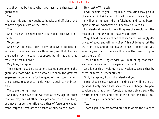must they not be those who have most the character of guardians?

Yes.

And to this end they ought to be wise and efficient, and to have a special care of the State?

True.

And a man will be most likely to care about that which he loves?

To be sure.

And he will be most likely to love that which he regards as having the same interests with himself, and that of which the good or evil fortune is supposed by him at any time most to affect his own?

Very true, he replied.

Then there must be a selection. Let us note among the guardians those who in their whole life show the greatest eagerness to do what is for the good of their country, and the greatest repugnance to do what is against her interests.

Those are the right men.

And they will have to be watched at every age, in order that we may see whether they preserve their resolution, and never, under the influence either of force or enchantment, forget or cast off their sense of duty to the State.

How cast off? he said.

I will explain to you, I replied. A resolution may go out of a man's mind either with his will or against his will; with his will when he gets rid of a falsehood and learns better, against his will whenever he is deprived of a truth.

I understand, he said, the willing loss of a resolution; the meaning of the unwilling I have yet to learn.

Why, I said, do you not see that men are unwillingly deprived of good, and willingly of evil? Is not to have lost the truth an evil, and to possess the truth a good? and you would agree that to conceive things as they are is to possess the truth?

Yes, he replied; I agree with you in thinking that mankind are deprived of truth against their will.

And is not this involuntary deprivation caused either by theft, or force, or enchantment?

Still, he replied, I do not understand you.

I fear that I must have been talking darkly, like the tragedians. I only mean that some men are changed by persuasion and that others forget; argument steals away the hearts of one class, and time of the other; and this I call theft. Now you understand me?

Yes.

Those again who are forced are those whom the violence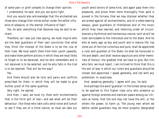of some pain or grief compels to change their opinion. I understand, he said, and you are quite right.

And you would also acknowledge that the enchanted are those who change their minds either under the softer influence of pleasure, or the sterner influence of fear?

Yes, he said; everything that deceives may be said to enchant.

Therefore, as I was just now saying, we must inquire who are the best guardians of their own conviction that what they think the interest of the State is to be the rule of their lives. We must watch them from their youth upwards, and make them perform actions in which they are most likely to forget or to be deceived, and he who remembers and is not deceived is to be selected, and he who falls in the trial is to be rejected. That will be the way?

Yes.

And there should also be toils and pains and conflicts prescribed for them, in which they will be made to give further proof of the same qualities.

Very right, he replied.

And then, I said, we must try them with enchantments that is the third sort of test—and see what will be their behaviour: like those who take colts amid noise and tumult to see if they are of a timid nature, so must we take our youth amid terrors of some kind, and again pass them into pleasures, and prove them more thoroughly than gold is proved in the furnace, that we may discover whether they are armed against all enchantments, and of a noble bearing always, good guardians of themselves and of the music which they have learned, and retaining under all circumstances a rhythmical and harmonious nature, such as will be most serviceable to the individual and to the State. And he who at every age, as boy and youth and in mature life, has come out of the trial victorious and pure, shall be appointed a ruler and guardian of the State; he shall be honoured in life and death, and shall receive sepulture and other memorials of honour, the greatest that we have to give. But him who fails, we must reject. I am inclined to think that this is the sort of way in which our rulers and guardians should be chosen and appointed. I speak generally, and not with any pretension to exactness.

And, speaking generally, I agree with you, he said.

And perhaps the word 'guardian' in the fullest sense ought to be applied to this higher class only who preserve us against foreign enemies and maintain peace among our citizens at home, that the one may not have the will, or the others the power, to harm us. The young men whom we before called guardians may be more properly designated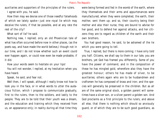auxiliaries and supporters of the principles of the rulers. I agree with you, he said.

How then may we devise one of those needful falsehoods of which we lately spoke—just one royal lie which may deceive the rulers, if that be possible, and at any rate the rest of the city?

What sort of lie? he said.

Nothing new, I replied; only an old Phoenician tale of what has often occurred before now in other places, (as the poets say, and have made the world believe,) though not in our time, and I do not know whether such an event could ever happen again, or could now even be made probable, if it did.

How your words seem to hesitate on your lips!

You will not wonder, I replied, at my hesitation when you have heard.

Speak, he said, and fear not.

Well then, I will speak, although I really know not how to look you in the face, or in what words to utter the audacious fiction, which I propose to communicate gradually, first to the rulers, then to the soldiers, and lastly to the people. They are to be told that their youth was a dream, and the education and training which they received from us, an appearance only; in reality during all that time they were being formed and fed in the womb of the earth, where they themselves and their arms and appurtenances were manufactured; when they were completed, the earth, their mother, sent them up; and so, their country being their mother and also their nurse, they are bound to advise for her good, and to defend her against attacks, and her citizens they are to regard as children of the earth and their own brothers.

You had good reason, he said, to be ashamed of the lie which you were going to tell.

True, I replied, but there is more coming; I have only told you half. Citizens, we shall say to them in our tale, you are brothers, yet God has framed you differently. Some of you have the power of command, and in the composition of these he has mingled gold, wherefore also they have the greatest honour; others he has made of silver, to be auxillaries; others again who are to be husbandmen and craftsmen he has composed of brass and iron; and the species will generally be preserved in the children. But as all are of the same original stock, a golden parent will sometimes have a silver son, or a silver parent a golden son. And God proclaims as a first principle to the rulers, and above all else, that there is nothing which should so anxiously guard, or of which they are to be such good guardians, as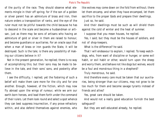of the purity of the race. They should observe what elements mingle in their off spring; for if the son of a golden or silver parent has an admixture of brass and iron, then nature orders a transposition of ranks, and the eye of the ruler must not be pitiful towards the child because he has to descend in the scale and become a husbandman or artisan, just as there may be sons of artisans who having an admixture of gold or silver in them are raised to honour, and become guardians or auxiliaries. For an oracle says that when a man of brass or iron guards the State, it will be destroyed. Such is the tale; is there any possibility of making our citizens believe in it?

Not in the present generation, he replied; there is no way of accomplishing this; but their sons may be made to believe in the tale, and their sons' sons, and posterity after them.

I see the difficulty, I replied; yet the fostering of such a belief will make them care more for the city and for one another. Enough, however, of the fiction, which may now fly abroad upon the wings of rumour, while we arm our earth-born heroes, and lead them forth under the command of their rulers. Let them look round and select a spot whence they can best suppress insurrection, if any prove refractory within, and also defend themselves against enemies, who

like wolves may come down on the fold from without; there let them encamp, and when they have encamped, let them sacrifice to the proper Gods and prepare their dwellings. Just so, he said.

And their dwellings must be such as will shield them against the cold of winter and the heat of summer.

I suppose that you mean houses, he replied.

Yes, I said; but they must be the houses of soldiers, and not of shop-keepers.

What is the difference? he said.

That I will endeavour to explain, I replied. To keep watchdogs, who, from want of discipline or hunger, or some evil habit, or evil habit or other, would turn upon the sheep and worry them, and behave not like dogs but wolves, would be a foul and monstrous thing in a shepherd?

Truly monstrous, he said.

And therefore every care must be taken that our auxiliaries, being stronger than our citizens, may not grow to be too much for them and become savage tyrants instead of friends and allies?

Yes, great care should be taken.

And would not a really good education furnish the best safeguard?

But they are well-educated already, he replied.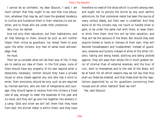I cannot be so confident, my dear Glaucon, I said; I am much certain that they ought to be, and that true education, whatever that may be, will have the greatest tendency to civilize and humanize them in their relations to one another, and to those who are under their protection.

Very true, he replied.

And not only their education, but their habitations, and all that belongs to them, should be such as will neither impair their virtue as guardians, nor tempt them to prey upon the other citizens. Any man of sense must acknowledge that.

# He must.

Then let us consider what will be their way of life, if they are to realize our idea of them. In the first place, none of them should have any property of his own beyond what is obsolutely necessary; neither should they have a private house or store closed against any one who has a mind to enter; their provisions should be only such as are required by trained warriors, who are men of temperance and courage; they should agree to receive from the citizens a fixed rate of pay, enough to meet the expenses of the year and no more; and they will go and live together like soldiers in a camp. Gold and silver we will tell them that they have from God; the diviner metal is within them, and they have

therefore no need of the dross which is current among men, and ought not to pollute the divine by any such earthly admixture; for that commoner metal has been the source of many unholy deeds, but their own is undefiled. And they alone of all the citizens may not touch or handle silver or gold, or be under the same roof with them, or wear them, or drink from them. And this will be their salvation, and they will be the saviours of the State. But should they ever acquire homes or lands or moneys of their own, they will become housekeepers and husbandmen instead of guardians, enemies and tyrants instead of allies of the other citizens; hating and being hated, plotting and being plotted against, they will pass their whole life in much greater terror of internal than of external enemies, and the hour of ruin, both to themselves and to the rest of the State, will be at hand. For all which reasons may we not say that thus shall our State be ordered, and that these shall be the regulations appointed by us for guardians concerning their houses and all other matters? Shall we not?

Yes, said Glaucon.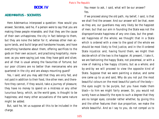# **BOOK IV**

# **ADEIMANTUS - SOCRATES**

Here Adeimantus interposed a question: How would you answer, Socrates, said he, if a person were to say that you are making these people miserable, and that they are the cause of their own unhappiness; the city in fact belongs to them, but they are none the better for it; whereas other men acquire lands, and build large and handsome houses, and have everything handsome about them, offering sacrifices to the gods on their own account, and practising hospitality; moreover, as you were saying just now, they have gold and silver, and all that is usual among the favourites of fortune; but our poor citizens are no better than mercenaries who are quartered in the city and are always mounting guard?

Yes, I said; and you may add that they are only fed, and not paid in addition to their food, like other men; and therefore they cannot, if they would, take a journey of pleasure; they have no money to spend on a mistress or any other luxurious fancy, which, as the world goes, is thought to be happiness; and many other accusations of the same nature might be added.

But, said he, let us suppose all this to be included in the charge.

You mean to ask, I said, what will be our answer? Yes.

If we proceed along the old path, my belief, I said, is that we shall find the answer. And our answer will be that, even as they are, our guardians may very likely be the happiest of men; but that our aim in founding the State was not the disproportionate happiness of any one class, but the greatest happiness of the whole; we thought that in a State which is ordered with a view to the good of the whole we should be most likely to find Justice, and in the ill-ordered State injustice: and, having found them, we might then decide which of the two is the happier. At present, I take it, we are fashioning the happy State, not piecemeal, or with a view of making a few happy citizens, but as a whole; and by-and-by we will proceed to view the opposite kind of State. Suppose that we were painting a statue, and some one came up to us and said, Why do you not put the most beautiful colours on the most beautiful parts of the body the eyes ought to be purple, but you have made them black—to him we might fairly answer, Sir, you would not surely have us beautify the eyes to such a degree that they are no longer eyes; consider rather whether, by giving this and the other features their due proportion, we make the whole beautiful. And so I say to you, do not compel us to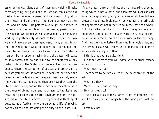assign to the guardians a sort of happiness which will make them anything but guardians; for we too can clothe our husbandmen in royal apparel, and set crowns of gold on their heads, and bid them till the ground as much as they like, and no more. Our potters also might be allowed to repose on couches, and feast by the fireside, passing round the winecup, while their wheel is conveniently at hand, and working at pottery only as much as they like; in this way we might make every class happy-and then, as you imagine, the whole State would be happy. But do not put this idea into our heads; for, if we listen to you, the husbandman will be no longer a husbandman, the potter will cease to be a potter, and no one will have the character of any distinct class in the State. Now this is not of much consequence where the corruption of society, and pretension to be what you are not, is confined to cobblers; but when the guardians of the laws and of the government are only seemingly and not real guardians, then see how they turn the State upside down; and on the other hand they alone have the power of giving order and happiness to the State. We mean our guardians to be true saviours and not the destroyers of the State, whereas our opponent is thinking of peasants at a festival, who are enjoying a life of revelry, not of citizens who are doing their duty to the State. But,

if so, we mean different things, and he is speaking of something which is not a State. And therefore we must consider whether in appointing our guardians we would look to their greatest happiness individually, or whether this principle of happiness does not rather reside in the State as a whole. But the latter be the truth, then the guardians and auxillaries, and all others equally with them, must be compelled or induced to do their own work in the best way. And thus the whole State will grow up in a noble order, and the several classes will receive the proportion of happiness which nature assigns to them.

I think that you are quite right.

I wonder whether you will agree with another remark which occurs to me.

What may that be?

There seem to be two causes of the deterioration of the arts.

What are they?

Wealth, I said, and poverty.

How do they act?

The process is as follows: When a potter becomes rich, will he, think you, any longer take the same pains with his art?

Certainly not.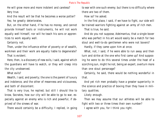He will grow more and more indolent and careless? Very true.

And the result will be that he becomes a worse potter? Yes; he greatly deteriorates.

But, on the other hand, if he has no money, and cannot provide himself tools or instruments, he will not work equally well himself, nor will he teach his sons or apprentices to work equally well.

Certainly not.

Then, under the influence either of poverty or of wealth, workmen and their work are equally liable to degenerate? That is evident.

Here, then, is a discovery of new evils, I said, against which the guardians will have to watch, or they will creep into the city unobserved.

What evils?

Wealth, I said, and poverty; the one is the parent of luxury and indolence, and the other of meanness and viciousness, and both of discontent.

That is very true, he replied; but still I should like to know, Socrates, how our city will be able to go to war, especially against an enemy who is rich and powerful, if deprived of the sinews of war.

There would certainly be a difficulty, I replied, in going

to war with one such enemy; but there is no difficulty where there are two of them.

How so? he asked.

In the first place, I said, if we have to fight, our side will be trained warriors fighting against an army of rich men.

That is true, he said.

And do you not suppose, Adeimantus, that a single boxer who was perfect in his art would easily be a match for two stout and well-to-do gentlemen who were not boxers? Hardly, if they came upon him at once.

What, not, I said, if he were able to run away and then turn and strike at the one who first came up? And supposing he were to do this several times under the heat of a scorching sun, might he not, being an expert, overturn more than one stout personage?

Certainly, he said, there would be nothing wonderful in that.

And yet rich men probably have a greater superiority in the science and practice of boxing than they have in military qualities.

Likely enough.

Then we may assume that our athletes will be able to fight with two or three times their own number?

I agree with you, for I think you right.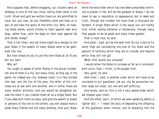And suppose that, before engaging, our citizens send an embassy to one of the two cities, telling them what is the truth: Silver and gold we neither have nor are permitted to have, but you may; do you therefore come and help us in war, of and take the spoils of the other city: Who, on hearing these words, would choose to fight against lean wiry dogs, rather than, with the dogs on their side, against fat and tender sheep?

That is not likely; and yet there might be a danger to the poor State if the wealth of many States were to be gathered into one.

But how simple of you to use the term State at all of any but our own!

Why so?

You ought to speak of other States in the plural number; not one of them is a city, but many cities, as they say in the game. For indeed any city, however small, is in fact divided into two, one the city of the poor, the other of the rich; these are at war with one another; and in either there are many smaller divisions, and you would be altogether beside the mark if you treated them all as a single State. But if you deal with them as many, and give the wealth or power or persons of the one to the others, you will always have a great many friends and not many enemies. And your State,

while the wise order which has now been prescribed continues to prevail in her, will be the greatest of States, I do not mean to say in reputation or appearance, but in deed and truth, though she number not more than a thousand defenders. A single State which is her equal you will hardly find, either among Hellenes or barbarians, though many that appear to be as great and many times greater.

That is most true, he said.

And what, I said, will be the best limit for our rulers to fix when they are considering the size of the State and the amount of territory which they are to include, and beyond which they will not go?

What limit would you propose?

I would allow the State to increase so far as is consistent with unity; that, I think, is the proper limit.

Very good, he said.

Here then, I said, is another order which will have to be conveyed to our guardians: Let our city be accounted neither large nor small, but one and self-sufficing.

And surely, said he, this is not a very severe order which we impose upon them.

And the other, said I, of which we were speaking before is lighter still, — I mean the duty of degrading the offspring of the guardians when inferior, and of elevating into the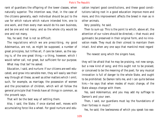rank of guardians the offspring of the lower classes, when naturally superior. The intention was, that, in the case of the citizens generally, each individual should be put to the use for which nature which nature intended him, one to one work, and then every man would do his own business, and be one and not many; and so the whole city would be one and not many.

Yes, he said; that is not so difficult.

The regulations which we are prescribing, my good Adeimantus, are not, as might be supposed, a number of great principles, but trifles all, if care be taken, as the saying is, of the one great thing,—a thing, however, which I would rather call, not great, but sufficient for our purpose. What may that be? he asked.

Education, I said, and nurture: If our citizens are well educated, and grow into sensible men, they will easily see their way through all these, as well as other matters which I omit; such, for example, as marriage, the possession of women and the procreation of children, which will all follow the general principle that friends have all things in common, as the proverb says.

That will be the best way of settling them.

Also, I said, the State, if once started well, moves with accumulating force like a wheel. For good nurture and education implant good constitutions, and these good constitutions taking root in a good education improve more and more, and this improvement affects the breed in man as in other animals.

Very possibly, he said.

Then to sum up: This is the point to which, above all, the attention of our rulers should be directed,—that music and gymnastic be preserved in their original form, and no innovation made. They must do their utmost to maintain them intact. And when any one says that mankind most regard

The newest song which the singers have,

they will be afraid that he may be praising, not new songs, but a new kind of song; and this ought not to be praised, or conceived to be the meaning of the poet; for any musical innovation is full of danger to the whole State, and ought to be prohibited. So Damon tells me, and I can quite believe him;—he says that when modes of music change, of the State always change with them.

Yes, said Adeimantus; and you may add my suffrage to Damon's and your own.

Then, I said, our guardians must lay the foundations of their fortress in music?

Yes, he said; the lawlessness of which you speak too eas-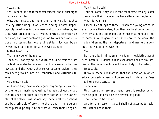ily steals in.

Yes, I replied, in the form of amusement; and at first sight it appears harmless.

Why, yes, he said, and there is no harm; were it not that little by little this spirit of licence, finding a home, imperceptibly penetrates into manners and customs; whence, issuing with greater force, it invades contracts between man and man, and from contracts goes on to laws and constitutions, in utter recklessness, ending at last, Socrates, by an overthrow of all rights, private as well as public.

Is that true? I said.

That is my belief, he replied.

Then, as I was saying, our youth should be trained from the first in a stricter system, for if amusements become lawless, and the youths themselves become lawless, they can never grow up into well-conducted and virtuous citizens.

Very true, he said.

And when they have made a good beginning in play, and by the help of music have gained the habit of good order, then this habit of order, in a manner how unlike the lawless play of the others! will accompany them in all their actions and be a principle of growth to them, and if there be any fallen places a principle in the State will raise them up again. Very true, he said.

Thus educated, they will invent for themselves any lesser rules which their predecessors have altogether neglected. What do you mean?

I mean such things as these:—when the young are to be silent before their elders; how they are to show respect to them by standing and making them sit; what honour is due to parents; what garments or shoes are to be worn; the mode of dressing the hair; deportment and manners in general. You would agree with me?

#### Yes.

But there is, I think, small wisdom in legislating about such matters,—I doubt if it is ever done; nor are any precise written enactments about them likely to be lasting.

Impossible.

It would seem, Adeimantus, that the direction in which education starts a man, will determine his future life. Does not like always attract like?

To be sure.

Until some one rare and grand result is reached which may be good, and may be the reverse of good?

That is not to be denied.

And for this reason, I said, I shall not attempt to legislate further about them.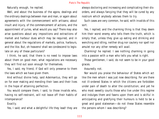Naturally enough, he replied.

Well, and about the business of the agora, dealings and the ordinary dealings between man and man, or again about agreements with the commencement with artisans; about insult and injury, of the commencement of actions, and the appointment of juries, what would you say? There may also arise questions about any impositions and extractions of market and harbour dues which may be required, and in general about the regulations of markets, police, harbours, and the like. But, oh heavens! shall we condescend to legislate on any of these particulars?

I think, he said, that there is no need to impose laws about them on good men; what regulations are necessary they will find out soon enough for themselves.

Yes, I said, my friend, if God will only preserve to them the laws which we have given them.

And without divine help, said Adeimantus, they will go on for ever making and mending their laws and their lives in the hope of attaining perfection.

You would compare them, I said, to those invalids who, having no self-restraint, will not leave off their habits of intemperance?

# Exactly.

Yes, I said; and what a delightful life they lead! they are

always doctoring and increasing and complicating their disorders, and always fancying that they will be cured by any nostrum which anybody advises them to try.

Such cases are very common, he said, with invalids of this sort.

Yes, I replied; and the charming thing is that they deem him their worst enemy who tells them the truth, which is simply that, unless they give up eating and drinking and wenching and idling, neither drug nor cautery nor spell nor amulet nor any other remedy will avail.

Charming! he replied. I see nothing charming in going into a passion with a man who tells you what is right.

These gentlemen, I said, do not seem to be in your good graces.

#### Assuredly not.

Nor would you praise the behaviour of States which act like the men whom I was just now describing. For are there not ill-ordered States in which the citizens are forbidden under pain of death to alter the constitution; and yet he who most sweetly courts those who live under this regime and indulges them and fawns upon them and is skilful in anticipating and gratifying their humours is held to be a great and good statesman—do not these States resemble the persons whom I was describing?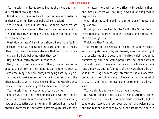Yes, he said; the States are as bad as the men; and I am very far from praising them.

But do you not admire, I said, the coolness and dexterity of these ready ministers of political corruption?

Yes, he said, I do; but not of all of them, for there are some whom the applause of the multitude has deluded into the belief that they are really statesmen, and these are not much to be admired.

What do you mean? I said; you should have more feeling for them. When a man cannot measure, and a great many others who cannot measure declare that he is four cubits high, can he help believing what they say?

Nay, he said, certainly not in that case.

Well, then, do not be angry with them; for are they not as good as a play, trying their hand at paltry reforms such as I was describing; they are always fancying that by legislation they will make an end of frauds in contracts, and the other rascalities which I was mentioning, not knowing that they are in reality cutting off the heads of a hydra?

Yes, he said; that is just what they are doing.

I conceive, I said, that the true legislator will not trouble himself with this class of enactments whether concerning laws or the constitution either in an ill-ordered or in a wellordered State; for in the former they are quite useless, and in the latter there will be no difficulty in devising them; and many of them will naturally flow out of our previous regulations.

What, then, he said, is still remaining to us of the work of legislation?

Nothing to us, I replied; but to Apollo, the God of Delphi, there remains the ordering of the greatest and noblest and chiefest things of all.

Which are they? he said.

The institution of temples and sacrifices, and the entire service of gods, demigods, and heroes; also the ordering of the repositories of the dead, and the rites which have to be observed by him who would propitiate the inhabitants of the world below. These are matters of which we are ignorant ourselves, and as founders of a city we should be unwise in trusting them to any interpreter but our ancestral deity. He is the god who sits in the center, on the navel of the earth, and he is the interpreter of religion to all mankind.

You are right, and we will do as you propose.

But where, amid all this, is justice? son of Ariston, tell me where. Now that our city has been made habitable, light a candle and search, and get your brother and Polemarchus and the rest of our friends to help, and let us see where in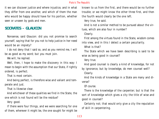it we can discover justice and where injustice, and in what they differ from one another, and which of them the man who would be happy should have for his portion, whether seen or unseen by gods and men.

# **SOCRATES - GLAUCON**

Nonsense, said Glaucon: did you not promise to search yourself, saying that for you not to help justice in her need would be an impiety?

I do not deny that I said so, and as you remind me, I will be as good as my word; but you must join.

We will, he replied.

Well, then, I hope to make the discovery in this way: I mean to begin with the assumption that our State, if rightly ordered, is perfect.

That is most certain.

And being perfect, is therefore wise and valiant and temperate and just.

That is likewise clear.

And whichever of these qualities we find in the State, the one which is not found will be the residue?

Very good.

If there were four things, and we were searching for one of them, wherever it might be, the one sought for might be known to us from the first, and there would be no further trouble; or we might know the other three first, and then the fourth would clearly be the one left.

Very true, he said.

And is not a similar method to be pursued about the virtues, which are also four in number?

Clearly.

First among the virtues found in the State, wisdom comes into view, and in this I detect a certain peculiarity.

What is that?

The State which we have been describing is said to be wise as being good in counsel?

Very true.

And good counsel is clearly a kind of knowledge, for not

by ignorance, but by knowledge, do men counsel well? Clearly.

And the kinds of knowledge in a State are many and diverse?

Of course.

There is the knowledge of the carpenter; but is that the sort of knowledge which gives a city the title of wise and good in counsel?

Certainly not; that would only give a city the reputation of skill in carpentering.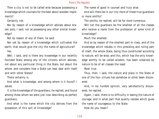Then a city is not to be called wise because possessing a knowledge which counsels for the best about wooden implements?

Certainly not.

Nor by reason of a knowledge which advises about brazen pots, I said, nor as possessing any other similar knowledge?

Not by reason of any of them, he said.

Nor yet by reason of a knowledge which cultivates the earth; that would give the city the name of agricultural?

Yes.

Well, I said, and is there any knowledge in our recently founded State among any of the citizens which advises, not about any particular thing in the State, but about the whole, and considers how a State can best deal with itself and with other States?

There certainly is.

And what is knowledge, and among whom is it found? I asked.

It is the knowledge of the guardians, he replied, and found among those whom we were just now describing as perfect guardians.

And what is the name which the city derives from the possession of this sort of knowledge?

The name of good in counsel and truly wise.

And will there be in our city more of these true guardians or more smiths?

The smiths, he replied, will be far more numerous.

Will not the guardians be the smallest of all the classes who receive a name from the profession of some kind of knowledge?

Much the smallest.

And so by reason of the smallest part or class, and of the knowledge which resides in this presiding and ruling part of itself, the whole State, being thus constituted according to nature, will be wise; and this, which has the only knowledge worthy to be called wisdom, has been ordained by nature to be of all classes the least.

Most true.

Thus, then, I said, the nature and place in the State of one of the four virtues has somehow or other been discovered.

And, in my humble opinion, very satisfactorily discovered, he replied.

Again, I said, there is no difficulty in seeing the nature of courage; and in what part that quality resides which gives the name of courageous to the State.

How do you mean?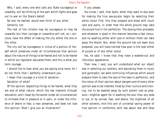Why, I said, every one who calls any State courageous or cowardly, will be thinking of the part which fights and goes out to war on the State's behalf.

No one, he replied, would ever think of any other.

Certainly not.

The rest of the citizens may be courageous or may be cowardly but their courage or cowardice will not, as I conceive, have the effect of making the city either the one or the other.

The city will be courageous in virtue of a portion of herself which preserves under all circumstances that opinion about the nature of things to be feared and not to be feared in which our legislator educated them; and this is what you term courage.

I should like to hear what you are saying once more, for I do not think that I perfectly understand you.

I mean that courage is a kind of salvation.

Salvation of what?

Of the opinion respecting things to be feared, what they are and of what nature, which the law implants through education; and I mean by the words 'under all circumstances' to intimate that in pleasure or in pain, or under the influence of desire or fear, a man preserves, and does not lose this opinion. Shall I give you an illustration?

If you please.

You know, I said, that dyers, when they want to dye wool for making the true sea-purple, begin by selecting their white colour first; this they prepare and dress with much care and pains, in order that the white ground may take the purple hue in full perfection. The dyeing then proceeds; and whatever is dyed in this manner becomes a fast colour, and no washing either with lyes or without them can take away the bloom. But, when the ground has not been duly prepared, you will have noticed how poor is the look either of purple or of any other colour.

Yes, he said; I know that they have a washed-out and ridiculous appearance.

Then now, I said, you will understand what our object was in selecting our soldiers, and educating them in music and gymnastic; we were contriving influences which would prepare them to take the dye of the laws in perfection, and the colour of their opinion about dangers and of every other opinion was to be indelibly fixed by their nurture and training, not to be washed away by such potent lyes as pleasure—mightier agent far in washing the soul than any soda or lye; or by sorrow, fear, and desire, the mightiest of all other solvents. And this sort of universal saving power of true opinion in conformity with law about real and false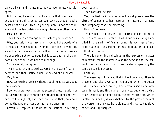dangers I call and maintain to be courage, unless you disagree.

But I agree, he replied; for I suppose that you mean to exclude mere uninstructed courage, such as that of a wild beast or of a slave—this, in your opinion, is not the courage which the law ordains, and ought to have another name.

Most certainly.

Then I may infer courage to be such as you describe?

Why, yes, said I, you may, and if you add the words 'of a citizen,' you will not be far wrong;—hereafter, if you like, we will carry the examination further, but at present we are we w seeking not for courage but justice; and for the purpose of our enquiry we have said enough.

You are right, he replied.

Two virtues remain to be discovered in the State-first temperance, and then justice which is the end of our search.

Very true.

Now, can we find justice without troubling ourselves about temperance?

I do not know how that can be accomplished, he said, nor do I desire that justice should be brought to light and temperance lost sight of; and therefore I wish that you would do me the favour of considering temperance first.

Certainly, I replied, I should not be justified in refusing

your request.

Then consider, he said.

Yes, I replied; I will; and as far as I can at present see, the virtue of temperance has more of the nature of harmony and symphony than the preceding.

How so? he asked.

Temperance, I replied, is the ordering or controlling of certain pleasures and desires; this is curiously enough implied in the saying of 'a man being his own master' and other traces of the same notion may be found in language.

No doubt, he said.

There is something ridiculous in the expression 'master of himself'; for the master is also the servant and the servant the master; and in all these modes of speaking the same person is denoted.

Certainly.

The meaning is, I believe, that in the human soul there is a better and also a worse principle; and when the better has the worse under control, then a man is said to be master of himself; and this is a term of praise: but when, owing to evil education or association, the better principle, which is also the smaller, is overwhelmed by the greater mass of the worse—in this case he is blamed and is called the slave of self and unprincipled.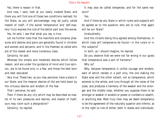Yes, there is reason in that.

And now, I said, look at our newly created State, and there you will find one of these two conditions realised; for the State, as you will acknowledge, may be justly called master of itself, if the words 'temperance' and 'self-mastery' truly express the rule of the better part over the worse.

Yes, he said, I see that what you say is true.

Let me further note that the manifold and complex pleasures and desires and pains are generally found in children and women and servants, and in the freemen so called who are of the lowest and more numerous class.

Certainly, he said.

Whereas the simple and moderate desires which follow reason, and are under the guidance of mind and true opinion, are to be found only in a few, and those the best born and best educated.

Very true. These two, as you may perceive, have a place in our State; and the meaner desires of the are held down by the virtuous desires and wisdom of the few.

That I perceive, he said.

Then if there be any city which may be described as master of its own pleasures and desires, and master of itself, ours may claim such a designation?

Certainly, he replied.

It may also be called temperate, and for the same reasons?

Yes.

And if there be any State in which rulers and subjects will be agreed as to the question who are to rule, that again will be our State?

Undoubtedly.

And the citizens being thus agreed among themselves, in which class will temperance be found—in the rulers or in the subjects?

In both, as I should imagine, he replied.

Do you observe that we were not far wrong in our guess that temperance was a sort of harmony?

Why so?

Why, because temperance is unlike courage and wisdom, each of which resides in a part only, the one making the State wise and the other valiant; not so temperance, which extends to the whole, and runs through all the notes of the scale, and produces a harmony of the weaker and the stronger and the middle class, whether you suppose them to be stronger or weaker in wisdom or power or numbers or wealth, or anything else. Most truly then may we deem temperance to be the agreement of the naturally superior and inferior, as to the right to rule of either, both in states and individuals.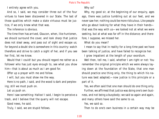I entirely agree with you.

And so, I said, we may consider three out of the four virtues to have been discovered in our State. The last of those qualities which make a state virtuous must be justice, if we only knew what that was.

The inference is obvious.

The time then has arrived, Glaucon, when, like huntsmen, we should surround the cover, and look sharp that justice does not steal away, and pass out of sight and escape us; for beyond a doubt she is somewhere in this country: watch therefore and strive to catch a sight of her, and if you see her first, let me know.

Would that I could! but you should regard me rather as a follower who has just eyes enough to, see what you show him—that is about as much as I am good for.

Offer up a prayer with me and follow.

I will, but you must show me the way.

Here is no path, I said, and the wood is dark and perplexing; still we must push on.

Let us push on.

Here I saw something: Halloo! I said, I begin to perceive a track, and I believe that the quarry will not escape.

Good news, he said.

Truly, I said, we are stupid fellows.

# Why so?

Why, my good sir, at the beginning of our enquiry, ages ago, there was justice tumbling out at our feet, and we never saw her; nothing could be more ridiculous. Like people who go about looking for what they have in their hands that was the way with us—we looked not at what we were seeking, but at what was far off in the distance; and therefore, I suppose, we missed her.

What do you mean?

I mean to say that in reality for a long time past we have been talking of justice, and have failed to recognize her.

I grow impatient at the length of your exordium.

Well then, tell me, I said, whether I am right or not: You remember the original principle which we were always laying down at the foundation of the State, that one man should practice one thing only, the thing to which his nature was best adapted;—now justice is this principle or a part of it.

Yes, we often said that one man should do one thing only. Further, we affirmed that justice was doing one's own business, and not being a busybody; we said so again and again, and many others have said the same to us.

Yes, we said so.

Then to do one's own business in a certain way may be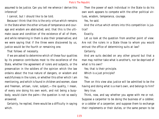assumed to be justice. Can you tell me whence I derive this inference?

I cannot, but I should like to be told.

Because I think that this is the only virtue which remains in the State when the other virtues of temperance and courage and wisdom are abstracted; and, that this is the ultimate cause and condition of the existence of all of them, and while remaining in them is also their preservative; and we were saying that if the three were discovered by us, justice would be the fourth or remaining one.

That follows of necessity.

If we are asked to determine which of these four qualities by its presence contributes most to the excellence of the State, whether the agreement of rulers and subjects, or the preservation in the soldiers of the opinion which the law ordains about the true nature of dangers, or wisdom and watchfulness in the rulers, or whether this other which I am mentioning, and which is found in children and women, slave and freeman, artisan, ruler, subject,—the quality, I mean, of every one doing his own work, and not being a busybody, would claim the palm—the question is not so easily answered.

Certainly, he replied, there would be a difficulty in saying which.

Then the power of each individual in the State to do his own work appears to compete with the other political virtues, wisdom, temperance, courage.

Yes, he said.

And the virtue which enters into this competition is justice?

# Exactly.

Let us look at the question from another point of view: Are not the rulers in a State those to whom you would entrust the office of determining suits at law?

Certainly.

And are suits decided on any other ground but that a man may neither take what is another's, nor be deprived of what is his own?

Yes; that is their principle.

Which is a just principle?

Yes.

Then on this view also justice will be admitted to be the having and doing what is a man's own, and belongs to him? Very true.

Think, now, and say whether you agree with me or not. Suppose a carpenter to be doing the business of a cobbler, or a cobbler of a carpenter; and suppose them to exchange their implements or their duties, or the same person to be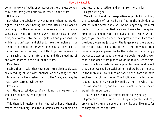doing the work of both, or whatever be the change; do you think that any great harm would result to the State?

Not much.

But when the cobbler or any other man whom nature designed to be a trader, having his heart lifted up by wealth or strength or the number of his followers, or any like advantage, attempts to force his way into the class of warriors, or a warrior into that of legislators and guardians, for which he is unfitted, and either to take the implements or the duties of the other; or when one man is trader, legislator, and warrior all in one, then I think you will agree with me in saying that this interchange and this meddling of one with another is the ruin of the State.

Most true.

Seeing then, I said, that there are three distinct classes, any meddling of one with another, or the change of one into another, is the greatest harm to the State, and may be most justly termed evil-doing?

Precisely.

And the greatest degree of evil-doing to one's own city would be termed by you injustice?

Certainly.

This then is injustice; and on the other hand when the trader, the auxiliary, and the guardian each do their own business, that is justice, and will make the city just. I agree with you.

We will not, I said, be over-positive as yet; but if, on trial, this conception of justice be verified in the individual as well as in the State, there will be no longer any room for doubt; if it be not verified, we must have a fresh enquiry. First let us complete the old investigation, which we began, as you remember, under the impression that, if we could previously examine justice on the larger scale, there would be less difficulty in discerning her in the individual. That larger example appeared to be the State, and accordingly we constructed as good a one as we could, knowing well that in the good State justice would be found. Let the discovery which we made be now applied to the individual—if they agree, we shall be satisfied; or, if there be a difference in the individual, we will come back to the State and have another trial of the theory. The friction of the two when rubbed together may possibly strike a light in which justice will shine forth, and the vision which is then revealed we will fix in our souls.

That will be in regular course; let us do as you say.

I proceeded to ask: When two things, a greater and less, are called by the same name, are they like or unlike in so far as they are called the same?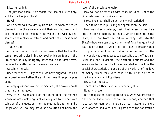Like, he replied.

The just man then, if we regard the idea of justice only, will be like the just State?

He will.

And a State was thought by us to be just when the three classes in the State severally did their own business; and also thought to be temperate and valiant and wise by reason of certain other affections and qualities of these same classes?

True, he said.

And so of the individual; we may assume that he has the same three principles in his own soul which are found in the State; and he may be rightly described in the same terms, because he is affected in the same manner?

Certainly, he said.

Once more then, O my friend, we have alighted upon an easy question—whether the soul has these three principles or not?

An easy question! Nay, rather, Socrates, the proverb holds that hard is the good.

Very true, I said; and I do not think that the method which we are employing is at all adequate to the accurate solution of this question; the true method is another and a longer one. Still we may arrive at a solution not below the

level of the previous enquiry.

May we not be satisfied with that? he said;—under the circumstances, I am quite content.

I too, I replied, shall be extremely well satisfied.

Then faint not in pursuing the speculation, he said.

Must we not acknowledge, I said, that in each of us there are the same principles and habits which there are in the State; and that from the individual they pass into the State?—how else can they come there? Take the quality of passion or spirit;—it would be ridiculous to imagine that this quality, when found in States, is not derived from the individuals who are supposed to possess it, e.g. the Thracians, Scythians, and in general the northern nations; and the same may be said of the love of knowledge, which is the special characteristic of our part of the world, or of the love of money, which may, with equal truth, be attributed to the Phoenicians and Egyptians.

Exactly so, he said.

There is no difficulty in understanding this.

None whatever.

But the question is not quite so easy when we proceed to ask whether these principles are three or one; whether, that is to say, we learn with one part of our nature, are angry with another, and with a third part desire the satisfaction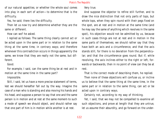of our natural appetites; or whether the whole soul comes into play in each sort of action—to determine that is the difficulty.

Yes, he said; there lies the difficulty.

Then let us now try and determine whether they are the same or different.

How can we? he asked.

I replied as follows: The same thing clearly cannot act or be acted upon in the same part or in relation to the same thing at the same time, in contrary ways; and therefore whenever this contradiction occurs in things apparently the same, we know that they are really not the same, but different.

Good.

For example, I said, can the same thing be at rest and in motion at the same time in the same part?

Impossible.

Still, I said, let us have a more precise statement of terms, lest we should hereafter fall out by the way. Imagine the case of a man who is standing and also moving his hands and his head, and suppose a person to say that one and the same person is in motion and at rest at the same moment-to such a mode of speech we should object, and should rather say that one part of him is in motion while another is at rest.

Very true.

And suppose the objector to refine still further, and to draw the nice distinction that not only parts of tops, but whole tops, when they spin round with their pegs fixed on the spot, are at rest and in motion at the same time (and he may say the same of anything which revolves in the same spot), his objection would not be admitted by us, because in such cases things are not at rest and in motion in the same parts of themselves; we should rather say that they have both an axis and a circumference, and that the axis stands still, for there is no deviation from the perpendicular; and that the circumference goes round. But if, while revolving, the axis inclines either to the right or left, forwards or backwards, then in no point of view can they be at rest.

That is the correct mode of describing them, he replied.

Then none of these objections will confuse us, or incline us to believe that the same thing at the same time, in the same part or in relation to the same thing, can act or be acted upon in contrary ways.

Certainly not, according to my way of thinking.

Yet, I said, that we may not be compelled to examine all such objections, and prove at length that they are untrue, let us assume their absurdity, and go forward on the under-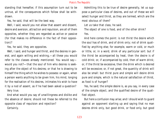standing that hereafter, if this assumption turn out to be untrue, all the consequences which follow shall be withdrawn.

Yes, he said, that will be the best way.

Well, I said, would you not allow that assent and dissent, desire and aversion, attraction and repulsion, are all of them opposites, whether they are regarded as active or passive (for that makes no difference in the fact of their opposition)?

Yes, he said, they are opposites.

Well, I said, and hunger and thirst, and the desires in general, and again willing and wishing,—all these you would refer to the classes already mentioned. You would say would you not?—that the soul of him who desires is seeking after the object of his desires; or that he is drawing to himself the thing which he wishes to possess: or again, when a person wants anything to be given him, his mind, longing for the realisation of his desires, intimates his wish to have it by a nod of assent, as if he had been asked a question? Very true.

And what would you say of unwillingness and dislike and the absence of desire; should not these be referred to the opposite class of repulsion and rejection?

Certainly.

Admitting this to be true of desire generally, let us suppose a particular class of desires, and out of these we will select hunger and thirst, as they are termed, which are the most obvious of them?

Let us take that class, he said.

The object of one is food, and of the other drink?

Yes.

And here comes the point: is not thirst the desire which the soul has of drink, and of drink only; not of drink qualified by anything else; for example, warm or cold, or much or little, or, in a word, drink of any particular sort: but if the thirst be accompanied by heat, then the desire is of cold drink; or, if accompanied by cold, then of warm drink; or, if the thirst be excessive, then the drink which is desired will be excessive; or, if not great, the quantity of drink will also be small: but thirst pure and simple will desire drink pure and simple, which is the natural satisfaction of thirst, as food is of hunger?

Yes, he said; the simple desire is, as you say, in every case of the simple object, and the qualified desire of the qualified object.

But here a confusion may arise; and I should wish to guard against an opponent starting up and saying that no man desires drink only, but good drink, or food only, but good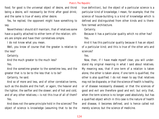food; for good is the universal object of desire, and thirst being a desire, will necessarily be thirst after good drink; and the same is true of every other desire.

Yes, he replied, the opponent might have something to say.

Nevertheless I should still maintain, that of relatives some have a quality attached to either term of the relation; others are simple and have their correlatives simple.

I do not know what you mean.

Well, you know of course that the greater is relative to the less?

Certainly.

And the much greater to the much less?

Yes.

And the sometime greater to the sometime less, and the greater that is to be to the less that is to be?

Certainly, he said.

And so of more and less, and of other correlative terms, such as the double and the half, or again, the heavier and the lighter, the swifter and the slower; and of hot and cold, and of any other relatives;—is not this true of all of them? Yes.

And does not the same principle hold in the sciences? The object of science is knowledge (assuming that to be the

true definition), but the object of a particular science is a particular kind of knowledge; I mean, for example, that the science of house-building is a kind of knowledge which is defined and distinguished from other kinds and is therefore termed architecture.

Certainly.

Because it has a particular quality which no other has? Yes.

And it has this particular quality because it has an object of a particular kind; and this is true of the other arts and sciences?

Yes.

Now, then, if I have made myself clear, you will understand my original meaning in what I said about relatives. My meaning was, that if one term of a relation is taken alone, the other is taken alone; if one term is qualified, the other is also qualified. I do not mean to say that relatives may not be disparate, or that the science of health is healthy, or of disease necessarily diseased, or that the sciences of good and evil are therefore good and evil; but only that, when the term science is no longer used absolutely, but has a qualified object which in this case is the nature of health and disease, it becomes defined, and is hence called not merely science, but the science of medicine.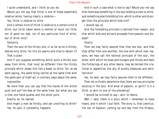I quite understand, and I think as you do.

Would you not say that thirst is one of these essentially relative terms, having clearly a relation—

Yes, thirst is relative to drink.

And a certain kind of thirst is relative to a certain kind of drink; but thirst taken alone is neither of much nor little, nor of good nor bad, nor of any particular kind of drink, but of drink only?

Certainly.

Then the soul of the thirsty one, in so far as he is thirsty, desires only drink; for this he yearns and tries to obtain it? That is plain.

And if you suppose something which pulls a thirsty soul away from drink, that must be different from the thirsty principle which draws him like a beast to drink; for, as we were saying, the same thing cannot at the same time with the same part of itself act in contrary ways about the same. Impossible.

No more than you can say that the hands of the archer push and pull the bow at the same time, but what you say is that one hand pushes and the other pulls.

Exactly so, he replied.

And might a man be thirsty, and yet unwilling to drink? Yes, he said, it constantly happens.

And in such a case what is one to say? Would you not say that there was something in the soul bidding a man to drink, and something else forbidding him, which is other and stronger than the principle which bids him?

I should say so.

And the forbidding principle is derived from reason, and that which bids and attracts proceeds from passion and disease?

Clearly.

Then we may fairly assume that they are two, and that they differ from one another; the one with which man reasons, we may call the rational principle of the soul, the other, with which he loves and hungers and thirsts and feels the flutterings of any other desire, may be termed the irrational or appetitive, the ally of sundry pleasures and satisfactions?

Yes, he said, we may fairly assume them to be different.

Then let us finally determine that there are two principles existing in the soul. And what of passion, or spirit? Is it a third, or akin to one of the preceding?

I should be inclined to say—akin to desire.

Well, I said, there is a story which I remember to have heard, and in which I put faith. The story is, that Leontius, the son of Aglaion, coming up one day from the Piraeus,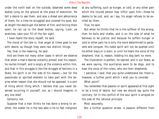under the north wall on the outside, observed some dead bodies lying on the ground at the place of execution. He felt a desire to see them, and also a dread and abhorrence of them; for a time he struggled and covered his eyes, but at length the desire got the better of him; and forcing them open, he ran up to the dead bodies, saying, Look, ye wretches, take your fill of the fair sight.

I have heard the story myself, he said.

The moral of the tale is, that anger at times goes to war with desire, as though they were two distinct things.

Yes; that is the meaning, he said.

And are there not many other cases in which we observe that when a man's desires violently prevail over his reason, he reviles himself, and is angry at the violence within him, and that in this struggle,is like the struggle of factions in a State, his spirit is on the side of his reason;—but for the passionate or spirited element to take part with the desires when reason that she should not be opposed, is a sort of thing which thing which I believe that you never observed occurring in yourself, nor, as I should imagine, in any one else?

Certainly not.

Suppose that a man thinks he has done a wrong to another, the nobler he is the less able is he to feel indignant at any suffering, such as hunger, or cold, or any other pain which the injured person may inflict upon him—these he deems to be just, and, as I say, his anger refuses to be excited by them.

# True, he said.

But when he thinks that he is the sufferer of the wrong, then he boils and chafes, and is on the side of what he believes to be justice; and because he suffers hunger or cold or other pain he is only the more determined to persevere and conquer. His noble spirit will not be quelled until he either slays or is slain; or until he hears the voice of the shepherd, that is, reason, bidding his dog bark no more.

The illustration is perfect, he replied; and in our State, as we were saying, the auxiliaries were to be dogs, and to hear the voice of the rulers, who are their shepherds.

I perceive, I said, that you quite understand me; there is, however, a further point which I wish you to consider.

What point?

You remember that passion or spirit appeared at first sight to be a kind of desire, but now we should say quite the contrary; for in the conflict of the soul spirit is arrayed on the side of the rational principle.

Most assuredly.

But a further question arises: Is passion different from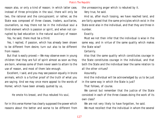reason also, or only a kind of reason; in which latter case, instead of three principles in the soul, there will only be two, the rational and the concupiscent; or rather, as the State was composed of three classes, traders, auxiliaries, counsellors, so may there not be in the individual soul a third element which is passion or spirit, and when not corrupted by bad education is the natural auxiliary of reason Yes, he said, there must be a third.

Yes, I replied, if passion, which has already been shown to be different from desire, turn out also to be different from reason.

But that is easily proved:—We may observe even in young children that they are full of spirit almost as soon as they are born, whereas some of them never seem to attain to the use of reason, and most of them late enough.

Excellent, I said, and you may see passion equally in brute animals, which is a further proof of the truth of what you are saying. And we may once more appeal to the words of Homer, which have been already quoted by us,

He smote his breast, and thus rebuked his soul,

for in this verse Homer has clearly supposed the power which reasons about the better and worse to be different from

the unreasoning anger which is rebuked by it.

Very true, he said.

And so, after much tossing, we have reached land, and are fairly agreed that the same principles which exist in the State exist also in the individual, and that they are three in number.

## Exactly.

Must we not then infer that the individual is wise in the same way, and in virtue of the same quality which makes the State wise?

## Certainly.

Also that the same quality which constitutes courage in the State constitutes courage in the individual, and that both the State and the individual bear the same relation to all the other virtues?

# Assuredly.

And the individual will be acknowledged by us to be just in the same way in which the State is just?

That follows, of course.

We cannot but remember that the justice of the State consisted in each of the three classes doing the work of its own class?

We are not very likely to have forgotten, he said. We must recollect that the individual in whom the several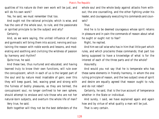qualities of his nature do their own work will be just, and will do his own work?

Yes, he said, we must remember that too.

And ought not the rational principle, which is wise, and has the care of the whole soul, to rule, and the passionate or spirited principle to be the subject and ally?

Certainly.

And, as we were saying, the united influence of music and gymnastic will bring them into accord, nerving and sustaining the reason with noble words and lessons, and moderating and soothing and civilizing the wildness of passion by harmony and rhythm?

Quite true, he said.

And these two, thus nurtured and educated, and having learned truly to know their own functions, will rule over the concupiscent, which in each of us is the largest part of the soul and by nature most insatiable of gain; over this they will keep guard, lest, waxing great and strong with the fulness of bodily pleasures, as they are termed, the concupiscent soul, no longer confined to her own sphere, should attempt to enslave and rule those who are not her natural-born subjects, and overturn the whole life of man?

Very true, he said.

Both together will they not be the best defenders of the

whole soul and the whole body against attacks from without; the one counselling, and the other fighting under his leader, and courageously executing his commands and counsels?

True.

And he is to be deemed courageous whose spirit retains in pleasure and in pain the commands of reason about what he ought or ought not to fear?

Right, he replied.

And him we call wise who has in him that little part which rules, and which proclaims these commands; that part too being supposed to have a knowledge of what is for the interest of each of the three parts and of the whole?

Assuredly.

And would you not say that he is temperate who has these same elements in friendly harmony, in whom the one ruling principle of reason, and the two subject ones of spirit and desire are equally agreed that reason ought to rule, and do not rebel?

Certainly, he said, that is the true account of temperance whether in the State or individual.

And surely, I said, we have explained again and again how and by virtue of what quality a man will be just.

That is very certain.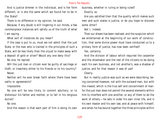And is justice dimmer in the individual, and is her form different, or is she the same which we found her to be in the State?

There is no difference in my opinion, he said.

Because, if any doubt is still lingering in our minds, a few commonplace instances will satisfy us of the truth of what I am saying.

What sort of instances do you mean?

If the case is put to us, must we not admit that the just State, or the man who is trained in the principles of such a State, will be less likely than the unjust to make away with a deposit of gold or silver? Would any one deny this?

No one, he replied.

Will the just man or citizen ever be guilty of sacrilege or theft, or treachery either to his friends or to his country? Never.

Neither will he ever break faith where there have been oaths or agreements?

Impossible.

No one will be less likely to commit adultery, or to dishonour his father and mother, or to fall in his religious duties?

No one.

And the reason is that each part of him is doing its own

business, whether in ruling or being ruled? Exactly so.

Are you satisfied then that the quality which makes such men and such states is justice, or do you hope to discover some other?

Not I, indeed.

Then our dream has been realised; and the suspicion which we entertained at the beginning of our work of construction, that some divine power must have conducted us to a primary form of justice, has now been verified?

Yes, certainly.

And the division of labour which required the carpenter and the shoemaker and the rest of the citizens to be doing each his own business, and not another's, was a shadow of justice, and for that reason it was of use?

Clearly.

But in reality justice was such as we were describing, being concerned however, not with the outward man, but with the inward, which is the true self and concernment of man: for the just man does not permit the several elements within him to interfere with one another, or any of them to do the work of others,—he sets in order his own inner life, and is his own master and his own law, and at peace with himself; and when he has bound together the three principles within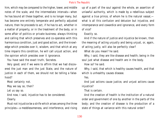him, which may be compared to the higher, lower, and middle notes of the scale, and the intermediate intervals—when he has bound all these together, and is no longer many, but has become one entirely temperate and perfectly adjusted nature, then he proceeds to act, if he has to act, whether in a matter of property, or in the treatment of the body, or in some affair of politics or private business; always thinking and calling that which preserves and co-operates with this harmonious condition, just and good action, and the knowledge which presides over it, wisdom, and that which at any time impairs this condition, he will call unjust action, and the opinion which presides over it ignorance.

You have said the exact truth, Socrates.

Very good; and if we were to affirm that we had discovered the just man and the just State, and the nature of justice in each of them, we should not be telling a falsehood?

Most certainly not.

May we say so, then?

Let us say so.

And now, I said, injustice has to be considered. Clearly.

Must not injustice be a strife which arises among the three principles—a meddlesomeness, and interference, and rising up of a part of the soul against the whole, an assertion of unlawful authority, which is made by a rebellious subject against a true prince, of whom he is the natural vassal, what is all this confusion and delusion but injustice, and intemperance and cowardice and ignorance, and every form of vice?

Exactly so.

And if the nature of justice and injustice be known, then the meaning of acting unjustly and being unjust, or, again, of acting justly, will also be perfectly clear?

What do you mean? he said.

Why, I said, they are like disease and health; being in the soul just what disease and health are in the body.

How so? he said.

Why, I said, that which is healthy causes health, and that which is unhealthy causes disease.

Yes.

And just actions cause justice, and unjust actions cause injustice?

That is certain.

And the creation of health is the institution of a natural order and government of one by another in the parts of the body; and the creation of disease is the production of a state of things at variance with this natural order?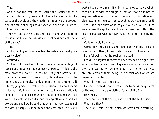True.

And is not the creation of justice the institution of a natural order and government of one by another in the parts of the soul, and the creation of injustice the production of a state of things at variance with the natural order? Exactly so, he said.

Then virtue is the health and beauty and well-being of the soul, and vice the disease and weakness and deformity of the same?

True.

And do not good practices lead to virtue, and evil practices to vice?

# Assuredly.

Still our old question of the comparative advantage of justice and injustice has not been answered: Which is the more profitable, to be just and act justly and practise virtue, whether seen or unseen of gods and men, or to be unjust and act unjustly, if only unpunished and unreformed?

In my judgment, Socrates, the question has now become ridiculous. We know that, when the bodily constitution is gone, life is no longer endurable, though pampered with all kinds of meats and drinks, and having all wealth and all power; and shall we be told that when the very essence of the vital principle is undermined and corrupted, life is still worth having to a man, if only he be allowed to do whatever he likes with the single exception that he is not to acquire justice and virtue, or to escape from injustice and vice; assuming them both to be such as we have described?

Yes, I said, the question is, as you say, ridiculous. Still, as we are near the spot at which we may see the truth in the clearest manner with our own eyes, let us not faint by the way.

Certainly not, he replied.

Come up hither, I said, and behold the various forms of vice, those of them, I mean, which are worth looking at. I am following you, he replied: proceed.

I said, The argument seems to have reached a height from which, as from some tower of speculation, a man may look down and see that virtue is one, but that the forms of vice are innumerable; there being four special ones which are deserving of note.

What do you mean? he said.

I mean, I replied, that there appear to be as many forms of the soul as there are distinct forms of the State.

How many?

There are five of the State, and five of the soul, I said. What are they?

The first, I said, is that which we have been describing,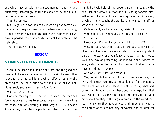and which may be said to have two names, monarchy and aristocracy, accordingly as rule is exercised by one distinguished man or by many.

True, he replied.

But I regard the two names as describing one form only; for whether the government is in the hands of one or many, if the governors have been trained in the manner which we have supposed, the fundamental laws of the State will be maintained.

That is true, he replied.

# **BOOK V**

# **SOCRATES - GLAUCON - ADEIMANTUS**

Such is the good and true City or State, and the good and man is of the same pattern; and if this is right every other is wrong; and the evil is one which affects not only the ordering of the State, but also the regulation of the individual soul, and is exhibited in four forms.

What are they? he said.

I was proceeding to tell the order in which the four evil forms appeared to me to succeed one another, when Pole marchus, who was sitting a little way off, just beyond Adeimantus, began to whisper to him: stretching forth his

hand, he took hold of the upper part of his coat by the shoulder, and drew him towards him, leaning forward himself so as to be quite close and saying something in his ear, of which I only caught the words, 'Shall we let him off, or what shall we do?'

Certainly not, said Adeimantus, raising his voice. Who is it, I said, whom you are refusing to let off? You, he said.

I repeated, Why am I especially not to be let off?

Why, he said, we think that you are lazy, and mean to cheat us out of a whole chapter which is a very important part of the story; and you fancy that we shall not notice your airy way of proceeding; as if it were self-evident to everybody, that in the matter of women and children 'friends have all things in common.'

And was I not right, Adeimantus?

Yes, he said; but what is right in this particular case, like everything else, requires to be explained; for community may be of many kinds. Please, therefore, to say what sort of community you mean. We have been long expecting that you would tell us something about the family life of your citizens—how they will bring children into the world, and rear them when they have arrived, and, in general, what is the nature of this community of women and children-for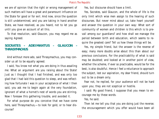we are of opinion that the right or wrong management of such matters will have a great and paramount influence on the State for good or for evil. And now, since the question is still undetermined, and you are taking in hand another State, we have resolved, as you heard, not to let you go until you give an account of all this.

To that resolution, said Glaucon, you may regard me as saying Agreed.

# **SOCRATES - ADEIMANTUS - GLAUCON THRASYMACHUS**

And without more ado, said Thrasymachus, you may consider us all to be equally agreed.

I said, You know not what you are doing in thus assailing me: What an argument are you raising about the State! Just as I thought that I had finished, and was only too glad that I had laid this question to sleep, and was reflecting how fortunate I was in your acceptance of what I then said, you ask me to begin again at the very foundation, ignorant of what a hornet's nest of words you are stirring. Now I foresaw this gathering trouble, and avoided it.

For what purpose do you conceive that we have come here, said Thrasymachus,—to look for gold, or to hear discourse?

Yes, but discourse should have a limit.

Yes, Socrates, said Glaucon, and the whole of life is the only limit which wise men assign to the hearing of such discourses. But never mind about us; take heart yourself and answer the question in your own way: What sort of community of women and children is this which is to prevail among our guardians? and how shall we manage the period between birth and education, which seems to require the greatest care? Tell us how these things will be.

Yes, my simple friend, but the answer is the reverse of easy; many more doubts arise about this than about our previous conclusions. For the practicability of what is said may be doubted; and looked at in another point of view, whether the scheme, if ever so practicable, would be for the best, is also doubtful. Hence I feel a reluctance to approach the subject, lest our aspiration, my dear friend, should turn out to be a dream only.

Fear not, he replied, for your audience will not be hard upon you; they are not sceptical or hostile.

I said: My good friend, I suppose that you mean to encourage me by these words.

Yes, he said.

Then let me tell you that you are doing just the reverse; the encouragement which you offer would have been all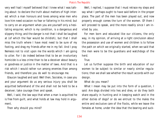very well had I myself believed that I knew what I was talking about: to declare the truth about matters of high interest which a man honours and loves among wise men who love him need occasion no fear or faltering in his mind; but to carry on an argument when you are yourself only a hesitating enquirer, which is my condition, is a dangerous and slippery thing; and the danger is not that I shall be laughed at (of which the fear would be childish), but that I shall miss the truth where I have most need to be sure of my footing, and drag my friends after me in my fall. And I pray Nemesis not to visit upon me the words which I am going to utter. For I do indeed believe that to be an involuntary homicide is a less crime than to be a deceiver about beauty or goodness or justice in the matter of laws. And that is a risk which I would rather run among enemies than among friends, and therefore you do well to encourage me.

Glaucon laughed and said: Well then, Socrates, in case you and your argument do us any serious injury you shall be acquitted beforehand of the and shall not be held to be a deceiver; take courage then and speak.

Well, I said, the law says that when a man is acquitted he is free from guilt, and what holds at law may hold in argument.

Then why should you mind?

Well, I replied, I suppose that I must retrace my steps and say what I perhaps ought to have said before in the proper place. The part of the men has been played out, and now properly enough comes the turn of the women. Of them I will proceed to speak, and the more readily since I am invited by you.

For men born and educated like our citizens, the only way, in my opinion, of arriving at a right conclusion about the possession and use of women and children is to follow the path on which we originally started, when we said that the men were to be the guardians and watchdogs of the herd.

True.

Let us further suppose the birth and education of our women to be subject to similar or nearly similar regulations; then we shall see whether the result accords with our design.

What do you mean?

What I mean may be put into the form of a question, I said: Are dogs divided into hes and shes, or do they both share equally in hunting and in keeping watch and in the other duties of dogs? or do we entrust to the males the entire and exclusive care of the flocks, while we leave the females at home, under the idea that the bearing and suck-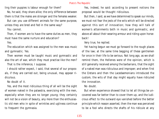ling their puppies is labour enough for them?

No, he said, they share alike; the only difference between them is that the males are stronger and the females weaker.

But can you use different animals for the same purpose, unless they are bred and fed in the same way?

You cannot.

Then, if women are to have the same duties as men, they must have the same nurture and education?

Yes.

The education which was assigned to the men was music and gymnastic. Yes.

Then women must be taught music and gymnastic and also the art of war, which they must practise like the men? That is the inference, I suppose.

I should rather expect, I said, that several of our proposals, if they are carried out, being unusual, may appear ridiculous.

No doubt of it.

Yes, and the most ridiculous thing of all will be the sight of women naked in the palaestra, exercising with the men, especially when they are no longer young; they certainly will not be a vision of beauty, any more than the enthusiastic old men who in spite of wrinkles and ugliness continue to frequent the gymnasia.

Yes, indeed, he said: according to present notions the proposal would be thought ridiculous.

But then, I said, as we have determined to speak our minds, we must not fear the jests of the wits which will be directed against this sort of innovation; how they will talk of women's attainments both in music and gymnastic, and above all about their wearing armour and riding upon horseback!

Very true, he replied.

Yet having begun we must go forward to the rough places of the law; at the same time begging of these gentlemen for once in their life to be serious. Not long ago, as we shall remind them, the Hellenes were of the opinion, which is still generally received among the barbarians, that the sight of a naked man was ridiculous and improper; and when first the Cretans and then the Lacedaemonians introduced the custom, the wits of that day might equally have ridiculed the innovation.

No doubt.

But when experience showed that to let all things be uncovered was far better than to cover them up, and the ludicrous effect to the outward eye vanished before the better principle which reason asserted, then the man was perceived to be a fool who directs the shafts of his ridicule at any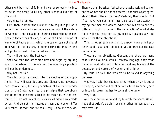other sight but that of folly and vice, or seriously inclines to weigh the beautiful by any other standard but that of the good.

Very true, he replied.

First, then, whether the question is to be put in jest or in earnest, let us come to an understanding about the nature of woman: Is she capable of sharing either wholly or partially in the actions of men, or not at all? And is the art of war one of those arts in which she can or can not share? That will be the best way of commencing the inquiry, and will probably lead to the fairest conclusion.

That will be much the best way.

Shall we take the other side first and begin by arguing against ourselves; in this manner the adversary's position will not be undefended.

Why not? he said.

Then let us put a speech into the mouths of our opponents. They will say: 'Socrates and Glaucon, no adversary need convict you, for you yourselves, at the first foundation of the State, admitted the principle that everybody was to do the one work suited to his own nature.' And certainly, if I am not mistaken, such an admission was made by us. 'And do not the natures of men and women differ very much indeed?' And we shall reply: Of course they do.

Then we shall be asked, 'Whether the tasks assigned to men and to women should not be different, and such as are agreeable to their different natures?' Certainly they should. 'But if so, have you not fallen into a serious inconsistency in saying that men and women, whose natures are so entirely different, ought to perform the same actions?'—What defence will you make for us, my good Sir, against any one who offers these objections?

That is not an easy question to answer when asked suddenly; and I shall and I do beg of you to draw out the case on our side.

These are the objections, Glaucon, and there are many others of a like kind, which I foresaw long ago; they made me afraid and reluctant to take in hand any law about the possession and nurture of women and children.

By Zeus, he said, the problem to be solved is anything but easy.

Why yes, I said, but the fact is that when a man is out of his depth, whether he has fallen into a little swimming bath or into mid-ocean, he has to swim all the same.

# Very true.

And must not we swim and try to reach the shore: We will hope that Arion's dolphin or some other miraculous help may save us?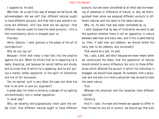I suppose so, he said.

Well then, let us see if any way of escape can be found. We acknowledged—did we not? that different natures ought to have different pursuits, and that men's and women's natures are different. And now what are we saying?—that different natures ought to have the same pursuits,—this is the inconsistency which is charged upon us.

Precisely.

Verily, Glaucon, I said, glorious is the power of the art of contradiction!

Why do you say so?

Because I think that many a man falls into the practice against his will. When he thinks that he is reasoning he is really disputing, just because he cannot define and divide, and so know that of which he is speaking; and he will pursue a merely verbal opposition in the spirit of contention and not of fair discussion.

Yes, he replied, such is very often the case; but what has that to do with us and our argument?

A great deal; for there is certainly a danger of our getting unintentionally into a verbal opposition.

In what way?

Why, we valiantly and pugnaciously insist upon the verbal truth, that different natures ought to have different pursuits, but we never considered at all what was the meaning of sameness or difference of nature, or why we distinguished them when we assigned different pursuits to different natures and the same to the same natures.

Why, no, he said, that was never considered by us.

I said: Suppose that by way of illustration we were to ask the question whether there is not an opposition in nature between bald men and hairy men; and if this is admitted by us, then, if bald men are cobblers, we should forbid the hairy men to be cobblers, and conversely?

That would be a jest, he said.

Yes, I said, a jest; and why? because we never meant when we constructed the State, that the opposition of natures should extend to every difference, but only to those differences which affected the pursuit in which the individual is engaged; we should have argued, for example, that a physician and one who is in mind a physician may be said to have the same nature.

True.

Whereas the physician and the carpenter have different natures?

Certainly.

And if, I said, the male and female sex appear to differ in their fitness for any art or pursuit, we should say that such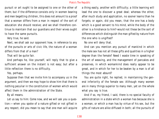pursuit or art ought to be assigned to one or the other of them; but if the difference consists only in women bearing and men begetting children, this does not amount to a proof that a woman differs from a man in respect of the sort of education she should receive; and we shall therefore continue to maintain that our guardians and their wives ought to have the same pursuits.

Very true, he said.

Next, we shall ask our opponent how, in reference to any of the pursuits or arts of civic life, the nature of a woman differs from that of a man?

That will be quite fair.

And perhaps he, like yourself, will reply that to give a sufficient answer on the instant is not easy; but after a little reflection there is no difficulty.

Yes, perhaps.

Suppose then that we invite him to accompany us in the argument, and then we may hope to show him that there is nothing peculiar in the constitution of women which would affect them in the administration of the State.

By all means.

Let us say to him: Come now, and we will ask you a question:—when you spoke of a nature gifted or not gifted in any respect, did you mean to say that one man will acquire a thing easily, another with difficulty; a little learning will lead the one to discover a great deal; whereas the other, after much study and application, no sooner learns than he forgets; or again, did you mean, that the one has a body which is a good servant to his mind, while the body of the other is a hindrance to him?-would not these be the sort of differences which distinguish the man gifted by nature from the one who is ungifted?

No one will deny that.

And can you mention any pursuit of mankind in which the male sex has not all these gifts and qualities in a higher degree than the female? Need I waste time in speaking of the art of weaving, and the management of pancakes and preserves, in which womankind does really appear to be great, and in which for her to be beaten by a man is of all things the most absurd?

You are quite right, he replied, in maintaining the general inferiority of the female sex: Although many women are in many things superior to many men, yet on the whole what you say is true.

And if so, my friend, I said, there is no special faculty of administration in a state which a woman has because she is a woman, or which a man has by virtue of his sex, but the gifts of nature are alike diffused in both; all the pursuits of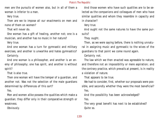men are the pursuits of women also, but in all of them a woman is inferior to a man.

Very true.

Then are we to impose all our enactments on men and none of them on women?

That will never do.

One woman has a gift of healing, another not; one is a musician, and another has no music in her nature?

Very true.

And one woman has a turn for gymnastic and military exercises, and another is unwarlike and hates gymnastics? Certainly.

And one woman is a philosopher, and another is an enemy of philosophy; one has spirit, and another is without spirit?

That is also true.

Then one woman will have the temper of a guardian, and another not. Was not the selection of the male guardians determined by differences of this sort?

Yes.

Men and women alike possess the qualities which make a guardian; they differ only in their comparative strength or weakness.

Obviously.

And those women who have such qualities are to be selected as the companions and colleagues of men who have similar qualities and whom they resemble in capacity and in character?

Very true.

And ought not the same natures to have the same pursuits?

They ought.

Then, as we were saying before, there is nothing unnatural in assigning music and gymnastic to the wives of the guardians to that point we come round again.

Certainly not.

The law which we then enacted was agreeable to nature, and therefore not an impossibility or mere aspiration; and the contrary practice, which prevails at present, is in reality a violation of nature.

That appears to be true.

We had to consider, first, whether our proposals were possible, and secondly whether they were the most beneficial? Yes.

And the possibility has been acknowledged? Yes.

The very great benefit has next to be established? Quite so.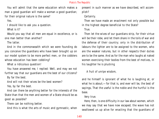You will admit that the same education which makes a man a good guardian will make a woman a good guardian; for their original nature is the same?

Yes.

I should like to ask you a question.

What is it?

Would you say that all men are equal in excellence, or is one man better than another?

The latter.

And in the commonwealth which we were founding do you conceive the guardians who have been brought up on our model system to be more perfect men, or the cobblers whose education has been cobbling?

What a ridiculous question!

You have answered me, I replied: Well, and may we not further say that our guardians are the best of our citizens?

By far the best.

And will not their wives be the best women?

Yes, by far the best.

And can there be anything better for the interests of the State than that the men and women of a State should be as good as possible?

There can be nothing better.

And this is what the arts of music and gymnastic, when

present in such manner as we have described, will accomplish?

Certainly.

Then we have made an enactment not only possible but in the highest degree beneficial to the State?

True.

Then let the wives of our guardians strip, for their virtue will be their robe, and let them share in the toils of war and the defense of their country; only in the distribution of labours the lighter are to be assigned to the women, who are the weaker natures, but in other respects their duties are to be the same. And as for the man who laughs at naked women exercising their bodies from the best of motives, in his laughter he is plucking

A fruit of unripe wisdom,

and he himself is ignorant of what he is laughing at, or what he is about;—for that is, and ever will be, the best of sayings, That the useful is the noble and the hurtful is the base.

Very true.

Here, then, is one difficulty in our law about women, which we may say that we have now escaped; the wave has not swallowed us up alive for enacting that the guardians of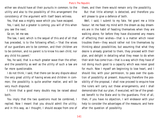either sex should have all their pursuits in common; to the utility and also to the possibility of this arrangement the consistency of the argument with itself bears witness.

Yes, that was a mighty wave which you have escaped.

Yes, I said, but a greater is coming; you will of this when you see the next.

Go on; let me see.

The law, I said, which is the sequel of this and of all that has preceded, is to the following effect,—'that the wives of our guardians are to be common, and their children are to be common, and no parent is to know his own child, nor any child his parent.'

Yes, he said, that is a much greater wave than the other; and the possibility as well as the utility of such a law are far more questionable.

I do not think, I said, that there can be any dispute about the very great utility of having wives and children in common; the possibility is quite another matter, and will be very much disputed.

I think that a good many doubts may be raised about both.

You imply that the two questions must be combined, I replied. Now I meant that you should admit the utility; and in this way, as I thought; I should escape from one of them, and then there would remain only the possibility.

But that little attempt is detected, and therefore you will please to give a defence of both.

Well, I said, I submit to my fate. Yet grant me a little favour: let me feast my mind with the dream as day dreamers are in the habit of feasting themselves when they are walking alone; for before they have discovered any means of effecting their wishes—that is a matter which never troubles them—they would rather not tire themselves by thinking about possibilities; but assuming that what they desire is already granted to them, they proceed with their plan, and delight in detailing what they mean to do when their wish has come true—that is a way which they have of not doing much good to a capacity which was never good for much. Now I myself am beginning to lose heart, and I should like, with your permission, to pass over the question of possibility at present. Assuming therefore the possibility of the proposal, I shall now proceed to enquire how the rulers will carry out these arrangements, and I shall demonstrate that our plan, if executed, will be of the greatest benefit to the State and to the guardians. First of all, then, if you have no objection, I will endeavor with your help to consider the advantages of the measure; and hereafter the question of possibility.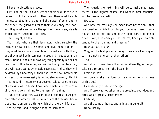I have no objection; proceed.

First, I think that if our rulers and their auxiliaries are to be worthy of the name which they bear, there must be willingness to obey in the one and the power of command in the other; the guardians must themselves obey the laws, and they must also imitate the spirit of them in any details which are entrusted to their care.

That is right, he said.

You, I said, who are their legislator, having selected the men, will now select the women and give them to them; they must be as far as possible of like natures with them; and they must live in common houses and meet at common meals, None of them will have anything specially his or her own; they will be together, and will be brought up together, and will associate at gymnastic exercises. And so they will be drawn by a necessity of their natures to have intercourse with each other—necessity is not too strong a word, I think?

Yes, he said;—necessity, not geometrical, but another sort of necessity which lovers know, and which is far more convincing and constraining to the mass of mankind.

True, I said; and this, Glaucon, like all the rest, must proceed after an orderly fashion; in a city of the blessed, licentiousness is an unholy thing which the rulers will forbid.

Yes, he said, and it ought not to be permitted.

Then clearly the next thing will be to make matrimony sacred in the highest degree, and what is most beneficial will be deemed sacred?

Exactly.

And how can marriages be made most beneficial?—that is a question which I put to you, because I see in your house dogs for hunting, and of the nobler sort of birds not a few. Now, I beseech you, do tell me, have you ever attended to their pairing and breeding?

In what particulars?

Why, in the first place, although they are all of a good sort, are not some better than others?

True.

And do you breed from them all indifferently, or do you take care to breed from the best only?

From the best.

And do you take the oldest or the youngest, or only those of ripe age?

I choose only those of ripe age.

And if care was not taken in the breeding, your dogs and birds would greatly deteriorate?

Certainly.

And the same of horses and animals in general? Undoubtedly.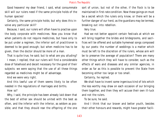Good heavens! my dear friend, I said, what consummate skill will our rulers need if the same principle holds of the human species!

Certainly, the same principle holds; but why does this involve any particular skill?

Because, I said, our rulers will often have to practise upon the body corporate with medicines. Now you know that when patients do not require medicines, but have only to be put under a regimen, the inferior sort of practitioner is deemed to be good enough; but when medicine has to be given, then the doctor should be more of a man.

That is quite true, he said; but to what are you alluding? I mean, I replied, that our rulers will find a considerable dose of falsehood and deceit necessary for the good of their subjects: we were saying that the use of all these things regarded as medicines might be of advantage.

And we were very right.

And this lawful use of them seems likely to be often needed in the regulations of marriages and births.

How so?

Why, I said, the principle has been already laid down that the best of either sex should be united with the best as often, and the inferior with the inferior, as seldom as possible; and that they should rear the offspring of the one sort of union, but not of the other, if the flock is to be maintained in first-rate condition. Now these goings on must be a secret which the rulers only know, or there will be a further danger of our herd, as the guardians may be termed, breaking out into rebellion.

# Very true.

Had we not better appoint certain festivals at which we will bring together the brides and bridegrooms, and sacrifices will be offered and suitable hymeneal songs composed by our poets: the number of weddings is a matter which must be left to the discretion of the rulers, whose aim will be to preserve the average of population? There are many other things which they will have to consider, such as the effects of wars and diseases and any similar agencies, in order as far as this is possible to prevent the State from becoming either too large or too small.

Certainly, he replied.

We shall have to invent some ingenious kind of lots which the less worthy may draw on each occasion of our bringing them together, and then they will accuse their own ill-luck and not the rulers.

To be sure, he said.

And I think that our braver and better youth, besides their other honours and rewards, might have greater facili-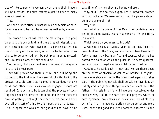ties of intercourse with women given them; their bravery will be a reason, and such fathers ought to have as many sons as possible.

# True.

And the proper officers, whether male or female or both, for offices are to be held by women as well as by men—

# Yes—

The proper officers will take the offspring of the good parents to the pen or fold, and there they will deposit them with certain nurses who dwell in a separate quarter; but the offspring of the inferior, or of the better when they chance to be deformed, will be put away in some mysterious, unknown place, as they should be.

Yes, he said, that must be done if the breed of the guardians is to be kept pure.

They will provide for their nurture, and will bring the mothers to the fold when they are full of milk, taking the greatest possible care that no mother recognizes her own child; and other wet-nurses may be engaged if more are required. Care will also be taken that the process of suckling shall not be protracted too long; and the mothers will have no getting up at night or other trouble, but will hand over all this sort of thing to the nurses and attendants.

You suppose the wives of our guardians to have a fine

easy time of it when they are having children.

Why, said I, and so they ought. Let us, however, proceed with our scheme. We were saying that the parents should be in the prime of life?

Very true.

And what is the prime of life? May it not be defined as a period of about twenty years in a woman's life, and thirty in a man's?

Which years do you mean to include?

A woman, I said, at twenty years of age may begin to bear children to the State, and continue to bear them until forty; a man may begin at five-and-twenty, when he has passed the point at which the pulse of life beats quickest, and continue to beget children until he be fifty-five.

Certainly, he said, both in men and women those years are the prime of physical as well as of intellectual vigour.

Any one above or below the prescribed ages who takes part in the public hymeneals shall be said to have done an unholy and unrighteous thing; the child of which he is the father, if it steals into life, will have been conceived under auspices very unlike the sacrifices and prayers, which at each hymeneal priestesses and priest and the whole city will offer, that the new generation may be better and more useful than their good and useful parents, whereas his child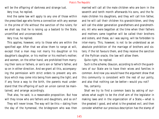will be the offspring of darkness and strange lust. Very true, he replied.

And the same law will apply to any one of those within the prescribed age who forms a connection with any woman in the prime of life without the sanction of the rulers; for we shall say that he is raising up a bastard to the State, uncertified and unconsecrated.

Very true, he replied.

This applies, however, only to those who are within the specified age: After that we allow them to range at will, except that a man may not marry his daughter or his daughter's daughter, or his mother or his mother's mother; and women, on the other hand, are prohibited from marrying their sons or fathers, or son's son or father's father, and so on in either direction. And we grant all this, accompanying the permission with strict orders to prevent any embryo which may come into being from seeing the light; and if any force a way to the birth, the parents must understand that the offspring of such an union cannot be maintained, and arrange accordingly.

That also, he said, is a reasonable proposition. But how will they know who are fathers and daughters, and so on?

They will never know. The way will be this:—dating from the day of the hymeneal, the bridegroom who was then married will call all the male children who are born in the seventh and tenth month afterwards his sons, and the female children his daughters, and they will call him father, and he will call their children his grandchildren, and they will call the elder generation grandfathers and grandmothers. All who were begotten at the time when their fathers and mothers came together will be called their brothers and sisters, and these, as I was saying, will be forbidden to inter-marry. This, however, is not to be understood as an absolute prohibition of the marriage of brothers and sisters; if the lot favours them, and they receive the sanction of the Pythian oracle, the law will allow them.

Quite right, he replied.

Such is the scheme, Glaucon, according to which the guardians of our State are to have their wives and families in common. And now you would have the argument show that this community is consistent with the rest of our polity, and also that nothing can be better—would you not?

#### Yes, certainly.

Shall we try to find a common basis by asking of ourselves what ought to be the chief aim of the legislator in making laws and in the organization of a State,—what is the greatest I good, and what is the greatest evil, and then consider whether our previous description has the stamp of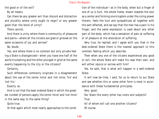the good or of the evil?

By all means.

Can there be any greater evil than discord and distraction and plurality where unity ought to reign? or any greater good than the bond of unity?

There cannot.

And there is unity where there is community of pleasures and pains—where all the citizens are glad or grieved on the same occasions of joy and sorrow?

No doubt.

Yes; and where there is no common but only private feeling a State is disorganized—when you have one half of the world triumphing and the other plunged in grief at the same events happening to the city or the citizens?

Certainly.

Such differences commonly originate in a disagreement about the use of the terms 'mine' and 'not mine,' 'his' and 'not his.'

Exactly so.

And is not that the best-ordered State in which the greatest number of persons apply the terms 'mine' and 'not mine' in the same way to the same thing?

Quite true.

Or that again which most nearly approaches to the condi-

tion of the individual—as in the body, when but a finger of one of us is hurt, the whole frame, drawn towards the soul as a center and forming one kingdom under the ruling power therein, feels the hurt and sympathizes all together with the part affected, and we say that the man has a pain in his finger; and the same expression is used about any other part of the body, which has a sensation of pain at suffering or of pleasure at the alleviation of suffering.

Very true, he replied; and I agree with you that in the best-ordered State there is the nearest approach to this common feeling which you describe.

Then when any one of the citizens experiences any good or evil, the whole State will make his case their own, and will either rejoice or sorrow with him?

Yes, he said, that is what will happen in a well-ordered State.

It will now be time, I said, for us to return to our State and see whether this or some other form is most in accordance with these fundamental principles.

Very good.

Our State like every other has rulers and subjects? True.

All of whom will call one another citizens? Of course.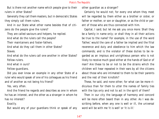But is there not another name which people give to their rulers in other States?

Generally they call them masters, but in democratic States they simply call them rulers.

And in our State what other name besides that of citizens do the people give the rulers?

They are called saviours and helpers, he replied. And what do the rulers call the people?

Their maintainers and foster-fathers.

And what do they call them in other States?

Slaves.

And what do the rulers call one another in other States? Fellow-rulers.

And what in ours?

Fellow-guardians.

Did you ever know an example in any other State of a ruler who would speak of one of his colleagues as his friend and of another as not being his friend?

Yes, very often.

And the friend he regards and describes as one in whom he has an interest, and the other as a stranger in whom he has no interest?

### Exactly.

But would any of your guardians think or speak of any

other guardian as a stranger?

Certainly he would not; for every one whom they meet will be regarded by them either as a brother or sister, or father or mother, or son or daughter, or as the child or parent of those who are thus connected with him.

Capital, I said; but let me ask you once more: Shall they be a family in name only; or shall they in all their actions be true to the name? For example, in the use of the word 'father,' would the care of a father be implied and the filial reverence and duty and obedience to him which the law commands; and is the violator of these duties to be regarded as an impious and unrighteous person who is not likely to receive much good either at the hands of God or of man? Are these to be or not to be the strains which the children will hear repeated in their ears by all the citizens about those who are intimated to them to be their parents and the rest of their kinsfolk?

These, he said, and none other; for what can be more ridiculous than for them to utter the names of family ties with the lips only and not to act in the spirit of them?

Then in our city the language of harmony and concord will be more often beard than in any other. As I was describing before, when any one is well or ill, the universal word will be with me 'it is well' or 'it is ill.'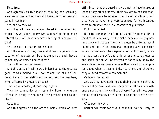Most true.

And agreeably to this mode of thinking and speaking, were we not saying that they will have their pleasures and pains in common?

Yes, and so they will.

And they will have a common interest in the same thing which they will alike call 'my own,' and having this common interest they will have a common feeling of pleasure and pain?

Yes, far more so than in other States.

And the reason of this, over and above the general constitution of the State, will be that the guardians will have a community of women and children?

That will be the chief reason.

And this unity of feeling we admitted to be the greatest good, as was implied in our own comparison of a well-ordered State to the relation of the body and the members, when affected by pleasure or pain?

That we acknowledged, and very rightly.

Then the community of wives and children among our citizens is clearly the source of the greatest good to the State?

Certainly.

And this agrees with the other principle which we were

affirming,—that the guardians were not to have houses or lands or any other property; their pay was to be their food, which they were to receive from the other citizens, and they were to have no private expenses; for we intended them to preserve their true character of guardians.

Right, he replied.

Both the community of property and the community of families, as I am saying, tend to make them more truly guardians; they will not tear the city in pieces by differing about 'mine' and 'not mine;' each man dragging any acquisition which he has made into a separate house of his own, where he has a separate wife and children and private pleasures and pains; but all will be affected as far as may be by the same pleasures and pains because they are all of one opinion about what is near and dear to them, and therefore they all tend towards a common end.

Certainly, he replied.

And as they have nothing but their persons which they can call their own, suits and complaints will have no existence among them; they will be delivered from all those quarrels of which money or children or relations are the occasion.

Of course they will.

Neither will trials for assault or insult ever be likely to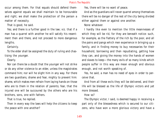occur among them. For that equals should defend themselves against equals we shall maintain to be honourable and right; we shall make the protection of the person a matter of necessity.

That is good, he said.

Yes; and there is a further good in the law; viz. that if a man has a quarrel with another he will satisfy his resentment then and there, and not proceed to more dangerous lengths.

Certainly.

To the elder shall be assigned the duty of ruling and chastising the younger.

### Clearly.

Nor can there be a doubt that the younger will not strike or do any other violence to an elder, unless the magistrates command him; nor will he slight him in any way. For there are two guardians, shame and fear, mighty to prevent him: shame, which makes men refrain from laying hands on those who are to them in the relation of parents; fear, that the injured one will be succoured by the others who are his brothers, sons, one with fathers.

That is true, he replied.

Then in every way the laws will help the citizens to keep the peace with one another?

Yes, there will be no want of peace.

And as the guardians will never quarrel among themselves there will be no danger of the rest of the city being divided either against them or against one another.

None whatever.

I hardly like even to mention the little meannesses of which they will be rid, for they are beneath notice: such, for example, as the flattery of the rich by the poor, and all the pains and pangs which men experience in bringing up a family, and in finding money to buy necessaries for their household, borrowing and then repudiating, getting how they can, and giving the money into the hands of women and slaves to keep—the many evils of so many kinds which people suffer in this way are mean enough and obvious enough, and not worth speaking of.

Yes, he said, a man has no need of eyes in order to perceive that.

And from all these evils they will be delivered, and their life will be blessed as the life of Olympic victors and yet more blessed.

### How so?

The Olympic victor, I said, is deemed happy in receiving a part only of the blessedness which is secured to our citizens, who have won a more glorious victory and have a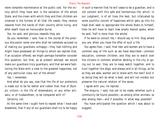more complete maintenance at the public cost. For the victory which they have won is the salvation of the whole State; and the crown with which they and their children are crowned is the fulness of all that life needs; they receive rewards from the hands of their country while living, and after death have an honourable burial.

Yes, he said, and glorious rewards they are.

Do you remember, I said, how in the course of the previous discussion some one who shall be nameless accused us of making our guardians unhappy—they had nothing and might have possessed all things-to whom we replied that, if an occasion offered, we might perhaps hereafter consider this question, but that, as at present advised, we would make our guardians truly guardians, and that we were fashioning the State with a view to the greatest happiness, not of any particular class, but of the whole?

Yes, I remember.

And what do you say, now that the life of our protectors is made out to be far better and nobler than that of Olympic victors—is the life of shoemakers, or any other artisans, or of husbandmen, to be compared with it?

Certainly not.

At the same time I ought here to repeat what I have said elsewhere, that if any of our guardians shall try to be happy in such a manner that he will cease to be a guardian, and is not content with this safe and harmonious life, which, in our judgment, is of all lives the best, but infatuated by some youthful conceit of happiness which gets up into his head shall seek to appropriate the whole State to himself, then he will have to learn how wisely Hesiod spoke, when he said, 'half is more than the whole.'

If he were to consult me, I should say to him: Stay where you are, when you have the offer of such a life.

You agree then, I said, that men and women are to have a common way of life such as we have described—common education, common children; and they are to watch over the citizens in common whether abiding in the city or going out to war; they are to keep watch together, and to hunt together like dogs; and always and in all things, as far as they are able, women are to share with the men? And in so doing they will do what is best, and will not violate, but preserve the natural relation of the sexes.

I agree with you, he replied.

The enquiry, I said, has yet to be made, whether such a community be found possible—as among other animals, so also among men—and if possible, in what way possible?

You have anticipated the question which I was about to suggest.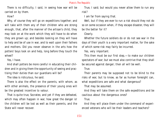There is no difficulty, I said, in seeing how war will be carried on by them.

# How?

Why, of course they will go on expeditions together; and will take with them any of their children who are strong enough, that, after the manner of the artisan's child, they may look on at the work which they will have to do when they are grown up; and besides looking on they will have to help and be of use in war, and to wait upon their fathers and mothers. Did you never observe in the arts how the potters' boys look on and help, long before they touch the wheel?

Yes, I have.

And shall potters be more careful in educating their children and in giving them the opportunity of seeing and practising their duties than our guardians will be?

The idea is ridiculous, he said.

There is also the effect on the parents, with whom, as with other animals, the presence of their young ones will be the greatest incentive to valour.

That is quite true, Socrates; and yet if they are defeated, which may often happen in war, how great the danger is! the children will be lost as well as their parents, and the State will never recover.

True, I said; but would you never allow them to run any risk?

I am far from saying that.

Well, but if they are ever to run a risk should they not do so on some occasion when, if they escape disaster, they will be the better for it?

# Clearly.

Whether the future soldiers do or do not see war in the days of their youth is a very important matter, for the sake of which some risk may fairly be incurred.

Yes, very important.

This then must be our first step,—to make our children spectators of war; but we must also contrive that they shall be secured against danger; then all will be well.

True.

Their parents may be supposed not to be blind to the risks of war, but to know, as far as human foresight can, what expeditions are safe and what dangerous?

That may be assumed.

And they will take them on the safe expeditions and be cautious about the dangerous ones?

True.

And they will place them under the command of experienced veterans who will be their leaders and teachers?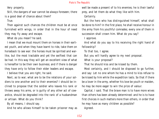Very properly.

Still, the dangers of war cannot be always foreseen; there is a good deal of chance about them?

True.

Then against such chances the children must be at once furnished with wings, in order that in the hour of need they may fly away and escape.

What do you mean? he said.

I mean that we must mount them on horses in their earliest youth, and when they have learnt to ride, take them on horseback to see war: the horses must be spirited and warlike, but the most tractable and yet the swiftest that can be had. In this way they will get an excellent view of what is hereafter to be their own business; and if there is danger they have only to follow their elder leaders and escape.

I believe that you are right, he said.

Next, as to war; what are to be the relations of your soldiers to one another and to their enemies? I should be inclined to propose that the soldier who leaves his rank or throws away his arms, or is guilty of any other act of cowardice, should be degraded into the rank of a husbandman or artisan. What do you think?

By all means, I should say.

And he who allows himself to be taken prisoner may as

well be made a present of to his enemies; he is their lawful prey, and let them do what they like with him.

Certainly.

But the hero who has distinguished himself, what shall be done to him? In the first place, he shall receive honour in the army from his youthful comrades; every one of them in succession shall crown him. What do you say?

I approve.

And what do you say to his receiving the right hand of fellowship?

To that too, I agree.

But you will hardly agree to my next proposal.

What is your proposal?

That he should kiss and be kissed by them.

Most certainly, and I should be disposed to go further, and say: Let no one whom he has a mind to kiss refuse to be kissed by him while the expedition lasts. So that if there be a lover in the army, whether his love be youth or maiden, he may be more eager to win the prize of valour.

Capital, I said. That the brave man is to have more wives than others has been already determined: and he is to have first choices in such matters more than others, in order that he may have as many children as possible?

Agreed.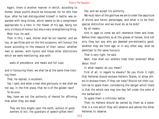Again, there is another manner in which, according to Homer, brave youths should be honoured; for he tells how Ajax, after he had distinguished himself in battle, was rewarded with long chines, which seems to be a compliment appropriate to a hero in the flower of his age, being not only a tribute of honour but also a very strengthening thing.

Most true, he said.

Then in this, I said, Homer shall be our teacher; and we too, at sacrifices and on the like occasions, will honour the brave according to the measure of their valour, whether men or women, with hymns and those other distinctions which we were mentioning; also with

seats of precedence, and meats and full cups;

and in honouring them, we shall be at the same time training them.

That, he replied, is excellent.

Yes, I said; and when a man dies gloriously in war shall we not say, in the first place, that he is of the golden race?

To be sure.

Nay, have we not the authority of Hesiod for affirming that when they are dead

 They are holy angels upon the earth, authors of good, averters of evil, the guardians of speech-gifted men?

Yes; and we accept his authority.

We must learn of the god how we are to order the sepulture of divine and heroic personages, and what is to be their special distinction and we must do as he bids?

By all means.

And in ages to come we will reverence them and knee. Before their sepulchers as at the graves of heroes. And not only they but any who are deemed pre-eminently good, whether they die from age, or in any other way, shall be admitted to the same honours.

That is very right, he said.

Next, how shall our soldiers treat their enemies? What about this?

In what respect do you mean?

First of all, in regard to slavery? Do you think it right that Hellenes should enslave Hellenic States, or allow others to enslave them, if they can help? Should not their custom be to spare them, considering the danger which there is that the whole race may one day fall under the yoke of the barbarians?

To spare them is infinitely better.

Then no Hellene should be owned by them as a slave; that is a rule which they will observe and advise the other Hellenes to observe.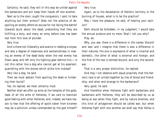Certainly, he said; they will in this way be united against the barbarians and will keep their hands off one another.

Next as to the slain; ought the conquerors, I said, to take anything but their armour? Does not the practice of despoiling an enemy afford an excuse for not facing the battle? Cowards skulk about the dead, pretending that they are fulfilling a duty, and many an army before now has been lost from this love of plunder.

Very true.

And is there not illiberality and avarice in robbing a corpse, and also a degree of meanness and womanishness in making an enemy of the dead body when the real enemy has flown away and left only his fighting gear behind him,—is not this rather like a dog who cannot get at his assailant, quarrelling with the stones which strike him instead?

Very like a dog, he said.

Then we must abstain from spoiling the dead or hindering their burial?

Yes, he replied, we most certainly must.

Neither shall we offer up arms at the temples of the gods, least of all the arms of Hellenes, if we care to maintain good feeling with other Hellenes; and, indeed, we have reason to fear that the offering of spoils taken from kinsmen may be a pollution unless commanded by the god himself? Very true.

Again, as to the devastation of Hellenic territory or the burning of houses, what is to be the practice?

May I have the pleasure, he said, of hearing your opinion?

Both should be forbidden, in my judgment; I would take the annual produce and no more. Shall I tell you why? Pray do.

Why, you see, there is a difference in the names 'discord' and 'war,' and I imagine that there is also a difference in their natures; the one is expressive of what is internal and domestic, the other of what is external and foreign; and the first of the two is termed discord, and only the second, war.

That is a very proper distinction, he replied.

And may I not observe with equal propriety that the Hellenic race is all united together by ties of blood and friendship, and alien and strange to the barbarians?

Very good, he said.

And therefore when Hellenes fight with barbarians and barbarians with Hellenes, they will be described by us as being at war when they fight, and by nature enemies, and this kind of antagonism should be called war; but when Hellenes fight with one another we shall say that Hellas is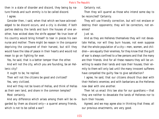then in a state of disorder and discord, they being by nature friends and such enmity is to be called discord.

### I agree.

Consider then, I said, when that which we have acknowledged to be discord occurs, and a city is divided, if both parties destroy the lands and burn the houses of one another, how wicked does the strife appear! No true lover of his country would bring himself to tear in pieces his own nurse and mother: There might be reason in the conqueror depriving the conquered of their harvest, but still they would have the idea of peace in their hearts and would not mean to go on fighting for ever.

Yes, he said, that is a better temper than the other.

And will not the city, which you are founding, be an Hellenic city?

It ought to be, he replied.

Then will not the citizens be good and civilized? Yes, very civilized.

And will they not be lovers of Hellas, and think of Hellas as their own land, and share in the common temples?

Most certainly.

And any difference which arises among them will be regarded by them as discord only—a quarrel among friends, which is not to be called a war?

Certainly not.

Then they will quarrel as those who intend some day to be reconciled? Certainly.

They will use friendly correction, but will not enslave or destroy their opponents; they will be correctors, not enemies?

### Just so.

And as they are Hellenes themselves they will not devastate Hellas, nor will they burn houses, not even suppose that the whole population of a city—men, women, and children—are equally their enemies, for they know that the guilt of war is always confined to a few persons and that the many are their friends. And for all these reasons they will be unwilling to waste their lands and raze their houses; their enmity to them will only last until the many innocent sufferers have compelled the guilty few to give satisfaction?

I agree, he said, that our citizens should thus deal with their Hellenic enemies; and with barbarians as the Hellenes now deal with one another.

Then let us enact this law also for our guardians:—that they are neither to devastate the lands of Hellenes nor to burn their houses.

Agreed; and we may agree also in thinking that these, all our previous enactments, are very good.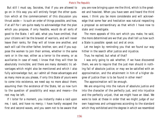But still I must say, Socrates, that if you are allowed to go on in this way you will entirely forget the other question which at the commencement of this discussion you thrust aside:— Is such an order of things possible, and how, if at all? For I am quite ready to acknowledge that the plan which you propose, if only feasible, would do all sorts of good to the State. I will add, what you have omitted, that your citizens will be the bravest of warriors, and will never leave their ranks, for they will all know one another, and each will call the other father, brother, son; and if you suppose the women to join their armies, whether in the same rank or in the rear, either as a terror to the enemy, or as auxiliaries in case of need, I know that they will then be absolutely invincible; and there are many domestic tic advantages which might also be mentioned and which I also fully acknowledge: but, as I admit all these advantages and as many more as you please, if only this State of yours were to come into existence, we need say no more about them; assuming then the existence of the State, let us now turn to the question of possibility and ways and means—the rest may be left.

If I loiter for a moment, you instantly make a raid upon me, I said, and have no mercy; I have hardly escaped the first and second waves, and you seem not to be aware that you are now bringing upon me the third, which is the greatest and heaviest. When you have seen and heard the third wave, I think you be more considerate and will acknowledge that some fear and hesitation was natural respecting a proposal so extraordinary as that which I have now to state and investigate.

The more appeals of this sort which you make, he said, the more determined are we that you shall tell us how such a State is possible: speak out and at once.

Let me begin by reminding you that we found our way hither in the search after justice and injustice.

True, he replied; but what of that?

I was only going to ask whether, if we have discovered them, we are to require that the just man should in nothing fail of absolute justice; or may we be satisfied with an approximation, and the attainment in him of a higher degree of justice than is to be found in other men?

The approximation will be enough.

We are enquiring into the nature of absolute justice and into the character of the perfectly just, and into injustice and the perfectly unjust, that we might have an ideal. We were to look at these in order that we might judge of our own happiness and unhappiness according to the standard which they exhibited and the degree in which we resembled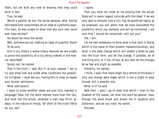them, but not with any view of showing that they could exist in fact.

True, he said.

Would a painter be any the worse because, after having delineated with consummate art an ideal of a perfectly beautiful man, he was unable to show that any such man could ever have existed?

He would be none the worse.

Well, and were we not creating an ideal of a perfect State? To be sure.

And is our theory a worse theory because we are unable to prove the possibility of a city being ordered in the manner described?

Surely not, he replied.

That is the truth, I said. But if, at your request, I am to try and show how and under what conditions the possibility is highest, I must ask you, having this in view, to repeat your former admissions.

What admissions?

I want to know whether ideals are ever fully realised in language? Does not the word express more than the fact, and must not the actual, whatever a man may think, always, in the nature of things, fall short of the truth? What do you say?

I agree.

Then you must not insist on my proving that the actual State will in every respect coincide with the ideal: if we are only able to discover how a city may be governed nearly as we proposed, you will admit that we have discovered the possibility which you demand; and will be contented. I am sure that I should be contented—will not you? Yes, I will.

Let me next endeavour to show what is that fault in States which is the cause of their present maladministration, and what is the least change which will enable a State to pass into the truer form; and let the change, if possible, be of one thing only, or if not, of two; at any rate, let the changes be as few and slight as possible.

Certainly, he replied.

I think, I said, that there might be a reform of the State if only one change were made, which is not a slight or easy though still a possible one.

What is it? he said.

Now then, I said, I go to meet that which I liken to the greatest of the waves; yet shall the word be spoken, even though the wave break and drown me in laughter and dishonour; and do you mark my words.

Proceed.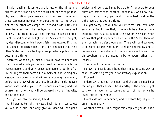I said: Until philosophers are kings, or the kings and princes of this world have the spirit and power of philosophy, and political greatness and wisdom meet in one, and those commoner natures who pursue either to the exclusion of the other are compelled to stand aside, cities will never have rest from their evils,—nor the human race, as I believe,—and then only will this our State have a possibility of life and behold the light of day. Such was the thought, my dear Glaucon, which I would fain have uttered if it had not seemed too extravagant; for to be convinced that in no other State can there be happiness private or public is indeed a hard thing.

Socrates, what do you mean? I would have you consider that the word which you have uttered is one at which numerous persons, and very respectable persons too, in a figure pulling off their coats all in a moment, and seizing any weapon that comes to hand, will run at you might and main, before you know where you are, intending to do heaven knows what; and if you don't prepare an answer, and put yourself in motion, you will be prepared by their fine wits,' and no mistake.

You got me into the scrape, I said.

And I was quite right; however, I will do all I can to get you out of it; but I can only give you good-will and good advice, and, perhaps, I may be able to fit answers to your questions better than another—that is all. And now, having such an auxiliary, you must do your best to show the unbelievers that you are right.

I ought to try, I said, since you offer me such invaluable assistance. And I think that, if there is to be a chance of our escaping, we must explain to them whom we mean when we say that philosophers are to rule in the State; then we shall be able to defend ourselves: There will be discovered to be some natures who ought to study philosophy and to be leaders in the State; and others who are not born to be philosophers, and are meant to be followers rather than leaders.

Then now for a definition, he said.

Follow me, I said, and I hope that I may in some way or other be able to give you a satisfactory explanation.

Proceed.

I dare say that you remember, and therefore I need not remind you, that a lover, if lie is worthy of the name, ought to show his love, not to some one part of that which he loves, but to the whole.

I really do not understand, and therefore beg of you to assist my memory.

Another person, I said, might fairly reply as you do; but a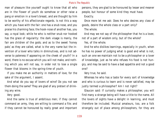man of pleasure like yourself ought to know that all who are in the flower of youth do somehow or other raise a pang or emotion in a lover's breast, and are thought by him to be worthy of his affectionate regards. Is not this a way which you have with the fair: one has a snub nose, and you praise his charming face; the hook-nose of another has, you say, a royal look; while he who is neither snub nor hooked has the grace of regularity: the dark visage is manly, the fair are children of the gods; and as to the sweet 'honey pale,' as they are called, what is the very name but the invention of a lover who talks in diminutives, and is not adverse to paleness if appearing on the cheek of youth? In a word, there is no excuse which you will not make, and nothing which you will not say, in order not to lose a single flower that blooms in the spring-time of youth.

If you make me an authority in matters of love, for the sake of the argument, I assent.

And what do you say of lovers of wine? Do you not see them doing the same? They are glad of any pretext of drinking any wine.

Very good.

And the same is true of ambitious men; if they cannot command an army, they are willing to command a file; and if they cannot be honoured by really great and important persons, they are glad to be honoured by lesser and meaner people, but honour of some kind they must have.

Exactly.

Once more let me ask: Does he who desires any class of goods, desire the whole class or a part only?

The whole.

And may we not say of the philosopher that he is a lover, not of a part of wisdom only, but of the whole?

Yes, of the whole.

And he who dislikes learnings, especially in youth, when he has no power of judging what is good and what is not, such an one we maintain not to be a philosopher or a lover of knowledge, just as he who refuses his food is not hungry, and may be said to have a bad appetite and not a good one?

Very true, he said.

Whereas he who has a taste for every sort of knowledge and who is curious to learn and is never satisfied, may be justly termed a philosopher? Am I not right?

Glaucon said: If curiosity makes a philosopher, you will find many a strange being will have a title to the name. All the lovers of sights have a delight in learning, and must therefore be included. Musical amateurs, too, are a folk strangely out of place among philosophers, for they are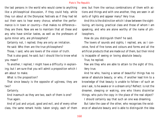the last persons in the world who would come to anything like a philosophical discussion, if they could help, while they run about at the Dionysiac festivals as if they had let out their ears to hear every chorus; whether the performance is in town or country—that makes no difference they are there. Now are we to maintain that all these and any who have similar tastes, as well as the professors of quite minor arts, are philosophers?

Certainly not, I replied; they are only an imitation.

He said: Who then are the true philosophers?

Those, I said, who are lovers of the vision of truth.

That is also good, he said; but I should like to know what you mean?

To another, I replied, I might have a difficulty in explaining; but I am sure that you will admit a proposition which I am about to make.

What is the proposition?

That since beauty is the opposite of ugliness, they are two?

Certainly.

And inasmuch as they are two, each of them is one? True again.

And of just and unjust, good and evil, and of every other class, the same remark holds: taken singly, each of them one; but from the various combinations of them with actions and things and with one another, they are seen in all sorts of lights and appear many? Very true.

And this is the distinction which I draw between the sightloving, art-loving, practical class and those of whom I am speaking, and who are alone worthy of the name of philosophers.

How do you distinguish them? he said.

The lovers of sounds and sights, I replied, are, as I conceive, fond of fine tones and colours and forms and all the artificial products that are made out of them, but their mind is incapable of seeing or loving absolute beauty.

True, he replied.

Few are they who are able to attain to the sight of this. Very true.

And he who, having a sense of beautiful things has no sense of absolute beauty, or who, if another lead him to a knowledge of that beauty is unable to follow—of such an one I ask, Is he awake or in a dream only? Reflect: is not the dreamer, sleeping or waking, one who likens dissimilar things, who puts the copy in the place of the real object?

I should certainly say that such an one was dreaming.

But take the case of the other, who recognises the existence of absolute beauty and is able to distinguish the idea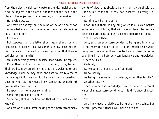### Plato's *The Republic*Plato's *The Republic*

from the objects which participate in the idea, neither putting the objects in the place of the idea nor the idea in the place of the objects—is he a dreamer, or is he awake?

He is wide awake.

And may we not say that the mind of the one who knows has knowledge, and that the mind of the other, who opines only, has opinion

Certainly.

But suppose that the latter should quarrel with us and dispute our statement, can we administer any soothing cordial or advice to him, without revealing to him that there is sad disorder in his wits?

We must certainly offer him some good advice, he replied.

Come, then, and let us think of something to say to him. Shall we begin by assuring him that he is welcome to any knowledge which he may have, and that we are rejoiced at his having it? But we should like to ask him a question: Does he who has knowledge know something or nothing? (You must answer for him.)

I answer that he knows something.

Something that is or is not?

Something that is; for how can that which is not ever be known?

And are we assured, after looking at the matter from many

points of view, that absolute being is or may be absolutely known, but that the utterly non-existent is utterly unknown?

Nothing can be more certain.

Good. But if there be anything which is of such a nature as to be and not to be, that will have a place intermediate between pure being and the absolute negation of being? Yes, between them.

And, as knowledge corresponded to being and ignorance of necessity to not-being, for that intermediate between being and not-being there has to be discovered a corresponding intermediate between ignorance and knowledge, if there be such?

Certainly.

Do we admit the existence of opinion?

Undoubtedly.

As being the same with knowledge, or another faculty? Another faculty.

Then opinion and knowledge have to do with different kinds of matter corresponding to this difference of faculties?

Yes.

And knowledge is relative to being and knows being. But before I proceed further I will make a division.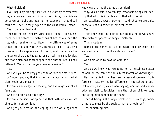What division?

I will begin by placing faculties in a class by themselves: they are powers in us, and in all other things, by which we do as we do. Sight and hearing, for example, I should call faculties. Have I clearly explained the class which I mean?

Yes, I quite understand.

Then let me tell you my view about them. I do not see them, and therefore the distinctions of fire, colour, and the like, which enable me to discern the differences of some things, do not apply to them. In speaking of a faculty I think only of its sphere and its result; and that which has the same sphere and the same result I call the same faculty, but that which has another sphere and another result I call different. Would that be your way of speaking?

Yes.

And will you be so very good as to answer one more question? Would you say that knowledge is a faculty, or in what class would you place it?

Certainly knowledge is a faculty, and the mightiest of all faculties.

And is opinion also a faculty?

Certainly, he said; for opinion is that with which we are able to form an opinion.

And yet you were acknowledging a little while ago that

knowledge is not the same as opinion?

Why, yes, he said: how can any reasonable being ever identify that which is infallible with that which errs?

An excellent answer, proving, I said, that we are quite conscious of a distinction between them.

Yes.

Then knowledge and opinion having distinct powers have also distinct spheres or subject-matters?

That is certain.

Being is the sphere or subject-matter of knowledge, and knowledge is to know the nature of being?

Yes.

And opinion is to have an opinion?

Yes.

And do we know what we opine? or is the subject-matter of opinion the same as the subject-matter of knowledge?

Nay, he replied, that has been already disproven; if difference in faculty implies difference in the sphere or subject matter, and if, as we were saying, opinion and knowledge are distinct faculties, then the sphere of knowledge and of opinion cannot be the same.

Then if being is the subject-matter of knowledge, something else must be the subject-matter of opinion?

Yes, something else.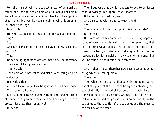Well then, is not-being the subject-matter of opinion? or, rather, how can there be an opinion at all about not-being? Reflect: when a man has an opinion, has he not an opinion about something? Can he have an opinion which is an opinion about nothing?

Impossible.

He who has an opinion has an opinion about some one thing?

Yes.

And not-being is not one thing but, properly speaking, nothing?

True.

Of not-being, ignorance was assumed to be the necessary correlative; of being, knowledge?

True, he said.

Then opinion is not concerned either with being or with not-being?

Not with either.

And can therefore neither be ignorance nor knowledge? That seems to be true.

But is opinion to be sought without and beyond either of them, in a greater clearness than knowledge, or in a greater darkness than ignorance?

In neither.

Then I suppose that opinion appears to you to be darker than knowledge, but lighter than ignorance? Both; and in no small degree. And also to be within and between them?

Yes.

Then you would infer that opinion is intermediate?

No question.

But were we not saying before, that if anything appeared to be of a sort which is and is not at the same time, that sort of thing would appear also to lie in the interval between pure being and absolute not-being; and that the corresponding faculty is neither knowledge nor ignorance, but will be found in the interval between them?

True.

And in that interval there has now been discovered something which we call opinion?

# There has.

Then what remains to be discovered is the object which partakes equally of the nature of being and not-being, and cannot rightly be termed either, pure and simple; this unknown term, when discovered, we may truly call the subject of opinion, and assign each to its proper faculty, —the extremes to the faculties of the extremes and the mean to the faculty of the mean.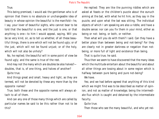# True.

This being premised, I would ask the gentleman who is of opinion that there is no absolute or unchangeable idea of beauty in whose opinion the beautiful is the manifold—he, I say, your lover of beautiful sights, who cannot bear to be told that the beautiful is one, and the just is one, or that anything is one—to him I would appeal, saying, Will you be so very kind, sir, as to tell us whether, of all these beautiful things, there is one which will not be found ugly; or of the just, which will not be found unjust; or of the holy, which will not also be unholy?

No, he replied; the beautiful will in some point of view be found ugly; and the same is true of the rest.

And may not the many which are doubles be also halves? doubles, that is, of one thing, and halves of another? Quite true.

And things great and small, heavy and light, as they are termed, will not be denoted by these any more than by the opposite names?

True; both these and the opposite names will always attach to all of them.

And can any one of those many things which are called by particular names be said to be this rather than not to be this?

He replied: They are like the punning riddles which are asked at feasts or the children's puzzle about the eunuch aiming at the bat, with what he hit him, as they say in the puzzle, and upon what the bat was sitting. The individual objects of which I am speaking are also a riddle, and have a double sense: nor can you fix them in your mind, either as being or not- being, or both, or neither.

Then what will you do with them? I said. Can they have a better place than between being and not-being? For they are clearly not in greater darkness or negation than notbeing, or more full of light and existence than being.

That is quite true, he said.

Thus then we seem to have discovered that the many ideas which the multitude entertain about the beautiful and about all other things are tossing about in some region which is halfway between pure being and pure not-being?

We have.

Yes; and we had before agreed that anything of this kind which we might find was to be described as matter of opinion, and not as matter of knowledge; being the intermediate flux which is caught and detained by the intermediate faculty.

Quite true.

Then those who see the many beautiful, and who yet nei-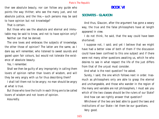ther see absolute beauty, nor can follow any guide who points the way thither; who see the many just, and not absolute justice, and the like,—such persons may be said to have opinion but not knowledge?

That is certain.

But those who see the absolute and eternal and immutable may be said to know, and not to have opinion only? Neither can that be denied.

The one loves and embraces the subjects of knowledge, the other those of opinion? The latter are the same, as I dare say will remember, who listened to sweet sounds and gazed upon fair colours, but would not tolerate the existence of absolute beauty.

Yes, I remember.

Shall we then be guilty of any impropriety in calling them lovers of opinion rather than lovers of wisdom, and will they be very angry with us for thus describing them?

I shall tell them not to be angry; no man should be angry at what is true.

But those who love the truth in each thing are to be called lovers of wisdom and not lovers of opinion.

Assuredly.

# **BOOK VI**

# **SOCRATES - GLAUCON**

And thus, Glaucon, after the argument has gone a weary way, the true and the false philosophers have at length appeared in view.

I do not think, he said, that the way could have been shortened.

I suppose not, I said; and yet I believe that we might have had a better view of both of them if the discussion could have been confined to this one subject and if there were not many other questions awaiting us, which he who desires to see in what respect the life of the just differs from that of the unjust must consider.

And what is the next question? he asked.

Surely, I said, the one which follows next in order. Inasmuch as philosophers only are able to grasp the eternal and unchangeable, and those who wander in the region of the many and variable are not philosophers, I must ask you which of the two classes should be the rulers of our State?

And how can we rightly answer that question?

Whichever of the two are best able to guard the laws and institutions of our State—let them be our guardians.

Very good.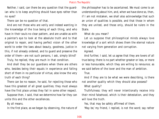Neither, I said, can there be any question that the guardian who is to keep anything should have eyes rather than no eyes?

There can be no question of that.

And are not those who are verily and indeed wanting in the knowledge of the true being of each thing, and who have in their souls no clear pattern, and are unable as with a painter's eye to look at the absolute truth and to that original to repair, and having perfect vision of the other world to order the laws about beauty, goodness, justice in this, if not already ordered, and to guard and preserve the order of them—are not such persons, I ask, simply blind?

Truly, he replied, they are much in that condition.

And shall they be our guardians when there are others who, besides being their equals in experience and falling short of them in no particular of virtue, also know the very truth of each thing?

There can be no reason, he said, for rejecting those who have this greatest of all great qualities; they must always have the first place unless they fail in some other respect.

Suppose then, I said, that we determine how far they can unite this and the other excellences.

By all means.

In the first place, as we began by observing, the nature of

the philosopher has to be ascertained. We must come to an understanding about him, and, when we have done so, then, if I am not mistaken, we shall also acknowledge that such an union of qualities is possible, and that those in whom they are united, and those only, should be rulers in the State.

What do you mean?

Let us suppose that philosophical minds always love knowledge of a sort which shows them the eternal nature not varying from generation and corruption.

Agreed.

And further, I said, let us agree that they are lovers of all true being; there is no part whether greater or less, or more or less honourable, which they are willing to renounce; as we said before of the lover and the man of ambition.

True.

And if they are to be what we were describing, is there not another quality which they should also possess?

What quality?

Truthfulness: they will never intentionally receive into their mind falsehood, which is their detestation, and they will love the truth.

Yes, that may be safely affirmed of them.

'May be,' my friend, I replied, is not the word; say rather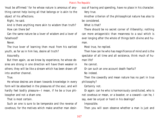'must be affirmed:' for he whose nature is amorous of anything cannot help loving all that belongs or is akin to the object of his affections.

Right, he said.

And is there anything more akin to wisdom than truth? How can there be?

Can the same nature be a lover of wisdom and a lover of falsehood?

Never.

The true lover of learning then must from his earliest youth, as far as in him lies, desire all truth?

Assuredly.

But then again, as we know by experience, he whose desires are strong in one direction will have them weaker in others; they will be like a stream which has been drawn off into another channel.

True.

He whose desires are drawn towards knowledge in every form will be absorbed in the pleasures of the soul, and will hardly feel bodily pleasure—I mean, if he be a true philosopher and not a sham one.

That is most certain.

Such an one is sure to be temperate and the reverse of covetous; for the motives which make another man desirous of having and spending, have no place in his character. Very true.

Another criterion of the philosophical nature has also to be considered.

What is that?

There should be no secret corner of illiberality; nothing can more antagonistic than meanness to a soul which is ever longing after the whole of things both divine and human.

Most true, he replied.

Then how can he who has magnificence of mind and is the spectator of all time and all existence, think much of human life?

He cannot.

Or can such an one account death fearful?

No indeed.

Then the cowardly and mean nature has no part in true philosophy?

Certainly not.

Or again: can he who is harmoniously constituted, who is not covetous or mean, or a boaster, or a coward—can he, I say, ever be unjust or hard in his dealings?

Impossible.

Then you will soon observe whether a man is just and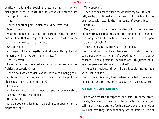gentle, or rude and unsociable; these are the signs which distinguish even in youth the philosophical nature from the unphilosophical.

True.

There is another point which should be remarked. What point?

Whether he has or has not a pleasure in learning; for no one will love that which gives him pain, and in which after much toil he makes little progress.

Certainly not.

And again, if he is forgetful and retains nothing of what he learns, will he not be an empty vessel?

That is certain.

Labouring in vain, he must end in hating himself and his fruitless occupation? Yes.

Then a soul which forgets cannot be ranked among genuine philosophic natures; we must insist that the philosopher should have a good memory?

Certainly.

And once more, the inharmonious and unseemly nature can only tend to disproportion?

Undoubtedly.

And do you consider truth to be akin to proportion or to disproportion?

To proportion.

Then, besides other qualities, we must try to find a naturally well-proportioned and gracious mind, which will move spontaneously towards the true being of everything.

Certainly.

Well, and do not all these qualities, which we have been enumerating, go together, and are they not, in a manner, necessary to a soul, which is to have a full and perfect participation of being?

They are absolutely necessary, he replied.

And must not that be a blameless study which he only can pursue who has the gift of a good memory, and is quick to learn,—noble, gracious, the friend of truth, justice, courage, temperance, who are his kindred?

The god of jealousy himself, he said, could find no fault with such a study.

And to men like him, I said, when perfected by years and education, and to these only you will entrust the State.

# **SOCRATES - ADEIMANTUS**

Here Adeimantus interposed and said: To these statements, Socrates, no one can offer a reply; but when you talk in this way, a strange feeling passes over the minds of your hearers: They fancy that they are led astray a little at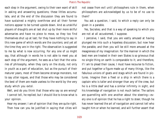each step in the argument, owing to their own want of skill in asking and answering questions; these littles accumulate, and at the end of the discussion they are found to have sustained a mighty overthrow and all their former notions appear to be turned upside down. And as unskilful players of draughts are at last shut up by their more skilful adversaries and have no piece to move, so they too find themselves shut up at last; for they have nothing to say in this new game of which words are the counters; and yet all the time they are in the right. The observation is suggested to me by what is now occurring. For any one of us might say, that although in words he is not able to meet you at each step of the argument, he sees as a fact that the votaries of philosophy, when they carry on the study, not only in youth as a part of education, but as the pursuit of their maturer years, most of them become strange monsters, not to say utter rogues, and that those who may be considered the best of them are made useless to the world by the very study which you extol.

Well, and do you think that those who say so are wrong? I cannot tell, he replied; but I should like to know what is your opinion.

Hear my answer; I am of opinion that they are quite right. Then how can you be justified in saying that cities will not cease from evil until philosophers rule in them, when philosophers are acknowledged by us to be of no use to them?

You ask a question, I said, to which a reply can only be given in a parable.

Yes, Socrates; and that is a way of speaking to which you are not at all accustomed, I suppose.

I perceive, I said, that you are vastly amused at having plunged me into such a hopeless discussion; but now hear the parable, and then you will be still more amused at the meagreness of my imagination: for the manner in which the best men are treated in their own States is so grievous that no single thing on earth is comparable to it; and therefore, if I am to plead their cause, I must have recourse to fiction, and put together a figure made up of many things, like the fabulous unions of goats and stags which are found in pictures. Imagine then a fleet or a ship in which there is a captain who is taller and stronger than any of the crew, but he is a little deaf and has a similar infirmity in sight, and his knowledge of navigation is not much better. The sailors are quarrelling with one another about the steering—every one is of opinion that he has a right to steer, though he has never learned the art of navigation and cannot tell who taught him or when he learned, and will further assert that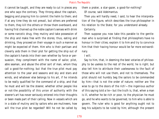it cannot be taught, and they are ready to cut in pieces any one who says the contrary. They throng about the captain, begging and praying him to commit the helm to them; and if at any time they do not prevail, but others are preferred to them, they kill the others or throw them overboard, and having first chained up the noble captain's senses with drink or some narcotic drug, they mutiny and take possession of the ship and make free with the stores; thus, eating and drinking, they proceed on their voyage in such a manner as might be expected of them. Him who is their partisan and cleverly aids them in their plot for getting the ship out of the captain's hands into their own whether by force or persuasion, they compliment with the name of sailor, pilot, able seaman, and abuse the other sort of man, whom they call a good-for-nothing; but that the true pilot must pay attention to the year and seasons and sky and stars and winds, and whatever else belongs to his art, if he intends to be really qualified for the command of a ship, and that he must and will be the steerer, whether other people like or not-the possibility of this union of authority with the steerer's art has never seriously entered into their thoughts or been made part of their calling. Now in vessels which are in a state of mutiny and by sailors who are mutineers, how will the true pilot be regarded? Will he not be called by

them a prater, a star-gazer, a good-for-nothing? Of course, said Adeimantus.

Then you will hardly need, I said, to hear the interpretation of the figure, which describes the true philosopher in his relation to the State; for you understand already.

Certainly.

Then suppose you now take this parable to the gentleman who is surprised at finding that philosophers have no honour in their cities; explain it to him and try to convince him that their having honour would be far more extraordinary.

I will.

Say to him, that, in deeming the best votaries of philosophy to be useless to the rest of the world, he is right; but also tell him to attribute their uselessness to the fault of those who will not use them, and not to themselves. The pilot should not humbly beg the sailors to be commanded by him—that is not the order of nature; neither are 'the wise to go to the doors of the rich'—the ingenious author of this saying told a lie—but the truth is, that, when a man is ill, whether he be rich or poor, to the physician he must go, and he who wants to be governed, to him who is able to govern. The ruler who is good for anything ought not to beg his subjects to be ruled by him; although the present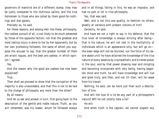governors of mankind are of a different stamp; they may be justly compared to the mutinous sailors, and the true helmsmen to those who are called by them good-for-nothings and star-gazers.

Precisely so, he said.

For these reasons, and among men like these, philosophy, the noblest pursuit of all, is not likely to be much esteemed by those of the opposite faction; not that the greatest and most lasting injury is done to her by her opponents, but by her own professing followers, the same of whom you suppose the accuser to say, that the greater number of them are arrant rogues, and the best are useless; in which opinion I agreed.

Yes.

And the reason why the good are useless has now been explained?

# True.

Then shall we proceed to show that the corruption of the majority is also unavoidable, and that this is not to be laid to the charge of philosophy any more than the other?

By all means.

And let us ask and answer in turn, first going back to the description of the gentle and noble nature. Truth, as you will remember, was his leader, whom he followed always

and in all things; failing in this, he was an impostor, and had no part or lot in true philosophy.

Yes, that was said.

Well, and is not this one quality, to mention no others, greatly at variance with present notions of him?

Certainly, he said.

And have we not a right to say in his defence, that the true lover of knowledge is always striving after being that is his nature; he will not rest in the multiplicity of individuals which is an appearance only, but will go on the keen edge will not be blunted, nor the force of his desire abate until he have attained the knowledge of the true nature of every essence by a sympathetic and kindred power in the soul, and by that power drawing near and mingling and becoming incorporate with very being, having begotten mind and truth, he will have knowledge and will live and grow truly, and then, and not till then, will he cease from his travail.

Nothing, he said, can be more just than such a description of him.

And will the love of a lie be any part of a philosopher's nature? Will he not utterly hate a lie?

He will.

And when truth is the captain, we cannot suspect any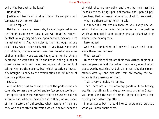evil of the band which he leads?

Impossible.

Justice and health of mind will be of the company, and temperance will follow after?

True, he replied.

Neither is there any reason why I should again set in array the philosopher's virtues, as you will doubtless remember that courage, magnificence, apprehension, memory, were his natural gifts. And you objected that, although no one could deny what I then said, still, if you leave words and look at facts, the persons who are thus described are some of them manifestly useless, and the greater number utterly depraved; we were then led to enquire into the grounds of these accusations, and have now arrived at the point of asking why are the majority bad, which question of necessity brought us back to the examination and definition of the true philosopher.

Exactly.

And we have next to consider the of the philosophic nature, why so many are spoiled and so few escape spoiling— I am speaking of those who were said to be useless but not wicked—and, when we have done with them, we will speak of the imitators of philosophy, what manner of men are they who aspire after a profession which is above them and of which they are unworthy, and then, by their manifold inconsistencies, bring upon philosophy, and upon all philosophers, that universal reprobation of which we speak.

What are these corruptions? he said.

I will see if I can explain them to you. Every one will admit that a nature having in perfection all the qualities which we required in a philosopher, is a rare plant which is seldom seen among men.

Rare indeed.

And what numberless and powerful causes tend to destroy these rare natures!

What causes?

In the first place there are their own virtues, their courage, temperance, and the rest of them, every one of which praise worthy qualities (and this is a most singular circumstance) destroys and distracts from philosophy the soul which is the possessor of them.

That is very singular, he replied.

Then there are all the ordinary goods of life—beauty, wealth, strength, rank, and great connections in the State you understand the sort of things—these also have a corrupting and distracting effect.

I understand; but I should like to know more precisely what you mean about them.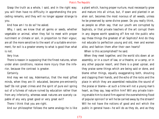Grasp the truth as a whole, I said, and in the right way; you will then have no difficulty in apprehending the preceding remarks, and they will no longer appear strange to you.

And how am I to do so? he asked.

Why, I said, we know that all germs or seeds, whether vegetable or animal, when they fail to meet with proper nutriment or climate or soil, in proportion to their vigour, are all the more sensitive to the want of a suitable environment, for evil is a greater enemy to what is good than what is not.

### Very true.

There is reason in supposing that the finest natures, when under alien conditions, receive more injury than the inferior, because the contrast is greater.

### Certainly.

And may we not say, Adeimantus, that the most gifted minds, when they are ill- educated, become pre-eminently bad? Do not great crimes and the spirit of pure evil spring out of a fulness of nature ruined by education rather than from any inferiority, whereas weak natures are scarcely capable of any very great good or very great evil?

There I think that you are right.

And our philosopher follows the same analogy-he is like

a plant which, having proper nurture, must necessarily grow and mature into all virtue, but, if sown and planted in an alien soil, becomes the most noxious of all weeds, unless he be preserved by some divine power. Do you really think, as people so often say, that our youth are corrupted by Sophists, or that private teachers of the art corrupt them in any degree worth speaking of? Are not the public who say these things the greatest of all Sophists? And do they not educate to perfection young and old, men and women alike, and fashion them after their own hearts?

When is this accomplished? he said.

When they meet together, and the world sits down at an assembly, or in a court of law, or a theatre, or a camp, or in any other popular resort, and there is a great uproar, and they praise some things which are being said or done, and blame other things, equally exaggerating both, shouting and clapping their hands, and the echo of the rocks and the place in which they are assembled redoubles the sound of the praise or blame—at such a time will not a young man's heart, as they say, leap within him? Will any private training enable him to stand firm against the overwhelming flood of popular opinion? or will he be carried away by the stream? Will he not have the notions of good and evil which the public in general have—he will do as they do, and as they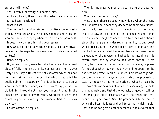are, such will he be?

Yes, Socrates; necessity will compel him.

And yet, I said, there is a still greater necessity, which has not been mentioned.

What is that?

The gentle force of attainder or confiscation or death which, as you are aware, these new Sophists and educators who are the public, apply when their words are powerless.

Indeed they do; and in right good earnest.

Now what opinion of any other Sophist, or of any private person, can be expected to overcome in such an unequal contest?

None, he replied.

No, indeed, I said, even to make the attempt is a great piece of folly; there neither is, nor has been, nor is ever likely to be, any different type of character which has had no other training in virtue but that which is supplied by public opinion—I speak, my friend, of human virtue only; what is more than human, as the proverb says, is not included: for I would not have you ignorant that, in the present evil state of governments, whatever is saved and comes to good is saved by the power of God, as we may truly say.

I quite assent, he replied.

Then let me crave your assent also to a further observation.

What are you going to say?

Why, that all those mercenary individuals, whom the many call Sophists and whom they deem to be their adversaries, do, in fact, teach nothing but the opinion of the many, that is to say, the opinions of their assemblies; and this is their wisdom. I might compare them to a man who should study the tempers and desires of a mighty strong beast who is fed by him—he would learn how to approach and handle him, also at what times and from what causes he is dangerous or the reverse, and what is the meaning of his several cries, and by what sounds, when another utters them, he is soothed or infuriated; and you may suppose further, that when, by continually attending upon him, he has become perfect in all this, he calls his knowledge wisdom, and makes of it a system or art, which he proceeds to teach, although he has no real notion of what he means by the principles or passions of which he is speaking, but calls this honourable and that dishonourable, or good or evil, or just or unjust, all in accordance with the tastes and tempers of the great brute. Good he pronounces to be that in which the beast delights and evil to be that which he dislikes; and he can give no other account of them except that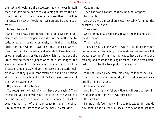the just and noble are the necessary, having never himself seen, and having no power of explaining to others the nature of either, or the difference between them, which is immense. By heaven, would not such an one be a rare educator?

Indeed, he would.

And in what way does he who thinks that wisdom is the discernment of the tempers and tastes of the motley multitude, whether in painting or music, or, finally, in politics, differ from him whom I have been describing For when a man consorts with the many, and exhibits to them his poem or other work of art or the service which he has done the State, making them his judges when he is not obliged, the so-called necessity of Diomede will oblige him to produce whatever they praise. And yet the reasons are utterly ludicrous which they give in confirmation of their own notions about the honourable and good. Did you ever hear any of them which were not?

No, nor am I likely to hear.

You recognise the truth of what I have been saying? Then let me ask you to consider further whether the world will ever be induced to believe in the existence of absolute beauty rather than of the many beautiful, or of the absolute in each kind rather than of the many in each kind?

Certainly not.

Then the world cannot possibly be a philosopher?

Impossible.

And therefore philosophers must inevitably fall under the censure of the world?

They must.

And of individuals who consort with the mob and seek to please them?

That is evident.

Then, do you see any way in which the philosopher can be preserved in his calling to the end? and remember what we were saying of him, that he was to have quickness and memory and courage and magnificence—these were admitted by us to be the true philosopher's gifts.

Yes.

Will not such an one from his early childhood be in all things first among all, especially if his bodily endowments are like his mental ones?

Certainly, he said.

And his friends and fellow-citizens will want to use him as he gets older for their own purposes?

No question.

Falling at his feet, they will make requests to him and do him honour and flatter him, because they want to get into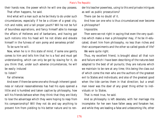their hands now, the power which he will one day possess. That often happens, he said.

And what will a man such as he be likely to do under such circumstances, especially if he be a citizen of a great city, rich and noble, and a tall proper youth? Will he not be full of boundless aspirations, and fancy himself able to manage the affairs of Hellenes and of barbarians, and having got such notions into his head will he not dilate and elevate himself in the fulness of vain pomp and senseless pride?

To be sure he will.

Now, when he is in this state of mind, if some one gently comes to him and tells him that he is a fool and must get understanding, which can only be got by slaving for it, do you think that, under such adverse circumstances, he will be easily induced

to listen?

Far otherwise.

And even if there be some one who through inherent goodness or natural reasonableness has had his eyes opened a little and is humbled and taken captive by philosophy, how will his friends behave when they think that they are likely to lose the advantage which they were hoping to reap from his companionship? Will they not do and say anything to prevent him from yielding to his better nature and to render his teacher powerless, using to this end private intrigues as well as public prosecutions?

There can be no doubt of it.

And how can one who is thus circumstanced ever become

- a philosopher?
	- Impossible.

Then were we not right in saying that even the very qualities which make a man a philosopher may, if he be ill-educated, divert him from philosophy, no less than riches and their accompaniments and the other so-called goods of life?

We were quite right.

Thus, my excellent friend, is brought about all that ruin and failure which I have been describing of the natures best adapted to the best of all pursuits; they are natures which we maintain to be rare at any time; this being the class out of which come the men who are the authors of the greatest evil to States and individuals; and also of the greatest good when the tide carries them in that direction; but a small man never was the doer of any great thing either to individuals or to States.

That is most true, he said.

And so philosophy is left desolate, with her marriage rite incomplete: for her own have fallen away and forsaken her, and while they are leading a false and unbecoming life, other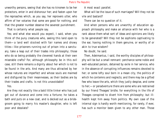unworthy persons, seeing that she has no kinsmen to be her protectors, enter in and dishonour her; and fasten upon her the reproaches which, as you say, her reprovers utter, who affirm of her votaries that some are good for nothing, and that the greater number deserve the severest punishment.

That is certainly what people say.

Yes; and what else would you expect, I said, when you think of the puny creatures who, seeing this land open to them—a land well stocked with fair names and showy titles—like prisoners running out of prison into a sanctuary, take a leap out of their trades into philosophy; those who do so being probably the cleverest hands at their own miserable crafts? For, although philosophy be in this evil case, still there remains a dignity about her which is not to be found in the arts. And many are thus attracted by her whose natures are imperfect and whose souls are maimed and disfigured by their meannesses, as their bodies are by their trades and crafts. Is not this unavoidable?

#### Yes.

Are they not exactly like a bald little tinker who has just got out of durance and come into a fortune; he takes a bath and puts on a new coat, and is decked out as a bridegroom going to marry his master's daughter, who is left poor and desolate?

A most exact parallel.

What will be the issue of such marriages? Will they not be vile and bastard?

There can be no question of it.

And when persons who are unworthy of education approach philosophy and make an alliance with her who is a rank above them what sort of ideas and opinions are likely to be generated? Will they not be sophisms captivating to the ear, having nothing in them genuine, or worthy of or akin to true wisdom?

#### No doubt, he said.

Then, Adeimantus, I said, the worthy disciples of philosophy will be but a small remnant: perchance some noble and well-educated person, detained by exile in her service, who in the absence of corrupting influences remains devoted to her; or some lofty soul born in a mean city, the politics of which he contemns and neglects; and there may be a gifted few who leave the arts, which they justly despise, and come to her;—or peradventure there are some who are restrained by our friend Theages' bridle; for everything in the life of Theages conspired to divert him from philosophy; but illhealth kept him away from politics. My own case of the internal sign is hardly worth mentioning, for rarely, if ever, has such a monitor been given to any other man. Those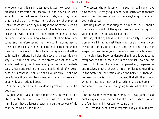who belong to this small class have tasted how sweet and blessed a possession philosophy is, and have also seen enough of the madness of the multitude; and they know that no politician is honest, nor is there any champion of justice at whose side they may fight and be saved. Such an one may be compared to a man who has fallen among wild beasts—he will not join in the wickedness of his fellows, but neither is he able singly to resist all their fierce natures, and therefore seeing that he would be of no use to the State or to his friends, and reflecting that he would have to throw away his life without doing any good either to himself or others, he holds his peace, and goes his own way. He is like one who, in the storm of dust and sleet which the driving wind hurries along, retires under the shelter of a wall; and seeing the rest of mankind full of wickedness, he is content, if only he can live his own life and be pure from evil or unrighteousness, and depart in peace and good-will, with bright hopes.

Yes, he said, and he will have done a great work before he departs.

A great work—yes; but not the greatest, unless he find a State suitable to him; for in a State which is suitable to him, he will have a larger growth and be the saviour of his country, as well as of himself.

The causes why philosophy is in such an evil name have now been sufficiently explained: the injustice of the charges against her has been shown-is there anything more which you wish to say?

Nothing more on that subject, he replied; but I should like to know which of the governments now existing is in your opinion the one adapted to her.

Not any of them, I said; and that is precisely the accusation which I bring against them—not one of them is worthy of the philosophic nature, and hence that nature is warped and estranged;—as the exotic seed which is sown in a foreign land becomes denaturalized, and is wont to be overpowered and to lose itself in the new soil, even so this growth of philosophy, instead of persisting, degenerates and receives another character. But if philosophy ever finds in the State that perfection which she herself is, then will be seen that she is in truth divine, and that all other things, whether natures of men or institutions, are but human;and now, I know that you are going to ask, what that State is.

No, he said; there you are wrong, for I was going to ask another question—whether it is the State of which. we are the founders and inventors, or some other?

Yes, I replied, ours in most respects; but you may remem-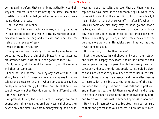ber my saying before, that some living authority would always be required in the State having the same idea of the constitution which guided you when as legislator you were laying down the laws.

That was said, he replied.

Yes, but not in a satisfactory manner; you frightened us by interposing objections, which certainly showed that the discussion would be long and difficult; and what still remains is the reverse of easy.

What is there remaining?

The question how the study of philosophy may be so ordered as not to be the ruin of the State: All great attempts are attended with risk; 'hard is the good,' as men say.

Still, he said, let the point be cleared up, and the enquiry will then be complete.

I shall not be hindered, I said, by any want of will, but, if at all, by a want of power: my zeal you may see for yourselves; and please to remark in what I am about to say how boldly and unhesitatingly I declare that States should pursue philosophy, not as they do now, but in a different spirit.

In what manner?

At present, I said, the students of philosophy are quite young; beginning when they are hardly past childhood, they devote only the time saved from moneymaking and house-

keeping to such pursuits; and even those of them who are reputed to have most of the philosophic spirit, when they come within sight of the great difficulty of the subject, I mean dialectic, take themselves off. In after life when invited by some one else, they may, perhaps, go and hear a lecture, and about this they make much ado, for philosophy is not considered by them to be their proper business: at last, when they grow old, in most cases they are extinguished more truly than Heracleitus' sun, inasmuch as they never light up again.

But what ought to be their course?

Just the opposite. In childhood and youth their study, and what philosophy they learn, should be suited to their tender years: during this period while they are growing up towards manhood, the chief and special care should be given to their bodies that they may have them to use in the service of philosophy; as life advances and the intellect begins to mature, let them increase the gymnastics of the soul; but when the strength of our citizens fails and is past civil and military duties, then let them range at will and engage in no serious labour, as we intend them to live happily here, and to crown this life with a similar happiness in another.

How truly in earnest you are, Socrates! he said; I am sure of that; and yet most of your hearers, if I am not mistaken,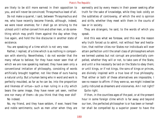are likely to be still more earnest in their opposition to you, and will never be convinced; Thrasymachus least of all.

Do not make a quarrel, I said, between Thrasymachus and me, who have recently become friends, although, indeed, we were never enemies; for I shall go on striving to the utmost until I either convert him and other men, or do something which may profit them against the day when they live again, and hold the like discourse in another state of existence.

You are speaking of a time which is not very near.

Rather, I replied, of a time which is as nothing in comparison with eternity. Nevertheless, I do not wonder that the many refuse to believe; for they have never seen that of which we are now speaking realised; they have seen only a conventional imitation of philosophy, consisting of words artificially brought together, not like these of ours having a natural unity. But a human being who in word and work is perfectly moulded, as far as he can be, into the proportion and likeness of virtue—such a man ruling in a city which bears the same image, they have never yet seen, neither one nor many of them—do you think that they ever did? No indeed.

No, my friend, and they have seldom, if ever, heard free and noble sentiments; such as men utter when they are earnestly and by every means in their power seeking after truth for the sake of knowledge, while they look coldly on the subtleties of controversy, of which the end is opinion and strife, whether they meet with them in the courts of law or in society.

They are strangers, he said, to the words of which you speak.

And this was what we foresaw, and this was the reason why truth forced us to admit, not without fear and hesitation, that neither cities nor States nor individuals will ever attain perfection until the small class of philosophers whom we termed useless but not corrupt are providentially compelled, whether they will or not, to take care of the State, and until a like necessity be laid on the State to obey them; or until kings, or if not kings, the sons of kings or princes, are divinely inspired with a true love of true philosophy. That either or both of these alternatives are impossible, I see no reason to affirm: if they were so, we might indeed be justly ridiculed as dreamers and visionaries. Am I not right? Quite right.

If then, in the countless ages of the past, or at the present hour in some foreign clime which is far away and beyond our ken, the perfected philosopher is or has been or hereafter shall be compelled by a superior power to have the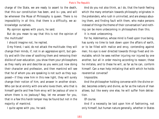charge of the State, we are ready to assert to the death, that this our constitution has been, and is—yea, and will be whenever the Muse of Philosophy is queen. There is no impossibility in all this; that there is a difficulty, we acknowledge ourselves.

My opinion agrees with yours, he said.

But do you mean to say that this is not the opinion of the multitude?

I should imagine not, he replied.

O my friend, I said, do not attack the multitude: they will change their minds, if, not in an aggressive spirit, but gently and with the view of soothing them and removing their dislike of over-education, you show them your philosophers as they really are and describe as you were just now doing their character and profession, and then mankind will see that he of whom you are speaking is not such as they supposed—if they view him in this new light, they will surely change their notion of him, and answer in another strain. Who can be at enmity with one who loves them, who that is himself gentle and free from envy will be jealous of one in whom there is no jealousy? Nay, let me answer for you, that in a few this harsh temper may be found but not in the majority of mankind.

I quite agree with you, he said.

And do you not also think, as I do, that the harsh feeling which the many entertain towards philosophy originates in the pretenders, who rush in uninvited, and are always abusing them, and finding fault with them, who make persons instead of things the theme of their conversation? and nothing can be more unbecoming in philosophers than this.

It is most unbecoming.

For he, Adeimantus, whose mind is fixed upon true being, has surely no time to look down upon the affairs of earth, or to be filled with malice and envy, contending against men; his eye is ever directed towards things fixed and immutable, which he sees neither injuring nor injured by one another, but all in order moving according to reason; these he imitates, and to these he will, as far as he can, conform himself. Can a man help imitating that with which he holds reverential converse?

# Impossible.

And the philosopher holding converse with the divine order, becomes orderly and divine, as far as the nature of man allows; but like every one else, he will suffer from detraction.

Of course.

And if a necessity be laid upon him of fashioning, not only himself, but human nature generally, whether in States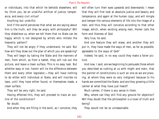or individuals, into that which he beholds elsewhere, will he, think you, be an unskilful artificer of justice, temperance, and every civil virtue?

Anything but unskilful.

And if the world perceives that what we are saying about him is the truth, will they be angry with philosophy? Will they disbelieve us, when we tell them that no State can be happy which is not designed by artists who imitate the heavenly pattern?

They will not be angry if they understand, he said. But how will they draw out the plan of which you are speaking?

They will begin by taking the State and the manners of men, from which, as from a tablet, they will rub out the picture, and leave a clean surface. This is no easy task. But whether easy or not, herein will lie the difference between them and every other legislator,—they will have nothing to do either with individual or State, and will inscribe no laws, until they have either found, or themselves made, a clean surface.

They will be very right, he said.

Having effected this, they will proceed to trace an outline of the constitution?

No doubt.

And when they are filling in the work, as I conceive, they

will often turn their eyes upwards and downwards: I mean that they will first look at absolute justice and beauty and temperance, and again at the human copy; and will mingle and temper the various elements of life into the image of a man; and thus they will conceive according to that other image, which, when existing among men, Homer calls the form and likeness of God.

Very true, he said.

And one feature they will erase, and another they will put in, they have made the ways of men, as far as possible, agreeable to the ways of God?

Indeed, he said, in no way could they make a fairer picture.

And now, I said, are we beginning to persuade those whom you described as rushing at us with might and main, that the painter of constitutions is such an one as we are praising; at whom they were so very indignant because to his hands we committed the State; and are they growing a little calmer at what they have just heard?

Much calmer, if there is any sense in them.

Why, where can they still find any ground for objection? Will they doubt that the philosopher is a lover of truth and being?

They would not be so unreasonable.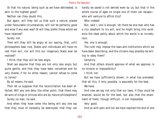Or that his nature, being such as we have delineated, is akin to the highest good?

Neither can they doubt this.

But again, will they tell us that such a nature, placed under favourable circumstances, will not be perfectly good and wise if any ever was? Or will they prefer those whom we have rejected?

Surely not.

Then will they still be angry at our saying, that, until philosophers bear rule, States and individuals will have no rest from evil, nor will this our imaginary State ever be realised?

I think that they will be less angry.

Shall we assume that they are not only less angry but quite gentle, and that they have been converted and for very shame, if for no other reason, cannot refuse to come to terms?

By all means, he said.

Then let us suppose that the reconciliation has been effected. Will any one deny the other point, that there may be sons of kings or princes who are by nature philosophers? Surely no man, he said.

And when they have come into being will any one say that they must of necessity be destroyed; that they can hardly be saved is not denied even by us; but that in the whole course of ages no single one of them can escape who will venture to affirm this?

Who indeed!

But, said I, one is enough; let there be one man who has a city obedient to his will, and he might bring into existence the ideal polity about which the world is so incredulous.

Yes, one is enough.

The ruler may impose the laws and institutions which we have been describing, and the citizens may possibly be willing to obey them?

Certainly.

And that others should approve of what we approve, is no miracle or impossibility?

I think not.

But we have sufficiently shown, in what has preceded, that all this, if only possible, is assuredly for the best.

We have.

And now we say not only that our laws, if they could be enacted, would be for the best, but also that the enactment of them, though difficult, is not impossible.

Very good.

And so with pain and toil we have reached the end of one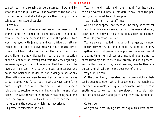subject, but more remains to be discussed;—how and by what studies and pursuits will the saviours of the constitution be created, and at what ages are they to apply themselves to their several studies?

## Certainly.

I omitted the troublesome business of the possession of women, and the procreation of children, and the appointment of the rulers, because I knew that the perfect State would be eyed with jealousy and was difficult of attainment; but that piece of cleverness was not of much service to me, for I had to discuss them all the same. The women and children are now disposed of, but the other question of the rulers must be investigated from the very beginning. We were saying, as you will remember, that they were to be lovers of their country, tried by the test of pleasures and pains, and neither in hardships, nor in dangers, nor at any other critical moment were to lose their patriotism—he was to be rejected who failed, but he who always came forth pure, like gold tried in the refiner's fire, was to be made a ruler, and to receive honours and rewards in life and after death. This was the sort of thing which was being said, and then the argument turned aside and veiled her face; not liking to stir the question which has now arisen.

I perfectly remember, he said.

Yes, my friend, I said, and I then shrank from hazarding the bold word; but now let me dare to say—that the perfect guardian must be a philosopher.

Yes, he said, let that be affirmed.

And do not suppose that there will be many of them; for the gifts which were deemed by us to be essential rarely grow together; they are mostly found in shreds and patches. What do you mean? he said.

You are aware, I replied, that quick intelligence, memory, sagacity, cleverness, and similar qualities, do not often grow together, and that persons who possess them and are at the same time high-spirited and magnanimous are not so constituted by nature as to live orderly and in a peaceful and settled manner; they are driven any way by their impulses, and all solid principle goes out of them.

Very true, he said.

On the other hand, those steadfast natures which can better be depended upon, which in a battle are impregnable to fear and immovable, are equally immovable when there is anything to be learned; they are always in a torpid state, and are apt to yawn and go to sleep over any intellectual toil.

# Quite true.

And yet we were saying that both qualities were neces-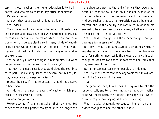sary in those to whom the higher education is to be imparted, and who are to share in any office or command.

Certainly, he said.

And will they be a class which is rarely found?

Yes, indeed.

Then the aspirant must not only be tested in those labours and dangers and pleasures which we mentioned before, but there is another kind of probation which we did not mention—he must be exercised also in many kinds of knowledge, to see whether the soul will be able to endure the highest of all, will faint under them, as in any other studies and exercises.

Yes, he said, you are quite right in testing him. But what do you mean by the highest of all knowledge?

You may remember, I said, that we divided the soul into three parts; and distinguished the several natures of justice, temperance, courage, and wisdom?

Indeed, he said, if I had forgotten, I should not deserve to hear more.

And do you remember the word of caution which preceded the discussion of them?

To what do you refer?

We were saying, if I am not mistaken, that he who wanted to see them in their perfect beauty must take a longer and more circuitous way, at the end of which they would appear; but that we could add on a popular exposition of them on a level with the discussion which had preceded. And you replied that such an exposition would be enough for you, and so the enquiry was continued in what to me seemed to be a very inaccurate manner; whether you were satisfied or not, it is for you to say.

Yes, he said, I thought and the others thought that you gave us a fair measure of truth.

But, my friend, I said, a measure of such things which in any degree falls short of the whole truth is not fair measure; for nothing imperfect is the measure of anything, although persons are too apt to be contented and think that they need search no further.

Not an uncommon case when people are indolent.

Yes, I said; and there cannot be any worse fault in a guardian of the State and of the laws.

True.

The guardian then, I said, must be required to take the longer circuit, and toll at learning as well as at gymnastics, or he will never reach the highest knowledge of all which, as we were just now saying, is his proper calling.

What, he said, is there a knowledge still higher than this higher than justice and the other virtues?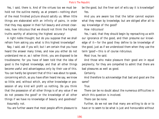Yes, I said, there is. And of the virtues too we must behold not the outline merely, as at present—nothing short of the most finished picture should satisfy us. When little things are elaborated with an infinity of pains, in order that they may appear in their full beauty and utmost clearness, how ridiculous that we should not think the highest truths worthy of attaining the highest accuracy!

A right noble thought; but do you suppose that we shall refrain from asking you what is this highest knowledge?

Nay, I said, ask if you will; but I am certain that you have heard the answer many times, and now you either do not understand me or, as I rather think, you are disposed to be troublesome; for you have of been told that the idea of good is the highest knowledge, and that all other things become useful and advantageous only by their use of this. You can hardly be ignorant that of this I was about to speak, concerning which, as you have often heard me say, we know so little; and, without which, any other knowledge or possession of any kind will profit us nothing. Do you think that the possession of all other things is of any value if we do not possess the good? or the knowledge of all other things if we have no knowledge of beauty and goodness? Assuredly not.

You are further aware that most people affirm pleasure to

be the good, but the finer sort of wits say it is knowledge? Yes.

And you are aware too that the latter cannot explain what they mean by knowledge, but are obliged after all to say knowledge of the good?

How ridiculous!

Yes, I said, that they should begin by reproaching us with our ignorance of the good, and then presume our knowledge of it—for the good they define to be knowledge of the good, just as if we understood them when they use the term 'good'—this is of course ridiculous.

Most true, he said.

And those who make pleasure their good are in equal perplexity; for they are compelled to admit that there are bad pleasures as well as good.

Certainly.

And therefore to acknowledge that bad and good are the same?

#### True.

There can be no doubt about the numerous difficulties in which this question is involved.

There can be none.

Further, do we not see that many are willing to do or to have or to seem to be what is just and honourable without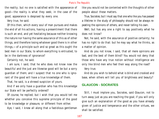the reality; but no one is satisfied with the appearance of good—the reality is what they seek; in the case of the good, appearance is despised by every one.

Very true, he said.

Of this then, which every soul of man pursues and makes the end of all his actions, having a presentiment that there is such an end, and yet hesitating because neither knowing the nature nor having the same assurance of this as of other things, and therefore losing whatever good there is in other things,—of a principle such and so great as this ought the best men in our State, to whom everything is entrusted, to be in the darkness of ignorance?

Certainly not, he said.

I am sure, I said, that he who does not know now the beautiful and the just are likewise good will be but a sorry guardian of them; and I suspect that no one who is ignorant of the good will have a true knowledge of them.

That, he said, is a shrewd suspicion of yours.

And if we only have a guardian who has this knowledge our State will be perfectly ordered?

Of course, he replied; but I wish that you would tell me whether you conceive this supreme principle of the good to be knowledge or pleasure, or different from either.

Aye, I said, I knew all along that a fastidious gentleman

like you would not be contented with the thoughts of other people about these matters.

True, Socrates; but I must say that one who like you has passed a lifetime in the study of philosophy should not be always repeating the opinions of others, and never telling his own.

Well, but has any one a right to say positively what he does not know?

Not, he said, with the assurance of positive certainty; he has no right to do that: but he may say what he thinks, as a matter of opinion.

And do you not know, I said, that all mere opinions are bad, and the best of them blind? You would not deny that those who have any true notion without intelligence are only like blind men who feel their way along the road?

Very true.

And do you wish to behold what is blind and crooked and base, when others will tell you of brightness and beauty?

# **GLAUCON - SOCRATES**

Still, I must implore you, Socrates, said Glaucon, not to turn away just as you are reaching the goal; if you will only give such an explanation of the good as you have already given of justice and temperance and the other virtues, we shall be satisfied.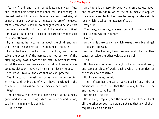Yes, my friend, and I shall be at least equally satisfied, but I cannot help fearing that I shall fall, and that my indiscreet zeal will bring ridicule upon me. No, sweet sirs, let us not at present ask what is the actual nature of the good, for to reach what is now in my thoughts would be an effort too great for me. But of the child of the good who is likest him, I would fain speak, if I could be sure that you wished to hear—otherwise, not.

By all means, he said, tell us about the child, and you shall remain in our debt for the account of the parent.

I do indeed wish, I replied, that I could pay, and you receive, the account of the parent, and not, as now, of the offspring only; take, however, this latter by way of interest, and at the same time have a care that i do not render a false account, although I have no intention of deceiving you.

Yes, we will take all the care that we can: proceed.

Yes, I said, but I must first come to an understanding with you, and remind you of what I have mentioned in the course of this discussion, and at many other times.

What?

The old story, that there is a many beautiful and a many good, and so of other things which we describe and define; to all of them 'many' is applied.

True, he said.

And there is an absolute beauty and an absolute good, and of other things to which the term 'many' is applied there is an absolute; for they may be brought under a single idea, which is called the essence of each.

Very true.

The many, as we say, are seen but not known, and the ideas are known but not seen.

Exactly.

And what is the organ with which we see the visible things? The sight, he said.

And with the hearing, I said, we hear, and with the other senses perceive the other objects of sense?

True.

But have you remarked that sight is by far the most costly and complex piece of workmanship which the artificer of the senses ever contrived?

No, I never have, he said.

Then reflect; has the ear or voice need of any third or additional nature in order that the one may be able to hear and the other to be heard?

Nothing of the sort.

No, indeed, I replied; and the same is true of most, if not all, the other senses—you would not say that any of them requires such an addition?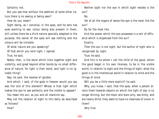Certainly not.

But you see that without the addition of some other nature there is no seeing or being seen?

How do you mean?

Sight being, as I conceive, in the eyes, and he who has eyes wanting to see; colour being also present in them, still unless there be a third nature specially adapted to the purpose, the owner of the eyes will see nothing and the colours will be invisible.

Of what nature are you speaking?

Of that which you term light, I replied.

True, he said.

Noble, then, is the bond which links together sight and visibility, and great beyond other bonds by no small difference of nature; for light is their bond, and light is no ignoble thing?

Nay, he said, the reverse of ignoble.

And which, I said, of the gods in heaven would you say was the lord of this element? Whose is that light which makes the eye to see perfectly and the visible to appear?

You mean the sun, as you and all mankind say.

May not the relation of sight to this deity be described as follows?

How?

Neither sight nor the eye in which sight resides is the sun?

No.

Yet of all the organs of sense the eye is the most like the sun?

By far the most like.

And the power which the eye possesses is a sort of effluence which is dispensed from the sun?

Exactly.

Then the sun is not sight, but the author of sight who is recognised by sight.

True, he said.

And this is he whom I call the child of the good, whom the good begat in his own likeness, to be in the visible world, in relation to sight and the things of sight, what the good is in the intellectual world in relation to mind and the things of mind.

Will you be a little more explicit? he said.

Why, you know, I said, that the eyes, when a person directs them towards objects on which the light of day is no longer shining, but the moon and stars only, see dimly, and are nearly blind; they seem to have no clearness of vision in them?

Very true.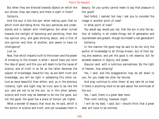But when they are directed towards objects on which the sun shines, they see clearly and there is sight in them?

# Certainly.

And the soul is like the eye: when resting upon that on which truth and being shine, the soul perceives and understands and is radiant with intelligence; but when turned towards the twilight of becoming and perishing, then she has opinion only, and goes blinking about, and is first of one opinion and then of another, and seems to have no intelligence?

## Just so.

Now, that which imparts truth to the known and the power of knowing to the knower is what I would have you term the idea of good, and this you will deem to be the cause of science, and of truth in so far as the latter becomes the subject of knowledge; beautiful too, as are both truth and knowledge, you will be right in esteeming this other nature as more beautiful than either; and, as in the previous instance, light and sight may be truly said to be like the sun, and yet not to be the sun, so in this other sphere, science and truth may be deemed to be like the good, but not the good; the good has a place of honour yet higher.

What a wonder of beauty that must be, he said, which is the author of science and truth, and yet surpasses them in

beauty; for you surely cannot mean to say that pleasure is the good?

God forbid, I replied; but may I ask you to consider the image in another point of view?

In what point of view?

You would say, would you not, that the sun is only the author of visibility in all visible things, but of generation and nourishment and growth, though he himself is not generation? Certainly.

In like manner the good may be said to be not only the author of knowledge to all things known, but of their being and essence, and yet the good is not essence, but far exceeds essence in dignity and power.

Glaucon said, with a ludicrous earnestness: By the light of heaven, how amazing!

Yes, I said, and the exaggeration may be set down to you; for you made me utter my fancies.

And pray continue to utter them; at any rate let us hear if there is anything more to be said about the similitude of the sun.

Yes, I said, there is a great deal more.

Then omit nothing, however slight.

I will do my best, I said; but I should think that a great deal will have to be omitted.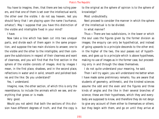You have to imagine, then, that there are two ruling powers, and that one of them is set over the intellectual world, the other over the visible. I do not say heaven, lest you should fancy that I am playing upon the name ('ourhanoz, orhatoz'). May I suppose that you have this distinction of the visible and intelligible fixed in your mind?

# I have.

Now take a line which has been cut into two unequal parts, and divide each of them again in the same proportion, and suppose the two main divisions to answer, one to the visible and the other to the intelligible, and then compare the subdivisions in respect of their clearness and want of clearness, and you will find that the first section in the sphere of the visible consists of images. And by images I mean, in the first place, shadows, and in the second place, reflections in water and in solid, smooth and polished bodies and the like: Do you understand?

Yes, I understand.

Imagine, now, the other section, of which this is only the resemblance, to include the animals which we see, and everything that grows or is made.

Very good.

Would you not admit that both the sections of this division have different degrees of truth, and that the copy is to the original as the sphere of opinion is to the sphere of knowledge?

Most undoubtedly.

Next proceed to consider the manner in which the sphere of the intellectual is to be divided.

In what manner?

Thus:—There are two subdivisions, in the lower or which the soul uses the figures given by the former division as images; the enquiry can only be hypothetical, and instead of going upwards to a principle descends to the other end; in the higher of the two, the soul passes out of hypotheses, and goes up to a principle which is above hypotheses, making no use of images as in the former case, but proceeding only in and through the ideas themselves.

I do not quite understand your meaning, he said.

Then I will try again; you will understand me better when I have made some preliminary remarks. You are aware that students of geometry, arithmetic, and the kindred sciences assume the odd and the even and the figures and three kinds of angles and the like in their several branches of science; these are their hypotheses, which they and everybody are supposed to know, and therefore they do not deign to give any account of them either to themselves or others; but they begin with them, and go on until they arrive at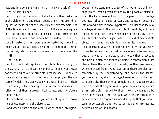last, and in a consistent manner, at their conclusion? Yes, he said, I know.

And do you not know also that although they make use of the visible forms and reason about them, they are thinking not of these, but of the ideals which they resemble; not of the figures which they draw, but of the absolute square and the absolute diameter, and so on—the forms which they draw or make, and which have shadows and reflections in water of their own, are converted by them into images, but they are really seeking to behold the things themselves, which can only be seen with the eye of the mind?

That is true.

And of this kind I spoke as the intelligible, although in the search after it the soul is compelled to use hypotheses; not ascending to a first principle, because she is unable to rise above the region of hypothesis, but employing the objects of which the shadows below are resemblances in their turn as images, they having in relation to the shadows and reflections of them a greater distinctness, and therefore a higher value.

I understand, he said, that you are speaking of the province of geometry and the sister arts.

And when I speak of the other division of the intelligible,

you will understand me to speak of that other sort of knowledge which reason herself attains by the power of dialectic, using the hypotheses not as first principles, but only as hypotheses—that is to say, as steps and points of departure into a world which is above hypotheses, in order that she may soar beyond them to the first principle of the whole; and clinging to this and then to that which depends on this, by successive steps she descends again without the aid of any sensible object, from ideas, through ideas, and in ideas she ends.

I understand you, he replied; not perfectly, for you seem to me to be describing a task which is really tremendous; but, at any rate, I understand you to say that knowledge and being, which the science of dialectic contemplates, are clearer than the notions of the arts, as they are termed, which proceed from hypotheses only: these are also contemplated by the understanding, and not by the senses: yet, because they start from hypotheses and do not ascend to a principle, those who contemplate them appear to you not to exercise the higher reason upon them, although when a first principle is added to them they are cognizable by the higher reason. And the habit which is concerned with geometry and the cognate sciences I suppose that you would term understanding and not reason, as being intermediate between opinion and reason.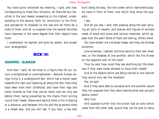You have quite conceived my meaning, I said; and now, corresponding to these four divisions, let there be four faculties in the soul-reason answering to the highest, understanding to the second, faith (or conviction) to the third, and perception of shadows to the last-and let there be a scale of them, and let us suppose that the several faculties have clearness in the same degree that their objects have truth.

I understand, he replied, and give my assent, and accept your arrangement.

# **BOOK VII**

# **SOCRATES - GLAUCON**

And now, I said, let me show in a figure how far our nature is enlightened or unenlightened:—Behold! human beings living in a underground den, which has a mouth open towards the light and reaching all along the den; here they have been from their childhood, and have their legs and necks chained so that they cannot move, and can only see before them, being prevented by the chains from turning round their heads. Above and behind them a fire is blazing at a distance, and between the fire and the prisoners there is a raised way; and you will see, if you look, a low wall

built along the way, like the screen which marionette players have in front of them, over which they show the puppets.

I see.

And do you see, I said, men passing along the wall carrying all sorts of vessels, and statues and figures of animals made of wood and stone and various materials, which appear over the wall? Some of them are talking, others silent.

You have shown me a strange image, and they are strange prisoners.

Like ourselves, I replied; and they see only their own shadows, or the shadows of one another, which the fire throws on the opposite wall of the cave?

True, he said; how could they see anything but the shadows if they were never allowed to move their heads?

And of the objects which are being carried in like manner they would only see the shadows?

Yes, he said.

And if they were able to converse with one another, would they not suppose that they were naming what was actually before them?

Very true.

And suppose further that the prison had an echo which came from the other side, would they not be sure to fancy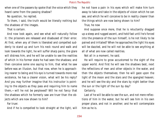when one of the passers-by spoke that the voice which they heard came from the passing shadow?

No question, he replied.

To them, I said, the truth would be literally nothing but the shadows of the images.

That is certain.

And now look again, and see what will naturally follow it: the prisoners are released and disabused of their error. At first, when any of them is liberated and compelled suddenly to stand up and turn his neck round and walk and look towards the light, he will suffer sharp pains; the glare will distress him, and he will be unable to see the realities of which in his former state he had seen the shadows; and then conceive some one saying to him, that what he saw before was an illusion, but that now, when he is approaching nearer to being and his eye is turned towards more real existence, he has a clearer vision, what will be his reply? And you may further imagine that his instructor is pointing to the objects as they pass and requiring him to name them,—will he not be perplexed? Will he not fancy that the shadows which he formerly saw are truer than the objects which are now shown to him?

Far truer.

And if he is compelled to look straight at the light, will

he not have a pain in his eyes which will make him turn away to take and take in the objects of vision which he can see, and which he will conceive to be in reality clearer than the things which are now being shown to him?

True, he now

And suppose once more, that he is reluctantly dragged up a steep and rugged ascent, and held fast until he's forced into the presence of the sun himself, is he not likely to be pained and irritated? When he approaches the light his eyes will be dazzled, and he will not be able to see anything at all of what are now called realities.

Not all in a moment, he said.

He will require to grow accustomed to the sight of the upper world. And first he will see the shadows best, next the reflections of men and other objects in the water, and then the objects themselves; then he will gaze upon the light of the moon and the stars and the spangled heaven; and he will see the sky and the stars by night better than the sun or the light of the sun by day?

# Certainly.

Last of he will be able to see the sun, and not mere reflections of him in the water, but he will see him in his own proper place, and not in another; and he will contemplate him as he is.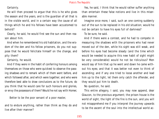# Certainly.

He will then proceed to argue that this is he who gives the season and the years, and is the guardian of all that is in the visible world, and in a certain way the cause of all things which he and his fellows have been accustomed to behold?

Clearly, he said, he would first see the sun and then reason about him.

And when he remembered his old habitation, and the wisdom of the den and his fellow prisoners, do you not suppose that he would felicitate himself on the change, and pity them?

Certainly, he would.

And if they were in the habit of conferring honours among themselves on those who were quickest to observe the passing shadows and to remark which of them went before, and which followed after, and which were together; and who were therefore best able to draw conclusions as to the future, do you think that he would care for such honours and glories, or envy the possessors of them? Would he not say with Homer,

Better to be the poor servant of a poor master,

and to endure anything, rather than think as they do and live after their manner?

Yes, he said, I think that he would rather suffer anything than entertain these false notions and live in this miserable manner.

Imagine once more, I said, such an one coming suddenly out of the sun to be replaced in his old situation; would he not be certain to have his eyes full of darkness?

To be sure, he said.

And if there were a contest, and he had to compete in measuring the shadows with the prisoners who had never moved out of the den, while his sight was still weak, and before his eyes had become steady (and the time which would be needed to acquire this new habit of sight might be very considerable) would he not be ridiculous? Men would say of him that up he went and down he came without his eyes; and that it was better not even to think of ascending; and if any one tried to loose another and lead him up to the light, let them only catch the offender, and they would put him to death.

No question, he said.

This entire allegory, I said, you may now append, dear Glaucon, to the previous argument; the prison-house is the world of sight, the light of the fire is the sun, and you will not misapprehend me if you interpret the journey upwards to be the ascent of the soul into the intellectual world ac-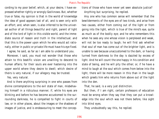cording to my poor belief, which, at your desire, I have expressed whether rightly or wrongly God knows. But, whether true or false, my opinion is that in the world of knowledge the idea of good appears last of all, and is seen only with an effort; and, when seen, is also inferred to be the universal author of all things beautiful and right, parent of light and of the lord of light in this visible world, and the immediate source of reason and truth in the intellectual; and that this is the power upon which he who would act rationally, either in public or private life must have his eye fixed.

I agree, he said, as far as I am able to understand you.

Moreover, I said, you must not wonder that those who attain to this beatific vision are unwilling to descend to human affairs; for their souls are ever hastening into the upper world where they desire to dwell; which desire of theirs is very natural, if our allegory may be trusted.

Yes, very natural.

And is there anything surprising in one who passes from divine contemplations to the evil state of man, misbehaving himself in a ridiculous manner; if, while his eyes are blinking and before he has become accustomed to the surrounding darkness, he is compelled to fight in courts of law, or in other places, about the images or the shadows of images of justice, and is endeavouring to meet the conceptions of those who have never yet seen absolute justice? Anything but surprising, he replied.

Any one who has common sense will remember that the bewilderments of the eyes are of two kinds, and arise from two causes, either from coming out of the light or from going into the light, which is true of the mind's eye, quite as much as of the bodily eye; and he who remembers this when he sees any one whose vision is perplexed and weak, will not be too ready to laugh; he will first ask whether that soul of man has come out of the brighter light, and is unable to see because unaccustomed to the dark, or having turned from darkness to the day is dazzled by excess of light. And he will count the one happy in his condition and state of being, and he will pity the other; or, if he have a mind to laugh at the soul which comes from below into the light, there will be more reason in this than in the laugh which greets him who returns from above out of the light into the den.

That, he said, is a very just distinction.

But then, if I am right, certain professors of education must be wrong when they say that they can put a knowledge into the soul which was not there before, like sight into blind eyes.

They undoubtedly say this, he replied.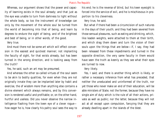Whereas, our argument shows that the power and capacity of learning exists in the soul already; and that just as the eye was unable to turn from darkness to light without the whole body, so too the instrument of knowledge can only by the movement of the whole soul be turned from the world of becoming into that of being, and learn by degrees to endure the sight of being, and of the brightest and best of being, or in other words, of the good.

Very true.

And must there not be some art which will effect conversion in the easiest and quickest manner; not implanting the faculty of sight, for that exists already, but has been turned in the wrong direction, and is looking away from the truth?

Yes, he said, such an art may be presumed.

And whereas the other so-called virtues of the soul seem to be akin to bodily qualities, for even when they are not originally innate they can be implanted later by habit and exercise, the of wisdom more than anything else contains a divine element which always remains, and by this conversion is rendered useful and profitable; or, on the other hand, hurtful and useless. Did you never observe the narrow intelligence flashing from the keen eye of a clever rogue how eager he is, how clearly his paltry soul sees the way to his end; he is the reverse of blind, but his keen eyesight is forced into the service of evil, and he is mischievous in proportion to his cleverness.

Very true, he said.

But what if there had been a circumcision of such natures in the days of their youth; and they had been severed from those sensual pleasures, such as eating and drinking, which, like leaden weights, were attached to them at their birth, and which drag them down and turn the vision of their souls upon the things that are below—if, I say, they had been released from these impediments and turned in the opposite direction, the very same faculty in them would have seen the truth as keenly as they see what their eyes are turned to now.

## Very likely.

Yes, I said; and there is another thing which is likely, or rather a necessary inference from what has preceded, that neither the uneducated and uninformed of the truth, nor yet those who never make an end of their education, will be able ministers of State; not the former, because they have no single aim of duty which is the rule of all their actions, private as well as public; nor the latter, because they will not act at all except upon compulsion, fancying that they are already dwelling apart in the islands of the blest.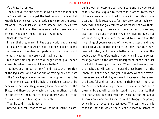Very true, he replied.

Then, I said, the business of us who are the founders of the State will be to compel the best minds to attain that knowledge which we have already shown to be the greatest of all—they must continue to ascend until they arrive at the good; but when they have ascended and seen enough we must not allow them to do as they do now.

What do you mean?

I mean that they remain in the upper world: but this must not be allowed; they must be made to descend again among the prisoners in the den, and partake of their labours and honours, whether they are worth having or not.

But is not this unjust? he said; ought we to give them a worse life, when they might have a better?

You have again forgotten, my friend, I said, the intention of the legislator, who did not aim at making any one class in the State happy above the rest; the happiness was to be in the whole State, and he held the citizens together by persuasion and necessity, making them benefactors of the State, and therefore benefactors of one another; to this end he created them, not to please themselves, but to be his instruments in binding up the State.

True, he said, I had forgotten.

Observe, Glaucon, that there will be no injustice in com-

pelling our philosophers to have a care and providence of others; we shall explain to them that in other States, men of their class are not obliged to share in the toils of politics: and this is reasonable, for they grow up at their own sweet will, and the government would rather not have them. Being self- taught, they cannot be expected to show any gratitude for a culture which they have never received. But we have brought you into the world to be rulers of the hive, kings of yourselves and of the other citizens, and have educated you far better and more perfectly than they have been educated, and you are better able to share in the double duty. Wherefore each of you, when his turn comes, must go down to the general underground abode, and get the habit of seeing in the dark. When you have acquired the habit, you will see ten thousand times better than the inhabitants of the den, and you will know what the several images are, and what they represent, because you have seen the beautiful and just and good in their truth. And thus our State which is also yours will be a reality, and not a dream only, and will be administered in a spirit unlike that of other States, in which men fight with one another about shadows only and are distracted in the struggle for power, which in their eyes is a great good. Whereas the truth is that the State in which the rulers are most reluctant to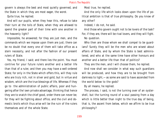govern is always the best and most quietly governed, and the State in which they are most eager, the worst.

Quite true, he replied.

And will our pupils, when they hear this, refuse to take their turn at the toils of State, when they are allowed to spend the greater part of their time with one another in the heavenly light?

Impossible, he answered; for they are just men, and the commands which we impose upon them are just; there can be no doubt that every one of them will take office as a stern necessity, and not after the fashion of our present rulers of State.

Yes, my friend, I said; and there lies the point. You must contrive for your future rulers another and a better life than that of a ruler, and then you may have a well-ordered State; for only in the State which offers this, will they rule who are truly rich, not in silver and gold, but in virtue and wisdom, which are the true blessings of life. Whereas if they go to the administration of public affairs, poor and hungering after the' own private advantage, thinking that hence they are to snatch the chief good, order there can never be; for they will be fighting about office, and the civil and domestic broils which thus arise will be the ruin of the rulers themselves and of the whole State.

Most true, he replied.

And the only life which looks down upon the life of political ambition is that of true philosophy. Do you know of any other?

Indeed, I do not, he said.

And those who govern ought not to be lovers of the task? For, if they are, there will be rival lovers, and they will fight. No question.

Who then are those whom we shall compel to be guardians? Surely they will be the men who are wisest about affairs of State, and by whom the State is best administered, and who at the same time have other honours and another and a better life than that of politics?

They are the men, and I will choose them, he replied.

And now shall we consider in what way such guardians will be produced, and how they are to be brought from darkness to light,—as some are said to have ascended from the world below to the gods?

By all means, he replied.

The process, I said, is not the turning over of an oystershell, but the turning round of a soul passing from a day which is little better than night to the true day of being, that is, the ascent from below, which we affirm to be true philosophy?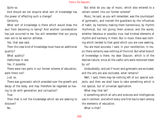Quite so.

And should we not enquire what sort of knowledge has the power of effecting such a change?

Certainly.

What sort of knowledge is there which would draw the soul from becoming to being? And another consideration has just occurred to me: You will remember that our young men are to be warrior athletes

Yes, that was said.

Then this new kind of knowledge must have an additional quality?

What quality?

Usefulness in war.

Yes, if possible.

There were two parts in our former scheme of education, were there not?

Just so.

There was gymnastic which presided over the growth and decay of the body, and may therefore be regarded as having to do with generation and corruption?

True.

Then that is not the knowledge which we are seeking to discover?

No.

But what do you say of music, which also entered to a certain extent into our former scheme?

Music, he said, as you will remember, was the counterpart of gymnastic, and trained the guardians by the influences of habit, by harmony making them harmonious, by rhythm rhythmical, but not giving them science; and the words, whether fabulous or possibly true, had kindred elements of rhythm and harmony in them. But in music there was nothing which tended to that good which you are now seeking.

You are most accurate, I said, in your recollection; in music there certainly was nothing of the kind. But what branch of knowledge is there, my dear Glaucon, which is of the desired nature; since all the useful arts were reckoned mean by us?

Undoubtedly; and yet if music and gymnastic are excluded, and the arts are also excluded, what remains?

Well, I said, there may be nothing left of our special subjects; and then we shall have to take something which is not special, but of universal application.

What may that be?

A something which all arts and sciences and intelligences use in common, and which every one first has to learn among the elements of education.

What is that?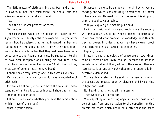The little matter of distinguishing one, two, and three in a word, number and calculation:—do not all arts and sciences necessarily partake of them?

Yes.

Then the art of war partakes of them? To the sure.

Then Palamedes, whenever he appears in tragedy, proves Agamemnon ridiculously unfit to be a general. Did you never remark how he declares that he had invented number, and had numbered the ships and set in array the ranks of the army at Troy; which implies that they had never been numbered before, and Agamemnon must be supposed literally to have been incapable of counting his own feet—how could he if he was ignorant of number? And if that is true, what sort of general must he have been?

I should say a very strange one, if this was as you say.

Can we deny that a warrior should have a knowledge of arithmetic?

Certainly he should, if he is to have the smallest understanding of military tactics, or indeed, I should rather say, if he is to be a man at all.

I should like to know whether you have the same notion which I have of this study?

What is your notion?

It appears to me to be a study of the kind which we are seeking, and which leads naturally to reflection, but never to have been rightly used; for the true use of it is simply to draw the soul towards being.

Will you explain your meaning? he said.

I will try, I said; and I wish you would share the enquiry with me, and say 'yes' or 'no' when I attempt to distinguish in my own mind what branches of knowledge have this attracting power, in order that we may have clearer proof that arithmetic is, as I suspect, one of them.

Explain, he said.

I mean to say that objects of sense are of two kinds; some of them do not invite thought because the sense is an adequate judge of them; while in the case of other objects sense is so untrustworthy that further enquiry is imperatively demanded.

You are clearly referring, he said, to the manner in which the senses are imposed upon by distance, and by painting in light and shade.

No, I said, that is not at all my meaning.

Then what is your meaning?

When speaking of uninviting objects, I mean those which do not pass from one sensation to the opposite; inviting objects are those which do; in this latter case the sense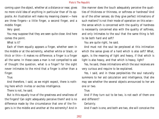coming upon the object, whether at a distance or near, gives no more vivid idea of anything in particular than of its opposite. An illustration will make my meaning clearer:—here are three fingers—a little finger, a second finger, and a middle finger.

Very good.

You may suppose that they are seen quite close: And here comes the point.

What is it?

Each of them equally appears a finger, whether seen in the middle or at the extremity, whether white or black, or thick or thin—it makes no difference; a finger is a finger all the same. In these cases a man is not compelled to ask of thought the question, what is a finger? for the sight never intimates to the mind that a finger is other than a finger.

True.

And therefore, I said, as we might expect, there is nothing here which invites or excites intelligence.

There is not, he said.

But is this equally true of the greatness and smallness of the fingers? Can sight adequately perceive them? and is no difference made by the circumstance that one of the fingers is in the middle and another at the extremity? And in

like manner does the touch adequately perceive the qualities of thickness or thinness, or softness or hardness? And so of the other senses; do they give perfect intimations of such matters? Is not their mode of operation on this wise the sense which is concerned with the quality of hardness is necessarily concerned also with the quality of softness, and only intimates to the soul that the same thing is felt to be both hard and soft?

You are quite right, he said.

And must not the soul be perplexed at this intimation which the sense gives of a hard which is also soft? What, again, is the meaning of light and heavy, if that which is light is also heavy, and that which is heavy, light?

Yes, he said, these intimations which the soul receives are very curious and require to be explained.

Yes, I said, and in these perplexities the soul naturally summons to her aid calculation and intelligence, that she may see whether the several objects announced to her are one or two.

True.

And if they turn out to be two, is not each of them one and different?

Certainly.

And if each is one, and both are two, she will conceive the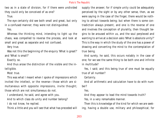two as in a state of division, for if there were undivided they could only be conceived of as one?

True.

The eye certainly did see both small and great, but only in a confused manner; they were not distinguished.

Yes.

Whereas the thinking mind, intending to light up the chaos, was compelled to reverse the process, and look at small and great as separate and not confused.

Very true.

Was not this the beginning of the enquiry 'What is great?' and 'What is small?'

Exactly so.

And thus arose the distinction of the visible and the intelligible.

Most true.

This was what I meant when I spoke of impressions which invited the intellect, or the reverse—those which are simultaneous with opposite impressions, invite thought; those which are not simultaneous do not.

I understand, he said, and agree with you.

And to which class do unity and number belong?

I do not know, he replied.

Think a little and you will see that what has preceded will

supply the answer; for if simple unity could be adequately perceived by the sight or by any other sense, then, as we were saying in the case of the finger, there would be nothing to attract towards being; but when there is some contradiction always present, and one is the reverse of one and involves the conception of plurality, then thought begins to be aroused within us, and the soul perplexed and wanting to arrive at a decision asks 'What is absolute unity?' This is the way in which the study of the one has a power of drawing and converting the mind to the contemplation of true being.

And surely, he said, this occurs notably in the case of one; for we see the same thing to be both one and infinite in multitude?

Yes, I said; and this being true of one must be equally true of all number?

Certainly.

And all arithmetic and calculation have to do with number?

Yes.

And they appear to lead the mind towards truth? Yes, in a very remarkable manner.

Then this is knowledge of the kind for which we are seeking, having a double use, military and philosophical; for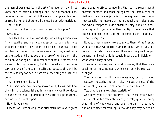the man of war must learn the art of number or he will not know how to array his troops, and the philosopher also, because he has to rise out of the sea of change and lay hold of true being, and therefore he must be an arithmetician.

That is true.

And our guardian is both warrior and philosopher? Certainly.

Then this is a kind of knowledge which legislation may fitly prescribe; and we must endeavour to persuade those who are prescribe to be the principal men of our State to go and learn arithmetic, not as amateurs, but they must carry on the study until they see the nature of numbers with the mind only; nor again, like merchants or retail-traders, with a view to buying or selling, but for the sake of their military use, and of the soul herself; and because this will be the easiest way for her to pass from becoming to truth and being.

That is excellent, he said.

Yes, I said, and now having spoken of it, I must add how charming the science is! and in how many ways it conduces to our desired end, if pursued in the spirit of a philosopher, and not of a shopkeeper!

How do you mean?

I mean, as I was saying, that arithmetic has a very great

and elevating effect, compelling the soul to reason about abstract number, and rebelling against the introduction of visible or tangible objects into the argument. You know how steadily the masters of the art repel and ridicule any one who attempts to divide absolute unity when he is calculating, and if you divide, they multiply, taking care that one shall continue one and not become lost in fractions.

That is very true.

Now, suppose a person were to say to them: O my friends, what are these wonderful numbers about which you are reasoning, in which, as you say, there is a unity such as you demand, and each unit is equal, invariable, indivisible, what would they answer?

They would answer, as I should conceive, that they were speaking of those numbers which can only be realised in thought.

Then you see that this knowledge may be truly called necessary, necessitating as it clearly does the use of the pure intelligence in the attainment of pure truth?

Yes; that is a marked characteristic of it.

And have you further observed, that those who have a natural talent for calculation are generally quick at every other kind of knowledge; and even the dull if they have had an arithmetical training, although they may derive no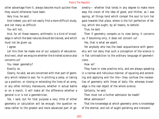other advantage from it, always become much quicker than they would otherwise have been.

Very true, he said.

And indeed, you will not easily find a more difficult study, and not many as difficult.

You will not.

And, for all these reasons, arithmetic is a kind of knowledge in which the best natures should be trained, and which must not be given up.

I agree.

Let this then be made one of our subjects of education. And next, shall we enquire whether the kindred science also concerns us?

You mean geometry?

Exactly so.

Clearly, he said, we are concerned with that part of geometry which relates to war; for in pitching a camp, or taking up a position, or closing or extending the lines of an army, or any other military manoeuvre, whether in actual battle or on a march, it will make all the difference whether a general is or is not a geometrician.

Yes, I said, but for that purpose a very little of either geometry or calculation will be enough; the question relates rather to the greater and more advanced part of geometry— whether that tends in any degree to make more easy the vision of the idea of good; and thither, as I was saying, all things tend which compel the soul to turn her gaze towards that place, where is the full perfection of being, which she ought, by all means, to behold.

True, he said.

Then if geometry compels us to view being, it concerns us; if becoming only, it does not concern us?

Yes, that is what we assert.

Yet anybody who has the least acquaintance with geometry will not deny that such a conception of the science is in flat contradiction to the ordinary language of geometricians.

How so?

They have in view practice only, and are always speaking in a narrow and ridiculous manner, of squaring and extending and applying and the like—they confuse the necessities of geometry with those of daily life; whereas knowledge is the real object of the whole science.

Certainly, he said.

Then must not a further admission be made?

What admission?

That the knowledge at which geometry aims is knowledge of the eternal, and not of aught perishing and transient.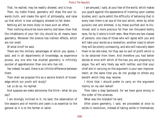That, he replied, may be readily allowed, and is true. Then, my noble friend, geometry will draw the soul towards truth, and create the spirit of philosophy, and raise up that which is now unhappily allowed to fall down.

Nothing will be more likely to have such an effect.

Then nothing should be more sternly laid down than that the inhabitants of your fair city should by all means learn geometry. Moreover the science has indirect effects, which are not small.

Of what kind? he said.

There are the military advantages of which you spoke, I said; and in all departments of knowledge, as experience proves, any one who has studied geometry is infinitely quicker of apprehension than one who has not.

Yes indeed, he said, there is an infinite difference between them.

Then shall we propose this as a second branch of knowledge which our youth will study?

Let us do so, he replied.

And suppose we make astronomy the third—what do you say?

I am strongly inclined to it, he said; the observation of the seasons and of months and years is as essential to the general as it is to the farmer or sailor.

I am amused, I said, at your fear of the world, which makes you guard against the appearance of insisting upon useless studies; and I quite admit the difficulty of believing that in every man there is an eye of the soul which, when by other pursuits lost and dimmed, is by these purified and re-illumined; and is more precious far than ten thousand bodily eyes, for by it alone is truth seen. Now there are two classes of persons: one class of those who will agree with you and will take your words as a revelation; another class to whom they will be utterly unmeaning, and who will naturally deem them to be idle tales, for they see no sort of profit which is to be obtained from them. And therefore you had better decide at once with which of the two you are proposing to argue. You will very likely say with neither, and that your chief aim in carrying on the argument is your own improvement; at the same time you do not grudge to others any benefit which they may receive.

I think that I should prefer to carry on the argument mainly on my own behalf.

Then take a step backward, for we have gone wrong in the order of the sciences.

What was the mistake? he said.

After plane geometry, I said, we proceeded at once to solids in revolution, instead of taking solids in themselves;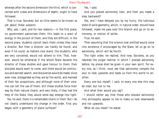whereas after the second dimension the third, which is concerned with cubes and dimensions of depth, ought to have followed.

That is true, Socrates; but so little seems to be known as yet about these subjects.

Why, yes, I said, and for two reasons:—in the first place, no government patronises them; this leads to a want of energy in the pursuit of them, and they are difficult; in the second place, students cannot learn them unless they have a director. But then a director can hardly be found, and even if he could, as matters now stand, the students, who are very conceited, would not attend to him. That, however, would be otherwise if the whole State became the director of these studies and gave honour to them; then disciples would want to come, and there would be continuous and earnest search, and discoveries would be made; since even now, disregarded as they are by the world, and maimed of their fair proportions, and although none of their votaries can tell the use of them, still these studies force their way by their natural charm, and very likely, if they had the help of the State, they would some day emerge into light.

Yes, he said, there is a remarkable charm in them. But I do not clearly understand the change in the order. First you began with a geometry of plane surfaces?

Yes, I said.

And you placed astronomy next, and then you made a step backward?

Yes, and I have delayed you by my hurry; the ludicrous state of solid geometry, which, in natural order, should have followed, made me pass over this branch and go on to astronomy, or motion of solids.

True, he said.

Then assuming that the science now omitted would come into existence if encouraged by the State, let us go on to astronomy, which will be fourth.

The right order, he replied. And now, Socrates, as you rebuked the vulgar manner in which I praised astronomy before, my praise shall be given in your own spirit. For every one, as I think, must see that astronomy compels the soul to look upwards and leads us from this world to another.

Every one but myself, I said; to every one else this may be clear, but not to me.

And what then would you say?

I should rather say that those who elevate astronomy into philosophy appear to me to make us look downwards and not upwards.

What do you mean? he asked.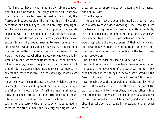You, I replied, have in your mind a truly sublime conception of our knowledge of the things above. And I dare say that if a person were to throw his head back and study the fretted ceiling, you would still think that his mind was the percipient, and not his eyes. And you are very likely right, and I may be a simpleton: but, in my opinion, that knowledge only which is of being and of the unseen can make the soul look upwards, and whether a man gapes at the heavens or blinks on the ground, seeking to learn some particular of sense, I would deny that he can learn, for nothing of that sort is matter of science; his soul is looking downwards, not upwards, whether his way to knowledge is by water or by land, whether he floats, or only lies on his back.

I acknowledge, he said, the justice of your rebuke. Still, I should like to ascertain how astronomy can be learned in any manner more conducive to that knowledge of which we are speaking?

I will tell you, I said: The starry heaven which we behold is wrought upon a visible ground, and therefore, although the fairest and most perfect of visible things, must necessarily be deemed inferior far to the true motions of absolute swiftness and absolute slowness, which are relative to each other, and carry with them that which is contained in them, in the true number and in every true figure. Now,

these are to be apprehended by reason and intelligence, but not by sight.

#### True, he replied.

The spangled heavens should be used as a pattern and with a view to that higher knowledge; their beauty is like the beauty of figures or pictures excellently wrought by the hand of Daedalus, or some other great artist, which we may chance to behold; any geometrician who saw them would appreciate the exquisiteness of their workmanship, but he would never dream of thinking that in them he could find the true equal or the true double, or the truth of any other proportion.

No, he replied, such an idea would be ridiculous.

And will not a true astronomer have the same feeling when he looks at the movements of the stars? Will he not think that heaven and the things in heaven are framed by the Creator of them in the most perfect manner? But he will never imagine that the proportions of night and day, or of both to the month, or of the month to the year, or of the stars to these and to one another, and any other things that are material and visible can also be eternal and subject to no deviation—that would be absurd; and it is equally absurd to take so much pains in investigating their exact truth.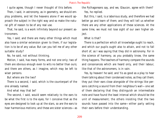I quite agree, though I never thought of this before.

Then, I said, in astronomy, as in geometry, we should employ problems, and let the heavens alone if we would approach the subject in the right way and so make the natural gift of reason to be of any real use.

That, he said, is a work infinitely beyond our present astronomers.

Yes, I said; and there are many other things which must also have a similar extension given to them, if our legislation is to be of any value. But can you tell me of any other suitable study?

No, he said, not without thinking.

Motion, I said, has many forms, and not one only; two of them are obvious enough even to wits no better than ours; and there are others, as I imagine, which may be left to wiser persons.

But where are the two?

There is a second, I said, which is the counterpart of the one already named.

And what may that be?

The second, I said, would seem relatively to the ears to be what the first is to the eyes; for I conceive that as the eyes are designed to look up at the stars, so are the ears to hear harmonious motions; and these are sister sciences—as the Pythagoreans say, and we, Glaucon, agree with them? Yes, he replied.

But this, I said, is a laborious study, and therefore we had better go and learn of them; and they will tell us whether there are any other applications of these sciences. At the same time, we must not lose sight of our own higher object.

#### What is that?

There is a perfection which all knowledge ought to reach, and which our pupils ought also to attain, and not to fall short of, as I was saying that they did in astronomy. For in the science of harmony, as you probably know, the same thing happens. The teachers of harmony compare the sounds and consonances which are heard only, and their labour, like that of the astronomers, is in vain.

Yes, by heaven! he said; and 'tis as good as a play to hear them talking about their condensed notes, as they call them; they put their ears close alongside of the strings like persons catching a sound from their neighbour's wall—one set of them declaring that they distinguish an intermediate note and have found the least interval which should be the unit of measurement; the others insisting that the two sounds have passed into the same—either party setting their ears before their understanding.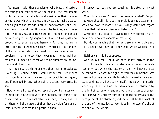You mean, I said, those gentlemen who tease and torture the strings and rack them on the pegs of the instrument: might carry on the metaphor and speak after their manner of the blows which the plectrum gives, and make accusations against the strings, both of backwardness and forwardness to sound; but this would be tedious, and therefore I will only say that these are not the men, and that I am referring to the Pythagoreans, of whom I was just now proposing to enquire about harmony. For they too are in error, like the astronomers; they investigate the numbers of the harmonies which are heard, but they never attain to problems—that is to say, they never reach the natural harmonies of number, or reflect why some numbers are harmonious and others not.

That, he said, is a thing of more than mortal knowledge. A thing, I replied, which I would rather call useful; that is, if sought after with a view to the beautiful and good; but if pursued in any other spirit, useless. Very true, he said.

Now, when all these studies reach the point of inter-communion and connection with one another, and come to be considered in their mutual affinities, then, I think, but not till then, will the pursuit of them have a value for our objects; otherwise there is no profit in them.

I suspect so; but you are speaking, Socrates, of a vast work.

What do you mean? I said; the prelude or what? Do you not know that all this is but the prelude to the actual strain which we have to learn? For you surely would not regard the skilled mathematician as a dialectician?

Assuredly not, he said; I have hardly ever known a mathematician who was capable of reasoning.

But do you imagine that men who are unable to give and take a reason will have the knowledge which we require of them?

Neither can this be supposed.

And so, Glaucon, I said, we have at last arrived at the hymn of dialectic. This is that strain which is of the intellect only, but which the faculty of sight will nevertheless be found to imitate; for sight, as you may remember, was imagined by us after a while to behold the real animals and stars, and last of all the sun himself. And so with dialectic; when a person starts on the discovery of the absolute by the light of reason only, and without any assistance of sense, and perseveres until by pure intelligence he arrives at the perception of the absolute good, he at last finds himself at the end of the intellectual world, as in the case of sight at the end of the visible.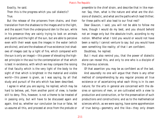Exactly, he said.

Then this is the progress which you call dialectic?

#### True.

But the release of the prisoners from chains, and their translation from the shadows to the images and to the light, and the ascent from the underground den to the sun, while in his presence they are vainly trying to look on animals and plants and the light of the sun, but are able to perceive even with their weak eyes the images in the water (which are divine), and are the shadows of true existence (not shadows of images cast by a light of fire, which compared with the sun is only an image)—this power of elevating the highest principle in the soul to the contemplation of that which is best in existence, with which we may compare the raising of that faculty which is the very light of the body to the sight of that which is brightest in the material and visible world—this power is given, as I was saying, by all that study and pursuit of the arts which has been described.

I agree in what you are saying, he replied, which may be hard to believe, yet, from another point of view, is harder still to deny. This, however, is not a theme to be treated of in passing only, but will have to be discussed again and again. And so, whether our conclusion be true or false, let us assume all this, and proceed at once from the prelude or

preamble to the chief strain, and describe that in like manner. Say, then, what is the nature and what are the divisions of dialectic, and what are the paths which lead thither; for these paths will also lead to our final rest?

Dear Glaucon, I said, you will not be able to follow me here, though I would do my best, and you should behold not an image only but the absolute truth, according to my notion. Whether what I told you would or would not have been a reality I cannot venture to say; but you would have seen something like reality; of that I am confident.

Doubtless, he replied.

But I must also remind you, that the power of dialectic alone can reveal this, and only to one who is a disciple of the previous sciences.

Of that assertion you may be as confident as of the last. And assuredly no one will argue that there is any other method of comprehending by any regular process all true existence or of ascertaining what each thing is in its own nature; for the arts in general are concerned with the desires or opinions of men, or are cultivated with a view to production and construction, or for the preservation of such productions and constructions; and as to the mathematical sciences which, as we were saying, have some apprehension of true being—geometry and the like—they only dream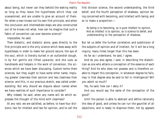about being, but never can they behold the waking reality so long as they leave the hypotheses which they use unexamined, and are unable to give an account of them. For when a man knows not his own first principle, and when the conclusion and intermediate steps are also constructed out of he knows not what, how can he imagine that such a fabric of convention can ever become science?

Impossible, he said.

Then dialectic, and dialectic alone, goes directly to the first principle and is the only science which does away with hypotheses in order to make her ground secure; the eye of the soul, which is literally buried in an outlandish slough, is by her gentle aid lifted upwards; and she uses as handmaids and helpers in the work of conversion, the sciences which we have been discussing. Custom terms them sciences, but they ought to have some other name, implying greater clearness than opinion and less clearness than science: and this, in our previous sketch, was called understanding. But why should we dispute about names when we have realities of such importance to consider?

Why indeed, he said, when any name will do which expresses the thought of the mind with clearness?

At any rate, we are satisfied, as before, to have four divisions; two for intellect and two for opinion, and to call the first division science, the second understanding, the third belief, and the fourth perception of shadows, opinion being concerned with becoming, and intellect with being; and so to make a proportion:—

 As being is to becoming, so is pure intellect to opinion. And as intellect is to opinion, so is science to belief, and understanding to the perception of shadows.

But let us defer the further correlation and subdivision of the subjects of opinion and of intellect, for it will be a long inquiry, many times longer than this has been.

As far as I understand, he said, I agree.

And do you also agree, I said, in describing the dialectician as one who attains a conception of the essence of each thing? And he who does not possess and is therefore unable to impart this conception, in whatever degree he fails, may in that degree also be said to fail in intelligence? Will you admit so much?

Yes, he said; how can I deny it?

And you would say the same of the conception of the good?

Until the person is able to abstract and define rationally the idea of good, and unless he can run the gauntlet of all objections, and is ready to disprove them, not by appeals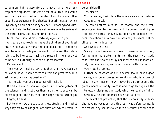to opinion, but to absolute truth, never faltering at any step of the argument—unless he can do all this, you would say that he knows neither the idea of good nor any other good; he apprehends only a shadow, if anything at all, which is given by opinion and not by science;—dreaming and slumbering in this life, before he is well awake here, he arrives at the world below, and has his final quietus.

In all that I should most certainly agree with you.

And surely you would not have the children of your ideal State, whom you are nurturing and educating—if the ideal ever becomes a reality—you would not allow the future rulers to be like posts, having no reason in them, and yet to be set in authority over the highest matters?

Certainly not.

Then you will make a law that they shall have such an education as will enable them to attain the greatest skill in asking and answering questions?

Yes, he said, you and I together will make it.

Dialectic, then, as you will agree, is the coping-stone of the sciences, and is set over them; no other science can be placed higher—the nature of knowledge can no further go? I agree, he said.

But to whom we are to assign these studies, and in what way they are to be assigned, are questions which remain to be considered?

Yes, clearly.

You remember, I said, how the rulers were chosen before? Certainly, he said.

The same natures must still be chosen, and the preference again given to the surest and the bravest, and, if possible, to the fairest; and, having noble and generous tempers, they should also have the natural gifts which will facilitate their education.

And what are these?

Such gifts as keenness and ready powers of acquisition; for the mind more often faints from the severity of study than from the severity of gymnastics: the toil is more entirely the mind's own, and is not shared with the body.

Very true, he replied.

Further, he of whom we are in search should have a good memory, and be an unwearied solid man who is a lover of labour in any line; or he will never be able to endure the great amount of bodily exercise and to go through all the intellectual discipline and study which we require of him.

Certainly, he said; he must have natural gifts.

The mistake at present is, that those who study philosophy have no vocation, and this, as I was before saying, is the reason why she has fallen into disrepute: her true sons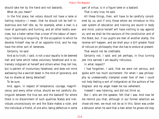should take her by the hand and not bastards. What do you mean?

In the first place, her votary should not have a lame or halting industry—I mean, that he should not be half industrious and half idle: as, for example, when a man is a lover of gymnastic and hunting, and all other bodily exercises, but a hater rather than a lover of the labour of learning or listening or enquiring. Or the occupation to which he devotes himself may be of an opposite kind, and he may have the other sort of lameness.

Certainly, he said.

And as to truth, I said, is not a soul equally to be deemed halt and lame which hates voluntary falsehood and is extremely indignant at herself and others when they tell lies, but is patient of involuntary falsehood, and does not mind wallowing like a swinish beast in the mire of ignorance, and has no shame at being detected?

To be sure.

And, again, in respect of temperance, courage, magnificence, and every other virtue, should we not carefully distinguish between the true son and the bastard? for where there is no discernment of such qualities States and individuals unconsciously err and the State makes a ruler, and the individual a friend, of one who, being defective in some part of virtue, is in a figure lame or a bastard.

That is very true, he said.

All these things, then, will have to be carefully considered by us; and if only those whom we introduce to this vast system of education and training are sound in body and mind, justice herself will have nothing to say against us, and we shall be the saviours of the constitution and of the State; but, if our pupils are men of another stamp, the reverse will happen, and we shall pour a still greater flood of ridicule on philosophy than she has to endure at present.

That would not be creditable.

Certainly not, I said; and yet perhaps, in thus turning jest into earnest I am equally ridiculous.

In what respect?

I had forgotten, I said, that we were not serious, and spoke with too much excitement. For when I saw philosophy so undeservedly trampled under foot of men I could not help feeling a sort of indignation at the authors of her disgrace: and my anger made me too vehement.

Indeed! I was listening, and did not think so.

But I, who am the speaker, felt that I was. And now let me remind you that, although in our former selection we chose old men, we must not do so in this. Solon was under a delusion when he said that a man when he grows old may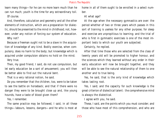learn many things—for he can no more learn much than he can run much; youth is the time for any extraordinary toil.

Of course.

And, therefore, calculation and geometry and all the other elements of instruction, which are a preparation for dialectic, should be presented to the mind in childhood; not, however, under any notion of forcing our system of education. Why not?

Because a freeman ought not to be a slave in the acquisition of knowledge of any kind. Bodily exercise, when compulsory, does no harm to the body; but knowledge which is acquired under compulsion obtains no hold on the mind.

Very true.

Then, my good friend, I said, do not use compulsion, but let early education be a sort of amusement; you will then be better able to find out the natural bent.

That is a very rational notion, he said.

Do you remember that the children, too, were to be taken to see the battle on horseback; and that if there were no danger they were to be brought close up and, like young hounds, have a taste of blood given them?

Yes, I remember.

The same practice may be followed, I said, in all these things—labours, lessons, dangers—and he who is most at home in all of them ought to be enrolled in a select number.

At what age?

At the age when the necessary gymnastics are over: the period whether of two or three years which passes in this sort of training is useless for any other purpose; for sleep and exercise are unpropitious to learning; and the trial of who is first in gymnastic exercises is one of the most important tests to which our youth are subjected.

Certainly, he replied.

After that time those who are selected from the class of twenty years old will be promoted to higher honour, and the sciences which they learned without any order in their early education will now be brought together, and they will be able to see the natural relationship of them to one another and to true being.

Yes, he said, that is the only kind of knowledge which takes lasting root.

Yes, I said; and the capacity for such knowledge is the great criterion of dialectical talent: the comprehensive mind is always the dialectical.

I agree with you, he said.

These, I said, are the points which you must consider; and those who have most of this comprehension, and who are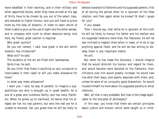more steadfast in their learning, and in their military and other appointed duties, when they have arrived at the age of thirty have to be chosen by you out of the select class, and elevated to higher honour; and you will have to prove them by the help of dialectic, in order to learn which of them is able to give up the use of sight and the other senses, and in company with truth to attain absolute being: And here, my friend, great caution is required.

Why great caution?

Do you not remark, I said, how great is the evil which dialectic has introduced?

What evil? he said.

The students of the art are filled with lawlessness. Quite true, he said.

Do you think that there is anything so very unnatural or inexcusable in their case? or will you make allowance for them?

In what way make allowance?

I want you, I said, by way of parallel, to imagine a supposititious son who is brought up in great wealth; he is one of a great and numerous family, and has many flatterers. When he grows up to manhood, he learns that his alleged are not his real parents; but who the real are he is unable to discover. Can you guess how he will be likely to

behave towards his flatterers and his supposed parents, first of all during the period when he is ignorant of the false relation, and then again when he knows? Or shall I guess for you?

If you please.

Then I should say, that while he is ignorant of the truth he will be likely to honour his father and his mother and his supposed relations more than the flatterers; he will be less inclined to neglect them when in need, or to do or say anything against them; and he will be less willing to disobey them in any important matter.

He will.

But when he has made the discovery, I should imagine that he would diminish his honour and regard for them, and would become more devoted to the flatterers; their influence over him would greatly increase; he would now live after their ways, and openly associate with them, and, unless he were of an unusually good disposition, he would trouble himself no more about his supposed parents or other relations.

Well, all that is very probable. But how is the image applicable to the disciples of philosophy?

In this way: you know that there are certain principles about justice and honour, which were taught us in child-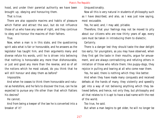hood, and under their parental authority we have been brought up, obeying and honouring them.

That is true.

There are also opposite maxims and habits of pleasure which flatter and attract the soul, but do not influence those of us who have any sense of right, and they continue to obey and honour the maxims of their fathers.

True.

Now, when a man is in this state, and the questioning spirit asks what is fair or honourable, and he answers as the legislator has taught him, and then arguments many and diverse refute his words, until he is driven into believing that nothing is honourable any more than dishonourable, or just and good any more than the reverse, and so of all the notions which he most valued, do you think that he will still honour and obey them as before?

Impossible.

And when he ceases to think them honourable and natural as heretofore, and he fails to discover the true, can he be expected to pursue any life other than that which flatters his desires?

He cannot.

And from being a keeper of the law he is converted into a breaker of it?

Unquestionably.

Now all this is very natural in students of philosophy such as I have described, and also, as I was just now saying, most excusable.

Yes, he said; and, I may add, pitiable.

Therefore, that your feelings may not be moved to pity about our citizens who are now thirty years of age, every care must be taken in introducing them to dialectic.

Certainly.

There is a danger lest they should taste the dear delight too early; for youngsters, as you may have observed, when they first get the taste in their mouths, argue for amusement, and are always contradicting and refuting others in imitation of those who refute them; like puppy-dogs, they rejoice in pulling and tearing at all who come near them.

Yes, he said, there is nothing which they like better.

And when they have made many conquests and received defeats at the hands of many, they violently and speedily get into a way of not believing anything which they believed before, and hence, not only they, but philosophy and all that relates to it is apt to have a bad name with the rest of the world.

Too true, he said.

But when a man begins to get older, he will no longer be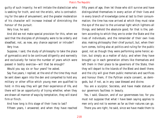guilty of such insanity; he will imitate the dialectician who is seeking for truth, and not the eristic, who is contradicting for the sake of amusement; and the greater moderation of his character will increase instead of diminishing the honour of the pursuit.

Very true, he said.

And did we not make special provision for this, when we said that the disciples of philosophy were to be orderly and steadfast, not, as now, any chance aspirant or intruder?

Very true.

Suppose, I said, the study of philosophy to take the place of gymnastics and to be continued diligently and earnestly and exclusively for twice the number of years which were passed in bodily exercise—will that be enough?

Would you say six or four years? he asked.

Say five years, I replied; at the end of the time they must be sent down again into the den and compelled to hold any military or other office which young men are qualified to hold: in this way they will get their experience of life, and there will be an opportunity of trying whether, when they are drawn all manner of ways by temptation, they will stand firm or flinch.

And how long is this stage of their lives to last? Fifteen years, I answered; and when they have reached

fifty years of age, then let those who still survive and have distinguished themselves in every action of their lives and in every branch of knowledge come at last to their consummation; the time has now arrived at which they must raise the eye of the soul to the universal light which lightens all things, and behold the absolute good; for that is the, pattern according to which they are to order the State and the lives of individuals, and the remainder of their own lives also; making philosophy their chief pursuit, but, when their turn comes, toiling also at politics and ruling for the public good, not as though they were performing some heroic action, but simply as a matter of duty; and when they have brought up in each generation others like themselves and left them in their place to be governors of the State, then they will depart to the Islands of the Blest and dwell there; and the city will give them public memorials and sacrifices and honour them, if the Pythian oracle consent, as demigods, but if not, as in any case blessed and divine.

You are a sculptor, Socrates, and have made statues of our governors faultless in beauty.

Yes, I said, Glaucon, and of our governesses too; for you must not suppose that what I have been saying applies to men only and not to women as far as their natures can go.

There you are right, he said, since we have made them to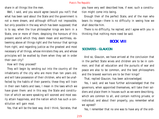share in all things like the men.

Well, I said, and you would agree (would you not?) that what has been said about the State and the government is not a mere dream, and although difficult not impossible, but only possible in the way which has been supposed; that is to say, when the true philosopher kings are born in a State, one or more of them, despising the honours of this present world which they deem mean and worthless, esteeming above all things right and the honour that springs from right, and regarding justice as the greatest and most necessary of all things, whose ministers they are, and whose principles will be exalted by them when they set in order their own city?

How will they proceed?

They will begin by sending out into the country all the inhabitants of the city who are more than ten years old, and will take possession of their children, who will be unaffected by the habits of their parents; these they will train in their own habits and laws, I mean in the laws which we have given them: and in this way the State and constitution of which we were speaking will soonest and most easily attain happiness, and the nation which has such a constitution will gain most.

Yes, that will be the best way. And I think, Socrates, that

you have very well described how, if ever, such a constitution might come into being.

Enough then of the perfect State, and of the man who bears its image—there is no difficulty in seeing how we shall describe him.

There is no difficulty, he replied; and I agree with you in thinking that nothing more need be said.

# **BOOK VIII**

# **SOCRATES - GLAUCON**

And so, Glaucon, we have arrived at the conclusion that in the perfect State wives and children are to be in common; and that all education and the pursuits of war and peace are also to be common, and the best philosophers and the bravest warriors are to be their kings?

That, replied Glaucon, has been acknowledged.

Yes, I said; and we have further acknowledged that the governors, when appointed themselves, will take their soldiers and place them in houses such as we were describing, which are common to all, and contain nothing private, or individual; and about their property, you remember what we agreed?

Yes, I remember that no one was to have any of the ordi-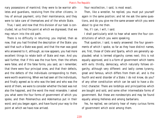nary possessions of mankind; they were to be warrior athletes and guardians, receiving from the other citizens, in lieu of annual payment, only their maintenance, and they were to take care of themselves and of the whole State.

True, I said; and now that this division of our task is concluded, let us find the point at which we digressed, that we may return into the old path.

There is no difficulty in returning; you implied, then as now, that you had finished the description of the State: you said that such a State was good, and that the man was good who answered to it, although, as now appears, you had more excellent things to relate both of State and man. And you said further, that if this was the true form, then the others were false; and of the false forms, you said, as I remember, that there were four principal ones, and that their defects, and the defects of the individuals corresponding to them, were worth examining. When we had seen all the individuals, and finally agreed as to who was the best and who was the worst of them, we were to consider whether the best was not also the happiest, and the worst the most miserable. I asked you what were the four forms of government of which you spoke, and then Polemarchus and Adeimantus put in their word; and you began again, and have found your way to the point at which we have now arrived.

Your recollection, I said, is most exact.

Then, like a wrestler, he replied, you must put yourself again in the same position; and let me ask the same questions, and do you give me the same answer which you were about to give me then.

Yes, if I can, I will, I said.

I shall particularly wish to hear what were the four constitutions of which you were speaking.

That question, I said, is easily answered: the four governments of which I spoke, so far as they have distinct names, are, first, those of Crete and Sparta, which are generally applauded; what is termed oligarchy comes next; this is not equally approved, and is a form of government which teems with evils: thirdly, democracy, which naturally follows oligarchy, although very different: and lastly comes tyranny, great and famous, which differs from them all, and is the fourth and worst disorder of a State. I do not know, do you? of any other constitution which can be said to have a distinct character. There are lordships and principalities which are bought and sold, and some other intermediate forms of government. But these are nondescripts and may be found equally among Hellenes and among barbarians.

Yes, he replied, we certainly hear of many curious forms of government which exist among them.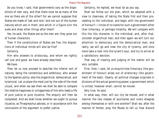Do you know, I said, that governments vary as the dispositions of men vary, and that there must be as many of the one as there are of the other? For we cannot suppose that States are made of 'oak and rock,' and not out of the human natures which are in them, and which in a figure turn the scale and draw other things after them?

Yes, he said, the States are as the men are; they grow out of human characters.

Then if the constitutions of States are five, the dispositions of individual minds will also be five?

Certainly.

Him who answers to aristocracy, and whom we rightly call just and good, we have already described.

We have.

Then let us now proceed to describe the inferior sort of natures, being the contentious and ambitious, who answer to the Spartan polity; also the oligarchical, democratical, and tyrannical. Let us place the most just by the side of the most unjust, and when we see them we shall be able to compare the relative happiness or unhappiness of him who leads a life of pure justice or pure injustice. The enquiry will then be completed. And we shall know whether we ought to pursue injustice, as Thrasymachus advises, or in accordance with the conclusions of the argument to prefer justice.

Certainly, he replied, we must do as you say.

Shall we follow our old plan, which we adopted with a view to clearness, of taking the State first and then proceeding to the individual, and begin with the government of honour?—I know of no name for such a government other than timocracy, or perhaps timarchy. We will compare with this the like character in the individual; and, after that, consider oligarchical man; and then again we will turn our attention to democracy and the democratical man; and lastly, we will go and view the city of tyranny, and once more take a look into the tyrant's soul, and try to arrive at a satisfactory decision.

That way of viewing and judging of the matter will be very suitable.

First, then, I said, let us enquire how timocracy (the government of honour) arises out of aristocracy (the government of the best). Clearly, all political changes originate in divisions of the actual governing power; a government which is united, however small, cannot be moved.

Very true, he said.

In what way, then, will our city be moved, and in what manner the two classes of auxiliaries and rulers disagree among themselves or with one another? Shall we, after the manner of Homer, pray the Muses to tell us 'how discord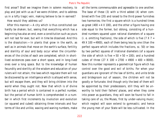first arose'? Shall we imagine them in solemn mockery, to play and jest with us as if we were children, and to address us in a lofty tragic vein, making believe to be in earnest? How would they address us?

After this manner:—A city which is thus constituted can hardly be shaken; but, seeing that everything which has a beginning has also an end, even a constitution such as yours will not last for ever, but will in time be dissolved. And this is the dissolution:—In plants that grow in the earth, as well as in animals that move on the earth's surface, fertility and sterility of soul and body occur when the circumferences of the circles of each are completed, which in shortlived existences pass over a short space, and in long-lived ones over a long space. But to the knowledge of human fecundity and sterility all the wisdom and education of your rulers will not attain; the laws which regulate them will not be discovered by an intelligence which is alloyed with sense, but will escape them, and they will bring children into the world when they ought not. Now that which is of divine birth has a period which is contained in a perfect number, but the period of human birth is comprehended in a number in which first increments by involution and evolution (or squared and cubed) obtaining three intervals and four terms of like and unlike, waxing and waning numbers, make all the terms commensurable and agreeable to one another. The base of these (3) with a third added (4) when combined with five (20) and raised to the third power furnishes two harmonies; the first a square which is a hundred times as great  $(400 = 4 \times 100)$ , and the other a figure having one side equal to the former, but oblong, consisting of a hundred numbers squared upon rational diameters of a square (i. e. omitting fractions), the side of which is five  $(7 X 7 =$  $49 X 100 = 4900$ , each of them being less by one (than the perfect square which includes the fractions, sc. 50) or less by two perfect squares of irrational diameters (of a square the side of which is five =  $50 + 50 = 100$ ; and a hundred cubes of three  $(27 \text{ X } 100 = 2700 + 4900 + 400 = 8000)$ . Now this number represents a geometrical figure which has control over the good and evil of births. For when your guardians are ignorant of the law of births, and unite bride and bridegroom out of season, the children will not be goodly or fortunate. And though only the best of them will be appointed by their predecessors, still they will be unworthy to hold their fathers' places, and when they come into power as guardians, they will soon be found to fall in taking care of us, the Muses, first by under-valuing music; which neglect will soon extend to gymnastic; and hence the young men of your State will be less cultivated. In the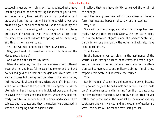succeeding generation rulers will be appointed who have lost the guardian power of testing the metal of your different races, which, like Hesiod's, are of gold and silver and brass and iron. And so iron will be mingled with silver, and brass with gold, and hence there will arise dissimilarity and inequality and irregularity, which always and in all places are causes of hatred and war. This the Muses affirm to be the stock from which discord has sprung, wherever arising; and this is their answer to us.

Yes, and we may assume that they answer truly.

Why, yes, I said, of course they answer truly; how can the Muses speak falsely?

And what do the Muses say next?

When discord arose, then the two races were drawn different ways: the iron and brass fell to acquiring money and land and houses and gold and silver; but the gold and silver races, not wanting money but having the true riches in their own nature, inclined towards virtue and the ancient order of things. There was a battle between them, and at last they agreed to distribute their land and houses among individual owners; and they enslaved their friends and maintainers, whom they had formerly protected in the condition of freemen, and made of them subjects and servants; and they themselves were engaged in war and in keeping a watch against them.

I believe that you have rightly conceived the origin of the change.

And the new government which thus arises will be of a form intermediate between oligarchy and aristocracy?

Very true.

Such will be the change, and after the change has been made, how will they proceed? Clearly, the new State, being in a mean between oligarchy and the perfect State, will partly follow one and partly the other, and will also have some peculiarities.

True, he said.

In the honour given to rulers, in the abstinence of the warrior class from agriculture, handicrafts, and trade in general, in the institution of common meals, and in the attention paid to gymnastics and military training—in all these respects this State will resemble the former.

#### True.

But in the fear of admitting philosophers to power, because they are no longer to be had simple and earnest, but are made up of mixed elements; and in turning from them to passionate and less complex characters, who are by nature fitted for war rather than peace; and in the value set by them upon military stratagems and contrivances, and in the waging of everlasting wars—this State will be for the most part peculiar.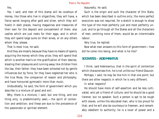Yes.

Yes, I said; and men of this stamp will be covetous of money, like those who live in oligarchies; they will have, a fierce secret longing after gold and silver, which they will hoard in dark places, having magazines and treasuries of their own for the deposit and concealment of them; also castles which are just nests for their eggs, and in which they will spend large sums on their wives, or on any others whom they please.

That is most true, he said.

And they are miserly because they have no means of openly acquiring the money which they prize; they will spend that which is another man's on the gratification of their desires, stealing their pleasures and running away like children from the law, their father: they have been schooled not by gentle influences but by force, for they have neglected her who is the true Muse, the companion of reason and philosophy, and have honoured gymnastic more than music.

Undoubtedly, he said, the form of government which you describe is a mixture of good and evil.

Why, there is a mixture, I said; but one thing, and one thing only, is predominantly seen,—the spirit of contention and ambition; and these are due to the prevalence of the passionate or spirited element.

Assuredly, he said.

Such is the origin and such the character of this State, which has been described in outline only; the more perfect execution was not required, for a sketch is enough to show the type of the most perfectly just and most perfectly unjust; and to go through all the States and all the characters of men, omitting none of them, would be an interminable labour.

Very true, he replied.

Now what man answers to this form of government—how did he come into being, and what is he like?

# **SOCRATES - ADEIMANTUS**

I think, said Adeimantus, that in the spirit of contention which characterises him, he is not unlike our friend Glaucon. Perhaps, I said, he may be like him in that one point; but

there are other respects in which he is very different.

In what respects?

He should have more of self-assertion and be less cultivated, and yet a friend of culture; and he should be a good listener, but no speaker. Such a person is apt to be rough with slaves, unlike the educated man, who is too proud for that; and he will also be courteous to freemen, and remarkably obedient to authority; he is a lover of power and a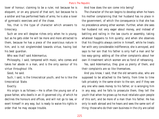lover of honour; claiming to be a ruler, not because he is eloquent, or on any ground of that sort, but because he is a soldier and has performed feats of arms; he is also a lover of gymnastic exercises and of the chase.

Yes, that is the type of character which answers to timocracy.

Such an one will despise riches only when he is young; but as he gets older he will be more and more attracted to them, because he has a piece of the avaricious nature in him, and is not singleminded towards virtue, having lost his best guardian.

Who was that? said Adeimantus.

Philosophy, I said, tempered with music, who comes and takes her abode in a man, and is the only saviour of his virtue throughout life.

Good, he said.

Such, I said, is the timocratical youth, and he is like the timocratical State.

#### Exactly.

His origin is as follows:—He is often the young son of a grave father, who dwells in an ill-governed city, of which he declines the honours and offices, and will not go to law, or exert himself in any way, but is ready to waive his rights in order that he may escape trouble.

And how does the son come into being?

The character of the son begins to develop when he hears his mother complaining that her husband has no place in the government, of which the consequence is that she has no precedence among other women. Further, when she sees her husband not very eager about money, and instead of battling and railing in the law courts or assembly, taking whatever happens to him quietly; and when she observes that his thoughts always centre in himself, while he treats her with very considerable indifference, she is annoyed, and says to her son that his father is only half a man and far too easy-going: adding all the other complaints about her own ill-treatment which women are so fond of rehearsing.

Yes, said Adeimantus, they give us plenty of them, and their complaints are so like themselves.

And you know, I said, that the old servants also, who are supposed to be attached to the family, from time to time talk privately in the same strain to the son; and if they see any one who owes money to his father, or is wronging him in any way, and he falls to prosecute them, they tell the youth that when he grows up he must retaliate upon people of this sort, and be more of a man than his father. He has only to walk abroad and he hears and sees the same sort of thing: those who do their own business in the city are called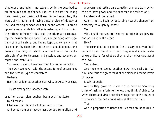simpletons, and held in no esteem, while the busy-bodies are honoured and applauded. The result is that the young man, hearing and seeing all these thing—hearing too, the words of his father, and having a nearer view of his way of life, and making comparisons of him and others—is drawn opposite ways: while his father is watering and nourishing the rational principle in his soul, the others are encouraging the passionate and appetitive; and he being not originally of a bad nature, but having kept bad company, is at last brought by their joint influence to a middle point, and gives up the kingdom which is within him to the middle principle of contentiousness and passion, and becomes arrogant and ambitious.

You seem to me to have described his origin perfectly.

Then we have now, I said, the second form of government and the second type of character?

We have.

Next, let us look at another man who, as Aeschylus says,

Is set over against another State;

or rather, as our plan requires, begin with the State.

By all means.

I believe that oligarchy follows next in order.

And what manner of government do you term oligarchy?

A government resting on a valuation of property, in which the rich have power and the poor man is deprived of it.

I understand, he replied.

Ought I not to begin by describing how the change from timocracy to oligarchy arises?

Yes.

Well, I said, no eyes are required in order to see how the one passes into the other.

How?

The accumulation of gold in the treasury of private individuals is ruin the of timocracy; they invent illegal modes of expenditure; for what do they or their wives care about the law?

Yes, indeed.

And then one, seeing another grow rich, seeks to rival him, and thus the great mass of the citizens become lovers of money.

Likely enough.

And so they grow richer and richer, and the more they think of making a fortune the less they think of virtue; for when riches and virtue are placed together in the scales of the balance, the one always rises as the other falls.

True.

And in proportion as riches and rich men are honoured in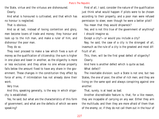the State, virtue and the virtuous are dishonoured. Clearly.

And what is honoured is cultivated, and that which has no honour is neglected.

That is obvious.

And so at last, instead of loving contention and glory, men become lovers of trade and money; they honour and look up to the rich man, and make a ruler of him, and dishonour the poor man.

They do so.

They next proceed to make a law which fixes a sum of money as the qualification of citizenship; the sum is higher in one place and lower in another, as the oligarchy is more or less exclusive; and they allow no one whose property falls below the amount fixed to have any share in the government. These changes in the constitution they effect by force of arms, if intimidation has not already done their work.

Very true.

And this, speaking generally, is the way in which oligarchy is established.

Yes, he said; but what are the characteristics of this form of government, and what are the defects of which we were speaking?

First of all, I said, consider the nature of the qualification just think what would happen if pilots were to be chosen according to their property, and a poor man were refused permission to steer, even though he were a better pilot?

You mean that they would shipwreck?

Yes; and is not this true of the government of anything? I should imagine so.

Except a city?—or would you include a city?

Nay, he said, the case of a city is the strongest of all, inasmuch as the rule of a city is the greatest and most difficult of all.

This, then, will be the first great defect of oligarchy? Clearly.

And here is another defect which is quite as bad.

What defect?

The inevitable division: such a State is not one, but two States, the one of poor, the other of rich men; and they are living on the same spot and always conspiring against one another.

That, surely, is at least as bad.

Another discreditable feature is, that, for a like reason, they are incapable of carrying on any war. Either they arm the multitude, and then they are more afraid of them than of the enemy; or, if they do not call them out in the hour of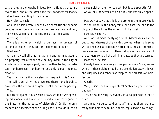battle, they are oligarchs indeed, few to fight as they are few to rule. And at the same time their fondness for money makes them unwilling to pay taxes.

How discreditable!

And, as we said before, under such a constitution the same persons have too many callings—they are husbandmen, tradesmen, warriors, all in one. Does that look well?

Anything but well.

There is another evil which is, perhaps, the greatest of all, and to which this State first begins to be liable.

What evil?

A man may sell all that he has, and another may acquire his property; yet after the sale he may dwell in the city of which he is no longer a part, being neither trader, nor artisan, nor horseman, nor hoplite, but only a poor, helpless creature.

Yes, that is an evil which also first begins in this State.

The evil is certainly not prevented there; for oligarchies have both the extremes of great wealth and utter poverty. True.

But think again: In his wealthy days, while he was spending his money, was a man of this sort a whit more good to the State for the purposes of citizenship? Or did he only seem to be a member of the ruling body, although in truth he was neither ruler nor subject, but just a spendthrift? As you say, he seemed to be a ruler, but was only a spendthrift.

May we not say that this is the drone in the house who is like the drone in the honeycomb, and that the one is the plague of the city as the other is of the hive?

Just so, Socrates.

And God has made the flying drones, Adeimantus, all without stings, whereas of the walking drones he has made some without stings but others have dreadful stings; of the stingless class are those who in their old age end as paupers; of the stingers come all the criminal class, as they are termed.

Most true, he said.

Clearly then, whenever you see paupers in a State, somewhere in that neighborhood there are hidden away thieves, and cutpurses and robbers of temples, and all sorts of malefactors.

Clearly.

Well, I said, and in oligarchical States do you not find paupers?

Yes, he said; nearly everybody is a pauper who is not a ruler.

And may we be so bold as to affirm that there are also many criminals to be found in them, rogues who have stings,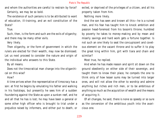and whom the authorities are careful to restrain by force? Certainly, we may be so bold.

The existence of such persons is to be attributed to want of education, ill-training, and an evil constitution of the State?

# True.

Such, then, is the form and such are the evils of oligarchy; and there may be many other evils.

Very likely.

Then oligarchy, or the form of government in which the rulers are elected for their wealth, may now be dismissed. Let us next proceed to consider the nature and origin of the individual who answers to this State.

By all means.

Does not the timocratical man change into the oligarchical on this wise?

# How?

A time arrives when the representative of timocracy has a son: at first he begins by emulating his father and walking in his footsteps, but presently he sees him of a sudden foundering against the State as upon a sunken reef, and he and all that he has is lost; he may have been a general or some other high officer who is brought to trial under a prejudice raised by informers, and either put to death, or

exiled, or deprived of the privileges of a citizen, and all his property taken from him.

Nothing more likely.

And the son has seen and known all this—he is a ruined man, and his fear has taught him to knock ambition and passion head-foremost from his bosom's throne; humbled by poverty he takes to money-making and by mean and miserly savings and hard work gets a fortune together. Is not such an one likely to seat the concupiscent and covetous element on the vacant throne and to suffer it to play the great king within him, girt with tiara and chain and scimitar?

Most true, he replied.

And when he has made reason and spirit sit down on the ground obediently on either side of their sovereign, and taught them to know their place, he compels the one to think only of how lesser sums may be turned into larger ones, and will not allow the other to worship and admire anything but riches and rich men, or to be ambitious of anything so much as the acquisition of wealth and the means of acquiring it.

Of all changes, he said, there is none so speedy or so sure as the conversion of the ambitious youth into the avaricious one.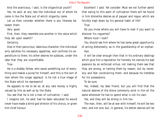And the avaricious, I said, is the oligarchical youth?

Yes, he said; at any rate the individual out of whom he came is like the State out of which oligarchy came.

Let us then consider whether there is any likeness between them.

Very good.

First, then, they resemble one another in the value which they set upon wealth?

Certainly.

Also in their penurious, laborious character; the individual only satisfies his necessary appetites, and confines his expenditure to them; his other desires he subdues, under the idea that they are unprofitable.

True.

He is a shabby fellow, who saves something out of everything and makes a purse for himself; and this is the sort of man whom the vulgar applaud. Is he not a true image of the State which he represents?

He appears to me to be so; at any rate money is highly valued by him as well as by the State.

You see that he is not a man of cultivation, I said.

I imagine not, he said; had he been educated he would never have made a blind god director of his chorus, or given him chief honour.

Excellent! I said. Yet consider: Must we not further admit that owing to this want of cultivation there will be found in him dronelike desires as of pauper and rogue, which are forcibly kept down by his general habit of life?

True.

Do you know where you will have to look if you want to discover his rogueries?

Where must I look?

You should see him where he has some great opportunity of acting dishonestly, as in the guardianship of an orphan. Aye.

It will be clear enough then that in his ordinary dealings which give him a reputation for honesty he coerces his bad passions by an enforced virtue; not making them see that they are wrong, or taming them by reason, but by necessity and fear constraining them, and because he trembles for his possessions.

To be sure.

Yes, indeed, my dear friend, but you will find that the natural desires of the drone commonly exist in him all the same whenever he has to spend what is not his own.

Yes, and they will be strong in him too.

The man, then, will be at war with himself; he will be two men, and not one; but, in general, his better desires will be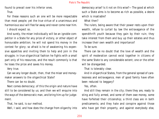found to prevail over his inferior ones.

True.

For these reasons such an one will be more respectable than most people; yet the true virtue of a unanimous and harmonious soul will flee far away and never come near him.

I should expect so.

And surely, the miser individually will be an ignoble competitor in a State for any prize of victory, or other object of honourable ambition; he will not spend his money in the contest for glory; so afraid is he of awakening his expensive appetites and inviting them to help and join in the struggle; in true oligarchical fashion he fights with a small part only of his resources, and the result commonly is that he loses the prize and saves his money.

Very true.

Can we any longer doubt, then, that the miser and moneymaker answers to the oligarchical State?

There can be no doubt.

Next comes democracy; of this the origin and nature have still to be considered by us; and then we will enquire into the ways of the democratic man, and bring him up for judgement.

That, he said, is our method.

Well, I said, and how does the change from oligarchy into

democracy arise? Is it not on this wise?—The good at which such a State alms is to become as rich as possible, a desire which is insatiable?

What then?

The rulers, being aware that their power rests upon their wealth, refuse to curtail by law the extravagance of the spendthrift youth because they gain by their ruin; they take interest from them and buy up their estates and thus increase their own wealth and importance?

To be sure.

There can be no doubt that the love of wealth and the spirit of moderation cannot exist together in citizens of the same State to any considerable extent; one or the other will be disregarded.

That is tolerably clear.

And in oligarchical States, from the general spread of carelessness and extravagance, men of good family have often been reduced to beggary?

# Yes, often.

And still they remain in the city; there they are, ready to sting and fully armed, and some of them owe money, some have forfeited their citizenship; a third class are in both predicaments; and they hate and conspire against those who have got their property, and against everybody else,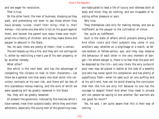and are eager for revolution.

That is true.

On the other hand, the men of business, stooping as they walk, and pretending not even to see those whom they have already ruined, insert their sting—that is, their money—into some one else who is not on his guard against them, and recover the parent sum many times over multiplied into a family of children: and so they make drone and pauper to abound in the State.

Yes, he said, there are plenty of them—that is certain.

The evil blazes up like a fire; and they will not extinguish it, either by restricting a man's use of his own property, or by another remedy:

What other?

One which is the next best, and has the advantage of compelling the citizens to look to their characters:—Let there be a general rule that every one shall enter into voluntary contracts at his own risk, and there will be less of this scandalous money-making, and the evils of which we were speaking will be greatly lessened in the State.

Yes, they will be greatly lessened.

At present the governors, induced by the motives which I have named, treat their subjects badly; while they and their adherents, especially the young men of the governing class,

are habituated to lead a life of luxury and idleness both of body and mind; they do nothing, and are incapable of resisting either pleasure or pain.

Very true.

They themselves care only for making money, and are as indifferent as the pauper to the cultivation of virtue.

Yes, quite as indifferent.

Such is the state of affairs which prevails among them. And often rulers and their subjects may come in one another's way, whether on a pilgrimage or a march, as fellow-soldiers or fellow-sailors; aye, and they may observe the behaviour of each other in the very moment of danger—for where danger is, there is no fear that the poor will be despised by the rich—and very likely the wiry sunburnt poor man may be placed in battle at the side of a wealthy one who has never spoilt his complexion and has plenty of superfluous flesh—when he sees such an one puffing and at his wit's end, how can he avoid drawing the conclusion that men like him are only rich because no one has the courage to despoil them? And when they meet in private will not people be saying to one another 'Our warriors are not good for much'?

Yes, he said, I am quite aware that this is their way of talking.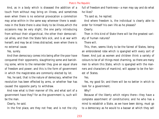And, as in a body which is diseased the addition of a touch from without may bring on illness, and sometimes even when there is no external provocation a commotion may arise within-in the same way wherever there is weakness in the State there is also likely to be illness,which the occasions may be very slight, the one party introducing from without their oligarchical, the other their democratical allies, and then the State falls sick, and is at war with herself; and may be at times distracted, even when there is no external cause.

Yes, surely.

And then democracy comes into being after the poor have conquered their opponents, slaughtering some and banishing some, while to the remainder they give an equal share of freedom and power; and this is the form of government in which the magistrates are commonly elected by lot.

Yes, he said, that is the nature of democracy, whether the revolution has been effected by arms, or whether fear has caused the opposite party to withdraw.

And now what is their manner of life, and what sort of a government have they? for as the government is, such will be the man.

Clearly, he said.

In the first place, are they not free; and is not the city

full of freedom and frankness—a man may say and do what he likes?

'Tis said so, he replied.

And where freedom is, the individual is clearly able to order for himself his own life as he pleases?

Clearly.

Then in this kind of State there will be the greatest variety of human natures?

There will.

This, then, seems likely to be the fairest of States, being an embroidered robe which is spangled with every sort of flower. And just as women and children think a variety of colours to be of all things most charming, so there are many men to whom this State, which is spangled with the manners and characters of mankind, will appear to be the fairest of States.

Yes.

Yes, my good Sir, and there will be no better in which to look for a government.

# Why?

Because of the liberty which reigns there—they have a complete assortment of constitutions; and he who has a mind to establish a State, as we have been doing, must go to a democracy as he would to a bazaar at which they sell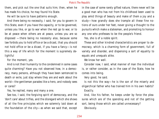them, and pick out the one that suits him; then, when he has made his choice, he may found his State.

He will be sure to have patterns enough.

And there being no necessity, I said, for you to govern in this State, even if you have the capacity, or to be governed, unless you like, or go to war when the rest go to war, or to be at peace when others are at peace, unless you are so disposed —there being no necessity also, because some law forbids you to hold office or be a dicast, that you should not hold office or be a dicast, if you have a fancy—is not this a way of life which for the moment is supremely delightful

For the moment, yes.

And is not their humanity to the condemned in some cases quite charming? Have you not observed how, in a democracy, many persons, although they have been sentenced to death or exile, just stay where they are and walk about the world—the gentleman parades like a hero, and nobody sees or cares?

Yes, he replied, many and many a one.

See too, I said, the forgiving spirit of democracy, and the 'don't care' about trifles, and the disregard which she shows of all the fine principles which we solemnly laid down at the foundation of the city—as when we said that, except in the case of some rarely gifted nature, there never will be a good man who has not from his childhood been used to play amid things of beauty and make of them a joy and a study—how grandly does she trample all these fine notions of ours under her feet, never giving a thought to the pursuits which make a statesman, and promoting to honour any one who professes to be the people's friend.

Yes, she is of a noble spirit.

These and other kindred characteristics are proper to democracy, which is a charming form of government, full of variety and disorder, and dispensing a sort of equality to equals and unequals alike.

We know her well.

Consider now, I said, what manner of man the individual is, or rather consider, as in the case of the State, how he comes into being.

Very good, he said.

Is not this the way—he is the son of the miserly and oligarchical father who has trained him in his own habits? Exactly.

And, like his father, he keeps under by force the pleasures which are of the spending and not of the getting sort, being those which are called unnecessary?

Obviously.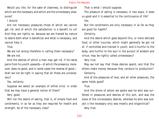Would you like, for the sake of clearness, to distinguish which are the necessary and which are the unnecessary pleasures?

I should.

Are not necessary pleasures those of which we cannot get rid, and of which the satisfaction is a benefit to us? And they are rightly so, because we are framed by nature to desire both what is beneficial and what is necessary, and cannot help it.

True.

We are not wrong therefore in calling them necessary? We are not.

And the desires of which a man may get rid, if he takes pains from his youth upwards—of which the presence, moreover, does no good, and in some cases the reverse of good shall we not be right in saying that all these are unnecessary?

Yes, certainly.

Suppose we select an example of either kind, in order that we may have a general notion of them?

Very good.

Will not the desire of eating, that is, of simple food and condiments, in so far as they are required for health and strength, be of the necessary class?

That is what I should suppose.

The pleasure of eating is necessary in two ways; it does us good and it is essential to the continuance of life? Yes.

But the condiments are only necessary in so far as they are good for health?

Certainly.

And the desire which goes beyond this, or more delicate food, or other luxuries, which might generally be got rid of, if controlled and trained in youth, and is hurtful to the body, and hurtful to the soul in the pursuit of wisdom and virtue, may be rightly called unnecessary?

Very true.

May we not say that these desires spend, and that the others make money because they conduce to production? Certainly.

And of the pleasures of love, and all other pleasures, the same holds good?

True.

And the drone of whom we spoke was he who was surfeited in pleasures and desires of this sort, and was the slave of the unnecessary desires, whereas he who was subject o the necessary only was miserly and oligarchical? Very true.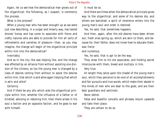Again, let us see how the democratical man grows out of the oligarchical: the following, as I suspect, is commonly the process.

What is the process?

When a young man who has been brought up as we were just now describing, in a vulgar and miserly way, has tasted drones' honey and has come to associate with fierce and crafty natures who are able to provide for him all sorts of refinements and varieties of pleasure—then, as you may imagine, the change will begin of the oligarchical principle within him into the democratical?

Inevitably.

And as in the city like was helping like, and the change was effected by an alliance from without assisting one division of the citizens, so too the young man is changed by a class of desires coming from without to assist the desires within him, that which is and alike again helping that which is akin and alike?

Certainly.

And if there be any ally which aids the oligarchical principle within him, whether the influence of a father or of kindred, advising or rebuking him, then there arises in his soul a faction and an opposite faction, and he goes to war with himself.

It must be so.

And there are times when the democratical principle gives way to the oligarchical, and some of his desires die, and others are banished; a spirit of reverence enters into the young man's soul and order is restored.

Yes, he said, that sometimes happens.

And then, again, after the old desires have been driven out, fresh ones spring up, which are akin to them, and because he, their father, does not know how to educate them, wax fierce

and numerous.

Yes, he said, that is apt to be the way.

They draw him to his old associates, and holding secret intercourse with them, breed and multiply in him.

# Very true.

At length they seize upon the citadel of the young man's soul, which they perceive to be void of all accomplishments and fair pursuits and true words, which make their abode in the minds of men who are dear to the gods, and are their best guardians and sentinels.

None better.

False and boastful conceits and phrases mount upwards and take their place.

They are certain to do so.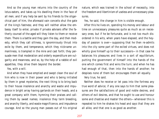And so the young man returns into the country of the lotus-eaters, and takes up his dwelling there in the face of all men; and if any help be sent by his friends to the oligarchical part of him, the aforesaid vain conceits shut the gate of the king's fastness; and they will neither allow the embassy itself to enter, private if private advisers offer the fatherly counsel of the aged will they listen to them or receive them. There is a battle and they gain the day, and then modesty, which they call silliness, is ignominiously thrust into exile by them, and temperance, which they nickname unmanliness, is trampled in the mire and cast forth; they persuade men that moderation and orderly expenditure are vulgarity and meanness, and so, by the help of a rabble of evil appetites, they drive them beyond the border.

Yes, with a will.

And when they have emptied and swept clean the soul of him who is now in their power and who is being initiated by them in great mysteries, the next thing is to bring back to their house insolence and anarchy and waste and impudence in bright array having garlands on their heads, and a great company with them, hymning their praises and calling them by sweet names; insolence they term breeding, and anarchy liberty, and waste magnificence, and impudence courage. And so the young man passes out of his original

nature, which was trained in the school of necessity, into the freedom and libertinism of useless and unnecessary pleasures.

Yes, he said, the change in him is visible enough.

After this he lives on, spending his money and labour and time on unnecessary pleasures quite as much as on necessary ones; but if he be fortunate, and is not too much disordered in his wits, when years have elapsed, and the heyday of passion is over—supposing that he then re-admits into the city some part of the exiled virtues, and does not wholly give himself up to their successors—in that case he balances his pleasures and lives in a sort of equilibrium, putting the government of himself into the hands of the one which comes first and wins the turn; and when he has had enough of that, then into the hands of another; he despises none of them but encourages them all equally.

# Very true, he said.

Neither does he receive or let pass into the fortress any true word of advice; if any one says to him that some pleasures are the satisfactions of good and noble desires, and others of evil desires, and that he ought to use and honour some and chastise and master the others—whenever this is repeated to him he shakes his head and says that they are all alike, and that one is as good as another.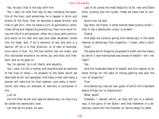Yes, he said; that is the way with him.

Yes, I said, he lives from day to day indulging the appetite of the hour; and sometimes he is lapped in drink and strains of the flute; then he becomes a water-drinker, and tries to get thin; then he takes a turn at gymnastics; sometimes idling and neglecting everything, then once more living the life of a philosopher; often he is busy with politics, and starts to his feet and says and does whatever comes into his head; and, if he is emulous of any one who is a warrior, off he is in that direction, or of men of business, once more in that. His life has neither law nor order; and this distracted existence he terms joy and bliss and freedom; and so he goes on.

Yes, he replied, he is all liberty and equality.

Yes, I said; his life is motley and manifold and an epitome of the lives of many;—he answers to the State which we described as fair and spangled. And many a man and many a woman will take him for their pattern, and many a constitution and many an example of manners is contained in him.

# Just so.

Let him then be set over against democracy; he may truly be called the democratic man.

Let that be his place, he said.

Last of all comes the most beautiful of all, man and State alike, tyranny and the tyrant; these we have now to consider.

Quite true, he said.

Say then, my friend, in what manner does tyranny arise? that it has a democratic origin is evident.

Clearly.

And does not tyranny spring from democracy in the same manner as democracy from oligarchy—I mean, after a sort? How?

The good which oligarchy proposed to itself and the means by which it was maintained was excess of wealth—am I not right?

Yes.

And the insatiable desire of wealth and the neglect of all other things for the sake of money-getting was also the ruin of oligarchy?

True.

And democracy has her own good, of which the insatiable desire brings her to dissolution?

What good?

Freedom, I replied; which, as they tell you in a democracy, is the glory of the State—and that therefore in a democracy alone will the freeman of nature deign to dwell.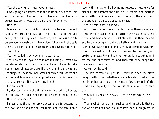Yes; the saying is in everybody's mouth.

I was going to observe, that the insatiable desire of this and the neglect of other things introduces the change in democracy, which occasions a demand for tyranny.

# How so?

When a democracy which is thirsting for freedom has evil cupbearers presiding over the feast, and has drunk too deeply of the strong wine of freedom, then, unless her rulers are very amenable and give a plentiful draught, she calls them to account and punishes them, and says that they are cursed oligarchs.

Yes, he replied, a very common occurrence.

Yes, I said; and loyal citizens are insultingly termed by her slaves who hug their chains and men of naught; she would have subjects who are like rulers, and rulers who are like subjects: these are men after her own heart, whom she praises and honours both in private and public. Now, in such a State, can liberty have any limit?

Certainly not.

By degrees the anarchy finds a way into private houses, and ends by getting among the animals and infecting them.

How do you mean?

I mean that the father grows accustomed to descend to the level of his sons and to fear them, and the son is on a

level with his father, he having no respect or reverence for either of his parents; and this is his freedom, and metic is equal with the citizen and the citizen with the metic, and the stranger is quite as good as either.

Yes, he said, that is the way.

And these are not the only evils, I said—there are several lesser ones: In such a state of society the master fears and flatters his scholars, and the scholars despise their masters and tutors; young and old are all alike; and the young man is on a level with the old, and is ready to compete with him in word or deed; and old men condescend to the young and are full of pleasantry and gaiety; they are loth to be thought morose and authoritative, and therefore they adopt the manners of the young.

Quite true, he said.

The last extreme of popular liberty is when the slave bought with money, whether male or female, is just as free as his or her purchaser; nor must I forget to tell of the liberty and equality of the two sexes in relation to each other.

Why not, as Aeschylus says, utter the word which rises to our lips?

That is what I am doing, I replied; and I must add that no one who does not know would believe, how much greater is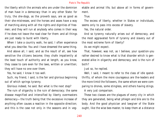the liberty which the animals who are under the dominion of man have in a democracy than in any other State: for truly, the she-dogs, as the proverb says, are as good as their she-mistresses, and the horses and asses have a way of marching along with all the rights and dignities of freemen; and they will run at anybody who comes in their way if he does not leave the road clear for them: and all things are just ready to burst with liberty.

When I take a country walk, he said, I often experience what you describe. You and I have dreamed the same thing.

And above all, I said, and as the result of all, see how sensitive the citizens become; they chafe impatiently at the least touch of authority and at length, as you know, they cease to care even for the laws, written or unwritten; they will have no one over them.

Yes, he said, I know it too well.

Such, my friend, I said, is the fair and glorious beginning out of which springs tyranny.

Glorious indeed, he said. But what is the next step?

The ruin of oligarchy is the ruin of democracy; the same disease magnified and intensified by liberty overmasters democracy—the truth being that the excessive increase of anything often causes a reaction in the opposite direction; and this is the case not only in the seasons and in vegetable and animal life, but above all in forms of government.

True.

The excess of liberty, whether in States or individuals, seems only to pass into excess of slavery.

Yes, the natural order.

And so tyranny naturally arises out of democracy, and the most aggravated form of tyranny and slavery out of the most extreme form of liberty?

As we might expect.

That, however, was not, as I believe, your question-you rather desired to know what is that disorder which is generated alike in oligarchy and democracy, and is the ruin of both?

Just so, he replied.

Well, I said, I meant to refer to the class of idle spendthrifts, of whom the more courageous are the-leaders and the more timid the followers, the same whom we were comparing to drones, some stingless, and others having stings. A very just comparison.

These two classes are the plagues of every city in which they are generated, being what phlegm and bile are to the body. And the good physician and lawgiver of the State ought, like the wise bee-master, to keep them at a distance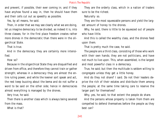and prevent, if possible, their ever coming in; and if they have anyhow found a way in, then he should have them and their cells cut out as speedily as possible.

Yes, by all means, he said.

Then, in order that we may see clearly what we are doing, let us imagine democracy to be divided, as indeed it is, into three classes; for in the first place freedom creates rather more drones in the democratic than there were in the oligarchical State.

That is true.

And in the democracy they are certainly more intensified.

# How so?

Because in the oligarchical State they are disqualified and driven from office, and therefore they cannot train or gather strength; whereas in a democracy they are almost the entire ruling power, and while the keener sort speak and act, the rest keep buzzing about the bema and do not suffer a word to be said on the other side; hence in democracies almost everything is managed by the drones.

Very true, he said.

Then there is another class which is always being severed from the mass.

What is that?

They are the orderly class, which in a nation of traders sure to be the richest.

Naturally so.

They are the most squeezable persons and yield the largest amount of honey to the drones.

Why, he said, there is little to be squeezed out of people who have little.

And this is called the wealthy class, and the drones feed upon them.

That is pretty much the case, he said.

The people are a third class, consisting of those who work with their own hands; they are not politicians, and have not much to live upon. This, when assembled, is the largest and most powerful class in a democracy.

True, he said; but then the multitude is seldom willing to congregate unless they get a little honey.

And do they not share? I said. Do not their leaders deprive the rich of their estates and distribute them among the people; at the same time taking care to reserve the larger part for themselves?

Why, yes, he said, to that extent the people do share. And the persons whose property is taken from them are compelled to defend themselves before the people as they best can?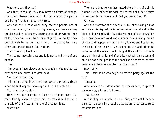What else can they do?

And then, although they may have no desire of change, the others charge them with plotting against the people and being friends of oligarchy? True.

And the end is that when they see the people, not of their own accord, but through ignorance, and because they are deceived by informers, seeking to do them wrong, then at last they are forced to become oligarchs in reality; they do not wish to be, but the sting of the drones torments them and breeds revolution in them.

That is exactly the truth.

Then come impeachments and judgments and trials of one another.

True.

The people have always some champion whom they set over them and nurse into greatness.

Yes, that is their way.

This and no other is the root from which a tyrant springs; when he first appears above ground he is a protector.

Yes, that is quite clear.

How then does a protector begin to change into a tyrant? Clearly when he does what the man is said to do in the tale of the Arcadian temple of Lycaean Zeus.

What tale?

The tale is that he who has tasted the entrails of a single human victim minced up with the entrails of other victims is destined to become a wolf. Did you never hear it? Oh, yes.

And the protector of the people is like him; having a mob entirely at his disposal, he is not restrained from shedding the blood of kinsmen; by the favourite method of false accusation he brings them into court and murders them, making the life of man to disappear, and with unholy tongue and lips tasting the blood of his fellow citizen; some he kills and others he banishes, at the same time hinting at the abolition of debts and partition of lands: and after this, what will be his destiny? Must he not either perish at the hands of his enemies, or from being a man become a wolf—that is, a tyrant?

Inevitably.

This, I said, is he who begins to make a party against the rich?

The same.

After a while he is driven out, but comes back, in spite of his enemies, a tyrant full grown.

That is clear.

And if they are unable to expel him, or to get him condemned to death by a public accusation, they conspire to assassinate him.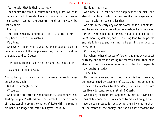Yes, he said, that is their usual way.

Then comes the famous request for a bodyguard, which is the device of all those who have got thus far in their tyrannical career—'Let not the people's friend,' as they say, 'be lost to them.'

# Exactly.

The people readily assent; all their fears are for him they have none for themselves.

Very true.

And when a man who is wealthy and is also accused of being an enemy of the people sees this, then, my friend, as the oracle said to Croesus,

 By pebbly Hermus' shore he flees and rests not and is not ashamed to be a coward.

And quite right too, said he, for if he were, he would never be ashamed again.

But if he is caught he dies.

Of course.

And he, the protector of whom we spoke, is to be seen, not 'larding the plain' with his bulk, but himself the overthrower of many, standing up in the chariot of State with the reins in his hand, no longer protector, but tyrant absolute.

No doubt, he said.

And now let us consider the happiness of the man, and also of the State in which a creature like him is generated. Yes, he said, let us consider that.

At first, in the early days of his power, he is full of smiles, and he salutes every one whom he meets;—he to be called a tyrant, who is making promises in public and also in private! liberating debtors, and distributing land to the people and his followers, and wanting to be so kind and good to every one!

Of course, he said.

But when he has disposed of foreign enemies by conquest or treaty, and there is nothing to fear from them, then he is always stirring up some war or other, in order that the people may require a leader.

To be sure.

Has he not also another object, which is that they may be impoverished by payment of taxes, and thus compelled to devote themselves to their daily wants and therefore less likely to conspire against him? Clearly.

And if any of them are suspected by him of having notions of freedom, and of resistance to his authority, he will have a good pretext for destroying them by placing them at the mercy of the enemy; and for all these reasons the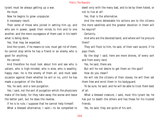tyrant must be always getting up a war.

He must.

Now he begins to grow unpopular.

A necessary result.

Then some of those who joined in setting him up, and who are in power, speak their minds to him and to one another, and the more courageous of them cast in his teeth what is being done.

Yes, that may be expected.

And the tyrant, if he means to rule, must get rid of them; he cannot stop while he has a friend or an enemy who is good for anything.

He cannot.

And therefore he must look about him and see who is valiant, who is high-minded, who is wise, who is wealthy; happy man, he is the enemy of them all, and must seek occasion against them whether he will or no, until he has made a purgation of the State.

Yes, he said, and a rare purgation.

Yes, I said, not the sort of purgation which the physicians make of the body; for they take away the worse and leave the better part, but he does the reverse.

If he is to rule, I suppose that he cannot help himself. What a blessed alternative, I said:—to be compelled to dwell only with the many bad, and to be by them hated, or not to live at all!

Yes, that is the alternative.

And the more detestable his actions are to the citizens the more satellites and the greater devotion in them will he require?

Certainly.

And who are the devoted band, and where will he procure them?

They will flock to him, he said, of their own accord, if lie pays them.

By the dog! I said, here are more drones, of every sort and from every land.

Yes, he said, there are.

But will he not desire to get them on the spot?

How do you mean?

He will rob the citizens of their slaves; he will then set them free and enrol them in his bodyguard.

To be sure, he said; and he will be able to trust them best of all.

What a blessed creature, I said, must this tyrant be; he has put to death the others and has these for his trusted friends.

Yes, he said; they are quite of his sort.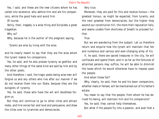Yes, I said, and these are the new citizens whom he has called into existence, who admire him and are his companions, while the good hate and avoid him.

Of course.

Verily, then, tragedy is a wise thing and Euripides a great tragedian.

Why so?

Why, because he is the author of the pregnant saying,

Tyrants are wise by living with the wise;

and he clearly meant to say that they are the wise whom the tyrant makes his companions.

Yes, he said, and he also praises tyranny as godlike; and many other things of the same kind are said by him and by the other poets.

And therefore, I said, the tragic poets being wise men will forgive us and any others who live after our manner if we do not receive them into our State, because they are the eulogists of tyranny.

Yes, he said, those who have the wit will doubtless forgive us.

But they will continue to go to other cities and attract mobs, and hire voices fair and loud and persuasive, and draw the cities over to tyrannies and democracies.

Very true.

Moreover, they are paid for this and receive honour—the greatest honour, as might be expected, from tyrants, and the next greatest from democracies; but the higher they ascend our constitution hill, the more their reputation fails, and seems unable from shortness of breath to proceed further.

True.

But we are wandering from the subject: Let us therefore return and enquire how the tyrant will maintain that fair and numerous and various and ever-changing army of his.

If, he said, there are sacred treasures in the city, he will confiscate and spend them; and in so far as the fortunes of attainted persons may suffice, he will be able to diminish the taxes which he would otherwise have to impose upon the people.

And when these fail?

Why, clearly, he said, then he and his boon companions, whether male or female, will be maintained out of his father's estate.

You mean to say that the people, from whom he has derived his being, will maintain him and his companions?

Yes, he said; they cannot help themselves.

But what if the people fly into a passion, and aver that a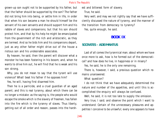grown-up son ought not to be supported by his father, but that the father should be supported by the son? The father did not bring him into being, or settle him in life, in order that when his son became a man he should himself be the servant of his own servants and should support him and his rabble of slaves and companions; but that his son should protect him, and that by his help he might be emancipated from the government of the rich and aristocratic, as they are termed. And so he bids him and his companions depart, just as any other father might drive out of the house a riotous son and his undesirable associates.

By heaven, he said, then the parent will discover what a monster he has been fostering in his bosom; and, when he wants to drive him out, he will find that he is weak and his son strong.

Why, you do not mean to say that the tyrant will use violence? What! beat his father if he opposes him?

Yes, he will, having first disarmed him.

Then he is a parricide, and a cruel guardian of an aged parent; and this is real tyranny, about which there can be no longer a mistake: as the saying is, the people who would escape the smoke which is the slavery of freemen, has fallen into the fire which is the tyranny of slaves. Thus liberty, getting out of all order and reason, passes into the harshest and bitterest form of slavery. True, he said.

Very well; and may we not rightly say that we have sufficiently discussed the nature of tyranny, and the manner of the transition from democracy to tyranny?

Yes, quite enough, he said.

# **BOOK IX**

# **SOCRATES - ADEIMANTUS**

Last of all comes the tyrannical man; about whom we have once more to ask, how is he formed out of the democratical? and how does he live, in happiness or in misery?

Yes, he said, he is the only one remaining.

There is, however, I said, a previous question which remains unanswered.

What question?

I do not think that we have adequately determined the nature and number of the appetites, and until this is accomplished the enquiry will always be confused.

Well, he said, it is not too late to supply the omission.

Very true, I said; and observe the point which I want to understand: Certain of the unnecessary pleasures and appetites I conceive to be unlawful; every one appears to have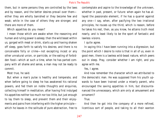them, but in some persons they are controlled by the laws and by reason, and the better desires prevail over them either they are wholly banished or they become few and weak; while in the case of others they are stronger, and there are more of them.

Which appetites do you mean?

I mean those which are awake when the reasoning and human and ruling power is asleep; then the wild beast within us, gorged with meat or drink, starts up and having shaken off sleep, goes forth to satisfy his desires; and there is no conceivable folly or crime—not excepting incest or any other unnatural union, or parricide, or the eating of forbidden food—which at such a time, when he has parted company with all shame and sense, a man may not be ready to commit.

Most true, he said.

But when a man's pulse is healthy and temperate, and when before going to sleep he has awakened his rational powers, and fed them on noble thoughts and enquiries, collecting himself in meditation; after having first indulged his appetites neither too much nor too little, but just enough to lay them to sleep, and prevent them and their enjoyments and pains from interfering with the higher principle which he leaves in the solitude of pure abstraction, free to contemplate and aspire to the knowledge of the unknown, whether in past, present, or future: when again he has allayed the passionate element, if he has a quarrel against any one—I say, when, after pacifying the two irrational principles, he rouses up the third, which is reason, before he takes his rest, then, as you know, he attains truth most nearly, and is least likely to be the sport of fantastic and lawless visions.

I quite agree.

In saying this I have been running into a digression; but the point which I desire to note is that in all of us, even in good men, there is a lawless wild-beast nature, which peers out in sleep. Pray, consider whether I am right, and you agree with me.

## Yes, I agree.

And now remember the character which we attributed to the democratic man. He was supposed from his youth upwards to have been trained under a miserly parent, who encouraged the saving appetites in him, but discountenanced the unnecessary, which aim only at amusement and ornament?

# True.

And then he got into the company of a more refined, licentious sort of people, and taking to all their wanton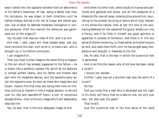ways rushed into the opposite extreme from an abhorrence of his father's meanness. At last, being a better man than his corruptors, he was drawn in both directions until he halted midway and led a life, not of vulgar and slavish passion, but of what he deemed moderate indulgence in various pleasures. After this manner the democrat was generated out of the oligarch?

Yes, he said; that was our view of him, and is so still.

And now, I said, years will have passed away, and you must conceive this man, such as he is, to have a son, who is brought up in his father's principles.

I can imagine him.

Then you must further imagine the same thing to happen to the son which has already happened to the father:—he is drawn into a perfectly lawless life, which by his seducers is termed perfect liberty; and his father and friends take part with his moderate desires, and the opposite party assist the opposite ones. As soon as these dire magicians and tyrant- makers find that they are losing their hold on him, they contrive to implant in him a master passion, to be lord over his idle and spendthrift lusts—a sort of monstrous winged drone—that is the only image which will adequately describe him.

Yes, he said, that is the only adequate image of him.

And when his other lusts, amid clouds of incense and perfumes and garlands and wines, and all the pleasures of a dissolute life, now let loose, come buzzing around him, nourishing to the utmost the sting of desire which they implant in his drone-like nature, then at last this lord of the soul, having Madness for the captainof his guard, breaks out into a frenzy: and if he finds in himself any good opinions or appetites in process of formation, and there is in him any sense of shame remaining, to these better principles he puts an end, and casts them forth until he has purged away temperance and brought in madness to the full.

Yes, he said, that is the way in which the tyrannical man is generated.

And is not this the reason why of old love has been called a tyrant?

I should not wonder.

Further, I said, has not a drunken man also the spirit of a tyrant?

He has.

And you know that a man who is deranged and not right in his mind, will fancy that he is able to rule, not only over men, but also over the gods?

That he will.

And the tyrannical man in the true sense of the word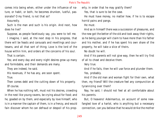comes into being when, either under the influence of nature, or habit, or both, he becomes drunken, lustful, passionate? O my friend, is not that so?

Assuredly.

Such is the man and such is his origin. And next, how does he live?

Suppose, as people facetiously say, you were to tell me. I imagine, I said, at the next step in his progress, that there will be feasts and carousals and revellings and courtesans, and all that sort of thing; Love is the lord of the house within him, and orders all the concerns of his soul.

That is certain.

Yes; and every day and every night desires grow up many and formidable, and their demands are many.

They are indeed, he said.

His revenues, if he has any, are soon spent.

True.

Then comes debt and the cutting down of his property. Of course.

When he has nothing left, must not his desires, crowding in the nest like young ravens, be crying aloud for food; and he, goaded on by them, and especially by love himself, who is in a manner the captain of them, is in a frenzy, and would fain discover whom he can defraud or despoil of his property, in order that he may gratify them? Yes, that is sure to be the case.

He must have money, no matter how, if he is to escape horrid pains and pangs.

He must.

And as in himself there was a succession of pleasures, and the new got the better of the old and took away their rights, so he being younger will claim to have more than his father and his mother, and if he has spent his own share of the property, he will take a slice of theirs.

No doubt he will.

And if his parents will not give way, then he will try first of all to cheat and deceive them.

Very true.

And if he fails, then he will use force and plunder them. Yes, probably.

And if the old man and woman fight for their own, what then, my friend? Will the creature feel any compunction at tyrannizing over them?

Nay, he said, I should not feel at all comfortable about his parents.

But, O heavens! Adeimantus, on account of some newfangled love of a harlot, who is anything but a necessary connection, can you believe that he would strike the mother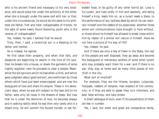who is his ancient friend and necessary to his very existence, and would place her under the authority of the other, when she is brought under the same roof with her; or that, under like circumstances, he would do the same to his withered old father, first and most indispensable of friends, for the sake of some newly found blooming youth who is the reverse of indispensable?

Yes, indeed, he said; I believe that he would.

Truly, then, I said, a tyrannical son is a blessing to his father and mother.

He is indeed, he replied.

He first takes their property, and when that falls, and pleasures are beginning to swarm in the hive of his soul, then he breaks into a house, or steals the garments of some nightly wayfarer; next he proceeds to clear a temple. Meanwhile the old opinions which he had when a child, and which gave judgment about good and evil, are overthrown by those others which have just been emancipated, and are now the bodyguard of love and share his empire. These in his democratic days, when he was still subject to the laws and to his father, were only let loose in the dreams of sleep. But now that he is under the dominion of love, he becomes always and in waking reality what he was then very rarely and in a dream only; he will commit the foulest murder, or eat for-

bidden food, or be guilty of any other horrid act. Love is his tyrant, and lives lordly in him and lawlessly, and being himself a king, leads him on, as a tyrant leads a State, to the performance of any reckless deed by which he can maintain himself and the rabble of his associates, whether those whom evil communications have brought in from without, or those whom he himself has allowed to break loose within him by reason of a similar evil nature in himself. Have we not here a picture of his way of life?

Yes, indeed, he said.

And if there are only a few of them in the State, the rest of the people are well disposed, they go away and become the bodyguard or mercenary soldiers of some other tyrant who may probably want them for a war; and if there is no war, they stay at home and do many little pieces of mischief in the city.

What sort of mischief?

For example, they are the thieves, burglars, cutpurses, footpads, robbers of temples, man-stealers of the community; or if they are able to speak they turn informers, and bear false witness, and take bribes.

A small catalogue of evils, even if the perpetrators of them are few in number.

Yes, I said; but small and great are comparative terms,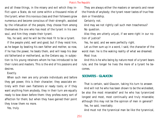and all these things, in the misery and evil which they inflict upon a State, do not come within a thousand miles of the tyrant; when this noxious class and their followers grow numerous and become conscious of their strength, assisted by the infatuation of the people, they choose from among themselves the one who has most of the tyrant in his own soul, and him they create their tyrant.

Yes, he said, and he will be the most fit to be a tyrant.

If the people yield, well and good; but if they resist him, as he began by beating his own father and mother, so now, if he has the power, he beats them, and will keep his dear old fatherland or motherland, as the Cretans say, in subjection to his young retainers whom he has introduced to be their rulers and masters. This is the end of his passions and desires.

Exactly.

When such men are only private individuals and before they get power, this is their character; they associate entirely with their own flatterers or ready tools; or if they want anything from anybody, they in their turn are equally ready to bow down before them: they profess every sort of affection for them; but when they have gained their point they know them no more.

Yes, truly.

They are always either the masters or servants and never the friends of anybody; the tyrant never tastes of true freedom or friendship.

Certainly not.

And may we not rightly call such men treacherous? No question.

Also they are utterly unjust, if we were right in our notion of justice?

Yes, he said, and we were perfectly right.

Let us then sum up in a word, I said, the character of the worst man: he is the waking reality of what we dreamed. Most true.

And this is he who being by nature most of a tyrant bears rule, and the longer he lives the more of a tyrant he becomes.

# **SOCRATES - GLAUCON**

That is certain, said Glaucon, taking his turn to answer. And will not he who has been shown to be the wickedest, be also the most miserable? and he who has tyrannized longest and most, most continually and truly miserable; although this may not be the opinion of men in general? Yes, he said, inevitably.

And must not the tyrannical man be like the tyrannical,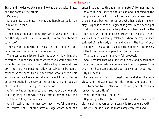State, and the democratical man like the democratical State; and the same of the others?

Certainly.

And as State is to State in virtue and happiness, so is man in relation to man?

To be sure.

Then comparing our original city, which was under a king, and the city which is under a tyrant, how do they stand as to virtue?

They are the opposite extremes, he said, for one is the very best and the other is the very worst.

There can be no mistake, I said, as to which is which, and therefore I will at once inquire whether you would arrive at a similar decision about their relative happiness and misery. And here we must not allow ourselves to be panicstricken at the apparition of the tyrant, who is only a unit and may perhaps have a few retainers about him; but let us go as we ought into every corner of the city and look all about, and then we will give our opinion.

A fair invitation, he replied; and I see, as every one must, that a tyranny is the wretchedest form of government, and the rule of a king the happiest.

And in estimating the men too, may I not fairly make a like request, that I should have a judge whose mind can

enter into and see through human nature? He must not be like a child who looks at the outside and is dazzled at the pompous aspect which the tyrannical nature assumes to the beholder, but let him be one who has a clear insight. May I suppose that the judgment is given in the hearing of us all by one who is able to judge, and has dwelt in the same place with him, and been present at his dally life and known him in his family relations, where he may be seen stripped of his tragedy attire, and again in the hour of public danger—he shall tell us about the happiness and misery of the tyrant when compared with other men?

That again, he said, is a very fair proposal.

Shall I assume that we ourselves are able and experienced judges and have before now met with such a person? We shall then have some one who will answer our enquiries.

By all means.

Let me ask you not to forget the parallel of the individual and the State; bearing this in mind, and glancing in turn from one to the other of them, will you tell me their respective conditions?

What do you mean? he asked.

Beginning with the State, I replied, would you say that a city which is governed by a tyrant is free or enslaved? No city, he said, can be more completely enslaved.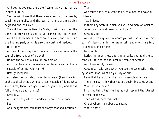And yet, as you see, there are freemen as well as masters in such a State?

Yes, he said, I see that there are—a few; but the people, speaking generally, and the best of them, are miserably degraded and enslaved.

Then if the man is like the State, I said, must not the same rule prevail? his soul is full of meanness and vulgarity—the best elements in him are enslaved; and there is a small ruling part, which is also the worst and maddest.

Inevitably.

And would you say that the soul of such an one is the soul of a freeman, or of a slave?

He has the soul of a slave, in my opinion.

And the State which is enslaved under a tyrant is utterly incapable of acting voluntarily?

Utterly incapable.

And also the soul which is under a tyrant (I am speaking of the soul taken as a whole) is least capable of doing what she desires; there is a gadfly which goads her, and she is full of trouble and remorse?

Certainly.

And is the city which is under a tyrant rich or poor? Poor.

And the tyrannical soul must be always poor and insatiable?

True.

And must not such a State and such a man be always full of fear?

Yes, indeed.

Is there any State in which you will find more of lamentation and sorrow and groaning and pain?

Certainly not.

And is there any man in whom you will find more of this sort of misery than in the tyrannical man, who is in a fury of passions and desires?

Impossible.

Reflecting upon these and similar evils, you held the ty-

rannical State to be the most miserable of States?

And I was right, he said.

Certainly, I said. And when you see the same evils in the tyrannical man, what do you say of him?

I say that he is by far the most miserable of all men.

There, I said, I think that you are beginning to go wrong. What do you mean?

I do not think that he has as yet reached the utmost extreme of misery.

Then who is more miserable?

One of whom I am about to speak.

Who is that?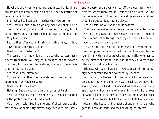He who is of a tyrannical nature, and instead of leading a private life has been cursed with the further misfortune of being a public tyrant.

From what has been said, I gather that you are right.

Yes, I replied, but in this high argument you should be a little more certain, and should not conjecture only; for of all questions, this respecting good and evil is the greatest. Very true, he said.

Let me then offer you an illustration, which may, I think, throw a light upon this subject.

What is your illustration?

The case of rich individuals in cities who possess many slaves: from them you may form an idea of the tyrant's condition, for they both have slaves; the only difference is that he has more slaves.

Yes, that is the difference.

You know that they live securely and have nothing to apprehend from their servants?

What should they fear?

Nothing. But do you observe the reason of this?

Yes; the reason is, that the whole city is leagued together for the protection of each individual.

Very true, I said. But imagine one of these owners, the master say of some fifty slaves, together with his family and property and slaves, carried off by a god into the wilderness, where there are no freemen to help him—will he not be in an agony of fear lest he and his wife and children should be put to death by his slaves?

Yes, he said, he will be in the utmost fear.

The time has arrived when he will be compelled to flatter divers of his slaves, and make many promises to them of freedom and other things, much against his will—he will have to cajole his own servants.

Yes, he said, that will be the only way of saving himself. And suppose the same god, who carried him away, to surround him with neighbours who will not suffer one man to be the master of another, and who, if they could catch the offender, would take his life?

His case will be still worse, if you suppose him to be everywhere surrounded and watched by enemies.

And is not this the sort of prison in which the tyrant will be bound—he who being by nature such as we have described, is full of all sorts of fears and lusts? His soul is dainty and greedy, and yet alone, of all men in the city, he is never allowed to go on a journey, or to see the things which other freemen desire to see, but he lives in his hole like a woman hidden in the house, and is jealous of any other citizen who goes into foreign parts and sees anything of interest.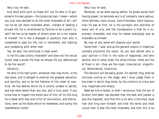Very true, he said.

And amid evils such as these will not he who is ill-governed in his own person—the tyrannical man, I mean—whom you just now decided to be the most miserable of all—will not he be yet more miserable when, instead of leading a private life, he is constrained by fortune to be a public tyrant? He has to be master of others when he is not master of himself: he is like a diseased or paralytic man who is compelled to pass his life, not in retirement, but fighting and combating with other men.

Yes, he said, the similitude is most exact.

Is not his case utterly miserable? and does not the actual tyrant lead a worse life than he whose life you determined to be the worst?

# Certainly.

He who is the real tyrant, whatever men may think, is the real slave, and is obliged to practise the greatest adulation and servility, and to be the flatterer of the vilest of mankind. He has desires which he is utterly unable to satisfy, and has more wants than any one, and is truly poor, if you know how to inspect the whole soul of him: all his life long he is beset with fear and is full of convulsions, and distractions, even as the State which he resembles: and surely the resemblance holds?

Very true, he said.

Moreover, as we were saying before, he grows worse from having power: he becomes and is of necessity more jealous, more faithless, more unjust, more friendless, more impious, than he was at first; he is the purveyor and cherisher of every sort of vice, and the consequence is that he is supremely miserable, and that he makes everybody else as miserable as himself.

No man of any sense will dispute your words.

Come then, I said, and as the general umpire in theatrical contests proclaims the result, do you also decide who in your opinion is first in the scale of happiness, and who second, and in what order the others follow: there are five of them in all—they are the royal, timocratical, oligarchical, democratical, tyrannical.

The decision will be easily given, he replied; they shall be choruses coming on the stage, and I must judge them in the order in which they enter, by the criterion of virtue and vice, happiness and misery.

Need we hire a herald, or shall I announce, that the son of Ariston (the best) has decided that the best and justest is also the happiest, and that this is he who is the most royal man and king over himself; and that the worst and most unjust man is also the most miserable, and that this is he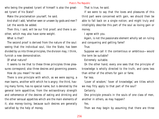who being the greatest tyrant of himself is also the greatest tyrant of his State?

Make the proclamation yourself, he said.

And shall I add, 'whether seen or unseen by gods and men'? Let the words be added.

Then this, I said, will be our first proof; and there is another, which may also have some weight.

What is that?

The second proof is derived from the nature of the soul: seeing that the individual soul, like the State, has been divided by us into three principles, the division may, I think, furnish a new demonstration.

Of what nature?

It seems to me that to these three principles three pleasures correspond; also three desires and governing powers. How do you mean? he said.

There is one principle with which, as we were saying, a man learns, another with which he is angry; the third, having many forms, has no special name, but is denoted by the general term appetitive, from the extraordinary strength and vehemence of the desires of eating and drinking and the other sensual appetites which are the main elements of it; also money-loving, because such desires are generally satisfied by the help of money.

That is true, he said.

If we were to say that the loves and pleasures of this third part were concerned with gain, we should then be able to fall back on a single notion; and might truly and intelligibly describe this part of the soul as loving gain or money.

I agree with you.

Again, is not the passionate element wholly set on ruling and conquering and getting fame?

True.

Suppose we call it the contentious or ambitious—would the term be suitable?

Extremely suitable.

On the other hand, every one sees that the principle of knowledge is wholly directed to the truth, and cares less than either of the others for gain or fame.

Far less.

'Lover of wisdom,' 'lover of knowledge,' are titles which we may fitly apply to that part of the soul?

Certainly.

One principle prevails in the souls of one class of men, another in others, as may happen?

Yes.

Then we may begin by assuming that there are three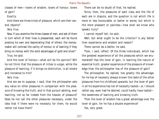classes of men—lovers of wisdom, lovers of honour, lovers of gain?

Exactly.

And there are three kinds of pleasure, which are their several objects?

Very true.

Now, if you examine the three classes of men, and ask of them in turn which of their lives is pleasantest, each will be found praising his own and depreciating that of others: the moneymaker will contrast the vanity of honour or of learning if they bring no money with the solid advantages of gold and silver? True, he said.

And the lover of honour—what will be his opinion? Will he not think that the pleasure of riches is vulgar, while the pleasure of learning, if it brings no distinction, is all smoke and nonsense to him?

Very true.

And are we to suppose, I said, that the philosopher sets any value on other pleasures in comparison with the pleasure of knowing the truth, and in that pursuit abiding, ever learning, not so far indeed from the heaven of pleasure? Does he not call the other pleasures necessary, under the idea that if there were no necessity for them, he would rather not have them?

There can be no doubt of that, he replied.

Since, then, the pleasures of each class and the life of each are in dispute, and the question is not which life is more or less honourable, or better or worse, but which is the more pleasant or painless—how shall we know who speaks truly?

I cannot myself tell, he said.

Well, but what ought to be the criterion? Is any better than experience and wisdom and reason?

There cannot be a better, he said.

Then, I said, reflect. Of the three individuals, which has the greatest experience of all the pleasures which we enumerated? Has the lover of gain, in learning the nature of essential truth, greater experience of the pleasure of knowledge than the philosopher has of the pleasure of gain?

The philosopher, he replied, has greatly the advantage; for he has of necessity always known the taste of the other pleasures from his childhood upwards: but the lover of gain in all his experience has not of necessity tasted—or, I should rather say, even had he desired, could hardly have tasted the sweetness of learning and knowing truth.

Then the lover of wisdom has a great advantage over the lover of gain, for he has a double experience?

Yes, very great.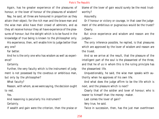Again, has he greater experience of the pleasures of honour, or the lover of honour of the pleasures of wisdom?

Nay, he said, all three are honoured in proportion as they attain their object; for the rich man and the brave man and the wise man alike have their crowd of admirers, and as they all receive honour they all have experience of the pleasures of honour; but the delight which is to be found in the knowledge of true being is known to the philosopher only.

His experience, then, will enable him to judge better than any one?

Far better.

And he is the only one who has wisdom as well as experience?

Certainly.

Further, the very faculty which is the instrument of judgment is not possessed by the covetous or ambitious man, but only by the philosopher?

What faculty?

Reason, with whom, as we were saying, the decision ought to rest.

Yes.

And reasoning is peculiarly his instrument?

Certainly.

If wealth and gain were the criterion, then the praise or

blame of the lover of gain would surely be the most trustworthy?

Assuredly.

Or if honour or victory or courage, in that case the judgement of the ambitious or pugnacious would be the truest? Clearly.

But since experience and wisdom and reason are the judges—

The only inference possible, he replied, is that pleasures which are approved by the lover of wisdom and reason are the truest.

And so we arrive at the result, that the pleasure of the intelligent part of the soul is the pleasantest of the three, and that he of us in whom this is the ruling principle has the pleasantest life.

Unquestionably, he said, the wise man speaks with authority when he approves of his own life.

And what does the judge affirm to be the life which is next, and the pleasure which is next?

Clearly that of the soldier and lover of honour; who is nearer to himself than the money- maker.

Last comes the lover of gain?

Very true, he said.

Twice in succession, then, has the just man overthrown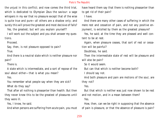the unjust in this conflict; and now comes the third trial, which is dedicated to Olympian Zeus the saviour: a sage whispers in my ear that no pleasure except that of the wise is quite true and pure—all others are a shadow only; and surely this will prove the greatest and most decisive of falls?

Yes, the greatest; but will you explain yourself?

I will work out the subject and you shall answer my questions.

Proceed.

Say, then, is not pleasure opposed to pain?

True.

And there is a neutral state which is neither pleasure nor pain?

There is.

A state which is intermediate, and a sort of repose of the soul about either—that is what you mean?

Yes.

You remember what people say when they are sick? What do they say?

That after all nothing is pleasanter than health. But then they never knew this to be the greatest of pleasures until they were ill.

Yes, I know, he said.

And when persons are suffering from acute pain, you must

have heard them say that there is nothing pleasanter than to get rid of their pain?

I have.

And there are many other cases of suffering in which the mere rest and cessation of pain, and not any positive enjoyment, is extolled by them as the greatest pleasure?

Yes, he said; at the time they are pleased and well content to be at rest.

Again, when pleasure ceases, that sort of rest or cessation will be painful?

Doubtless, he said.

Then the intermediate state of rest will be pleasure and will also be pain?

So it would seem.

But can that which is neither become both?

I should say not.

And both pleasure and pain are motions of the soul, are they not?

Yes.

But that which is neither was just now shown to be rest and not motion, and in a mean between them?

Yes.

How, then, can we be right in supposing that the absence of pain is pleasure, or that the absence of pleasure is pain?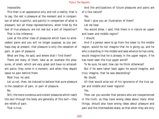Impossible.

This then is an appearance only and not a reality; that is to say, the rest is pleasure at the moment and in comparison of what is painful, and painful in comparison of what is pleasant; but all these representations, when tried by the test of true pleasure, are not real but a sort of imposition?

That is the inference.

Look at the other class of pleasures which have no antecedent pains and you will no longer suppose, as you perhaps may at present, that pleasure is only the cessation of pain, or pain of pleasure.

What are they, he said, and where shall I find them?

There are many of them: take as an example the pleasures, of smell, which are very great and have no antecedent pains; they come in a moment, and when they depart leave no pain behind them.

Most true, he said.

Let us not, then, be induced to believe that pure pleasure is the cessation of pain, or pain of pleasure.

No.

Still, the more numerous and violent pleasures which reach the soul through the body are generally of this sort—they are reliefs of pain.

That is true.

And the anticipations of future pleasures and pains are of a like nature?

Yes.

Shall I give you an illustration of them?

Let me hear.

You would allow, I said, that there is in nature an upper and lower and middle region?

I should.

And if a person were to go from the lower to the middle region, would he not imagine that he is going up; and he who is standing in the middle and sees whence he has come, would imagine that he is already in the upper region, if he has never seen the true upper world?

To be sure, he said; how can he think otherwise?

But if he were taken back again he would imagine, and truly imagine, that he was descending?

No doubt.

All that would arise out of his ignorance of the true upper and middle and lower regions?

Yes.

Then can you wonder that persons who are inexperienced in the truth, as they have wrong ideas about many other things, should also have wrong ideas about pleasure and pain and the intermediate state; so that when they are only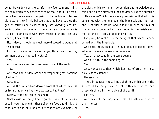being drawn towards the painful they feel pain and think the pain which they experience to be real, and in like manner, when drawn away from pain to the neutral or intermediate state, they firmly believe that they have reached the goal of satiety and pleasure; they, not knowing pleasure, err in contrasting pain with the absence of pain, which is like contrasting black with grey instead of white—can you wonder, I say, at this?

No, indeed; I should be much more disposed to wonder at the opposite.

Look at the matter thus:—Hunger, thirst, and the like, are inanitions of the bodily state?

Yes.

And ignorance and folly are inanitions of the soul?

True.

And food and wisdom are the corresponding satisfactions of either?

Certainly.

And is the satisfaction derived from that which has less or from that which has more existence the truer?

Clearly, from that which has more.

What classes of things have a greater share of pure existence in your judgment—those of which food and drink and condiments and all kinds of sustenance are examples, or

the class which contains true opinion and knowledge and mind and all the different kinds of virtue? Put the question in this way:—Which has a more pure being—that which is concerned with the invariable, the immortal, and the true, and is of such a nature, and is found in such natures; or that which is concerned with and found in the variable and mortal, and is itself variable and mortal?

Far purer, he replied, is the being of that which is concerned with the invariable.

And does the essence of the invariable partake of knowledge in the same degree as of essence?

Yes, of knowledge in the same degree.

And of truth in the same degree?

Yes.

And, conversely, that which has less of truth will also have less of essence?

Necessarily.

Then, in general, those kinds of things which are in the service of the body have less of truth and essence than those which are in the service of the soul?

Far less.

And has not the body itself less of truth and essence than the soul?

Yes.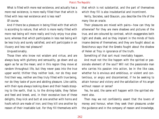What is filled with more real existence, and actually has a more real existence, is more really filled than that which is filled with less real existence and is less real?

Of course.

And if there be a pleasure in being filled with that which is according to nature, that which is more really filled with more real being will more really and truly enjoy true pleasure; whereas that which participates in less real being will be less truly and surely satisfied, and will participate in an illusory and less real pleasure?

Unquestionably.

Those then who know not wisdom and virtue, and are always busy with gluttony and sensuality, go down and up again as far as the mean; and in this region they move at random throughout life, but they never pass into the true upper world; thither they neither look, nor do they ever find their way, neither are they truly filled with true being, nor do they taste of pure and abiding pleasure. Like cattle, with their eyes always looking down and their heads stooping to the earth, that is, to the dining-table, they fatten and feed and breed, and, in their excessive love of these delights, they kick and butt at one another with horns and hoofs which are made of iron; and they kill one another by reason of their insatiable lust. For they fill themselves with that which is not substantial, and the part of themselves which they fill is also insubstantial and incontinent.

Verily, Socrates, said Glaucon, you describe the life of the many like an oracle.

Their pleasures are mixed with pains—how can they be otherwise? For they are mere shadows and pictures of the true, and are coloured by contrast, which exaggerates both light and shade, and so they implant in the minds of fools insane desires of themselves; and they are fought about as Stesichorus says that the Greeks fought about the shadow of Helen at Troy in ignorance of the truth.

Something of that sort must inevitably happen.

And must not the like happen with the spirited or passionate element of the soul? Will not the passionate man who carries his passion into action, be in the like case, whether he is envious and ambitious, or violent and contentious, or angry and discontented, if he be seeking to attain honour and victory and the satisfaction of his anger without reason or sense?

Yes, he said, the same will happen with the spirited element also.

Then may we not confidently assert that the lovers of money and honour, when they seek their pleasures under the guidance and in the company of reason and knowledge,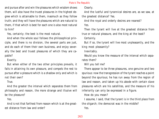and pursue after and win the pleasures which wisdom shows them, will also have the truest pleasures in the highest degree which is attainable to them, inasmuch as they follow truth; and they will have the pleasures which are natural to them, if that which is best for each one is also most natural to him?

Yes, certainly; the best is the most natural.

And when the whole soul follows the philosophical principle, and there is no division, the several parts are just, and do each of them their own business, and enjoy severally the best and truest pleasures of which they are capable?

# Exactly.

But when either of the two other principles prevails, it fails in attaining its own pleasure, and compels the rest to pursue after a pleasure which is a shadow only and which is not their own?

True.

And the greater the interval which separates them from philosophy and reason, the more strange and illusive will be the pleasure?

Yes.

And is not that farthest from reason which is at the greatest distance from law and order?

Clearly.

And the lustful and tyrannical desires are, as we saw, at the greatest distance? Yes.

And the royal and orderly desires are nearest? Yes.

Then the tyrant will live at the greatest distance from true or natural pleasure, and the king at the least? Certainly.

But if so, the tyrant will live most unpleasantly, and the king most pleasantly?

Inevitably.

Would you know the measure of the interval which separates them?

Will you tell me?

There appear to be three pleasures, one genuine and two spurious: now the transgression of the tyrant reaches a point beyond the spurious; he has run away from the region of law and reason, and taken up his abode with certain slave pleasures which are his satellites, and the measure of his inferiority can only be expressed in a figure.

How do you mean?

I assume, I said, that the tyrant is in the third place from the oligarch; the democrat was in the middle? Yes.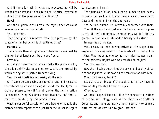And if there is truth in what has preceded, he will be wedded to an image of pleasure which is thrice removed as to truth from the pleasure of the oligarch?

He will.

And the oligarch is third from the royal; since we count as one royal and aristocratical?

Yes, he is third.

Then the tyrant is removed from true pleasure by the space of a number which is three times three?

Manifestly.

The shadow then of tyrannical pleasure determined by the number of length will be a plane figure.

Certainly.

And if you raise the power and make the plane a solid, there is no difficulty in seeing how vast is the interval by which the tyrant is parted from the king.

Yes; the arithmetician will easily do the sum.

Or if some person begins at the other end and measures the interval by which the king is parted from the tyrant in truth of pleasure, he will find him, when the multiplication is complete, living 729 times more pleasantly, and the tyrant more painfully by this same interval.

What a wonderful calculation! And how enormous is the distance which separates the just from the unjust in regard to pleasure and pain!

Yet a true calculation, I said, and a number which nearly concerns human life, if human beings are concerned with days and nights and months and years.

Yes, he said, human life is certainly concerned with them.

Then if the good and just man be thus superior in pleasure to the evil and unjust, his superiority will be infinitely greater in propriety of life and in beauty and virtue?

Immeasurably greater.

Well, I said, and now having arrived at this stage of the argument, we may revert to the words which brought us hither: Was not some one saying that injustice was a gain to the perfectly unjust who was reputed to be just?

Yes, that was said.

Now then, having determined the power and quality of justice and injustice, let us have a little conversation with him.

What shall we say to him?

Let us make an image of the soul, that he may have his own words presented before his eyes.

Of what sort?

An ideal image of the soul, like the composite creations of ancient mythology, such as the Chimera or Scylla or Cerberus, and there are many others in which two or more different natures are said to grow into one.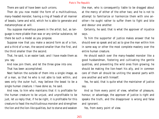There are said of have been such unions.

Then do you now model the form of a multitudinous, many-headed monster, having a ring of heads of all manner of beasts, tame and wild, which he is able to generate and metamorphose at will.

You suppose marvellous powers in the artist; but, as language is more pliable than wax or any similar substance, let there be such a model as you propose.

Suppose now that you make a second form as of a lion, and a third of a man, the second smaller than the first, and the third smaller than the second.

That, he said, is an easier task; and I have made them as you say.

And now join them, and let the three grow into one.

That has been accomplished.

Next fashion the outside of them into a single image, as of a man, so that he who is not able to look within, and sees only the outer hull, may believe the beast to be a single human creature. I have done so, he said.

And now, to him who maintains that it is profitable for the human creature to be unjust, and unprofitable to be just, let us reply that, if he be right, it is profitable for this creature to feast the multitudinous monster and strengthen the lion and the lion-like qualities, but to starve and weaken

the man, who is consequently liable to be dragged about at the mercy of either of the other two; and he is not to attempt to familiarize or harmonize them with one another—he ought rather to suffer them to fight and bite and devour one another.

Certainly, he said; that is what the approver of injustice says.

To him the supporter of justice makes answer that he should ever so speak and act as to give the man within him in some way or other the most complete mastery over the entire human creature.

He should watch over the many-headed monster like a good husbandman, fostering and cultivating the gentle qualities, and preventing the wild ones from growing; he should be making the lion-heart his ally, and in common care of them all should be uniting the several parts with one another and with himself.

Yes, he said, that is quite what the maintainer of justice say.

And so from every point of view, whether of pleasure, honour, or advantage, the approver of justice is right and speaks the truth, and the disapprover is wrong and false and ignorant.

Yes, from every point of view.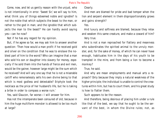Come, now, and let us gently reason with the unjust, who is not intentionally in error. 'Sweet Sir,' we will say to him, what think you of things esteemed noble and ignoble? Is not the noble that which subjects the beast to the man, or rather to the god in man; and the ignoble that which subjects the man to the beast?' He can hardly avoid saying yes—can he now?

Not if he has any regard for my opinion.

But, if he agree so far, we may ask him to answer another question: 'Then how would a man profit if he received gold and silver on the condition that he was to enslave the noblest part of him to the worst? Who can imagine that a man who sold his son or daughter into slavery for money, especially if he sold them into the hands of fierce and evil men, would be the gainer, however large might be the sum which he received? And will any one say that he is not a miserable caitiff who remorselessly sells his own divine being to that which is most godless and detestable? Eriphyle took the necklace as the price of her husband's life, but he is taking a bribe in order to compass a worse ruin.'

Yes, said Glaucon, far worse—I will answer for him.

Has not the intemperate been censured of old, because in him the huge multiform monster is allowed to be too much at large?

Clearly.

And men are blamed for pride and bad temper when the lion and serpent element in them disproportionately grows and gains strength?

Yes.

And luxury and softness are blamed, because they relax and weaken this same creature, and make a coward of him? Very true.

And is not a man reproached for flattery and meanness who subordinates the spirited animal to the unruly monster, and, for the sake of money, of which he can never have enough, habituates him in the days of his youth to be trampled in the mire, and from being a lion to become a monkey?

True, he said.

And why are mean employments and manual arts a reproach? Only because they imply a natural weakness of the higher principle; the individual is unable to control the creatures within him, but has to court them, and his great study is how to flatter them.

Such appears to be the reason.

And therefore, being desirous of placing him under a rule like that of the best, we say that he ought to be the servant of the best, in whom the Divine rules; not, as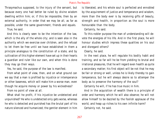Thrasymachus supposed, to the injury of the servant, but because every one had better be ruled by divine wisdom dwelling within him; or, if this be impossible, then by an external authority, in order that we may be all, as far as possible, under the same government, friends and equals.

True, he said.

And this is clearly seen to be the intention of the law, which is the ally of the whole city; and is seen also in the authority which we exercise over children, and the refusal to let them be free until we have established in them a principle analogous to the constitution of a state, and by cultivation of this higher element have set up in their hearts a guardian and ruler like our own, and when this is done they may go their ways.

Yes, he said, the purpose of the law is manifest.

From what point of view, then, and on what ground can we say that a man is profited by injustice or intemperance or other baseness, which will make him a worse man, even though he acquire money or power by his wickedness?

From no point of view at all.

What shall he profit, if his injustice be undetected and unpunished? He who is undetected only gets worse, whereas he who is detected and punished has the brutal part of his nature silenced and humanized; the gentler element in him is liberated, and his whole soul is perfected and ennobled by the acquirement of justice and temperance and wisdom, more than the body ever is by receiving gifts of beauty, strength and health, in proportion as the soul is more honourable than the body.

# Certainly, he said.

To this nobler purpose the man of understanding will devote the energies of his life. And in the first place, he will honour studies which impress these qualities on his soul and disregard others?

Clearly, he said.

In the next place, he will regulate his bodily habit and training, and so far will he be from yielding to brutal and irrational pleasures, that he will regard even health as quite a secondary matter; his first object will be not that he may be fair or strong or well, unless he is likely thereby to gain temperance, but he will always desire so to attemper the body as to preserve the harmony of the soul?

Certainly he will, if he has true music in him.

And in the acquisition of wealth there is a principle of order and harmony which he will also observe; he will not allow himself to be dazzled by the foolish applause of the world, and heap up riches to his own infinite harm?

Certainly not, he said.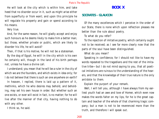He will look at the city which is within him, and take heed that no disorder occur in it, such as might arise either from superfluity or from want; and upon this principle he will regulate his property and gain or spend according to his means.

Very true.

And, for the same reason, he will gladly accept and enjoy such honours as he deems likely to make him a better man; but those, whether private or public, which are likely to disorder his life, he will avoid?

Then, if that is his motive, he will not be a statesman.

By the dog of Egypt, he will! in the city which is his own he certainly will, though in the land of his birth perhaps not, unless he have a divine call.

I understand; you mean that he will be a ruler in the city of which we are the founders, and which exists in idea only; for I do not believe that there is such an one anywhere on earth?

In heaven, I replied, there is laid up a pattern of it, methinks, which he who desires may behold, and beholding, may set his own house in order. But whether such an one exists, or ever will exist in fact, is no matter; for he will live after the manner of that city, having nothing to do with any other.

I think so, he said.

# **BOOK X**

# **SOCRATES - GLAUCON**

Of the many excellences which I perceive in the order of our State, there is none which upon reflection pleases me better than the rule about poetry.

To what do you refer?

To the rejection of imitative poetry, which certainly ought not to be received; as I see far more clearly now that the parts of the soul have been distinguished.

What do you mean?

Speaking in confidence, for I should not like to have my words repeated to the tragedians and the rest of the imitative tribe—but I do not mind saying to you, that all poetical imitations are ruinous to the understanding of the hearers, and that the knowledge of their true nature is the only antidote to them.

Explain the purport of your remark.

Well, I will tell you, although I have always from my earliest youth had an awe and love of Homer, which even now makes the words falter on my lips, for he is the great captain and teacher of the whole of that charming tragic company; but a man is not to be reverenced more than the truth, and therefore I will speak out.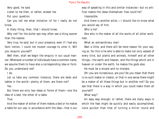Very good, he said.

Listen to me then, or rather, answer me.

Put your question.

Can you tell me what imitation is? for I really do not know.

A likely thing, then, that I should know.

Why not? for the duller eye may often see a thing sooner than the keener.

Very true, he said; but in your presence, even if I had any faint notion, I could not muster courage to utter it. Will you enquire yourself?

Well then, shall we begin the enquiry in our usual manner: Whenever a number of individuals have a common name, we assume them to have also a corresponding idea or form. Do you understand me?

I do.

Let us take any common instance; there are beds and tables in the world—plenty of them, are there not?

### Yes.

But there are only two ideas or forms of them—one the idea of a bed, the other of a table.

True.

And the maker of either of them makes a bed or he makes a table for our use, in accordance with the idea—that is our way of speaking in this and similar instances—but no artificer makes the ideas themselves: how could he?

Impossible.

And there is another artist,—I should like to know what you would say of him.

Who is he?

One who is the maker of all the works of all other workmen.

What an extraordinary man!

Wait a little, and there will be more reason for your saying so. For this is he who is able to make not only vessels of every kind, but plants and animals, himself and all other things—the earth and heaven, and the things which are in heaven or under the earth; he makes the gods also.

He must be a wizard and no mistake.

Oh! you are incredulous, are you? Do you mean that there is no such maker or creator, or that in one sense there might be a maker of all these things but in another not? Do you see that there is a way in which you could make them all yourself?

# What way?

An easy way enough; or rather, there are many ways in which the feat might be quickly and easily accomplished, none quicker than that of turning a mirror round and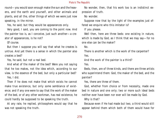round—you would soon enough make the sun and the heavens, and the earth and yourself, and other animals and plants, and all the, other things of which we were just now speaking, in the mirror.

Yes, he said; but they would be appearances only.

Very good, I said, you are coming to the point now. And the painter too is, as I conceive, just such another—a creator of appearances, is he not?

Of course.

But then I suppose you will say that what he creates is untrue. And yet there is a sense in which the painter also creates a bed?

Yes, he said, but not a real bed.

And what of the maker of the bed? Were you not saying that he too makes, not the idea which, according to our view, is the essence of the bed, but only a particular bed?

Yes, I did.

Then if he does not make that which exists he cannot make true existence, but only some semblance of existence; and if any one were to say that the work of the maker of the bed, or of any other workman, has real existence, he could hardly be supposed to be speaking the truth.

At any rate, he replied, philosophers would say that he was not speaking the truth.

No wonder, then, that his work too is an indistinct expression of truth.

No wonder.

Suppose now that by the light of the examples just offered we enquire who this imitator is?

If you please.

Well then, here are three beds: one existing in nature, which is made by God, as I think that we may say—for no one else can be the maker?

No.

There is another which is the work of the carpenter? Yes.

And the work of the painter is a third?

Yes.

Beds, then, are of three kinds, and there are three artists who superintend them: God, the maker of the bed, and the painter?

Yes, there are three of them.

God, whether from choice or from necessity, made one bed in nature and one only; two or more such ideal beds neither ever have been nor ever will be made by God.

Why is that?

Because even if He had made but two, a third would still appear behind them which both of them would have for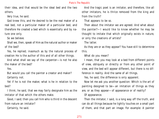their idea, and that would be the ideal bed and the two others.

Very true, he said.

God knew this, and He desired to be the real maker of a real bed, not a particular maker of a particular bed, and therefore He created a bed which is essentially and by nature one only.

So we believe.

Shall we, then, speak of Him as the natural author or maker of the bed?

Yes, he replied; inasmuch as by the natural process of creation He is the author of this and of all other things.

And what shall we say of the carpenter—is not he also the maker of the bed?

Yes.

But would you call the painter a creator and maker? Certainly not.

Yet if he is not the maker, what is he in relation to the bed?

I think, he said, that we may fairly designate him as the imitator of that which the others make.

Good, I said; then you call him who is third in the descent from nature an imitator?

Certainly, he said.

And the tragic poet is an imitator, and therefore, like all other imitators, he is thrice removed from the king and from the truth?

That appears to be so.

Then about the imitator we are agreed. And what about the painter?—I would like to know whether he may be thought to imitate that which originally exists in nature, or only the creations of artists?

The latter.

As they are or as they appear? You have still to determine this.

What do you mean?

I mean, that you may look at a bed from different points of view, obliquely or directly or from any other point of view, and the bed will appear different, but there is no difference in reality. And the same of all things.

Yes, he said, the difference is only apparent.

Now let me ask you another question: Which is the art of painting designed to be—an imitation of things as they are, or as they appear—of appearance or of reality?

Of appearance.

Then the imitator, I said, is a long way off the truth, and can do all things because he lightly touches on a small part of them, and that part an image. For example: A painter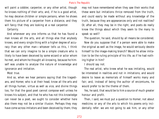will paint a cobbler, carpenter, or any other artist, though he knows nothing of their arts; and, if he is a good artist, he may deceive children or simple persons, when he shows them his picture of a carpenter from a distance, and they will fancy that they are looking at a real carpenter.

Certainly.

And whenever any one informs us that he has found a man knows all the arts, and all things else that anybody knows, and every single thing with a higher degree of accuracy than any other man—whoever tells us this, I think that we can only imagine to be a simple creature who is likely to have been deceived by some wizard or actor whom he met, and whom he thought all-knowing, because he himself was unable to analyse the nature of knowledge and ignorance and imitation.

Most true.

And so, when we hear persons saying that the tragedians, and Homer, who is at their head, know all the arts and all things human, virtue as well as vice, and divine things too, for that the good poet cannot compose well unless he knows his subject, and that he who has not this knowledge can never be a poet, we ought to consider whether here also there may not be a similar illusion. Perhaps they may have come across imitators and been deceived by them; they

may not have remembered when they saw their works that these were but imitations thrice removed from the truth, and could easily be made without any knowledge of the truth, because they are appearances only and not realities? Or, after all, they may be in the right, and poets do really know the things about which they seem to the many to speak so well?

The question, he said, should by all means be considered.

Now do you suppose that if a person were able to make the original as well as the image, he would seriously devote himself to the image-making branch? Would he allow imitation to be the ruling principle of his life, as if he had nothing higher in him?

I should say not.

The real artist, who knew what he was imitating, would be interested in realities and not in imitations; and would desire to leave as memorials of himself works many and fair; and, instead of being the author of encomiums, he would prefer to be the theme of them.

Yes, he said, that would be to him a source of much greater honour and profit.

Then, I said, we must put a question to Homer; not about medicine, or any of the arts to which his poems only incidentally refer: we are not going to ask him, or any other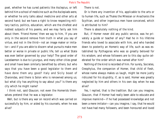poet, whether he has cured patients like Asclepius, or left behind him a school of medicine such as the Asclepiads were, or whether he only talks about medicine and other arts at second hand; but we have a right to know respecting military tactics, politics, education, which are the chiefest and noblest subjects of his poems, and we may fairly ask him about them. 'Friend Homer,' then we say to him, 'if you are only in the second remove from truth in what you say of virtue, and not in the third—not an image maker or imitator—and if you are able to discern what pursuits make men better or worse in private or public life, tell us what State was ever better governed by your help? The good order of Lacedaemon is due to Lycurgus, and many other cities great and small have been similarly benefited by others; but who says that you have been a good legislator to them and have done them any good? Italy and Sicily boast of Charondas, and there is Solon who is renowned among us; but what city has anything to say about you?' Is there any city which he might name?

I think not, said Glaucon; not even the Homerids themselves pretend that he was a legislator.

Well, but is there any war on record which was carried on successfully by him, or aided by his counsels, when he was alive?

There is not.

Or is there any invention of his, applicable to the arts or to human life, such as Thales the Milesian or Anacharsis the Scythian, and other ingenious men have conceived, which is attributed to him?

There is absolutely nothing of the kind.

But, if Homer never did any public service, was he privately a guide or teacher of any? Had he in his lifetime friends who loved to associate with him, and who handed down to posterity an Homeric way of life, such as was established by Pythagoras who was so greatly beloved for his wisdom, and whose followers are to this day quite celebrated for the order which was named after him?

Nothing of the kind is recorded of him. For surely, Socrates, Creophylus, the companion of Homer, that child of flesh, whose name always makes us laugh, might be more justly ridiculed for his stupidity, if, as is said, Homer was greatly neglected by him and others in his own day when he was alive?

Yes, I replied, that is the tradition. But can you imagine, Glaucon, that if Homer had really been able to educate and improve mankind—if he had possessed knowledge and not been a mere imitator—can you imagine, I say, that he would not have had many followers, and been honoured and loved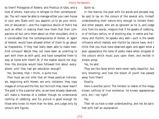by them? Protagoras of Abdera, and Prodicus of Ceos, and a host of others, have only to whisper to their contemporaries: 'You will never be able to manage either your own house or your own State until you appoint us to be your ministers of education'—and this ingenious device of theirs has such an effect in making them love them that their companions all but carry them about on their shoulders. And is it conceivable that the contemporaries of Homer, or again of Hesiod, would have allowed either of them to go about as rhapsodists, if they had really been able to make mankind virtuous? Would they not have been as unwilling to part with them as with gold, and have compelled them to stay at home with them? Or, if the master would not stay, then the disciples would have followed him about everywhere, until they had got education enough?

Yes, Socrates, that, I think, is quite true.

Then must we not infer that all these poetical individuals, beginning with Homer, are only imitators; they copy images of virtue and the like, but the truth they never reach? The poet is like a painter who, as we have already observed, will make a likeness of a cobbler though he understands nothing of cobbling; and his picture is good enough for those who know no more than he does, and judge only by colours and figures.

Quite so.

In like manner the poet with his words and phrases may be said to lay on the colours of the several arts, himself understanding their nature only enough to imitate them; and other people, who are as ignorant as he is, and judge only from his words, imagine that if he speaks of cobbling, or of military tactics, or of anything else, in metre and harmony and rhythm, he speaks very well—such is the sweet influence which melody and rhythm by nature have. And I think that you must have observed again and again what a poor appearance the tales of poets make when stripped of the colours which music puts upon them, and recited in simple prose.

Yes, he said.

They are like faces which were never really beautiful, but only blooming; and now the bloom of youth has passed away from them?

Exactly.

Here is another point: The imitator or maker of the image knows nothing of true existence; he knows appearances only. Am I not right?

Yes.

Then let us have a clear understanding, and not be satisfied with half an explanation.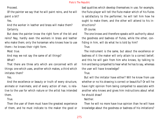Proceed.

Of the painter we say that he will paint reins, and he will paint a bit?

Yes.

And the worker in leather and brass will make them? Certainly.

But does the painter know the right form of the bit and reins? Nay, hardly even the workers in brass and leather who make them; only the horseman who knows how to use them—he knows their right form.

Most true.

And may we not say the same of all things?

What?

That there are three arts which are concerned with all things: one which uses, another which makes, a third which imitates them?

Yes.

And the excellence or beauty or truth of every structure, animate or inanimate, and of every action of man, is relative to the use for which nature or the artist has intended them.

True.

Then the user of them must have the greatest experience of them, and he must indicate to the maker the good or bad qualities which develop themselves in use; for example, the flute-player will tell the flute-maker which of his flutes is satisfactory to the performer; he will tell him how he ought to make them, and the other will attend to his instructions?

Of course.

The one knows and therefore speaks with authority about the goodness and badness of flutes, while the other, confiding in him, will do what he is told by him?

True.

The instrument is the same, but about the excellence or badness of it the maker will only attain to a correct belief; and this he will gain from him who knows, by talking to him and being compelled to hear what he has to say, whereas the user will have knowledge?

True.

But will the imitator have either? Will he know from use whether or no his drawing is correct or beautiful? Or will he have right opinion from being compelled to associate with another who knows and gives him instructions about what he should draw?

Neither.

Then he will no more have true opinion than he will have knowledge about the goodness or badness of his imitations?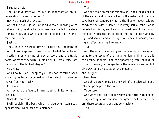I suppose not.

The imitative artist will be in a brilliant state of intelligence about his own creations?

Nay, very much the reverse.

And still he will go on imitating without knowing what makes a thing good or bad, and may be expected therefore to imitate only that which appears to be good to the ignorant multitude?

Just so.

Thus far then we are pretty well agreed that the imitator has no knowledge worth mentioning of what he imitates. Imitation is only a kind of play or sport, and the tragic poets, whether they write in iambic or in Heroic verse, are imitators in the highest degree?

Very true.

And now tell me, I conjure you, has not imitation been shown by us to be concerned with that which is thrice removed from the truth?

Certainly.

And what is the faculty in man to which imitation is addressed?

What do you mean?

I will explain: The body which is large when seen near, appears small when seen at a distance?

# True.

And the same object appears straight when looked at out of the water, and crooked when in the water; and the concave becomes convex, owing to the illusion about colours to which the sight is liable. Thus every sort of confusion is revealed within us; and this is that weakness of the human mind on which the art of conjuring and of deceiving by light and shadow and other ingenious devices imposes, having an effect upon us like magic.

True.

And the arts of measuring and numbering and weighing come to the rescue of the human understanding—there is the beauty of them—and the apparent greater or less, or more or heavier, no longer have the mastery over us, but give way before calculation and measure and weight?

Most true.

And this, surely, must be the work of the calculating and rational principle in the soul.

To be sure.

And when this principle measures and certifies that some things are equal, or that some are greater or less than others, there occurs an apparent contradiction?

True.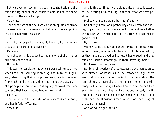But were we not saying that such a contradiction is the same faculty cannot have contrary opinions at the same time about the same thing?

Very true.

Then that part of the soul which has an opinion contrary to measure is not the same with that which has an opinion in accordance with measure?

True.

And the better part of the soul is likely to be that which trusts to measure and calculation?

Certainly.

And that which is opposed to them is one of the inferior principles of the soul?

No doubt.

This was the conclusion at which I was seeking to arrive when I said that painting or drawing, and imitation in general, when doing their own proper work, are far removed from truth, and the companions and friends and associates of a principle within us which is equally removed from reason, and that they have no true or healthy aim.

Exactly.

The imitative art is an inferior who marries an inferior, and has inferior offspring.

Very true.

And is this confined to the sight only, or does it extend to the hearing also, relating in fact to what we term poetry?

Probably the same would be true of poetry.

Do not rely, I said, on a probability derived from the analogy of painting; but let us examine further and see whether the faculty with which poetical imitation is concerned is good or bad.

By all means.

We may state the question thus:—Imitation imitates the actions of men, whether voluntary or involuntary, on which, as they imagine, a good or bad result has ensued, and they rejoice or sorrow accordingly. Is there anything more?

No, there is nothing else.

But in all this variety of circumstances is the man at unity with himself—or rather, as in the instance of sight there was confusion and opposition in his opinions about the same things, so here also is there not strife and inconsistency in his life? Though I need hardly raise the question again, for I remember that all this has been already admitted; and the soul has been acknowledged by us to be full of these and ten thousand similar oppositions occurring at the same moment?

And we were right, he said.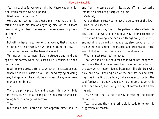Yes, I said, thus far we were right; but there was an omission which must now be supplied.

What was the omission?

Were we not saying that a good man, who has the misfortune to lose his son or anything else which is most dear to him, will bear the loss with more equanimity than another?

Yes.

But will he have no sorrow, or shall we say that although he cannot help sorrowing, he will moderate his sorrow?

The latter, he said, is the truer statement.

Tell me: will he be more likely to struggle and hold out against his sorrow when he is seen by his equals, or when he is alone?

It will make a great difference whether he is seen or not. When he is by himself he will not mind saying or doing many things which he would be ashamed of any one hearing or seeing him do?

# True.

There is a principle of law and reason in him which bids him resist, as well as a feeling of his misfortune which is forcing him to indulge his sorrow?

True.

But when a man is drawn in two opposite directions, to

and from the same object, this, as we affirm, necessarily implies two distinct principles in him?

Certainly.

One of them is ready to follow the guidance of the law? How do you mean?

The law would say that to be patient under suffering is best, and that we should not give way to impatience, as there is no knowing whether such things are good or evil; and nothing is gained by impatience; also, because no human thing is of serious importance, and grief stands in the way of that which at the moment is most required.

What is most required? he asked.

That we should take counsel about what has happened, and when the dice have been thrown order our affairs in the way which reason deems best; not, like children who have had a fall, keeping hold of the part struck and wasting time in setting up a howl, but always accustoming the soul forthwith to apply a remedy, raising up that which is sickly and fallen, banishing the cry of sorrow by the healing art.

Yes, he said, that is the true way of meeting the attacks of fortune.

Yes, I said; and the higher principle is ready to follow this suggestion of reason?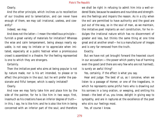Clearly.

And the other principle, which inclines us to recollection of our troubles and to lamentation, and can never have enough of them, we may call irrational, useless, and cowardly?

Indeed, we may.

And does not the latter—I mean the rebellious principle furnish a great variety of materials for imitation? Whereas the wise and calm temperament, being always nearly equable, is not easy to imitate or to appreciate when imitated, especially at a public festival when a promiscuous crowd is assembled in a theatre. For the feeling represented is one to which they are strangers.

Certainly.

Then the imitative poet who aims at being popular is not by nature made, nor is his art intended, to please or to affect the principle in the soul; but he will prefer the passionate and fitful temper, which is easily imitated?

### Clearly.

And now we may fairly take him and place him by the side of the painter, for he is like him in two ways: first, inasmuch as his creations have an inferior degree of truth in this, I say, he is like him; and he is also like him in being concerned with an inferior part of the soul; and therefore we shall be right in refusing to admit him into a well-ordered State, because he awakens and nourishes and strengthens the feelings and impairs the reason. As in a city when the evil are permitted to have authority and the good are put out of the way, so in the soul of man, as we maintain, the imitative poet implants an evil constitution, for he indulges the irrational nature which has no discernment of greater and less, but thinks the same thing at one time great and at another small—he is a manufacturer of images and is very far removed from the truth.

Exactly.

But we have not yet brought forward the heaviest count in our accusation:—the power which poetry has of harming even the good (and there are very few who are not harmed), is surely an awful thing?

Yes, certainly, if the effect is what you say.

Hear and judge: The best of us, as I conceive, when we listen to a passage of Homer, or one of the tragedians, in which he represents some pitiful hero who is drawling out his sorrows in a long oration, or weeping, and smiting his breast—the best of us, you know, delight in giving way to sympathy, and are in raptures at the excellence of the poet who stirs our feelings most.

Yes, of course I know.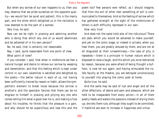But when any sorrow of our own happens to us, then you may observe that we pride ourselves on the opposite quality—we would fain be quiet and patient; this is the manly part, and the other which delighted us in the recitation is now deemed to be the part of a woman.

Very true, he said.

Now can we be right in praising and admiring another who is doing that which any one of us would abominate and be ashamed of in his own person?

No, he said, that is certainly not reasonable.

Nay, I said, quite reasonable from one point of view. What point of view?

If you consider, I said, that when in misfortune we feel a natural hunger and desire to relieve our sorrow by weeping and lamentation, and that this feeling which is kept under control in our own calamities is satisfied and delighted by the poets;—the better nature in each of us, not having been sufficiently trained by reason or habit, allows the sympathetic element to break loose because the sorrow is another's; and the spectator fancies that there can be no disgrace to himself in praising and pitying any one who comes telling him what a good man he is, and making a fuss about his troubles; he thinks that the pleasure is a gain, and why should he be supercilious and lose this and the

poem too? Few persons ever reflect, as I should imagine, that from the evil of other men something of evil is communicated to themselves. And so the feeling of sorrow which has gathered strength at the sight of the misfortunes of others is with difficulty repressed in our own.

How very true!

And does not the same hold also of the ridiculous? There are jests which you would be ashamed to make yourself, and yet on the comic stage, or indeed in private, when you hear them, you are greatly amused by them, and are not at all disgusted at their unseemliness;—the case of pity is repeated;—there is a principle in human nature which is disposed to raise a laugh, and this which you once restrained by reason, because you were afraid of being thought a buffoon, is now let out again; and having stimulated the risible faculty at the theatre, you are betrayed unconsciously to yourself into playing the comic poet at home.

Quite true, he said.

And the same may be said of lust and anger and all the other affections, of desire and pain and pleasure, which are held to be inseparable from every action—in all of them poetry feeds and waters the passions instead of drying them up; she lets them rule, although they ought to be controlled, if mankind are ever to increase in happiness and virtue.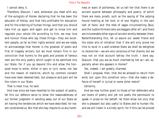I cannot deny it.

Therefore, Glaucon, I said, whenever you meet with any of the eulogists of Homer declaring that he has been the educator of Hellas, and that heis profitable for education and for the ordering of human things, and that you should take him up again and again and get to know him and regulate your whole life according to him, we may love and honour those who say these things—they are excellent people, as far as their lights extend; and we are ready to acknowledge that Homer is the greatest of poets and first of tragedy writers; but we must remain firm in our conviction that hymns to the gods and praises of famous men are the only poetry which ought to be admitted into our State. For if you go beyond this and allow the honeyed muse to enter, either in epic or lyric verse, not law and the reason of mankind, which by common consent have ever been deemed best, but pleasure and pain will be the rulers in our State.

That is most true, he said.

And now since we have reverted to the subject of poetry, let this our defence serve to show the reasonableness of our former judgment in sending away out of our State an art having the tendencies which we have described; for reason constrained us. But that she may impute to us any harshness or want of politeness, let us tell her that there is an ancient quarrel between philosophy and poetry; of which there are many proofs, such as the saying of 'the yelping hound howling at her lord,' or of one 'mighty in the vain talk of fools,' and 'the mob of sages circumventing Zeus,' and the 'subtle thinkers who are beggars after all'; and there are innumerable other signs of ancient enmity between them. Notwithstanding this, let us assure our sweet friend and the sister arts of imitation that if she will only prove her title to exist in a well-ordered State we shall be delighted to receive her—we are very conscious of her charms; but we may not on that account betray the truth. I dare say, Glaucon, that you are as much charmed by her as I am, especially when she appears in Homer?

Yes, indeed, I am greatly charmed.

Shall I propose, then, that she be allowed to return from exile, but upon this condition only—that she make a defence of herself in lyrical or some other metre?

#### Certainly.

And we may further grant to those of her defenders who are lovers of poetry and yet not poets the permission to speak in prose on her behalf: let them show not only that she is pleasant but also useful to States and to human life, and we will listen in a kindly spirit; for if this can be proved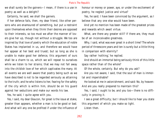we shall surely be the gainers—I mean, if there is a use in poetry as well as a delight?

Certainly, he said, we shall the gainers.

If her defence fails, then, my dear friend, like other persons who are enamoured of something, but put a restraint upon themselves when they think their desires are opposed to their interests, so too must we after the manner of lovers give her up, though not without a struggle. We too are inspired by that love of poetry which the education of noble States has implanted in us, and therefore we would have her appear at her best and truest; but so long as she is unable to make good her defence, this argument of ours shall be a charm to us, which we will repeat to ourselves while we listen to her strains; that we may not fall away into the childish love of her which captivates the many. At all events we are well aware that poetry being such as we have described is not to be regarded seriously as attaining to the truth; and he who listens to her, fearing for the safety of the city which is within him, should be on his guard against her seductions and make our words his law.

Yes, he said, I quite agree with you.

Yes, I said, my dear Glaucon, for great is the issue at stake, greater than appears, whether a man is to be good or bad. And what will any one be profited if under the influence of honour or money or power, aye, or under the excitement of poetry, he neglect justice and virtue?

Yes, he said; I have been convinced by the argument, as I believe that any one else would have been.

And yet no mention has been made of the greatest prizes and rewards which await virtue.

What, are there any greater still? If there are, they must be of an inconceivable greatness.

Why, I said, what was ever great in a short time? The whole period of threescore years and ten is surely but a little thing in comparison with eternity?

Say rather 'nothing,' he replied.

And should an immortal being seriously think of this little space rather than of the whole?

Of the whole, certainly. But why do you ask?

Are you not aware, I said, that the soul of man is immortal and imperishable?

He looked at me in astonishment, and said: No, by heaven: And are you really prepared to maintain this?

Yes, I said, I ought to be, and you too—there is no difficulty in proving it.

I see a great difficulty; but I should like to hear you state this argument of which you make so light. Listen then.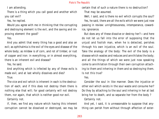I am attending.

There is a thing which you call good and another which you call evil?

Yes, he replied.

Would you agree with me in thinking that the corrupting and destroying element is the evil, and the saving and improving element the good?

Yes.

And you admit that every thing has a good and also an evil; as ophthalmia is the evil of the eyes and disease of the whole body; as mildew is of corn, and rot of timber, or rust of copper and iron: in everything, or in almost everything, there is an inherent evil and disease?

Yes, he said.

And anything which is infected by any of these evils is made evil, and at last wholly dissolves and dies?

# True.

The vice and evil which is inherent in each is the destruction of each; and if this does not destroy them there is nothing else that will; for good certainly will not destroy them, nor again, that which is neither good nor evil.

Certainly not.

If, then, we find any nature which having this inherent corruption cannot be dissolved or destroyed, we may be certain that of such a nature there is no destruction? That may be assumed.

Well, I said, and is there no evil which corrupts the soul? Yes, he said, there are all the evils which we were just now passing in review: unrighteousness, intemperance, cowardice, ignorance.

But does any of these dissolve or destroy her?—and here do not let us fall into the error of supposing that the unjust and foolish man, when he is detected, perishes through his own injustice, which is an evil of the soul. Take the analogy of the body: The evil of the body is a disease which wastes and reduces and annihilates the body; and all the things of which we were just now speaking come to annihilation through their own corruption attaching to them and inhering in them and so destroying them. Is not this true?

# Yes.

Consider the soul in like manner. Does the injustice or other evil which exists in the soul waste and consume her? Do they by attaching to the soul and inhering in her at last bring her to death, and so separate her from the body ? Certainly not.

And yet, I said, it is unreasonable to suppose that anything can perish from without through affection of exter-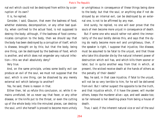nal evil which could not be destroyed from within by a corruption of its own?

It is, he replied.

Consider, I said, Glaucon, that even the badness of food, whether staleness, decomposition, or any other bad quality, when confined to the actual food, is not supposed to destroy the body; although, if the badness of food communicates corruption to the body, then we should say that the body has been destroyed by a corruption of itself, which is disease, brought on by this; but that the body, being one thing, can be destroyed by the badness of food, which is another, and which does not engender any natural infection—this we shall absolutely deny?

Very true.

And, on the same principle, unless some bodily evil can produce an evil of the soul, we must not suppose that the soul, which is one thing, can be dissolved by any merely external evil which belongs to another?

Yes, he said, there is reason in that.

Either then, let us refute this conclusion, or, while it remains unrefuted, let us never say that fever, or any other disease, or the knife put to the throat, or even the cutting up of the whole body into the minutest pieces, can destroy the soul, until she herself is proved to become more unholy or unrighteous in consequence of these things being done to the body; but that the soul, or anything else if not destroyed by an internal evil, can be destroyed by an external one, is not to be affirmed by any man.

And surely, he replied, no one will ever prove that the souls of men become more unjust in consequence of death.

But if some one who would rather not admit the immortality of the soul boldly denies this, and says that the dying do really become more evil and unrighteous, then, if the speaker is right, I suppose that injustice, like disease, must be assumed to be fatal to the unjust, and that those who take this disorder die by the natural inherent power of destruction which evil has, and which kills them sooner or later, but in quite another way from that in which, at present, the wicked receive death at the hands of others as the penalty of their deeds?

Nay, he said, in that case injustice, if fatal to the unjust, will not be so very terrible to him, for he will be delivered from evil. But I rather suspect the opposite to be the truth, and that injustice which, if it have the power, will murder others, keeps the murderer alive—aye, and well awake too; so far removed is her dwelling-place from being a house of death.

True, I said; if the inherent natural vice or evil of the soul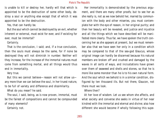is unable to kill or destroy her, hardly will that which is appointed to be the destruction of some other body, destroy a soul or anything else except that of which it was appointed to be the destruction.

Yes, that can hardly be.

But the soul which cannot be destroyed by an evil, whether inherent or external, must exist for ever, and if existing for ever, must be immortal?

Certainly.

That is the conclusion, I said; and, if a true conclusion, then the souls must always be the same, for if none be destroyed they will not diminish in number. Neither will they increase, for the increase of the immortal natures must come from something mortal, and all things would thus end in immortality.

Very true.

But this we cannot believe—reason will not allow us any more than we can believe the soul, in her truest nature, to be full of variety and difference and dissimilarity.

What do you mean? he said.

The soul, I said, being, as is now proven, immortal, must be the fairest of compositions and cannot be compounded of many elements?

Certainly not.

Her immortality is demonstrated by the previous argument, and there are many other proofs; but to see her as she really is, not as we now behold her, marred by communion with the body and other miseries, you must contemplate her with the eye of reason, in her original purity; and then her beauty will be revealed, and justice and injustice and all the things which we have described will be manifested more clearly. Thus far, we have spoken the truth concerning her as she appears at present, but we must remember also that we have seen her only in a condition which may be compared to that of the sea-god Glaucus, whose original image can hardly be discerned because his natural members are broken off and crushed and damaged by the waves in all sorts of ways, and incrustations have grown over them of seaweed and shells and stones, so that he is more like some monster than he is to his own natural form. And the soul which we behold is in a similar condition, disfigured by ten thousand ills. But not there, Glaucon, not there must we look.

# Where then?

At her love of wisdom. Let us see whom she affects, and what society and converse she seeks in virtue of her near kindred with the immortal and eternal and divine; also how different she would become if wholly following this supe-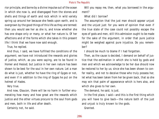rior principle, and borne by a divine impulse out of the ocean in which she now is, and disengaged from the stones and shells and things of earth and rock which in wild variety spring up around her because she feeds upon earth, and is overgrown by the good things of this life as they are termed: then you would see her as she is, and know whether she has one shape only or many, or what her nature is. Of her affections and of the forms which she takes in this present life I think that we have now said enough.

True, he replied.

And thus, I said, we have fulfilled the conditions of the argument; we have not introduced the rewards and glories of justice, which, as you were saying, are to be found in Homer and Hesiod; but justice in her own nature has been shown to be best for the soul in her own nature. Let a man do what is just, whether he have the ring of Gyges or not, and even if in addition to the ring of Gyges he put on the helmet of Hades.

Very true.

And now, Glaucon, there will be no harm in further enumerating how many and how great are the rewards which justice and the other virtues procure to the soul from gods and men, both in life and after death.

Certainly not, he said.

Will you repay me, then, what you borrowed in the argument?

# What did I borrow?

The assumption that the just man should appear unjust and the unjust just: for you were of opinion that even if the true state of the case could not possibly escape the eyes of gods and men, still this admission ought to be made for the sake of the argument, in order that pure justice might be weighed against pure injustice. Do you remember?

I should be much to blame if I had forgotten.

Then, as the cause is decided, I demand on behalf of justice that the estimation in which she is held by gods and men and which we acknowledge to be her due should now be restored to her by us; since she has been shown to confer reality, and not to deceive those who truly possess her, let what has been taken from her be given back, that so she may win that palm of appearance which is hers also, and which she gives to her own.

The demand, he said, is just.

In the first place, I said—and this is the first thing which you will have to give back—the nature both of the just and unjust is truly known to the gods.

Granted.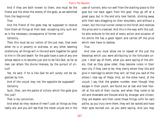And if they are both known to them, one must be the friend and the other the enemy of the gods, as we admitted from the beginning?

# True.

And the friend of the gods may be supposed to receive from them all things at their best, excepting only such evil as is the necessary consequence of former sins?

### Certainly.

Then this must be our notion of the just man, that even when he is in poverty or sickness, or any other seeming misfortune, all things will in the end work together for good to him in life and death: for the gods have a care of any one whose desire is to become just and to be like God, as far as man can attain the divine likeness, by the pursuit of virtue?

Yes, he said; if he is like God he will surely not be neglected by him.

And of the unjust may not the opposite be supposed? Certainly.

Such, then, are the palms of victory which the gods give the just?

That is my conviction.

And what do they receive of men? Look at things as they really are, and you will see that the clever unjust are in the

case of runners, who run well from the starting-place to the goal but not back again from the goal: they go off at a great pace, but in the end only look foolish, slinking away with their ears draggling on their shoulders, and without a crown; but the true runner comes to the finish and receives the prize and is crowned. And this is the way with the just; he who endures to the end of every action and occasion of his entire life has a good report and carries off the prize which men have to bestow.

#### True.

And now you must allow me to repeat of the just the blessings which you were attributing to the fortunate unjust. I shall say of them, what you were saying of the others, that as they grow older, they become rulers in their own city if they care to be; they marry whom they like and give in marriage to whom they will; all that you said of the others I now say of these. And, on the other hand, of the unjust I say that the greater number, even though they escape in their youth, are found out at last and look foolish at the end of their course, and when they come to be old and miserable are flouted alike by stranger and citizen; they are beaten and then come those things unfit for ears polite, as you truly term them; they will be racked and have their eyes burned out, as you were saying. And you may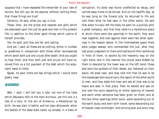suppose that I have repeated the remainder of your tale of horrors. But will you let me assume, without reciting them, that these things are true?

Certainly, he said, what you say is true.

These, then, are the prizes and rewards and gifts which are bestowed upon the just by gods and men in this present life, in addition to the other good things which justice of herself provides.

Yes, he said; and they are fair and lasting.

And yet, I said, all these are as nothing, either in number or greatness in comparison with those other recompenses which await both just and unjust after death. And you ought to hear them, and then both just and unjust will have received from us a full payment of the debt which the argument owes to them.

Speak, he said; there are few things which I would more gladly hear.

# **SOCRATES**

Well, I said, I will tell you a tale; not one of the tales which Odysseus tells to the hero Alcinous, yet this too is a tale of a hero, Er the son of Armenius, a Pamphylian by birth. He was slain in battle, and ten days afterwards, when the bodies of the dead were taken up already in a state of corruption, his body was found unaffected by decay, and carried away home to be buried. And on the twelfth day, as he was lying on the funeral pile, he returned to life and told them what he had seen in the other world. He said that when his soul left the body he went on a journey with a great company, and that they came to a mysterious place at which there were two openings in the earth; they were near together, and over against them were two other openings in the heaven above. In the intermediate space there were judges seated, who commanded the just, after they had given judgment on them and had bound their sentences in front of them, to ascend by the heavenly way on the right hand; and in like manner the unjust were bidden by them to descend by the lower way on the left hand; these also bore the symbols of their deeds, but fastened on their backs. He drew near, and they told him that he was to be the messenger who would carry the report of the other world to men, and they bade him hear and see all that was to be heard and seen in that place. Then he beheld and saw on one side the souls departing at either opening of heaven and earth when sentence had been given on them; and at the two other openings other souls, some ascending out of the earth dusty and worn with travel, some descending out of heaven clean and bright. And arriving ever and anon they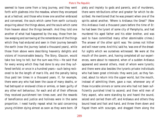seemed to have come from a long journey, and they went forth with gladness into the meadow, where they encamped as at a festival; and those who knew one another embraced and conversed, the souls which came from earth curiously enquiring about the things above, and the souls which came from heaven about the things beneath. And they told one another of what had happened by the way, those from below weeping and sorrowing at the remembrance of the things which they had endured and seen in their journey beneath the earth (now the journey lasted a thousand years), while those from above were describing heavenly delights and visions of inconceivable beauty. The Story, Glaucon, would take too long to tell; but the sum was this:—He said that for every wrong which they had done to any one they suffered tenfold; or once in a hundred years—such being reckoned to be the length of man's life, and the penalty being thus paid ten times in a thousand years. If, for example, there were any who had been the cause of many deaths, or had betrayed or enslaved cities or armies, or been guilty of any other evil behaviour, for each and all of their offences they received punishment ten times over, and the rewards of beneficence and justice and holiness were in the same proportion. I need hardly repeat what he said concerning young children dying almost as soon as they were born. Of

piety and impiety to gods and parents, and of murderers, there were retributions other and greater far which he described. He mentioned that he was present when one of the spirits asked another, 'Where is Ardiaeus the Great?' (Now this Ardiaeus lived a thousand years before the time of Er: he had been the tyrant of some city of Pamphylia, and had murdered his aged father and his elder brother, and was said to have committed many other abominable crimes.) The answer of the other spirit was: 'He comes not hither and will never come. And this,' said he, 'was one of the dreadful sights which we ourselves witnessed. We were at the mouth of the cavern, and, having completed all our experiences, were about to reascend, when of a sudden Ardiaeus appeared and several others, most of whom were tyrants; and there were also besides the tyrants private individuals who had been great criminals: they were just, as they fancied, about to return into the upper world, but the mouth, instead of admitting them, gave a roar, whenever any of these incurable sinners or some one who had not been sufficiently punished tried to ascend; and then wild men of fiery aspect, who were standing by and heard the sound, seized and carried them off; and Ardiaeus and others they bound head and foot and hand, and threw them down and flayed them with scourges, and dragged them along the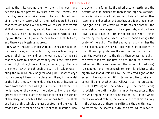road at the side, carding them on thorns like wool, and declaring to the passers- by what were their crimes, and that they were being taken away to be cast into hell.' And of all the many terrors which they had endured, he said that there was none like the terror which each of them felt at that moment, lest they should hear the voice; and when there was silence, one by one they ascended with exceeding joy. These, said Er, were the penalties and retributions, and there were blessings as great.

Now when the spirits which were in the meadow had tarried seven days, on the eighth they were obliged to proceed on their journey, and, on the fourth day after, he said that they came to a place where they could see from above a line of light, straight as a column, extending right through the whole heaven and through the earth, in colour resembling the rainbow, only brighter and purer; another day's journey brought them to the place, and there, in the midst of the light, they saw the ends of the chains of heaven let down from above: for this light is the belt of heaven, and holds together the circle of the universe, like the undergirders of a trireme. From these ends is extended the spindle of Necessity, on which all the revolutions turn. The shaft and hook of this spindle are made of steel, and the whorl is made partly of steel and also partly of other materials. Now

the whorl is in form like the whorl used on earth; and the description of it implied that there is one large hollow whorl which is quite scooped out, and into this is fitted another lesser one, and another, and another, and four others, making eight in all, like vessels which fit into one another; the whorls show their edges on the upper side, and on their lower side all together form one continuous whorl. This is pierced by the spindle, which is driven home through the center of the eighth. The first and outermost whorl has the rim broadest, and the seven inner whorls are narrower, in the following proportions—the sixth is next to the first in size, the fourth next to the sixth; then comes the eighth; the seventh is fifth, the fifth is sixth, the third is seventh, last and eighth comes the second. The largest (of fixed stars) is spangled, and the seventh (or sun) is brightest; the eighth (or moon) coloured by the reflected light of the seventh; the second and fifth (Saturn and Mercury) are in colour like one another, and yellower than the preceding; the third (Venus) has the whitest light; the fourth (Mars) is reddish; the sixth (Jupiter) is in whiteness second. Now the whole spindle has the same motion; but, as the whole revolves in one direction, the seven inner circles move slowly in the other, and of these the swiftest is the eighth; next in swiftness are the seventh, sixth, and fifth, which move to-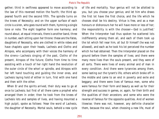gether; third in swiftness appeared to move according to the law of this reversed motion the fourth; the third appeared fourth and the second fifth. The spindle turns on the knees of Necessity; and on the upper surface of each circle is a siren, who goes round with them, hymning a single tone or note. The eight together form one harmony; and round about, at equal intervals, there is another band, three in number, each sitting upon her throne: these are the Fates, daughters of Necessity, who are clothed in white robes and have chaplets upon their heads, Lachesis and Clotho and Atropos, who accompany with their voices the harmony of the sirens—Lachesis singing of the past, Clotho of the present, Atropos of the future; Clotho from time to time assisting with a touch of her right hand the revolution of the outer circle of the whorl or spindle, and Atropos with her left hand touching and guiding the inner ones, and Lachesis laying hold of either in turn, first with one hand and then with the other.

When Er and the spirits arrived, their duty was to go at once to Lachesis; but first of all there came a prophet who arranged them in order; then he took from the knees of Lachesis lots and samples of lives, and having mounted a high pulpit, spoke as follows: 'Hear the word of Lachesis, the daughter of Necessity. Mortal souls, behold a new cycle

of life and mortality. Your genius will not be allotted to you, but you choose your genius; and let him who draws the first lot have the first choice, and the life which he chooses shall be his destiny. Virtue is free, and as a man honours or dishonours her he will have more or less of her; the responsibility is with the chooser—God is justified.' When the Interpreter had thus spoken he scattered lots indifferently among them all, and each of them took up the lot which fell near him, all but Er himself (he was not allowed), and each as he took his lot perceived the number which he had obtained. Then the Interpreter placed on the ground before them the samples of lives; and there were many more lives than the souls present, and they were of all sorts. There were lives of every animal and of man in every condition. And there were tyrannies among them, some lasting out the tyrant's life, others which broke off in the middle and came to an end in poverty and exile and beggary; and there were lives of famous men, some who were famous for their form and beauty as well as for their strength and success in games, or, again, for their birth and the qualities of their ancestors; and some who were the reverse of famous for the opposite qualities. And of women likewise; there was not, however, any definite character them, because the soul, when choosing a new life, must of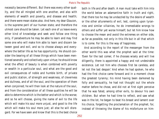necessity become different. But there was every other quality, and the all mingled with one another, and also with elements of wealth and poverty, and disease and health; and there were mean states also. And here, my dear Glaucon, is the supreme peril of our human state; and therefore the utmost care should be taken. Let each one of us leave every other kind of knowledge and seek and follow one thing only, if peradventure he may be able to learn and may find some one who will make him able to learn and discern between good and evil, and so to choose always and everywhere the better life as he has opportunity. He should consider the bearing of all these things which have been mentioned severally and collectively upon virtue; he should know what the effect of beauty is when combined with poverty or wealth in a particular soul, and what are the good and evil consequences of noble and humble birth, of private and public station, of strength and weakness, of cleverness and dullness, and of all the soul, and the operation of them when conjoined; he will then look at the nature of the soul, and from the consideration of all these qualities he will be able to determine which is the better and which is the worse; and so he will choose, giving the name of evil to the life which will make his soul more unjust, and good to the life which will make his soul more just; all else he will disregard. For we have seen and know that this is the best choice

both in life and after death. A man must take with him into the world below an adamantine faith in truth and right, that there too he may be undazzled by the desire of wealth or the other allurements of evil, lest, coming upon tyrannies and similar villainies, he do irremediable wrongs to others and suffer yet worse himself; but let him know how to choose the mean and avoid the extremes on either side, as far as possible, not only in this life but in all that which is to come. For this is the way of happiness.

And according to the report of the messenger from the other world this was what the prophet said at the time: 'Even for the last comer, if he chooses wisely and will live diligently, there is appointed a happy and not undesirable existence. Let not him who chooses first be careless, and let not the last despair.' And when he had spoken, he who had the first choice came forward and in a moment chose the greatest tyranny; his mind having been darkened by folly and sensuality, he had not thought out the whole matter before he chose, and did not at first sight perceive that he was fated, among other evils, to devour his own children. But when he had time to reflect, and saw what was in the lot, he began to beat his breast and lament over his choice, forgetting the proclamation of the prophet; for, instead of throwing the blame of his misfortune on him-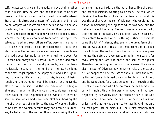self, he accused chance and the gods, and everything rather than himself. Now he was one of those who came from heaven, and in a former life had dwelt in a well-ordered State, but his virtue was a matter of habit only, and he had no philosophy. And it was true of others who were similarly overtaken, that the greater number of them came from heaven and therefore they had never been schooled by trial, whereas the pilgrims who came from earth, having themselves suffered and seen others suffer, were not in a hurry to choose. And owing to this inexperience of theirs, and also because the lot was a chance, many of the souls exchanged a good destiny for an evil or an evil for a good. For if a man had always on his arrival in this world dedicated himself from the first to sound philosophy, and had been moderately fortunate in the number of the lot, he might, as the messenger reported, be happy here, and also his journey to another life and return to this, instead of being rough and underground, would be smooth and heavenly. Most curious, he said, was the spectacle—sad and laughable and strange; for the choice of the souls was in most cases based on their experience of a previous life. There he saw the soul which had once been Orpheus choosing the life of a swan out of enmity to the race of women, hating to be born of a woman because they had been his murderers; he beheld also the soul of Thamyras choosing the life

of a nightingale; birds, on the other hand, like the swan and other musicians, wanting to be men. The soul which obtained the twentieth lot chose the life of a lion, and this was the soul of Ajax the son of Telamon, who would not be a man, remembering the injustice which was done him the judgment about the arms. The next was Agamemnon, who took the life of an eagle, because, like Ajax, he hated human nature by reason of his sufferings. About the middle came the lot of Atalanta; she, seeing the great fame of an athlete, was unable to resist the temptation: and after her there followed the soul of Epeus the son of Panopeus passing into the nature of a woman cunning in the arts; and far away among the last who chose, the soul of the jester Thersites was putting on the form of a monkey. There came also the soul of Odysseus having yet to make a choice, and his lot happened to be the last of them all. Now the recollection of former tolls had disenchanted him of ambition, and he went about for a considerable time in search of the life of a private man who had no cares; he had some difficulty in finding this, which was lying about and had been neglected by everybody else; and when he saw it, he said that he would have done the had his lot been first instead of last, and that he was delighted to have it. And not only did men pass into animals, but I must also mention that there were animals tame and wild who changed into one